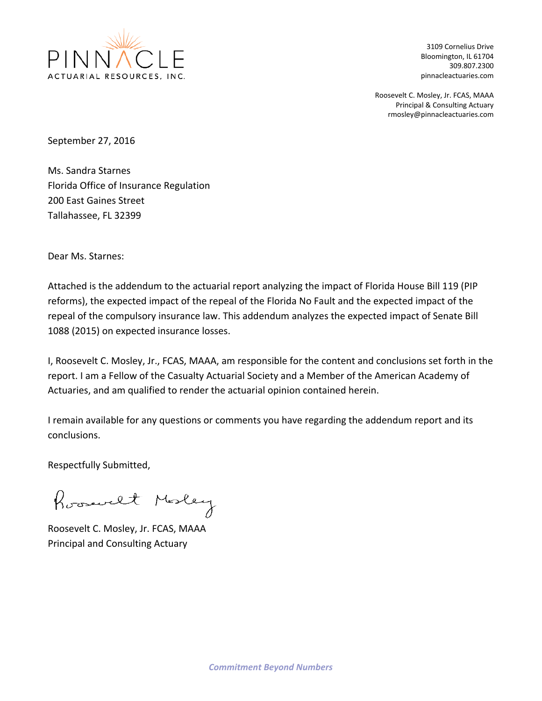

3109 Cornelius Drive Bloomington, IL 61704 309.807.2300 pinnacleactuaries.com

Roosevelt C. Mosley, Jr. FCAS, MAAA Principal & Consulting Actuary rmosley@pinnacleactuaries.com

September 27, 2016

Ms. Sandra Starnes Florida Office of Insurance Regulation 200 East Gaines Street Tallahassee, FL 32399

Dear Ms. Starnes:

Attached is the addendum to the actuarial report analyzing the impact of Florida House Bill 119 (PIP reforms), the expected impact of the repeal of the Florida No Fault and the expected impact of the repeal of the compulsory insurance law. This addendum analyzes the expected impact of Senate Bill 1088 (2015) on expected insurance losses.

I, Roosevelt C. Mosley, Jr., FCAS, MAAA, am responsible for the content and conclusions set forth in the report. I am a Fellow of the Casualty Actuarial Society and a Member of the American Academy of Actuaries, and am qualified to render the actuarial opinion contained herein.

I remain available for any questions or comments you have regarding the addendum report and its conclusions.

Respectfully Submitted,

Roosevelt Mosley

Roosevelt C. Mosley, Jr. FCAS, MAAA Principal and Consulting Actuary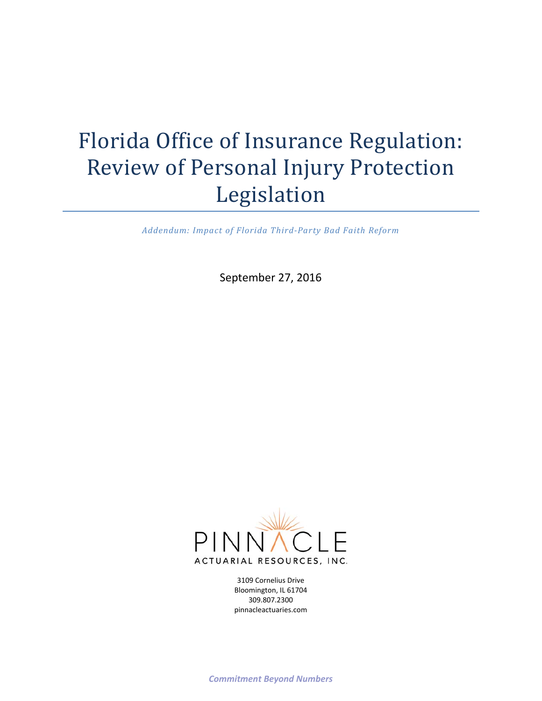# Florida Office of Insurance Regulation: Review of Personal Injury Protection Legislation

*Addendum: Impact of Florida Third‐Party Bad Faith Reform*

September 27, 2016



3109 Cornelius Drive Bloomington, IL 61704 309.807.2300 pinnacleactuaries.com

*Commitment Beyond Numbers*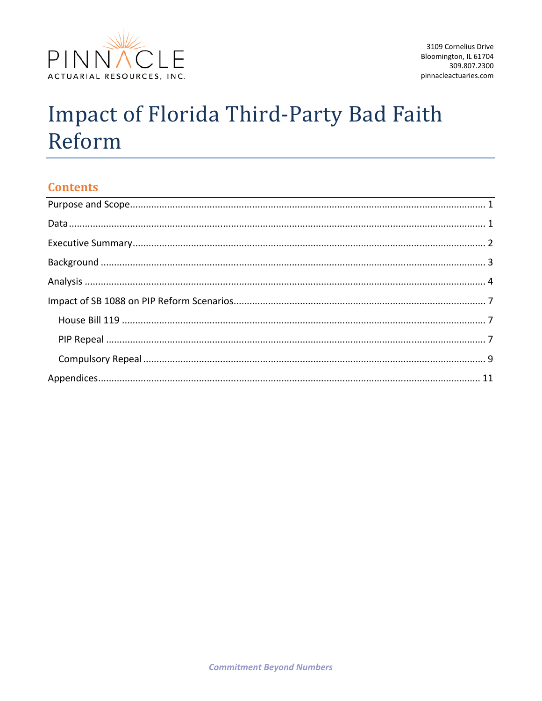

# **Impact of Florida Third-Party Bad Faith** Reform

# **Contents**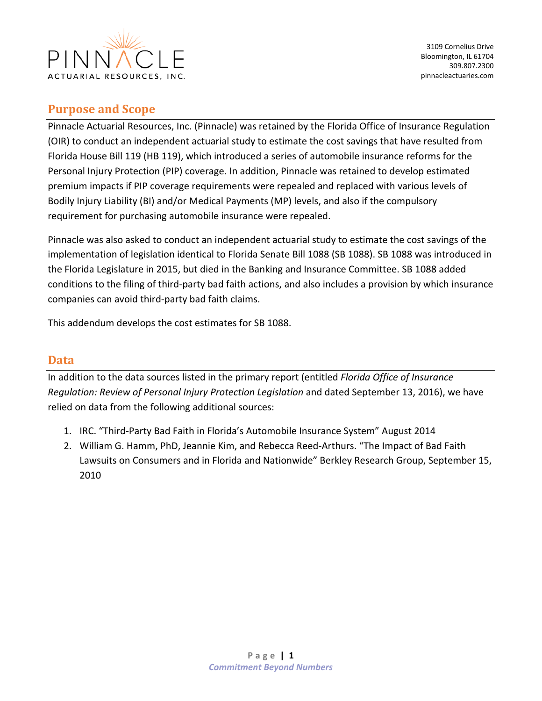

# **Purpose and Scope**

Pinnacle Actuarial Resources, Inc. (Pinnacle) was retained by the Florida Office of Insurance Regulation (OIR) to conduct an independent actuarial study to estimate the cost savings that have resulted from Florida House Bill 119 (HB 119), which introduced a series of automobile insurance reforms for the Personal Injury Protection (PIP) coverage. In addition, Pinnacle was retained to develop estimated premium impacts if PIP coverage requirements were repealed and replaced with various levels of Bodily Injury Liability (BI) and/or Medical Payments (MP) levels, and also if the compulsory requirement for purchasing automobile insurance were repealed.

Pinnacle was also asked to conduct an independent actuarial study to estimate the cost savings of the implementation of legislation identical to Florida Senate Bill 1088 (SB 1088). SB 1088 was introduced in the Florida Legislature in 2015, but died in the Banking and Insurance Committee. SB 1088 added conditions to the filing of third‐party bad faith actions, and also includes a provision by which insurance companies can avoid third‐party bad faith claims.

This addendum develops the cost estimates for SB 1088.

# **Data**

In addition to the data sources listed in the primary report (entitled *Florida Office of Insurance Regulation: Review of Personal Injury Protection Legislation* and dated September 13, 2016), we have relied on data from the following additional sources:

- 1. IRC. "Third‐Party Bad Faith in Florida's Automobile Insurance System" August 2014
- 2. William G. Hamm, PhD, Jeannie Kim, and Rebecca Reed‐Arthurs. "The Impact of Bad Faith Lawsuits on Consumers and in Florida and Nationwide" Berkley Research Group, September 15, 2010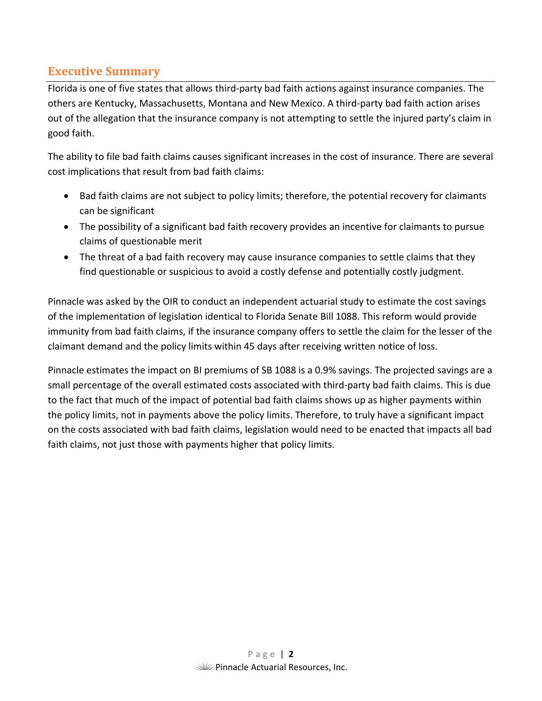# **Executive Summary**

Florida is one of five states that allows third‐party bad faith actions against insurance companies. The others are Kentucky, Massachusetts, Montana and New Mexico. A third‐party bad faith action arises out of the allegation that the insurance company is not attempting to settle the injured party's claim in good faith.

The ability to file bad faith claims causes significant increases in the cost of insurance. There are several cost implications that result from bad faith claims:

- Bad faith claims are not subject to policy limits; therefore, the potential recovery for claimants can be significant
- The possibility of a significant bad faith recovery provides an incentive for claimants to pursue claims of questionable merit
- The threat of a bad faith recovery may cause insurance companies to settle claims that they find questionable or suspicious to avoid a costly defense and potentially costly judgment.

Pinnacle was asked by the OIR to conduct an independent actuarial study to estimate the cost savings of the implementation of legislation identical to Florida Senate Bill 1088. This reform would provide immunity from bad faith claims, if the insurance company offers to settle the claim for the lesser of the claimant demand and the policy limits within 45 days after receiving written notice of loss.

Pinnacle estimates the impact on BI premiums of SB 1088 is a 0.9% savings. The projected savings are a small percentage of the overall estimated costs associated with third‐party bad faith claims. This is due to the fact that much of the impact of potential bad faith claims shows up as higher payments within the policy limits, not in payments above the policy limits. Therefore, to truly have a significant impact on the costs associated with bad faith claims, legislation would need to be enacted that impacts all bad faith claims, not just those with payments higher that policy limits.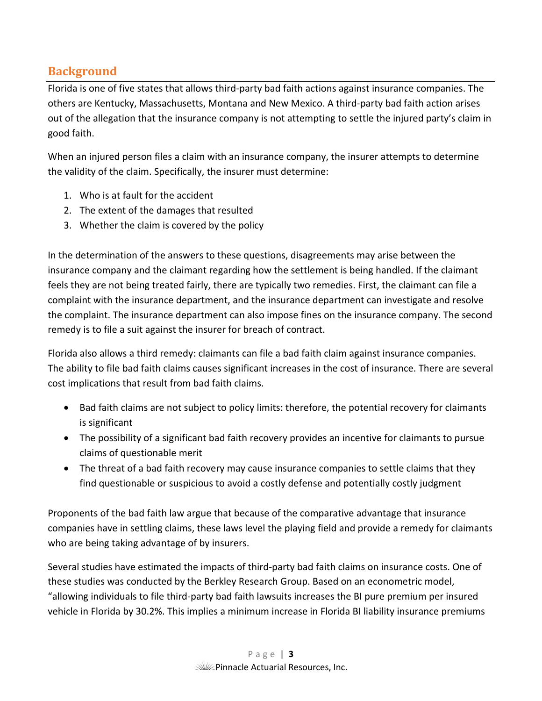# **Background**

Florida is one of five states that allows third‐party bad faith actions against insurance companies. The others are Kentucky, Massachusetts, Montana and New Mexico. A third‐party bad faith action arises out of the allegation that the insurance company is not attempting to settle the injured party's claim in good faith.

When an injured person files a claim with an insurance company, the insurer attempts to determine the validity of the claim. Specifically, the insurer must determine:

- 1. Who is at fault for the accident
- 2. The extent of the damages that resulted
- 3. Whether the claim is covered by the policy

In the determination of the answers to these questions, disagreements may arise between the insurance company and the claimant regarding how the settlement is being handled. If the claimant feels they are not being treated fairly, there are typically two remedies. First, the claimant can file a complaint with the insurance department, and the insurance department can investigate and resolve the complaint. The insurance department can also impose fines on the insurance company. The second remedy is to file a suit against the insurer for breach of contract.

Florida also allows a third remedy: claimants can file a bad faith claim against insurance companies. The ability to file bad faith claims causes significant increases in the cost of insurance. There are several cost implications that result from bad faith claims.

- Bad faith claims are not subject to policy limits: therefore, the potential recovery for claimants is significant
- The possibility of a significant bad faith recovery provides an incentive for claimants to pursue claims of questionable merit
- The threat of a bad faith recovery may cause insurance companies to settle claims that they find questionable or suspicious to avoid a costly defense and potentially costly judgment

Proponents of the bad faith law argue that because of the comparative advantage that insurance companies have in settling claims, these laws level the playing field and provide a remedy for claimants who are being taking advantage of by insurers.

Several studies have estimated the impacts of third‐party bad faith claims on insurance costs. One of these studies was conducted by the Berkley Research Group. Based on an econometric model, "allowing individuals to file third‐party bad faith lawsuits increases the BI pure premium per insured vehicle in Florida by 30.2%. This implies a minimum increase in Florida BI liability insurance premiums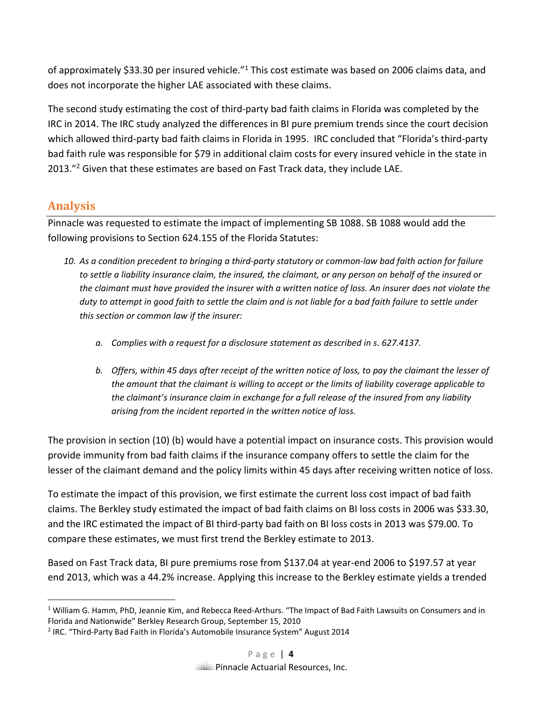of approximately \$33.30 per insured vehicle."<sup>1</sup> This cost estimate was based on 2006 claims data, and does not incorporate the higher LAE associated with these claims.

The second study estimating the cost of third‐party bad faith claims in Florida was completed by the IRC in 2014. The IRC study analyzed the differences in BI pure premium trends since the court decision which allowed third-party bad faith claims in Florida in 1995. IRC concluded that "Florida's third-party bad faith rule was responsible for \$79 in additional claim costs for every insured vehicle in the state in 2013."<sup>2</sup> Given that these estimates are based on Fast Track data, they include LAE.

# **Analysis**

Pinnacle was requested to estimate the impact of implementing SB 1088. SB 1088 would add the following provisions to Section 624.155 of the Florida Statutes:

- *10. As a condition precedent to bringing a third‐party statutory or common‐law bad faith action for failure to settle a liability insurance claim, the insured, the claimant, or any person on behalf of the insured or the claimant must have provided the insurer with a written notice of loss. An insurer does not violate the duty to attempt in good faith to settle the claim and is not liable for a bad faith failure to settle under this section or common law if the insurer:* 
	- *a. Complies with a request for a disclosure statement as described in s. 627.4137.*
	- *b. Offers, within 45 days after receipt of the written notice of loss, to pay the claimant the lesser of the amount that the claimant is willing to accept or the limits of liability coverage applicable to the claimant's insurance claim in exchange for a full release of the insured from any liability arising from the incident reported in the written notice of loss.*

The provision in section (10) (b) would have a potential impact on insurance costs. This provision would provide immunity from bad faith claims if the insurance company offers to settle the claim for the lesser of the claimant demand and the policy limits within 45 days after receiving written notice of loss.

To estimate the impact of this provision, we first estimate the current loss cost impact of bad faith claims. The Berkley study estimated the impact of bad faith claims on BI loss costs in 2006 was \$33.30, and the IRC estimated the impact of BI third‐party bad faith on BI loss costs in 2013 was \$79.00. To compare these estimates, we must first trend the Berkley estimate to 2013.

Based on Fast Track data, BI pure premiums rose from \$137.04 at year‐end 2006 to \$197.57 at year end 2013, which was a 44.2% increase. Applying this increase to the Berkley estimate yields a trended

 <sup>1</sup> William G. Hamm, PhD, Jeannie Kim, and Rebecca Reed-Arthurs. "The Impact of Bad Faith Lawsuits on Consumers and in Florida and Nationwide" Berkley Research Group, September 15, 2010

<sup>&</sup>lt;sup>2</sup> IRC. "Third-Party Bad Faith in Florida's Automobile Insurance System" August 2014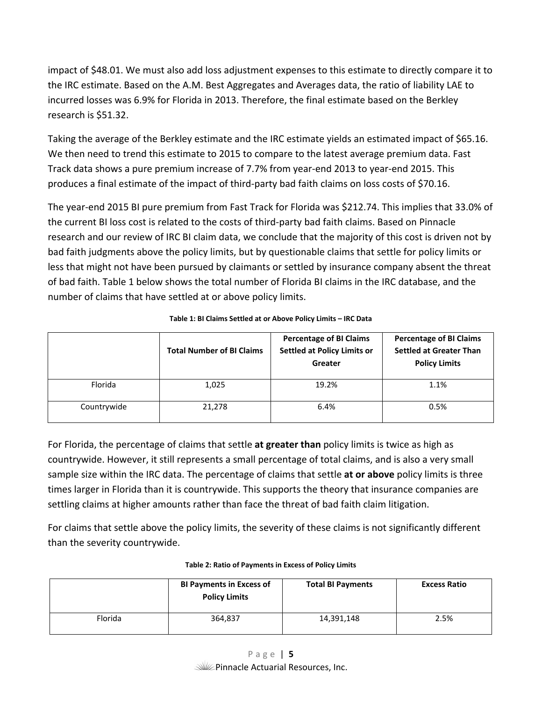impact of \$48.01. We must also add loss adjustment expenses to this estimate to directly compare it to the IRC estimate. Based on the A.M. Best Aggregates and Averages data, the ratio of liability LAE to incurred losses was 6.9% for Florida in 2013. Therefore, the final estimate based on the Berkley research is \$51.32.

Taking the average of the Berkley estimate and the IRC estimate yields an estimated impact of \$65.16. We then need to trend this estimate to 2015 to compare to the latest average premium data. Fast Track data shows a pure premium increase of 7.7% from year‐end 2013 to year‐end 2015. This produces a final estimate of the impact of third‐party bad faith claims on loss costs of \$70.16.

The year-end 2015 BI pure premium from Fast Track for Florida was \$212.74. This implies that 33.0% of the current BI loss cost is related to the costs of third‐party bad faith claims. Based on Pinnacle research and our review of IRC BI claim data, we conclude that the majority of this cost is driven not by bad faith judgments above the policy limits, but by questionable claims that settle for policy limits or less that might not have been pursued by claimants or settled by insurance company absent the threat of bad faith. Table 1 below shows the total number of Florida BI claims in the IRC database, and the number of claims that have settled at or above policy limits.

|             | <b>Total Number of BI Claims</b> | <b>Percentage of BI Claims</b><br><b>Settled at Policy Limits or</b><br>Greater | <b>Percentage of BI Claims</b><br><b>Settled at Greater Than</b><br><b>Policy Limits</b> |
|-------------|----------------------------------|---------------------------------------------------------------------------------|------------------------------------------------------------------------------------------|
| Florida     | 1,025                            | 19.2%                                                                           | 1.1%                                                                                     |
| Countrywide | 21,278                           | 6.4%                                                                            | 0.5%                                                                                     |

#### **Table 1: BI Claims Settled at or Above Policy Limits – IRC Data**

For Florida, the percentage of claims that settle **at greater than** policy limits is twice as high as countrywide. However, it still represents a small percentage of total claims, and is also a very small sample size within the IRC data. The percentage of claims that settle **at or above** policy limits is three times larger in Florida than it is countrywide. This supports the theory that insurance companies are settling claims at higher amounts rather than face the threat of bad faith claim litigation.

For claims that settle above the policy limits, the severity of these claims is not significantly different than the severity countrywide.

|         | <b>BI Payments in Excess of</b><br><b>Policy Limits</b> | <b>Total BI Payments</b> | <b>Excess Ratio</b> |
|---------|---------------------------------------------------------|--------------------------|---------------------|
| Florida | 364,837                                                 | 14,391,148               | 2.5%                |

#### **Table 2: Ratio of Payments in Excess of Policy Limits**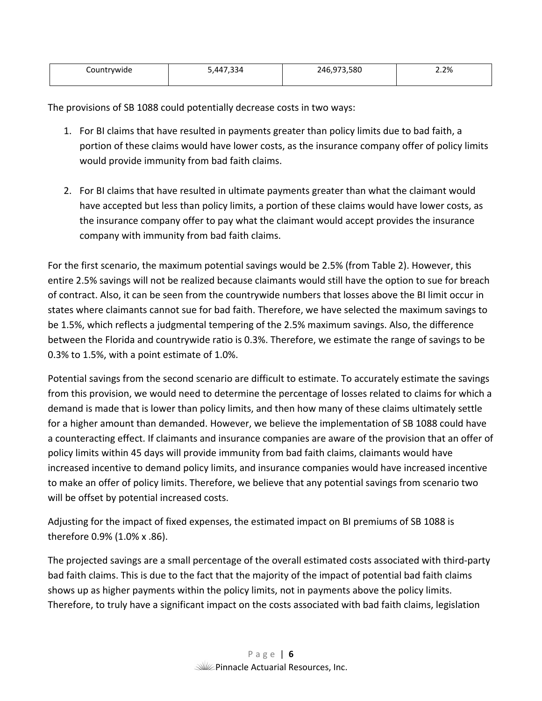| Countrywide | 11722'<br>-34 | .973.580<br>ا 14<br>$\sim$ | 2.2% |
|-------------|---------------|----------------------------|------|
|             |               |                            |      |

The provisions of SB 1088 could potentially decrease costs in two ways:

- 1. For BI claims that have resulted in payments greater than policy limits due to bad faith, a portion of these claims would have lower costs, as the insurance company offer of policy limits would provide immunity from bad faith claims.
- 2. For BI claims that have resulted in ultimate payments greater than what the claimant would have accepted but less than policy limits, a portion of these claims would have lower costs, as the insurance company offer to pay what the claimant would accept provides the insurance company with immunity from bad faith claims.

For the first scenario, the maximum potential savings would be 2.5% (from Table 2). However, this entire 2.5% savings will not be realized because claimants would still have the option to sue for breach of contract. Also, it can be seen from the countrywide numbers that losses above the BI limit occur in states where claimants cannot sue for bad faith. Therefore, we have selected the maximum savings to be 1.5%, which reflects a judgmental tempering of the 2.5% maximum savings. Also, the difference between the Florida and countrywide ratio is 0.3%. Therefore, we estimate the range of savings to be 0.3% to 1.5%, with a point estimate of 1.0%.

Potential savings from the second scenario are difficult to estimate. To accurately estimate the savings from this provision, we would need to determine the percentage of losses related to claims for which a demand is made that is lower than policy limits, and then how many of these claims ultimately settle for a higher amount than demanded. However, we believe the implementation of SB 1088 could have a counteracting effect. If claimants and insurance companies are aware of the provision that an offer of policy limits within 45 days will provide immunity from bad faith claims, claimants would have increased incentive to demand policy limits, and insurance companies would have increased incentive to make an offer of policy limits. Therefore, we believe that any potential savings from scenario two will be offset by potential increased costs.

Adjusting for the impact of fixed expenses, the estimated impact on BI premiums of SB 1088 is therefore 0.9% (1.0% x .86).

The projected savings are a small percentage of the overall estimated costs associated with third‐party bad faith claims. This is due to the fact that the majority of the impact of potential bad faith claims shows up as higher payments within the policy limits, not in payments above the policy limits. Therefore, to truly have a significant impact on the costs associated with bad faith claims, legislation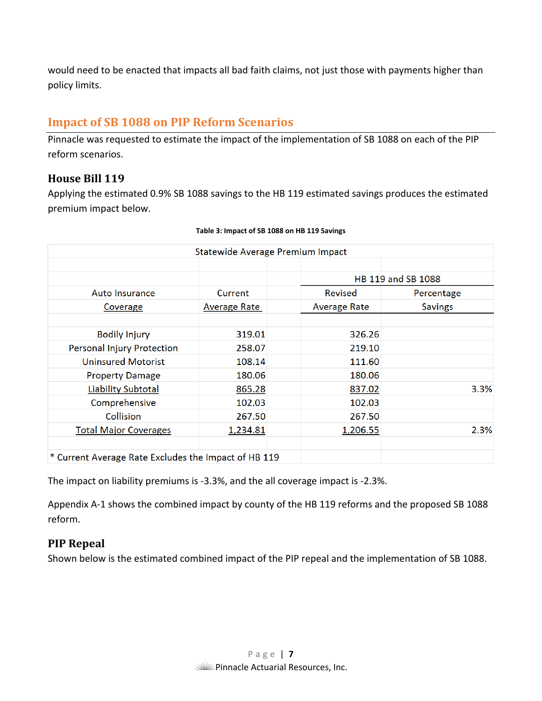would need to be enacted that impacts all bad faith claims, not just those with payments higher than policy limits.

# **Impact of SB 1088 on PIP Reform Scenarios**

Pinnacle was requested to estimate the impact of the implementation of SB 1088 on each of the PIP reform scenarios.

# **House Bill 119**

Applying the estimated 0.9% SB 1088 savings to the HB 119 estimated savings produces the estimated premium impact below.

|                                                      | Statewide Average Premium Impact |                     |                    |
|------------------------------------------------------|----------------------------------|---------------------|--------------------|
|                                                      |                                  |                     |                    |
|                                                      |                                  |                     | HB 119 and SB 1088 |
| <b>Auto Insurance</b>                                | Current                          | Revised             | Percentage         |
| Coverage                                             | <b>Average Rate</b>              | <b>Average Rate</b> | <b>Savings</b>     |
|                                                      |                                  |                     |                    |
| <b>Bodily Injury</b>                                 | 319.01                           | 326.26              |                    |
| <b>Personal Injury Protection</b>                    | 258.07                           | 219.10              |                    |
| <b>Uninsured Motorist</b>                            | 108.14                           | 111.60              |                    |
| <b>Property Damage</b>                               | 180.06                           | 180.06              |                    |
| <b>Liability Subtotal</b>                            | 865.28                           | 837.02              | 3.3%               |
| Comprehensive                                        | 102.03                           | 102.03              |                    |
| <b>Collision</b>                                     | 267.50                           | 267.50              |                    |
| <b>Total Major Coverages</b>                         | 1,234.81                         | 1,206.55            | 2.3%               |
|                                                      |                                  |                     |                    |
| * Current Average Rate Excludes the Impact of HB 119 |                                  |                     |                    |

#### **Table 3: Impact of SB 1088 on HB 119 Savings**

The impact on liability premiums is ‐3.3%, and the all coverage impact is ‐2.3%.

Appendix A‐1 shows the combined impact by county of the HB 119 reforms and the proposed SB 1088 reform.

# **PIP Repeal**

Shown below is the estimated combined impact of the PIP repeal and the implementation of SB 1088.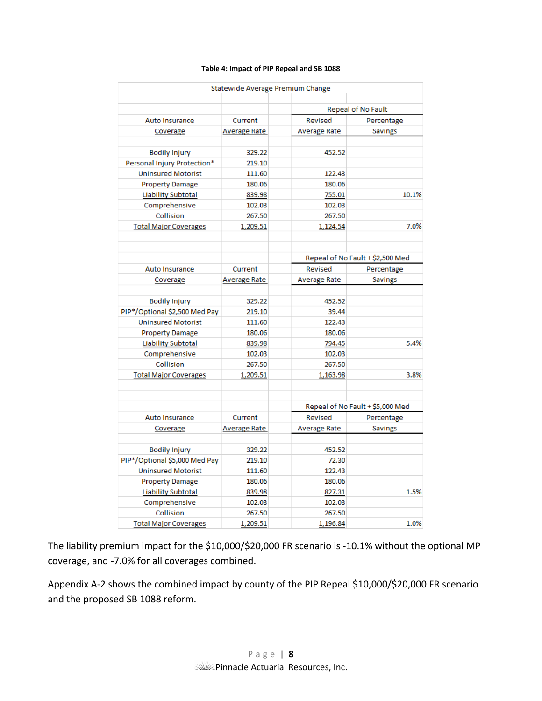#### **Table 4: Impact of PIP Repeal and SB 1088**

|                               | Statewide Average Premium Change |                     |                                  |
|-------------------------------|----------------------------------|---------------------|----------------------------------|
|                               |                                  |                     |                                  |
|                               |                                  |                     | <b>Repeal of No Fault</b>        |
| Auto Insurance                | Current                          | Revised             | Percentage                       |
| Coverage                      | Average Rate                     | <b>Average Rate</b> | <b>Savings</b>                   |
|                               |                                  |                     |                                  |
| <b>Bodily Injury</b>          | 329.22                           | 452.52              |                                  |
| Personal Injury Protection*   | 219.10                           |                     |                                  |
| <b>Uninsured Motorist</b>     | 111.60                           | 122.43              |                                  |
| <b>Property Damage</b>        | 180.06                           | 180.06              |                                  |
| Liability Subtotal            | 839.98                           | 755.01              | 10.1%                            |
| Comprehensive                 | 102.03                           | 102.03              |                                  |
| Collision                     | 267.50                           | 267.50              |                                  |
| <b>Total Major Coverages</b>  | 1,209.51                         | 1,124.54            | 7.0%                             |
|                               |                                  |                     |                                  |
|                               |                                  |                     |                                  |
|                               |                                  |                     | Repeal of No Fault + \$2,500 Med |
| Auto Insurance                | Current                          | Revised             | Percentage                       |
| Coverage                      | Average Rate                     | <b>Average Rate</b> | <b>Savings</b>                   |
|                               |                                  |                     |                                  |
| <b>Bodily Injury</b>          | 329.22                           | 452.52              |                                  |
| PIP*/Optional \$2,500 Med Pay | 219.10                           | 39.44               |                                  |
| <b>Uninsured Motorist</b>     | 111.60                           | 122.43              |                                  |
| <b>Property Damage</b>        | 180.06                           | 180.06              |                                  |
| <b>Liability Subtotal</b>     | 839.98                           | 794.45              | 5.4%                             |
| Comprehensive                 | 102.03                           | 102.03              |                                  |
| Collision                     | 267.50                           | 267.50              |                                  |
| <b>Total Major Coverages</b>  | 1,209.51                         | 1,163.98            | 3.8%                             |
|                               |                                  |                     |                                  |
|                               |                                  |                     |                                  |
|                               |                                  |                     | Repeal of No Fault + \$5,000 Med |
| <b>Auto Insurance</b>         | Current                          | Revised             | Percentage                       |
| Coverage                      | Average Rate                     | <b>Average Rate</b> | <b>Savings</b>                   |
|                               |                                  |                     |                                  |
| <b>Bodily Injury</b>          | 329.22                           | 452.52              |                                  |
| PIP*/Optional \$5,000 Med Pay | 219.10                           | 72.30               |                                  |
| <b>Uninsured Motorist</b>     | 111.60                           | 122.43              |                                  |
| <b>Property Damage</b>        | 180.06                           | 180.06              |                                  |
| <b>Liability Subtotal</b>     | 839.98                           | 827.31              | 1.5%                             |
| Comprehensive                 | 102.03                           | 102.03              |                                  |
| Collision                     | 267.50                           | 267.50              |                                  |
| <b>Total Major Coverages</b>  | 1,209.51                         | 1,196.84            | 1.0%                             |

The liability premium impact for the \$10,000/\$20,000 FR scenario is ‐10.1% without the optional MP coverage, and ‐7.0% for all coverages combined.

Appendix A‐2 shows the combined impact by county of the PIP Repeal \$10,000/\$20,000 FR scenario and the proposed SB 1088 reform.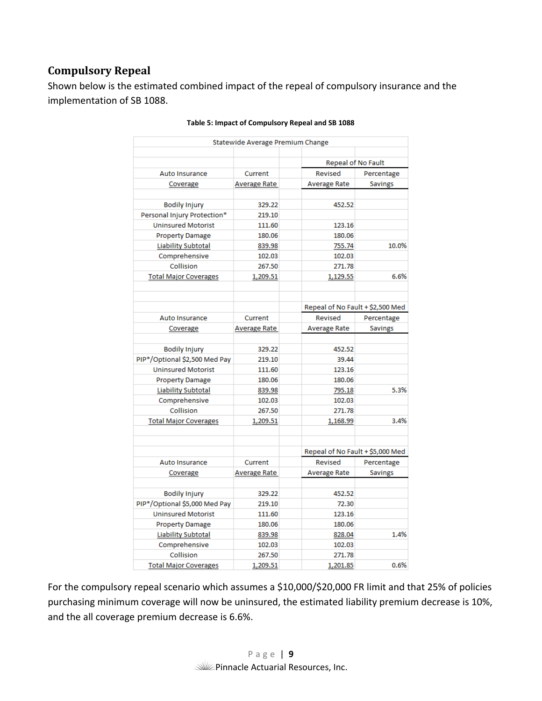# **Compulsory Repeal**

Shown below is the estimated combined impact of the repeal of compulsory insurance and the implementation of SB 1088.

|                               | Statewide Average Premium Change |                                  |                |
|-------------------------------|----------------------------------|----------------------------------|----------------|
|                               |                                  | Repeal of No Fault               |                |
| <b>Auto Insurance</b>         | Current                          | Revised                          | Percentage     |
| Coverage                      | Average Rate                     | Average Rate                     | <b>Savings</b> |
|                               |                                  |                                  |                |
| <b>Bodily Injury</b>          | 329.22                           | 452.52                           |                |
| Personal Injury Protection*   | 219.10                           |                                  |                |
| <b>Uninsured Motorist</b>     | 111.60                           | 123.16                           |                |
| <b>Property Damage</b>        | 180.06                           | 180.06                           |                |
| <b>Liability Subtotal</b>     | 839.98                           | 755.74                           | 10.0%          |
| Comprehensive                 | 102.03                           | 102.03                           |                |
| Collision                     | 267.50                           | 271.78                           |                |
| <b>Total Major Coverages</b>  | 1,209.51                         | 1,129.55                         | 6.6%           |
|                               |                                  | Repeal of No Fault + \$2,500 Med |                |
| <b>Auto Insurance</b>         | Current                          | Revised                          | Percentage     |
| Coverage                      | Average Rate                     | Average Rate                     | <b>Savings</b> |
|                               |                                  |                                  |                |
| <b>Bodily Injury</b>          | 329.22                           | 452.52                           |                |
| PIP*/Optional \$2,500 Med Pay | 219.10                           | 39.44                            |                |
| <b>Uninsured Motorist</b>     | 111.60                           | 123.16                           |                |
| <b>Property Damage</b>        | 180.06                           | 180.06                           |                |
| Liability Subtotal            | 839.98                           | 795.18                           | 5.3%           |
| Comprehensive                 | 102.03                           | 102.03                           |                |
| Collision                     | 267.50                           | 271.78                           |                |
| <b>Total Major Coverages</b>  | 1,209.51                         | 1,168.99                         | 3.4%           |
|                               |                                  | Repeal of No Fault + \$5,000 Med |                |
| Auto Insurance                | Current                          | Revised                          | Percentage     |
| Coverage                      | Average Rate                     | <b>Average Rate</b>              | <b>Savings</b> |
|                               |                                  |                                  |                |
| <b>Bodily Injury</b>          | 329.22                           | 452.52                           |                |
| PIP*/Optional \$5,000 Med Pay | 219.10                           | 72.30                            |                |
| <b>Uninsured Motorist</b>     | 111.60                           | 123.16                           |                |
| <b>Property Damage</b>        | 180.06                           | 180.06                           |                |
| <b>Liability Subtotal</b>     | 839.98                           | 828.04                           | 1.4%           |
| Comprehensive                 | 102.03                           | 102.03                           |                |
| Collision                     | 267.50                           | 271.78                           |                |
| <b>Total Major Coverages</b>  | 1,209.51                         | 1,201.85                         | 0.6%           |

| Table 5: Impact of Compulsory Repeal and SB 1088 |  |  |  |  |
|--------------------------------------------------|--|--|--|--|
|                                                  |  |  |  |  |

For the compulsory repeal scenario which assumes a \$10,000/\$20,000 FR limit and that 25% of policies purchasing minimum coverage will now be uninsured, the estimated liability premium decrease is 10%, and the all coverage premium decrease is 6.6%.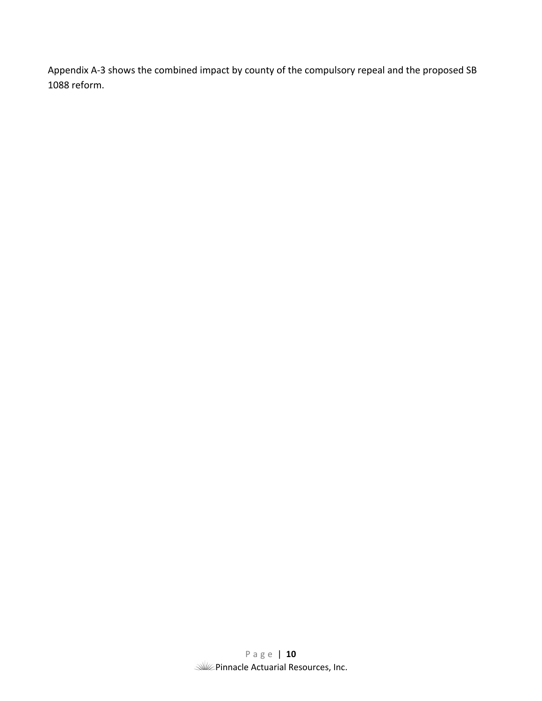Appendix A‐3 shows the combined impact by county of the compulsory repeal and the proposed SB 1088 reform.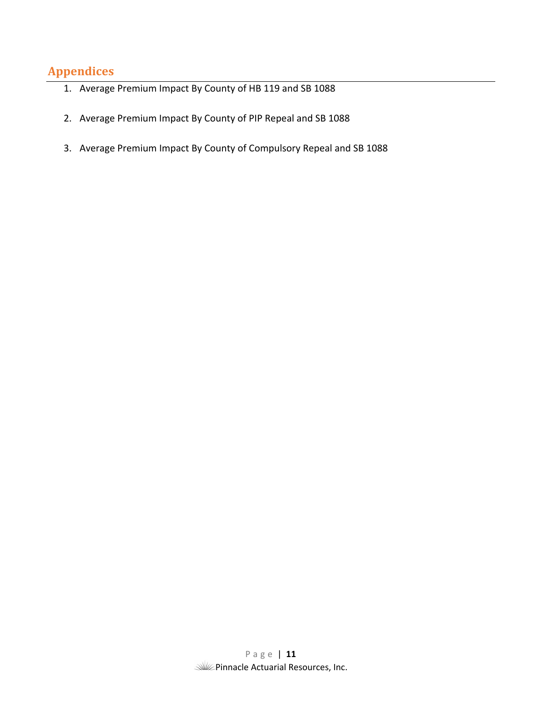# **Appendices**

- 1. Average Premium Impact By County of HB 119 and SB 1088
- 2. Average Premium Impact By County of PIP Repeal and SB 1088
- 3. Average Premium Impact By County of Compulsory Repeal and SB 1088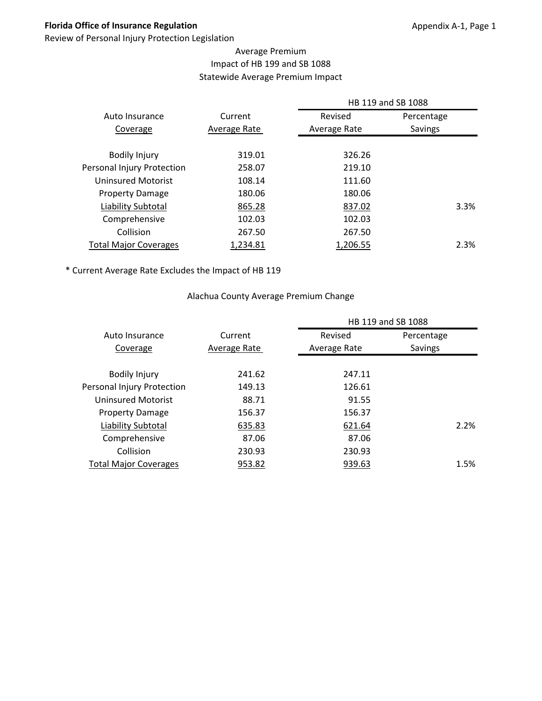# **Florida Office of Insurance Regulation**

Review of Personal Injury Protection Legislation

# Average Premium Impact of HB 199 and SB 1088 Statewide Average Premium Impact

|              |              | HB 119 and SB 1088 |
|--------------|--------------|--------------------|
| Current      | Revised      | Percentage         |
| Average Rate | Average Rate | Savings            |
|              |              |                    |
| 319.01       | 326.26       |                    |
| 258.07       | 219.10       |                    |
| 108.14       | 111.60       |                    |
| 180.06       | 180.06       |                    |
| 865.28       | 837.02       | 3.3%               |
| 102.03       | 102.03       |                    |
| 267.50       | 267.50       |                    |
| 1,234.81     | 1,206.55     | 2.3%               |
|              |              |                    |

\* Current Average Rate Excludes the Impact of HB 119

#### Alachua County Average Premium Change

|                              |              |              | HB 119 and SB 1088 |      |
|------------------------------|--------------|--------------|--------------------|------|
| Auto Insurance               | Current      | Revised      | Percentage         |      |
| Coverage                     | Average Rate | Average Rate | Savings            |      |
|                              |              |              |                    |      |
| <b>Bodily Injury</b>         | 241.62       | 247.11       |                    |      |
| Personal Injury Protection   | 149.13       | 126.61       |                    |      |
| Uninsured Motorist           | 88.71        | 91.55        |                    |      |
| <b>Property Damage</b>       | 156.37       | 156.37       |                    |      |
| Liability Subtotal           | 635.83       | 621.64       |                    | 2.2% |
| Comprehensive                | 87.06        | 87.06        |                    |      |
| Collision                    | 230.93       | 230.93       |                    |      |
| <b>Total Major Coverages</b> | 953.82       | 939.63       |                    | 1.5% |
|                              |              |              |                    |      |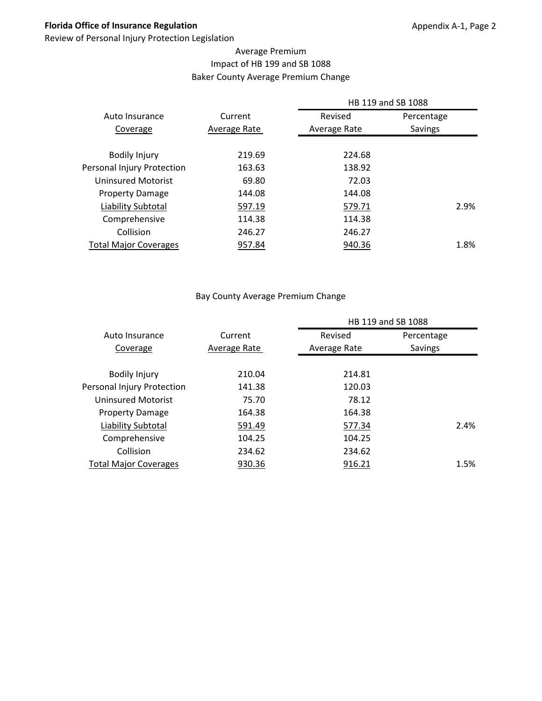# **Florida Office of Insurance Regulation**

Review of Personal Injury Protection Legislation

# Average Premium Impact of HB 199 and SB 1088 Baker County Average Premium Change

|                              |              |              | HB 119 and SB 1088 |      |
|------------------------------|--------------|--------------|--------------------|------|
| Auto Insurance               | Current      | Revised      | Percentage         |      |
| Coverage                     | Average Rate | Average Rate | <b>Savings</b>     |      |
|                              |              |              |                    |      |
| <b>Bodily Injury</b>         | 219.69       | 224.68       |                    |      |
| Personal Injury Protection   | 163.63       | 138.92       |                    |      |
| Uninsured Motorist           | 69.80        | 72.03        |                    |      |
| <b>Property Damage</b>       | 144.08       | 144.08       |                    |      |
| Liability Subtotal           | 597.19       | 579.71       |                    | 2.9% |
| Comprehensive                | 114.38       | 114.38       |                    |      |
| Collision                    | 246.27       | 246.27       |                    |      |
| <b>Total Major Coverages</b> | 957.84       | 940.36       |                    | 1.8% |
|                              |              |              |                    |      |

#### Bay County Average Premium Change

|                              |              |              | HB 119 and SB 1088 |      |
|------------------------------|--------------|--------------|--------------------|------|
| Auto Insurance               | Current      | Revised      | Percentage         |      |
| Coverage                     | Average Rate | Average Rate | Savings            |      |
|                              |              |              |                    |      |
| <b>Bodily Injury</b>         | 210.04       | 214.81       |                    |      |
| Personal Injury Protection   | 141.38       | 120.03       |                    |      |
| Uninsured Motorist           | 75.70        | 78.12        |                    |      |
| <b>Property Damage</b>       | 164.38       | 164.38       |                    |      |
| Liability Subtotal           | 591.49       | 577.34       |                    | 2.4% |
| Comprehensive                | 104.25       | 104.25       |                    |      |
| Collision                    | 234.62       | 234.62       |                    |      |
| <b>Total Major Coverages</b> | 930.36       | 916.21       |                    | 1.5% |
|                              |              |              |                    |      |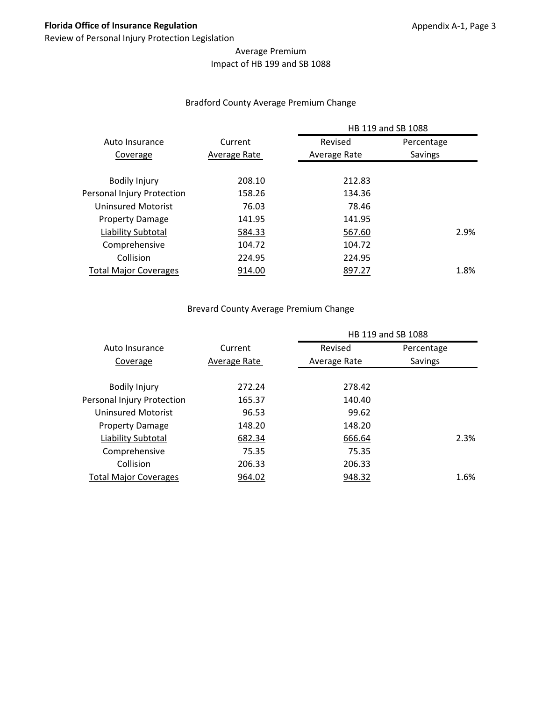# Average Premium Impact of HB 199 and SB 1088

#### Bradford County Average Premium Change

|                              |              | HB 119 and SB 1088 |            |
|------------------------------|--------------|--------------------|------------|
| Auto Insurance               | Current      | Revised            | Percentage |
| Coverage                     | Average Rate | Average Rate       | Savings    |
| <b>Bodily Injury</b>         | 208.10       | 212.83             |            |
| Personal Injury Protection   | 158.26       | 134.36             |            |
| Uninsured Motorist           | 76.03        | 78.46              |            |
| <b>Property Damage</b>       | 141.95       | 141.95             |            |
| Liability Subtotal           | 584.33       | 567.60             | 2.9%       |
| Comprehensive                | 104.72       | 104.72             |            |
| Collision                    | 224.95       | 224.95             |            |
| <b>Total Major Coverages</b> | 914.00       | 897.27             | 1.8%       |
|                              |              |                    |            |

# Brevard County Average Premium Change

|                              |              | HB 119 and SB 1088 |            |
|------------------------------|--------------|--------------------|------------|
| Auto Insurance               | Current      | Revised            | Percentage |
| Coverage                     | Average Rate | Average Rate       | Savings    |
| <b>Bodily Injury</b>         | 272.24       | 278.42             |            |
| Personal Injury Protection   | 165.37       | 140.40             |            |
| <b>Uninsured Motorist</b>    | 96.53        | 99.62              |            |
| <b>Property Damage</b>       | 148.20       | 148.20             |            |
| Liability Subtotal           | 682.34       | 666.64             | 2.3%       |
| Comprehensive                | 75.35        | 75.35              |            |
| Collision                    | 206.33       | 206.33             |            |
| <b>Total Major Coverages</b> | 964.02       | 948.32             | 1.6%       |
|                              |              |                    |            |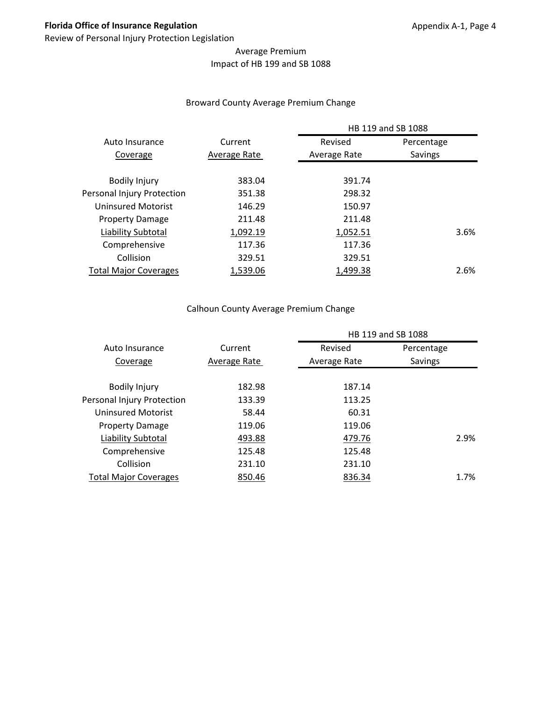# Average Premium Impact of HB 199 and SB 1088

#### Broward County Average Premium Change

|                              |              | HB 119 and SB 1088 |            |  |  |
|------------------------------|--------------|--------------------|------------|--|--|
| Auto Insurance               | Current      | Revised            | Percentage |  |  |
| Coverage                     | Average Rate | Average Rate       | Savings    |  |  |
|                              |              |                    |            |  |  |
| <b>Bodily Injury</b>         | 383.04       | 391.74             |            |  |  |
| Personal Injury Protection   | 351.38       | 298.32             |            |  |  |
| Uninsured Motorist           | 146.29       | 150.97             |            |  |  |
| <b>Property Damage</b>       | 211.48       | 211.48             |            |  |  |
| Liability Subtotal           | 1,092.19     | 1,052.51           | 3.6%       |  |  |
| Comprehensive                | 117.36       | 117.36             |            |  |  |
| Collision                    | 329.51       | 329.51             |            |  |  |
| <b>Total Major Coverages</b> | 1,539.06     | 1,499.38           | 2.6%       |  |  |
|                              |              |                    |            |  |  |

# Calhoun County Average Premium Change

|                              |              | HB 119 and SB 1088 |            |      |  |
|------------------------------|--------------|--------------------|------------|------|--|
| Auto Insurance               | Current      | Revised            | Percentage |      |  |
| Coverage                     | Average Rate | Average Rate       | Savings    |      |  |
|                              |              |                    |            |      |  |
| <b>Bodily Injury</b>         | 182.98       | 187.14             |            |      |  |
| Personal Injury Protection   | 133.39       | 113.25             |            |      |  |
| Uninsured Motorist           | 58.44        | 60.31              |            |      |  |
| <b>Property Damage</b>       | 119.06       | 119.06             |            |      |  |
| Liability Subtotal           | 493.88       | 479.76             |            | 2.9% |  |
| Comprehensive                | 125.48       | 125.48             |            |      |  |
| Collision                    | 231.10       | 231.10             |            |      |  |
| <b>Total Major Coverages</b> | 850.46       | 836.34             |            | 1.7% |  |
|                              |              |                    |            |      |  |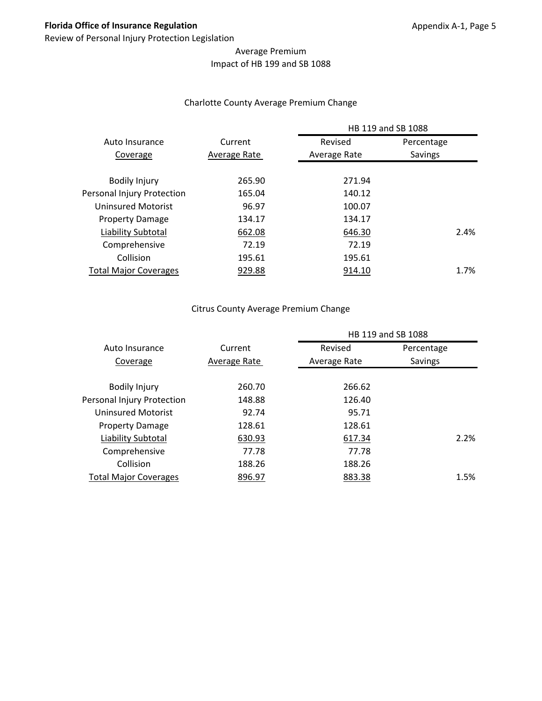# Average Premium Impact of HB 199 and SB 1088

# Charlotte County Average Premium Change

|                              |              | HB 119 and SB 1088 |            |  |  |
|------------------------------|--------------|--------------------|------------|--|--|
| Auto Insurance               | Current      | Revised            | Percentage |  |  |
| Coverage                     | Average Rate | Average Rate       | Savings    |  |  |
|                              | 265.90       | 271.94             |            |  |  |
| <b>Bodily Injury</b>         |              |                    |            |  |  |
| Personal Injury Protection   | 165.04       | 140.12             |            |  |  |
| Uninsured Motorist           | 96.97        | 100.07             |            |  |  |
| <b>Property Damage</b>       | 134.17       | 134.17             |            |  |  |
| Liability Subtotal           | 662.08       | 646.30             | 2.4%       |  |  |
| Comprehensive                | 72.19        | 72.19              |            |  |  |
| Collision                    | 195.61       | 195.61             |            |  |  |
| <b>Total Major Coverages</b> | 929.88       | 914.10             | 1.7%       |  |  |
|                              |              |                    |            |  |  |

# Citrus County Average Premium Change

|                              |              | HB 119 and SB 1088 |            |
|------------------------------|--------------|--------------------|------------|
| Auto Insurance               | Current      | Revised            | Percentage |
| Coverage                     | Average Rate | Average Rate       | Savings    |
| <b>Bodily Injury</b>         | 260.70       | 266.62             |            |
| Personal Injury Protection   | 148.88       | 126.40             |            |
| Uninsured Motorist           | 92.74        | 95.71              |            |
| <b>Property Damage</b>       | 128.61       | 128.61             |            |
| Liability Subtotal           | 630.93       | 617.34             | 2.2%       |
| Comprehensive                | 77.78        | 77.78              |            |
| Collision                    | 188.26       | 188.26             |            |
| <b>Total Major Coverages</b> | 896.97       | 883.38             | 1.5%       |
|                              |              |                    |            |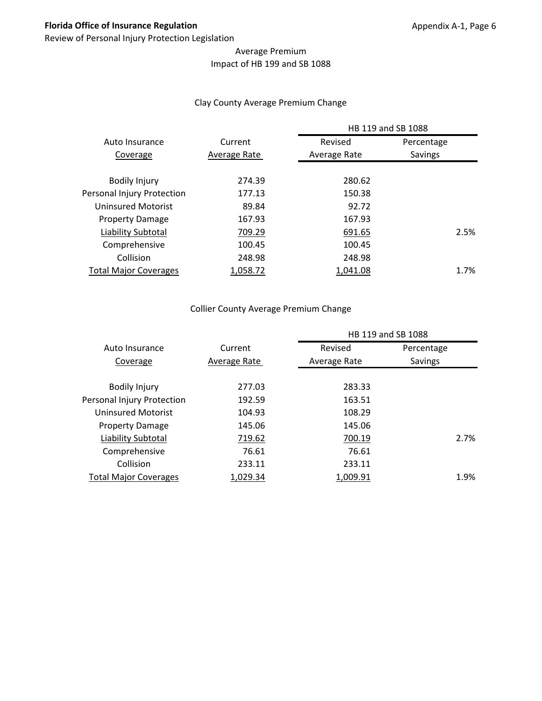# Average Premium Impact of HB 199 and SB 1088

#### Clay County Average Premium Change

|                              |              | HB 119 and SB 1088 |            |
|------------------------------|--------------|--------------------|------------|
| Auto Insurance               | Current      | Revised            | Percentage |
| Coverage                     | Average Rate | Average Rate       | Savings    |
|                              |              |                    |            |
| <b>Bodily Injury</b>         | 274.39       | 280.62             |            |
| Personal Injury Protection   | 177.13       | 150.38             |            |
| Uninsured Motorist           | 89.84        | 92.72              |            |
| <b>Property Damage</b>       | 167.93       | 167.93             |            |
| Liability Subtotal           | 709.29       | 691.65             | 2.5%       |
| Comprehensive                | 100.45       | 100.45             |            |
| Collision                    | 248.98       | 248.98             |            |
| <b>Total Major Coverages</b> | 1.058.72     | 1.041.08           | 1.7%       |

# Collier County Average Premium Change

|                              |              | HB 119 and SB 1088 |            |      |  |
|------------------------------|--------------|--------------------|------------|------|--|
| Auto Insurance               | Current      | Revised            | Percentage |      |  |
| Coverage                     | Average Rate | Average Rate       | Savings    |      |  |
|                              |              |                    |            |      |  |
| <b>Bodily Injury</b>         | 277.03       | 283.33             |            |      |  |
| Personal Injury Protection   | 192.59       | 163.51             |            |      |  |
| Uninsured Motorist           | 104.93       | 108.29             |            |      |  |
| <b>Property Damage</b>       | 145.06       | 145.06             |            |      |  |
| Liability Subtotal           | 719.62       | 700.19             |            | 2.7% |  |
| Comprehensive                | 76.61        | 76.61              |            |      |  |
| Collision                    | 233.11       | 233.11             |            |      |  |
| <b>Total Major Coverages</b> | 1,029.34     | 1,009.91           |            | 1.9% |  |
|                              |              |                    |            |      |  |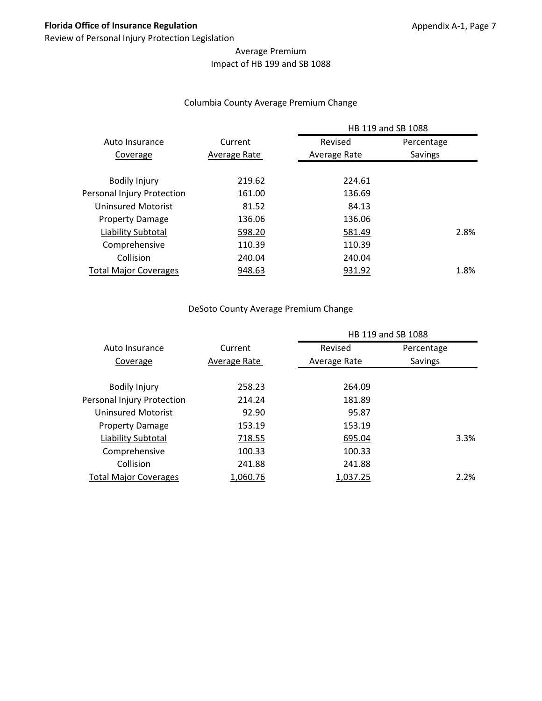# Average Premium Impact of HB 199 and SB 1088

#### Columbia County Average Premium Change

|                              |              | HB 119 and SB 1088 |            |  |  |
|------------------------------|--------------|--------------------|------------|--|--|
| Auto Insurance               | Current      | Revised            | Percentage |  |  |
| Coverage                     | Average Rate | Average Rate       | Savings    |  |  |
| <b>Bodily Injury</b>         | 219.62       | 224.61             |            |  |  |
| Personal Injury Protection   | 161.00       | 136.69             |            |  |  |
| Uninsured Motorist           | 81.52        | 84.13              |            |  |  |
| <b>Property Damage</b>       | 136.06       | 136.06             |            |  |  |
| Liability Subtotal           | 598.20       | 581.49             | 2.8%       |  |  |
| Comprehensive                | 110.39       | 110.39             |            |  |  |
| Collision                    | 240.04       | 240.04             |            |  |  |
| <b>Total Major Coverages</b> | 948.63       | 931.92             | 1.8%       |  |  |
|                              |              |                    |            |  |  |

#### DeSoto County Average Premium Change

|                              |              | HB 119 and SB 1088 |            |
|------------------------------|--------------|--------------------|------------|
| Auto Insurance               | Current      | Revised            | Percentage |
| Coverage                     | Average Rate | Average Rate       | Savings    |
| <b>Bodily Injury</b>         | 258.23       | 264.09             |            |
| Personal Injury Protection   | 214.24       | 181.89             |            |
| Uninsured Motorist           | 92.90        | 95.87              |            |
| <b>Property Damage</b>       | 153.19       | 153.19             |            |
| Liability Subtotal           | 718.55       | 695.04             | 3.3%       |
| Comprehensive                | 100.33       | 100.33             |            |
| Collision                    | 241.88       | 241.88             |            |
| <b>Total Major Coverages</b> | 1,060.76     | 1,037.25           | 2.2%       |
|                              |              |                    |            |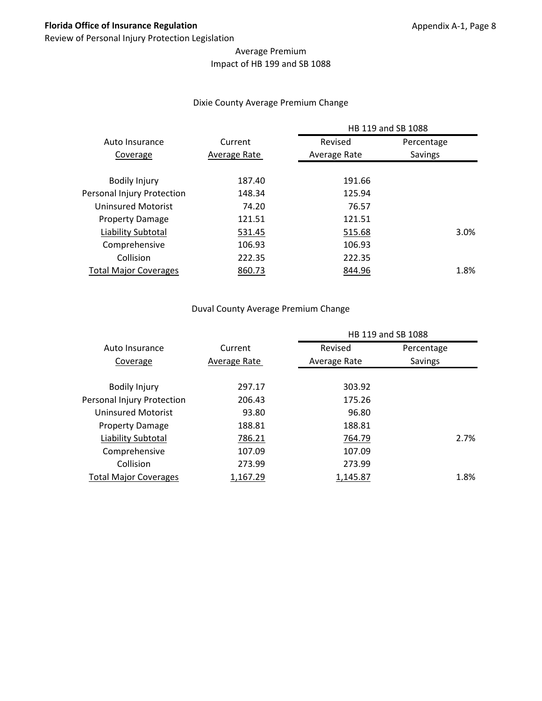# Average Premium Impact of HB 199 and SB 1088

#### Dixie County Average Premium Change

|                              |              | HB 119 and SB 1088 |            |
|------------------------------|--------------|--------------------|------------|
| Auto Insurance               | Current      | Revised            | Percentage |
| Coverage                     | Average Rate | Average Rate       | Savings    |
| <b>Bodily Injury</b>         | 187.40       | 191.66             |            |
| Personal Injury Protection   | 148.34       | 125.94             |            |
| Uninsured Motorist           | 74.20        | 76.57              |            |
| <b>Property Damage</b>       | 121.51       | 121.51             |            |
| Liability Subtotal           | 531.45       | 515.68             | 3.0%       |
| Comprehensive                | 106.93       | 106.93             |            |
| Collision                    | 222.35       | 222.35             |            |
| <b>Total Major Coverages</b> | 860.73       | 844.96             | 1.8%       |
|                              |              |                    |            |

#### Duval County Average Premium Change

|                              |              | HB 119 and SB 1088 |            |      |  |
|------------------------------|--------------|--------------------|------------|------|--|
| Auto Insurance               | Current      | Revised            | Percentage |      |  |
| Coverage                     | Average Rate | Average Rate       | Savings    |      |  |
|                              |              |                    |            |      |  |
| <b>Bodily Injury</b>         | 297.17       | 303.92             |            |      |  |
| Personal Injury Protection   | 206.43       | 175.26             |            |      |  |
| Uninsured Motorist           | 93.80        | 96.80              |            |      |  |
| <b>Property Damage</b>       | 188.81       | 188.81             |            |      |  |
| Liability Subtotal           | 786.21       | 764.79             |            | 2.7% |  |
| Comprehensive                | 107.09       | 107.09             |            |      |  |
| Collision                    | 273.99       | 273.99             |            |      |  |
| <b>Total Major Coverages</b> | 1,167.29     | 1,145.87           |            | 1.8% |  |
|                              |              |                    |            |      |  |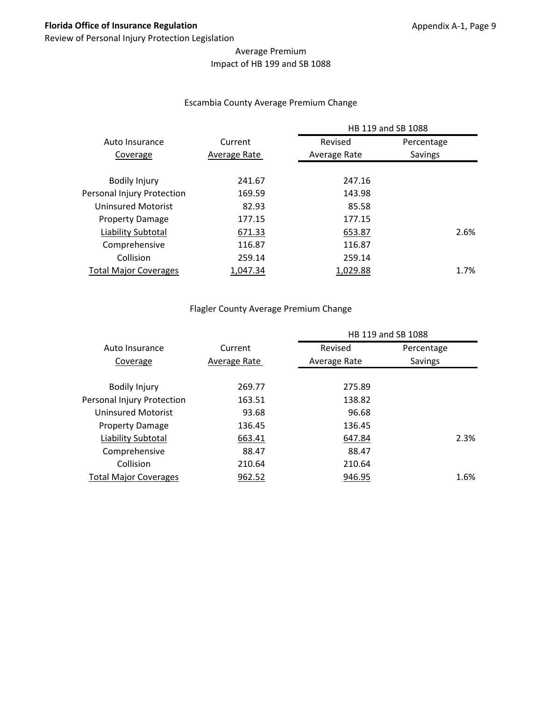# Average Premium Impact of HB 199 and SB 1088

#### Escambia County Average Premium Change

|              | HB 119 and SB 1088 |            |              |
|--------------|--------------------|------------|--------------|
| Current      | Revised            | Percentage |              |
| Average Rate | Average Rate       | Savings    |              |
|              |                    |            |              |
| 169.59       | 143.98             |            |              |
| 82.93        | 85.58              |            |              |
| 177.15       | 177.15             |            |              |
| 671.33       | 653.87             |            |              |
| 116.87       | 116.87             |            |              |
| 259.14       | 259.14             |            |              |
| 1,047.34     | 1,029.88           |            |              |
|              | 241.67             | 247.16     | 2.6%<br>1.7% |

# Flagler County Average Premium Change

|                              |              | HB 119 and SB 1088 |            |
|------------------------------|--------------|--------------------|------------|
| Auto Insurance               | Current      | Revised            | Percentage |
| Coverage                     | Average Rate | Average Rate       | Savings    |
| <b>Bodily Injury</b>         | 269.77       | 275.89             |            |
| Personal Injury Protection   | 163.51       | 138.82             |            |
| <b>Uninsured Motorist</b>    | 93.68        | 96.68              |            |
| <b>Property Damage</b>       | 136.45       | 136.45             |            |
| Liability Subtotal           | 663.41       | 647.84             | 2.3%       |
| Comprehensive                | 88.47        | 88.47              |            |
| Collision                    | 210.64       | 210.64             |            |
| <b>Total Major Coverages</b> | 962.52       | 946.95             | 1.6%       |
|                              |              |                    |            |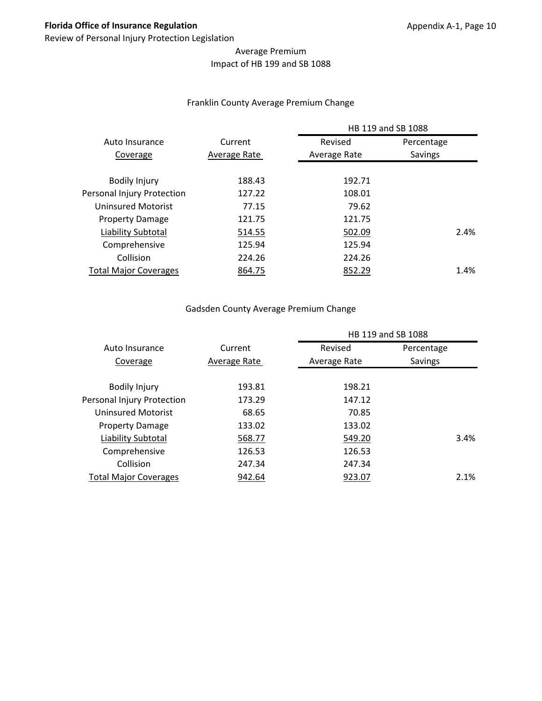# Average Premium Impact of HB 199 and SB 1088

#### Franklin County Average Premium Change

|                              |              | HB 119 and SB 1088 |            |
|------------------------------|--------------|--------------------|------------|
| Auto Insurance               | Current      | Revised            | Percentage |
| Coverage                     | Average Rate | Average Rate       | Savings    |
| <b>Bodily Injury</b>         | 188.43       | 192.71             |            |
| Personal Injury Protection   | 127.22       | 108.01             |            |
| Uninsured Motorist           | 77.15        | 79.62              |            |
| <b>Property Damage</b>       | 121.75       | 121.75             |            |
| Liability Subtotal           | 514.55       | 502.09             | 2.4%       |
| Comprehensive                | 125.94       | 125.94             |            |
| Collision                    | 224.26       | 224.26             |            |
| <b>Total Major Coverages</b> | 864.75       | 852.29             | 1.4%       |
|                              |              |                    |            |

# Gadsden County Average Premium Change

|                              |              | HB 119 and SB 1088 |            |
|------------------------------|--------------|--------------------|------------|
| Auto Insurance               | Current      | Revised            | Percentage |
| Coverage                     | Average Rate | Average Rate       | Savings    |
| <b>Bodily Injury</b>         | 193.81       | 198.21             |            |
| Personal Injury Protection   | 173.29       | 147.12             |            |
| Uninsured Motorist           | 68.65        | 70.85              |            |
| <b>Property Damage</b>       | 133.02       | 133.02             |            |
| Liability Subtotal           | 568.77       | 549.20             | 3.4%       |
| Comprehensive                | 126.53       | 126.53             |            |
| Collision                    | 247.34       | 247.34             |            |
| <b>Total Major Coverages</b> | 942.64       | 923.07             | 2.1%       |
|                              |              |                    |            |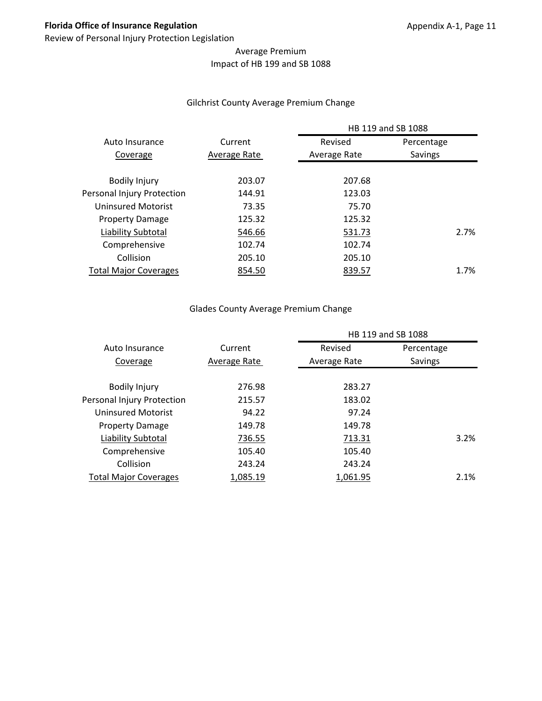# Average Premium Impact of HB 199 and SB 1088

#### Gilchrist County Average Premium Change

|              | HB 119 and SB 1088 |         |                                                                                           |
|--------------|--------------------|---------|-------------------------------------------------------------------------------------------|
| Current      | Revised            |         |                                                                                           |
| Average Rate | Average Rate       | Savings |                                                                                           |
|              |                    |         |                                                                                           |
|              |                    |         |                                                                                           |
| 144.91       |                    |         |                                                                                           |
| 73.35        |                    |         |                                                                                           |
| 125.32       |                    |         |                                                                                           |
| 546.66       |                    |         | 2.7%                                                                                      |
| 102.74       |                    |         |                                                                                           |
| 205.10       |                    |         |                                                                                           |
| 854.50       |                    |         | 1.7%                                                                                      |
|              | 203.07             |         | Percentage<br>207.68<br>123.03<br>75.70<br>125.32<br>531.73<br>102.74<br>205.10<br>839.57 |

# Glades County Average Premium Change

|                              | HB 119 and SB 1088 |              |            |
|------------------------------|--------------------|--------------|------------|
| Auto Insurance               | Current            | Revised      | Percentage |
| Coverage                     | Average Rate       | Average Rate | Savings    |
| <b>Bodily Injury</b>         | 276.98             | 283.27       |            |
| Personal Injury Protection   | 215.57             | 183.02       |            |
| Uninsured Motorist           | 94.22              | 97.24        |            |
| <b>Property Damage</b>       | 149.78             | 149.78       |            |
| Liability Subtotal           | 736.55             | 713.31       | 3.2%       |
| Comprehensive                | 105.40             | 105.40       |            |
| Collision                    | 243.24             | 243.24       |            |
| <b>Total Major Coverages</b> | 1,085.19           | 1,061.95     | 2.1%       |
|                              |                    |              |            |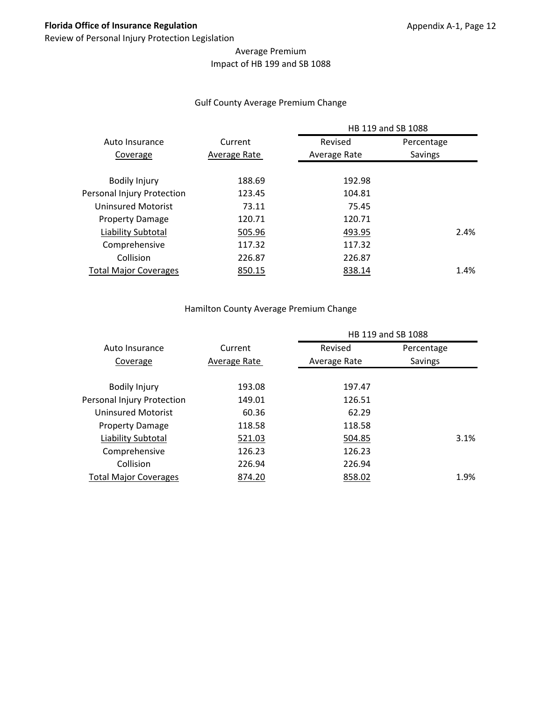# Average Premium Impact of HB 199 and SB 1088

#### Gulf County Average Premium Change

| Percentage |
|------------|
|            |
|            |
|            |
|            |
|            |
|            |
|            |
| 2.4%       |
|            |
|            |
| 1.4%       |
| Savings    |

#### Hamilton County Average Premium Change

|                              | HB 119 and SB 1088 |              |            |      |
|------------------------------|--------------------|--------------|------------|------|
| Auto Insurance               | Current            | Revised      | Percentage |      |
| Coverage                     | Average Rate       | Average Rate | Savings    |      |
|                              |                    |              |            |      |
| <b>Bodily Injury</b>         | 193.08             | 197.47       |            |      |
| Personal Injury Protection   | 149.01             | 126.51       |            |      |
| Uninsured Motorist           | 60.36              | 62.29        |            |      |
| <b>Property Damage</b>       | 118.58             | 118.58       |            |      |
| Liability Subtotal           | 521.03             | 504.85       |            | 3.1% |
| Comprehensive                | 126.23             | 126.23       |            |      |
| Collision                    | 226.94             | 226.94       |            |      |
| <b>Total Major Coverages</b> | 874.20             | 858.02       |            | 1.9% |
|                              |                    |              |            |      |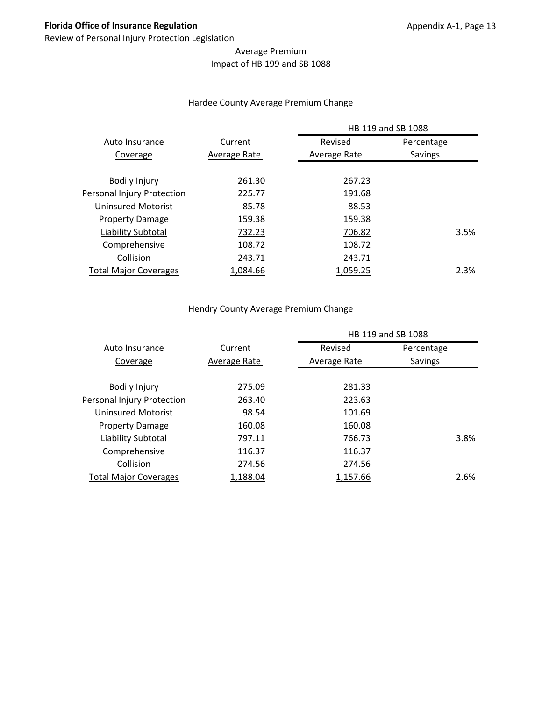# Average Premium Impact of HB 199 and SB 1088

#### Hardee County Average Premium Change

|                              |              | HB 119 and SB 1088 |            |
|------------------------------|--------------|--------------------|------------|
| Auto Insurance               | Current      | Revised            | Percentage |
| Coverage                     | Average Rate | Average Rate       | Savings    |
|                              |              |                    |            |
| <b>Bodily Injury</b>         | 261.30       | 267.23             |            |
| Personal Injury Protection   | 225.77       | 191.68             |            |
| Uninsured Motorist           | 85.78        | 88.53              |            |
| <b>Property Damage</b>       | 159.38       | 159.38             |            |
| Liability Subtotal           | 732.23       | 706.82             | 3.5%       |
| Comprehensive                | 108.72       | 108.72             |            |
| Collision                    | 243.71       | 243.71             |            |
| <b>Total Major Coverages</b> | 1,084.66     | 1,059.25           | 2.3%       |

#### Hendry County Average Premium Change

|                              |              | HB 119 and SB 1088 |            |      |
|------------------------------|--------------|--------------------|------------|------|
| Auto Insurance               | Current      | Revised            | Percentage |      |
| Coverage                     | Average Rate | Average Rate       | Savings    |      |
|                              |              |                    |            |      |
| <b>Bodily Injury</b>         | 275.09       | 281.33             |            |      |
| Personal Injury Protection   | 263.40       | 223.63             |            |      |
| <b>Uninsured Motorist</b>    | 98.54        | 101.69             |            |      |
| <b>Property Damage</b>       | 160.08       | 160.08             |            |      |
| Liability Subtotal           | 797.11       | 766.73             |            | 3.8% |
| Comprehensive                | 116.37       | 116.37             |            |      |
| Collision                    | 274.56       | 274.56             |            |      |
| <b>Total Major Coverages</b> | 1,188.04     | 1,157.66           |            | 2.6% |
|                              |              |                    |            |      |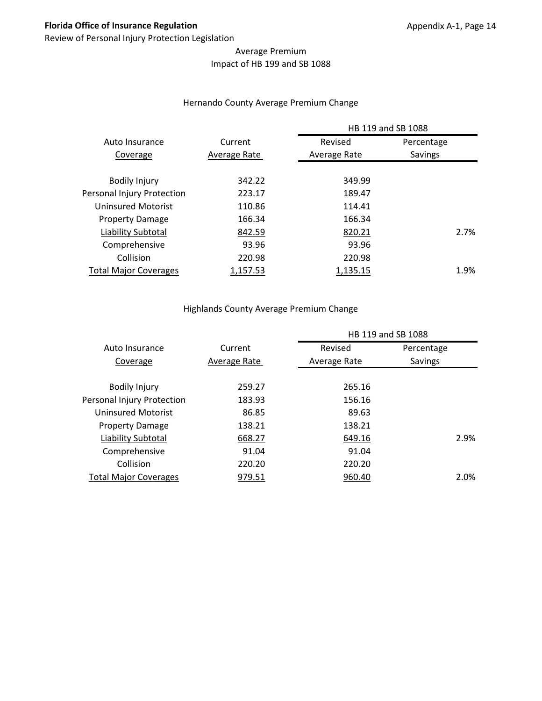# Average Premium Impact of HB 199 and SB 1088

#### Hernando County Average Premium Change

|                              |              | HB 119 and SB 1088 |            |
|------------------------------|--------------|--------------------|------------|
| Auto Insurance               | Current      | Revised            | Percentage |
| Coverage                     | Average Rate | Average Rate       | Savings    |
|                              |              |                    |            |
| <b>Bodily Injury</b>         | 342.22       | 349.99             |            |
| Personal Injury Protection   | 223.17       | 189.47             |            |
| Uninsured Motorist           | 110.86       | 114.41             |            |
| <b>Property Damage</b>       | 166.34       | 166.34             |            |
| Liability Subtotal           | 842.59       | 820.21             | 2.7%       |
| Comprehensive                | 93.96        | 93.96              |            |
| Collision                    | 220.98       | 220.98             |            |
| <b>Total Major Coverages</b> | 1,157.53     | 1,135.15           | 1.9%       |
|                              |              |                    |            |

# Highlands County Average Premium Change

|                              |              | HB 119 and SB 1088 |            |
|------------------------------|--------------|--------------------|------------|
| Auto Insurance               | Current      | Revised            | Percentage |
| Coverage                     | Average Rate | Average Rate       | Savings    |
| <b>Bodily Injury</b>         | 259.27       | 265.16             |            |
| Personal Injury Protection   | 183.93       | 156.16             |            |
| Uninsured Motorist           | 86.85        | 89.63              |            |
| <b>Property Damage</b>       | 138.21       | 138.21             |            |
| Liability Subtotal           | 668.27       | 649.16             | 2.9%       |
| Comprehensive                | 91.04        | 91.04              |            |
| Collision                    | 220.20       | 220.20             |            |
| <b>Total Major Coverages</b> | 979.51       | 960.40             | 2.0%       |
|                              |              |                    |            |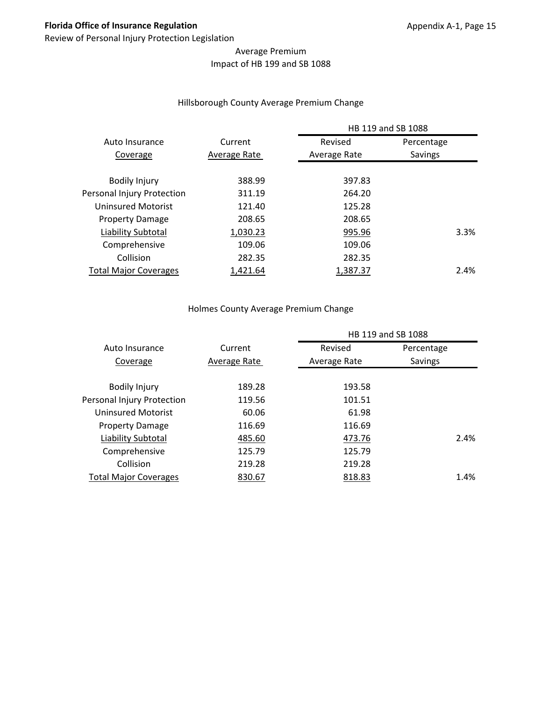# Average Premium Impact of HB 199 and SB 1088

#### Hillsborough County Average Premium Change

|                              |              | HB 119 and SB 1088 |            |  |
|------------------------------|--------------|--------------------|------------|--|
| Auto Insurance               | Current      | Revised            | Percentage |  |
| Coverage                     | Average Rate | Average Rate       | Savings    |  |
|                              |              |                    |            |  |
| <b>Bodily Injury</b>         | 388.99       | 397.83             |            |  |
| Personal Injury Protection   | 311.19       | 264.20             |            |  |
| Uninsured Motorist           | 121.40       | 125.28             |            |  |
| <b>Property Damage</b>       | 208.65       | 208.65             |            |  |
| Liability Subtotal           | 1,030.23     | 995.96             | 3.3%       |  |
| Comprehensive                | 109.06       | 109.06             |            |  |
| Collision                    | 282.35       | 282.35             |            |  |
| <b>Total Major Coverages</b> | 1.421.64     | 1.387.37           | 2.4%       |  |
|                              |              |                    |            |  |

#### Holmes County Average Premium Change

|                              |              | HB 119 and SB 1088 |            |
|------------------------------|--------------|--------------------|------------|
| Auto Insurance               | Current      | Revised            | Percentage |
| Coverage                     | Average Rate | Average Rate       | Savings    |
| <b>Bodily Injury</b>         | 189.28       | 193.58             |            |
| Personal Injury Protection   | 119.56       | 101.51             |            |
| <b>Uninsured Motorist</b>    | 60.06        | 61.98              |            |
| <b>Property Damage</b>       | 116.69       | 116.69             |            |
| Liability Subtotal           | 485.60       | 473.76             | 2.4%       |
| Comprehensive                | 125.79       | 125.79             |            |
| Collision                    | 219.28       | 219.28             |            |
| <b>Total Major Coverages</b> | 830.67       | 818.83             | 1.4%       |
|                              |              |                    |            |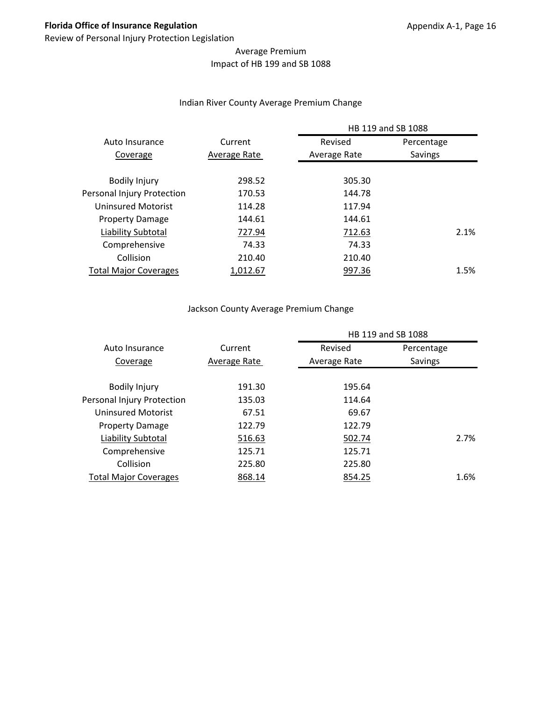# Average Premium Impact of HB 199 and SB 1088

#### Indian River County Average Premium Change

|                              |              | HB 119 and SB 1088 |            |  |
|------------------------------|--------------|--------------------|------------|--|
| Auto Insurance               | Current      | Revised            | Percentage |  |
| Coverage                     | Average Rate | Average Rate       | Savings    |  |
| <b>Bodily Injury</b>         | 298.52       | 305.30             |            |  |
| Personal Injury Protection   | 170.53       | 144.78             |            |  |
| Uninsured Motorist           | 114.28       | 117.94             |            |  |
| <b>Property Damage</b>       | 144.61       | 144.61             |            |  |
| Liability Subtotal           | 727.94       | 712.63             | 2.1%       |  |
| Comprehensive                | 74.33        | 74.33              |            |  |
| Collision                    | 210.40       | 210.40             |            |  |
| <b>Total Major Coverages</b> | 1,012.67     | 997.36             | 1.5%       |  |
|                              |              |                    |            |  |

#### Jackson County Average Premium Change

|                              |              | HB 119 and SB 1088 |            |      |
|------------------------------|--------------|--------------------|------------|------|
| Auto Insurance               | Current      | Revised            | Percentage |      |
| Coverage                     | Average Rate | Average Rate       | Savings    |      |
|                              |              |                    |            |      |
| <b>Bodily Injury</b>         | 191.30       | 195.64             |            |      |
| Personal Injury Protection   | 135.03       | 114.64             |            |      |
| Uninsured Motorist           | 67.51        | 69.67              |            |      |
| <b>Property Damage</b>       | 122.79       | 122.79             |            |      |
| Liability Subtotal           | 516.63       | 502.74             |            | 2.7% |
| Comprehensive                | 125.71       | 125.71             |            |      |
| Collision                    | 225.80       | 225.80             |            |      |
| <b>Total Major Coverages</b> | 868.14       | 854.25             |            | 1.6% |
|                              |              |                    |            |      |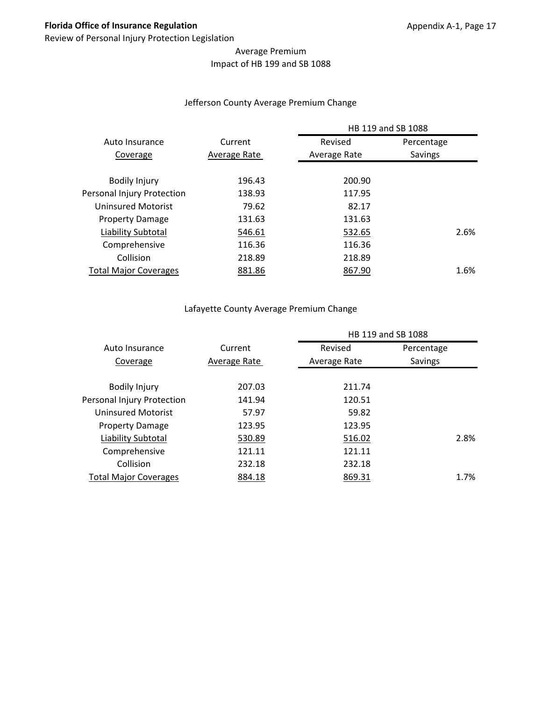# Average Premium Impact of HB 199 and SB 1088

#### Jefferson County Average Premium Change

|                              |              | HB 119 and SB 1088 |            |  |
|------------------------------|--------------|--------------------|------------|--|
| Auto Insurance               | Current      | Revised            | Percentage |  |
| Coverage                     | Average Rate | Average Rate       | Savings    |  |
| <b>Bodily Injury</b>         | 196.43       | 200.90             |            |  |
| Personal Injury Protection   | 138.93       | 117.95             |            |  |
| Uninsured Motorist           | 79.62        | 82.17              |            |  |
| <b>Property Damage</b>       | 131.63       | 131.63             |            |  |
| Liability Subtotal           | 546.61       | 532.65             | 2.6%       |  |
| Comprehensive                | 116.36       | 116.36             |            |  |
| Collision                    | 218.89       | 218.89             |            |  |
| <b>Total Major Coverages</b> | 881.86       | 867.90             | 1.6%       |  |
|                              |              |                    |            |  |

# Lafayette County Average Premium Change

|                              |              | HB 119 and SB 1088 |            |      |
|------------------------------|--------------|--------------------|------------|------|
| Auto Insurance               | Current      | Revised            | Percentage |      |
| Coverage                     | Average Rate | Average Rate       | Savings    |      |
|                              |              |                    |            |      |
| <b>Bodily Injury</b>         | 207.03       | 211.74             |            |      |
| Personal Injury Protection   | 141.94       | 120.51             |            |      |
| Uninsured Motorist           | 57.97        | 59.82              |            |      |
| <b>Property Damage</b>       | 123.95       | 123.95             |            |      |
| Liability Subtotal           | 530.89       | 516.02             |            | 2.8% |
| Comprehensive                | 121.11       | 121.11             |            |      |
| Collision                    | 232.18       | 232.18             |            |      |
| <b>Total Major Coverages</b> | 884.18       | 869.31             |            | 1.7% |
|                              |              |                    |            |      |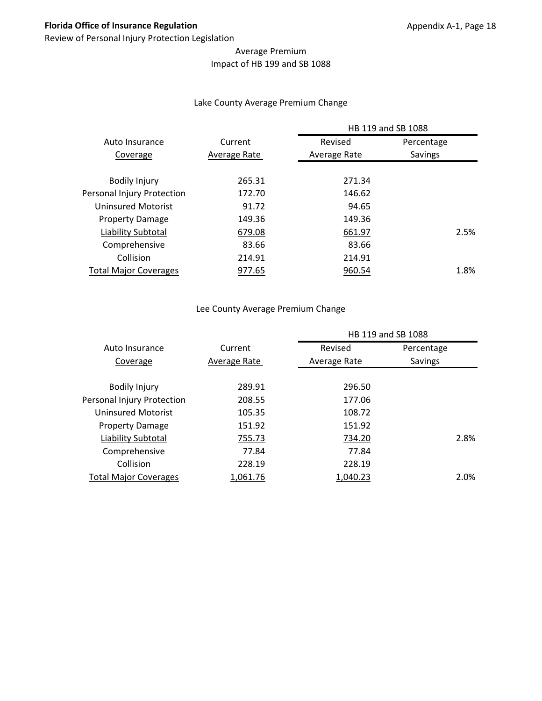# Average Premium Impact of HB 199 and SB 1088

#### Lake County Average Premium Change

|                              |              | HB 119 and SB 1088 |            |  |
|------------------------------|--------------|--------------------|------------|--|
| Auto Insurance               | Current      | Revised            | Percentage |  |
| Coverage                     | Average Rate | Average Rate       | Savings    |  |
| <b>Bodily Injury</b>         | 265.31       | 271.34             |            |  |
| Personal Injury Protection   | 172.70       | 146.62             |            |  |
| Uninsured Motorist           | 91.72        | 94.65              |            |  |
| <b>Property Damage</b>       | 149.36       | 149.36             |            |  |
| Liability Subtotal           | 679.08       | 661.97             | 2.5%       |  |
| Comprehensive                | 83.66        | 83.66              |            |  |
| Collision                    | 214.91       | 214.91             |            |  |
| <b>Total Major Coverages</b> | 977.65       | 960.54             | 1.8%       |  |
|                              |              |                    |            |  |

#### Lee County Average Premium Change

|                              |              | HB 119 and SB 1088 |            |  |
|------------------------------|--------------|--------------------|------------|--|
| Auto Insurance               | Current      | Revised            | Percentage |  |
| Coverage                     | Average Rate | Average Rate       | Savings    |  |
| <b>Bodily Injury</b>         | 289.91       | 296.50             |            |  |
| Personal Injury Protection   | 208.55       | 177.06             |            |  |
| <b>Uninsured Motorist</b>    | 105.35       | 108.72             |            |  |
| <b>Property Damage</b>       | 151.92       | 151.92             |            |  |
| Liability Subtotal           | 755.73       | 734.20             | 2.8%       |  |
| Comprehensive                | 77.84        | 77.84              |            |  |
| Collision                    | 228.19       | 228.19             |            |  |
| <b>Total Major Coverages</b> | 1,061.76     | 1,040.23           | 2.0%       |  |
|                              |              |                    |            |  |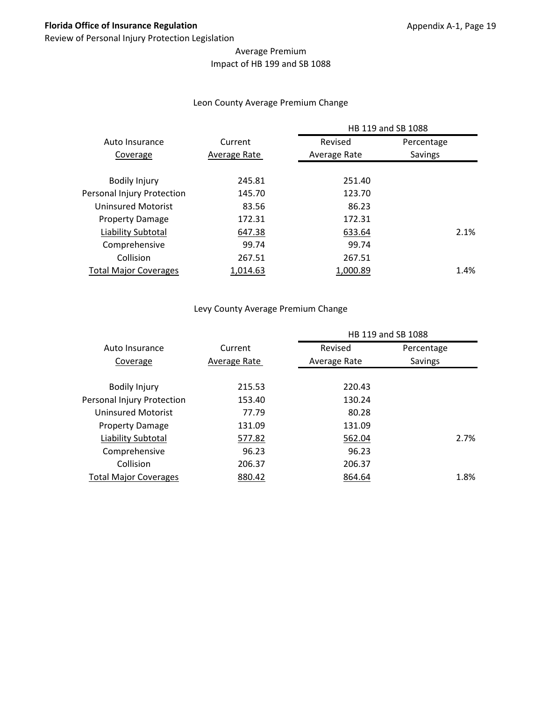# Average Premium Impact of HB 199 and SB 1088

#### Leon County Average Premium Change

|                              |              | HB 119 and SB 1088 |            |
|------------------------------|--------------|--------------------|------------|
| Auto Insurance               | Current      | Revised            | Percentage |
| Coverage                     | Average Rate | Average Rate       | Savings    |
|                              |              |                    |            |
| <b>Bodily Injury</b>         | 245.81       | 251.40             |            |
| Personal Injury Protection   | 145.70       | 123.70             |            |
| Uninsured Motorist           | 83.56        | 86.23              |            |
| <b>Property Damage</b>       | 172.31       | 172.31             |            |
| Liability Subtotal           | 647.38       | 633.64             | 2.1%       |
| Comprehensive                | 99.74        | 99.74              |            |
| Collision                    | 267.51       | 267.51             |            |
| <b>Total Major Coverages</b> | 1.014.63     | 1.000.89           | 1.4%       |
|                              |              |                    |            |

#### Levy County Average Premium Change

|                              |              |              | HB 119 and SB 1088 |      |
|------------------------------|--------------|--------------|--------------------|------|
| Auto Insurance               | Current      | Revised      | Percentage         |      |
| Coverage                     | Average Rate | Average Rate | Savings            |      |
|                              |              |              |                    |      |
| <b>Bodily Injury</b>         | 215.53       | 220.43       |                    |      |
| Personal Injury Protection   | 153.40       | 130.24       |                    |      |
| Uninsured Motorist           | 77.79        | 80.28        |                    |      |
| <b>Property Damage</b>       | 131.09       | 131.09       |                    |      |
| Liability Subtotal           | 577.82       | 562.04       |                    | 2.7% |
| Comprehensive                | 96.23        | 96.23        |                    |      |
| Collision                    | 206.37       | 206.37       |                    |      |
| <b>Total Major Coverages</b> | 880.42       | 864.64       |                    | 1.8% |
|                              |              |              |                    |      |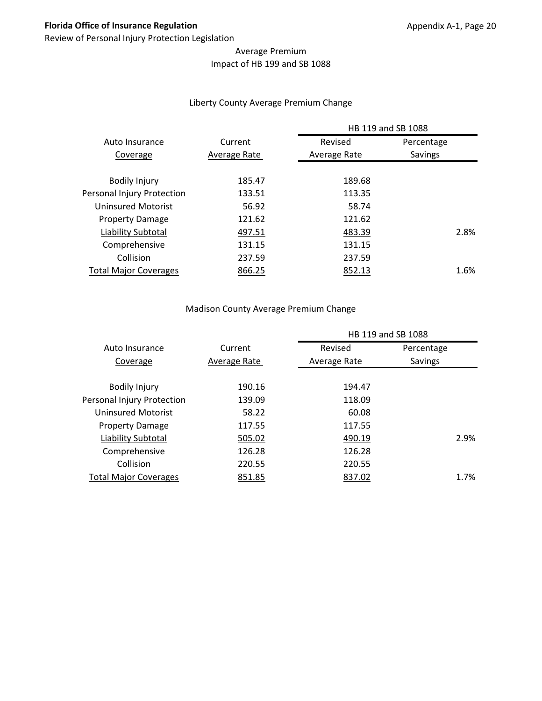# Average Premium Impact of HB 199 and SB 1088

#### Liberty County Average Premium Change

|                              |              |              | HB 119 and SB 1088 |
|------------------------------|--------------|--------------|--------------------|
| Auto Insurance               | Current      | Revised      | Percentage         |
| Coverage                     | Average Rate | Average Rate | Savings            |
| <b>Bodily Injury</b>         | 185.47       | 189.68       |                    |
| Personal Injury Protection   | 133.51       | 113.35       |                    |
| Uninsured Motorist           | 56.92        | 58.74        |                    |
| <b>Property Damage</b>       | 121.62       | 121.62       |                    |
| Liability Subtotal           | 497.51       | 483.39       | 2.8%               |
| Comprehensive                | 131.15       | 131.15       |                    |
| Collision                    | 237.59       | 237.59       |                    |
| <b>Total Major Coverages</b> | 866.25       | 852.13       | 1.6%               |
|                              |              |              |                    |

#### Madison County Average Premium Change

|                              |              |              | HB 119 and SB 1088 |
|------------------------------|--------------|--------------|--------------------|
| Auto Insurance               | Current      | Revised      | Percentage         |
| Coverage                     | Average Rate | Average Rate | Savings            |
| <b>Bodily Injury</b>         | 190.16       | 194.47       |                    |
| Personal Injury Protection   | 139.09       | 118.09       |                    |
| Uninsured Motorist           | 58.22        | 60.08        |                    |
| <b>Property Damage</b>       | 117.55       | 117.55       |                    |
| Liability Subtotal           | 505.02       | 490.19       | 2.9%               |
| Comprehensive                | 126.28       | 126.28       |                    |
| Collision                    | 220.55       | 220.55       |                    |
| <b>Total Major Coverages</b> | 851.85       | 837.02       | 1.7%               |
|                              |              |              |                    |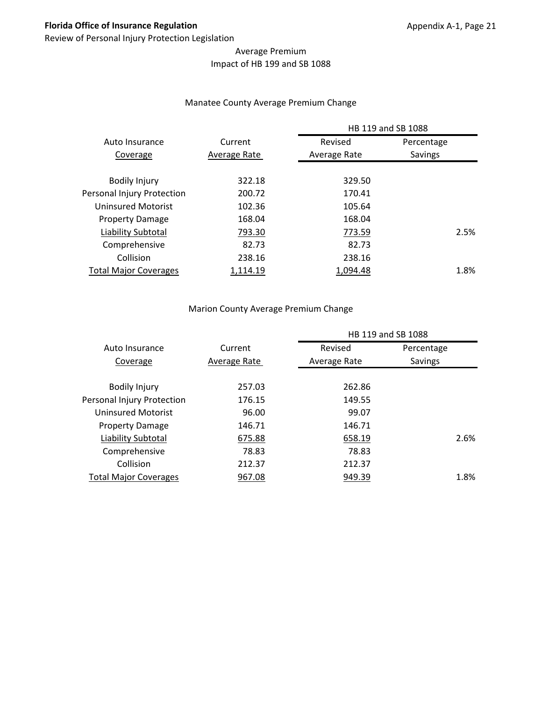# Average Premium Impact of HB 199 and SB 1088

#### Manatee County Average Premium Change

|                              |              | HB 119 and SB 1088 |            |
|------------------------------|--------------|--------------------|------------|
| Auto Insurance               | Current      | Revised            | Percentage |
| Coverage                     | Average Rate | Average Rate       | Savings    |
|                              |              |                    |            |
| <b>Bodily Injury</b>         | 322.18       | 329.50             |            |
| Personal Injury Protection   | 200.72       | 170.41             |            |
| Uninsured Motorist           | 102.36       | 105.64             |            |
| <b>Property Damage</b>       | 168.04       | 168.04             |            |
| Liability Subtotal           | 793.30       | 773.59             | 2.5%       |
| Comprehensive                | 82.73        | 82.73              |            |
| Collision                    | 238.16       | 238.16             |            |
| <b>Total Major Coverages</b> | 1,114.19     | 1.094.48           | 1.8%       |
|                              |              |                    |            |

#### Marion County Average Premium Change

|                              |              | HB 119 and SB 1088 |            |
|------------------------------|--------------|--------------------|------------|
| Auto Insurance               | Current      | Revised            | Percentage |
| Coverage                     | Average Rate | Average Rate       | Savings    |
| <b>Bodily Injury</b>         | 257.03       | 262.86             |            |
| Personal Injury Protection   | 176.15       | 149.55             |            |
| <b>Uninsured Motorist</b>    | 96.00        | 99.07              |            |
| <b>Property Damage</b>       | 146.71       | 146.71             |            |
| Liability Subtotal           | 675.88       | 658.19             | 2.6%       |
| Comprehensive                | 78.83        | 78.83              |            |
| Collision                    | 212.37       | 212.37             |            |
| <b>Total Major Coverages</b> | 967.08       | 949.39             | 1.8%       |
|                              |              |                    |            |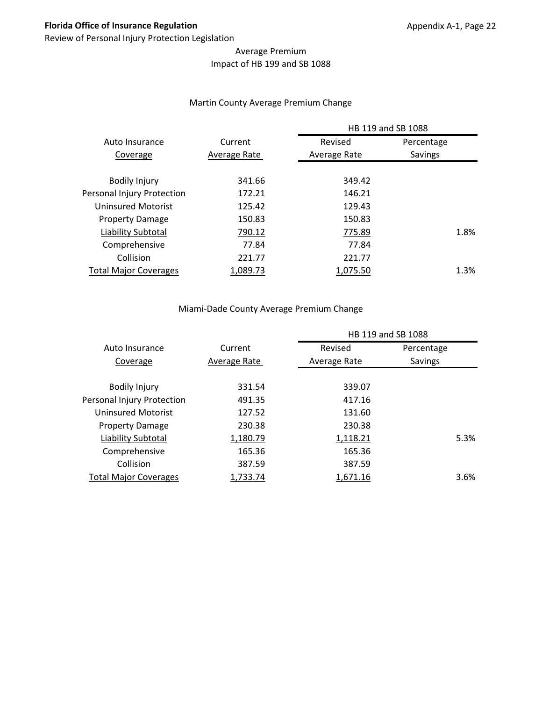# Average Premium Impact of HB 199 and SB 1088

#### Martin County Average Premium Change

|                              | Current      | HB 119 and SB 1088 |            |  |
|------------------------------|--------------|--------------------|------------|--|
| Auto Insurance               |              | Revised            | Percentage |  |
| Coverage                     | Average Rate | Average Rate       | Savings    |  |
|                              |              |                    |            |  |
| <b>Bodily Injury</b>         | 341.66       | 349.42             |            |  |
| Personal Injury Protection   | 172.21       | 146.21             |            |  |
| Uninsured Motorist           | 125.42       | 129.43             |            |  |
| <b>Property Damage</b>       | 150.83       | 150.83             |            |  |
| Liability Subtotal           | 790.12       | 775.89             | 1.8%       |  |
| Comprehensive                | 77.84        | 77.84              |            |  |
| Collision                    | 221.77       | 221.77             |            |  |
| <b>Total Major Coverages</b> | 1,089.73     | 1,075.50           | 1.3%       |  |
|                              |              |                    |            |  |

#### Miami‐Dade County Average Premium Change

|                              | Current      | HB 119 and SB 1088 |            |
|------------------------------|--------------|--------------------|------------|
| Auto Insurance               |              | Revised            | Percentage |
| Coverage                     | Average Rate | Average Rate       | Savings    |
| <b>Bodily Injury</b>         | 331.54       | 339.07             |            |
| Personal Injury Protection   | 491.35       | 417.16             |            |
| Uninsured Motorist           | 127.52       | 131.60             |            |
| <b>Property Damage</b>       | 230.38       | 230.38             |            |
| Liability Subtotal           | 1,180.79     | 1,118.21           | 5.3%       |
| Comprehensive                | 165.36       | 165.36             |            |
| Collision                    | 387.59       | 387.59             |            |
| <b>Total Major Coverages</b> | 1,733.74     | 1,671.16           | 3.6%       |
|                              |              |                    |            |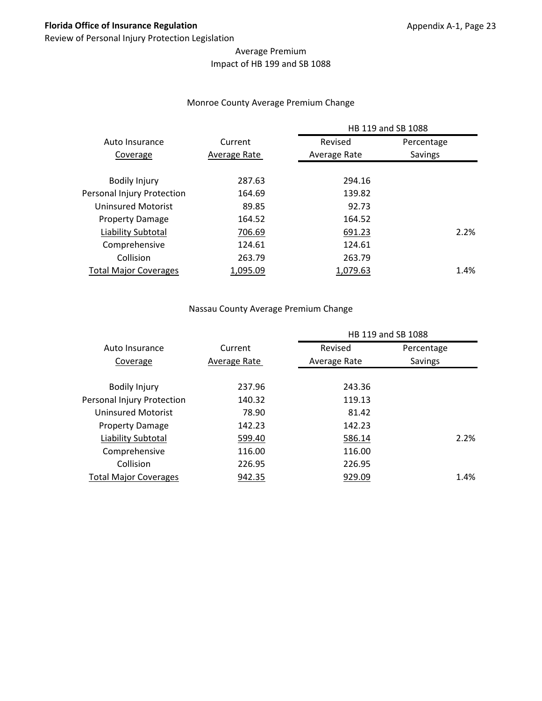## Average Premium Impact of HB 199 and SB 1088

#### Monroe County Average Premium Change

|                              |              |              | HB 119 and SB 1088 |
|------------------------------|--------------|--------------|--------------------|
| Auto Insurance               | Current      | Revised      | Percentage         |
| Coverage                     | Average Rate | Average Rate | Savings            |
| <b>Bodily Injury</b>         | 287.63       | 294.16       |                    |
| Personal Injury Protection   | 164.69       | 139.82       |                    |
| Uninsured Motorist           | 89.85        | 92.73        |                    |
| <b>Property Damage</b>       | 164.52       | 164.52       |                    |
| Liability Subtotal           | 706.69       | 691.23       | 2.2%               |
| Comprehensive                | 124.61       | 124.61       |                    |
| Collision                    | 263.79       | 263.79       |                    |
| <b>Total Major Coverages</b> | 1,095.09     | 1,079.63     | 1.4%               |
|                              |              |              |                    |

#### Nassau County Average Premium Change

|                              |              |              | HB 119 and SB 1088 |      |
|------------------------------|--------------|--------------|--------------------|------|
| Auto Insurance               | Current      | Revised      | Percentage         |      |
| Coverage                     | Average Rate | Average Rate | Savings            |      |
|                              |              |              |                    |      |
| <b>Bodily Injury</b>         | 237.96       | 243.36       |                    |      |
| Personal Injury Protection   | 140.32       | 119.13       |                    |      |
| Uninsured Motorist           | 78.90        | 81.42        |                    |      |
| <b>Property Damage</b>       | 142.23       | 142.23       |                    |      |
| Liability Subtotal           | 599.40       | 586.14       |                    | 2.2% |
| Comprehensive                | 116.00       | 116.00       |                    |      |
| Collision                    | 226.95       | 226.95       |                    |      |
| <b>Total Major Coverages</b> | 942.35       | 929.09       |                    | 1.4% |
|                              |              |              |                    |      |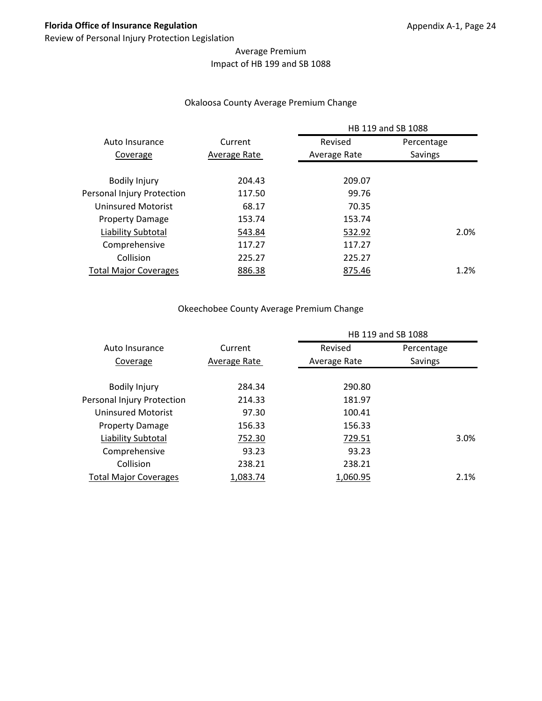## Average Premium Impact of HB 199 and SB 1088

#### Okaloosa County Average Premium Change

|                              |              |              | HB 119 and SB 1088 |  |
|------------------------------|--------------|--------------|--------------------|--|
| Auto Insurance               | Current      | Revised      | Percentage         |  |
| Coverage                     | Average Rate | Average Rate | Savings            |  |
|                              |              |              |                    |  |
| <b>Bodily Injury</b>         | 204.43       | 209.07       |                    |  |
| Personal Injury Protection   | 117.50       | 99.76        |                    |  |
| Uninsured Motorist           | 68.17        | 70.35        |                    |  |
| <b>Property Damage</b>       | 153.74       | 153.74       |                    |  |
| Liability Subtotal           | 543.84       | 532.92       | 2.0%               |  |
| Comprehensive                | 117.27       | 117.27       |                    |  |
| Collision                    | 225.27       | 225.27       |                    |  |
| <b>Total Major Coverages</b> | 886.38       | 875.46       | 1.2%               |  |
|                              |              |              |                    |  |

## Okeechobee County Average Premium Change

|                              |              |              | HB 119 and SB 1088 |
|------------------------------|--------------|--------------|--------------------|
| Auto Insurance               | Current      | Revised      | Percentage         |
| Coverage                     | Average Rate | Average Rate | Savings            |
| <b>Bodily Injury</b>         | 284.34       | 290.80       |                    |
| Personal Injury Protection   | 214.33       | 181.97       |                    |
| <b>Uninsured Motorist</b>    | 97.30        | 100.41       |                    |
| <b>Property Damage</b>       | 156.33       | 156.33       |                    |
| Liability Subtotal           | 752.30       | 729.51       | 3.0%               |
| Comprehensive                | 93.23        | 93.23        |                    |
| Collision                    | 238.21       | 238.21       |                    |
| <b>Total Major Coverages</b> | 1,083.74     | 1,060.95     | 2.1%               |
|                              |              |              |                    |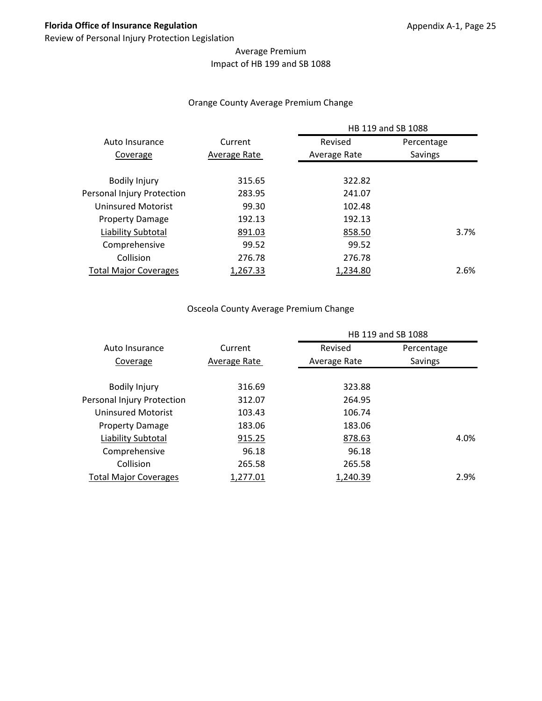## Average Premium Impact of HB 199 and SB 1088

#### Orange County Average Premium Change

|                              |              |              | HB 119 and SB 1088 |
|------------------------------|--------------|--------------|--------------------|
| Auto Insurance               | Current      | Revised      | Percentage         |
| Coverage                     | Average Rate | Average Rate | Savings            |
|                              |              |              |                    |
| <b>Bodily Injury</b>         | 315.65       | 322.82       |                    |
| Personal Injury Protection   | 283.95       | 241.07       |                    |
| Uninsured Motorist           | 99.30        | 102.48       |                    |
| <b>Property Damage</b>       | 192.13       | 192.13       |                    |
| Liability Subtotal           | 891.03       | 858.50       | 3.7%               |
| Comprehensive                | 99.52        | 99.52        |                    |
| Collision                    | 276.78       | 276.78       |                    |
| <b>Total Major Coverages</b> | 1,267.33     | 1,234.80     | 2.6%               |
|                              |              |              |                    |

# Osceola County Average Premium Change

|                              |              | HB 119 and SB 1088 |            |      |
|------------------------------|--------------|--------------------|------------|------|
| Auto Insurance               | Current      | Revised            | Percentage |      |
| Coverage                     | Average Rate | Average Rate       | Savings    |      |
|                              |              |                    |            |      |
| <b>Bodily Injury</b>         | 316.69       | 323.88             |            |      |
| Personal Injury Protection   | 312.07       | 264.95             |            |      |
| Uninsured Motorist           | 103.43       | 106.74             |            |      |
| <b>Property Damage</b>       | 183.06       | 183.06             |            |      |
| Liability Subtotal           | 915.25       | 878.63             |            | 4.0% |
| Comprehensive                | 96.18        | 96.18              |            |      |
| Collision                    | 265.58       | 265.58             |            |      |
| <b>Total Major Coverages</b> | 1,277.01     | 1,240.39           |            | 2.9% |
|                              |              |                    |            |      |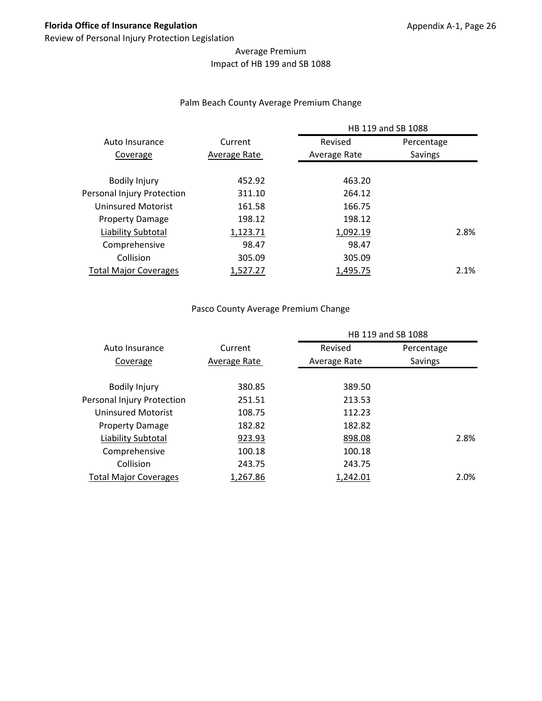## Average Premium Impact of HB 199 and SB 1088

#### Palm Beach County Average Premium Change

|                              |              | HB 119 and SB 1088 |            |  |
|------------------------------|--------------|--------------------|------------|--|
| Auto Insurance               | Current      | Revised            | Percentage |  |
| Coverage                     | Average Rate | Average Rate       | Savings    |  |
|                              |              |                    |            |  |
| <b>Bodily Injury</b>         | 452.92       | 463.20             |            |  |
| Personal Injury Protection   | 311.10       | 264.12             |            |  |
| Uninsured Motorist           | 161.58       | 166.75             |            |  |
| <b>Property Damage</b>       | 198.12       | 198.12             |            |  |
| Liability Subtotal           | 1,123.71     | 1,092.19           | 2.8%       |  |
| Comprehensive                | 98.47        | 98.47              |            |  |
| Collision                    | 305.09       | 305.09             |            |  |
| <b>Total Major Coverages</b> | 1.527.27     | 1,495.75           | 2.1%       |  |
|                              |              |                    |            |  |

#### Pasco County Average Premium Change

|                              |              | HB 119 and SB 1088 |            |      |
|------------------------------|--------------|--------------------|------------|------|
| Auto Insurance               | Current      | Revised            | Percentage |      |
| Coverage                     | Average Rate | Average Rate       | Savings    |      |
|                              |              |                    |            |      |
| <b>Bodily Injury</b>         | 380.85       | 389.50             |            |      |
| Personal Injury Protection   | 251.51       | 213.53             |            |      |
| Uninsured Motorist           | 108.75       | 112.23             |            |      |
| <b>Property Damage</b>       | 182.82       | 182.82             |            |      |
| Liability Subtotal           | 923.93       | 898.08             |            | 2.8% |
| Comprehensive                | 100.18       | 100.18             |            |      |
| Collision                    | 243.75       | 243.75             |            |      |
| <b>Total Major Coverages</b> | 1,267.86     | 1,242.01           |            | 2.0% |
|                              |              |                    |            |      |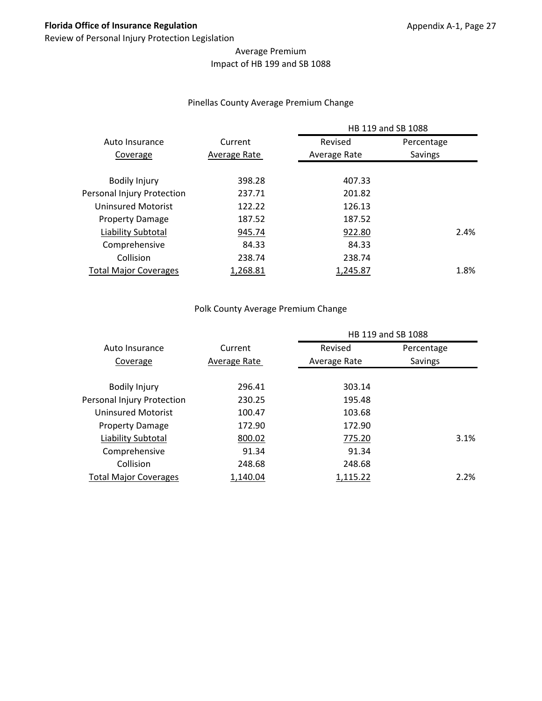## Average Premium Impact of HB 199 and SB 1088

#### Pinellas County Average Premium Change

|                              |              |              | HB 119 and SB 1088 |
|------------------------------|--------------|--------------|--------------------|
| Auto Insurance               | Current      | Revised      | Percentage         |
| Coverage                     | Average Rate | Average Rate | Savings            |
|                              |              |              |                    |
| <b>Bodily Injury</b>         | 398.28       | 407.33       |                    |
| Personal Injury Protection   | 237.71       | 201.82       |                    |
| Uninsured Motorist           | 122.22       | 126.13       |                    |
| <b>Property Damage</b>       | 187.52       | 187.52       |                    |
| Liability Subtotal           | 945.74       | 922.80       | 2.4%               |
| Comprehensive                | 84.33        | 84.33        |                    |
| Collision                    | 238.74       | 238.74       |                    |
| <b>Total Major Coverages</b> | 1.268.81     | 1,245.87     | 1.8%               |
|                              |              |              |                    |

#### Polk County Average Premium Change

|                              |              |              | HB 119 and SB 1088 |      |
|------------------------------|--------------|--------------|--------------------|------|
| Auto Insurance               | Current      | Revised      | Percentage         |      |
| Coverage                     | Average Rate | Average Rate | Savings            |      |
|                              |              |              |                    |      |
| <b>Bodily Injury</b>         | 296.41       | 303.14       |                    |      |
| Personal Injury Protection   | 230.25       | 195.48       |                    |      |
| <b>Uninsured Motorist</b>    | 100.47       | 103.68       |                    |      |
| <b>Property Damage</b>       | 172.90       | 172.90       |                    |      |
| Liability Subtotal           | 800.02       | 775.20       |                    | 3.1% |
| Comprehensive                | 91.34        | 91.34        |                    |      |
| Collision                    | 248.68       | 248.68       |                    |      |
| <b>Total Major Coverages</b> | 1,140.04     | 1,115.22     |                    | 2.2% |
|                              |              |              |                    |      |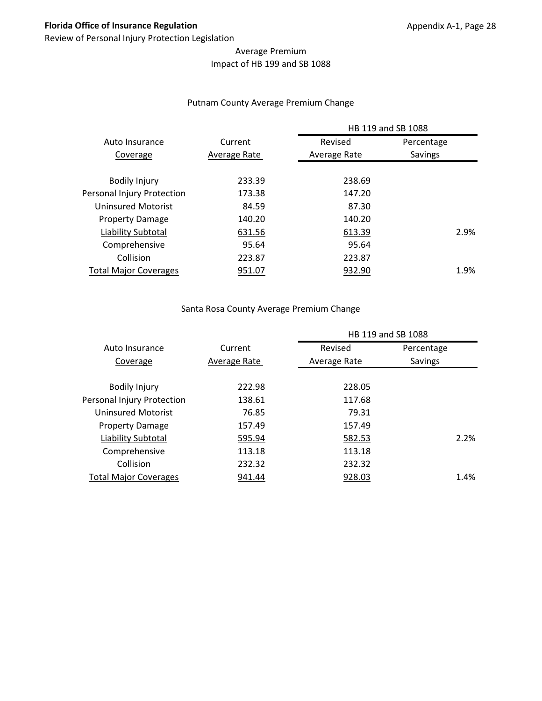## Average Premium Impact of HB 199 and SB 1088

#### Putnam County Average Premium Change

|                              |              |              | HB 119 and SB 1088 |
|------------------------------|--------------|--------------|--------------------|
| Auto Insurance               | Current      | Revised      | Percentage         |
| Coverage                     | Average Rate | Average Rate | Savings            |
|                              |              |              |                    |
| <b>Bodily Injury</b>         | 233.39       | 238.69       |                    |
| Personal Injury Protection   | 173.38       | 147.20       |                    |
| Uninsured Motorist           | 84.59        | 87.30        |                    |
| <b>Property Damage</b>       | 140.20       | 140.20       |                    |
| Liability Subtotal           | 631.56       | 613.39       | 2.9%               |
| Comprehensive                | 95.64        | 95.64        |                    |
| Collision                    | 223.87       | 223.87       |                    |
| <b>Total Major Coverages</b> | 951.07       | 932.90       | 1.9%               |
|                              |              |              |                    |

#### Santa Rosa County Average Premium Change

|              |              | HB 119 and SB 1088 |
|--------------|--------------|--------------------|
| Current      | Revised      | Percentage         |
| Average Rate | Average Rate | Savings            |
|              |              |                    |
|              |              |                    |
| 138.61       | 117.68       |                    |
| 76.85        | 79.31        |                    |
| 157.49       | 157.49       |                    |
| 595.94       | 582.53       | 2.2%               |
| 113.18       | 113.18       |                    |
| 232.32       | 232.32       |                    |
| 941.44       | 928.03       | 1.4%               |
|              | 222.98       | 228.05             |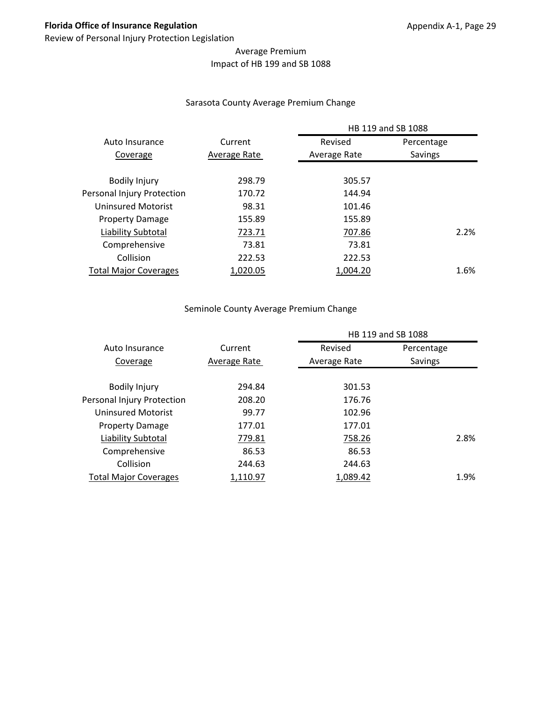## Average Premium Impact of HB 199 and SB 1088

#### Sarasota County Average Premium Change

|                              |              | HB 119 and SB 1088 |            |
|------------------------------|--------------|--------------------|------------|
| Auto Insurance               | Current      | Revised            | Percentage |
| Coverage                     | Average Rate | Average Rate       | Savings    |
|                              |              |                    |            |
| <b>Bodily Injury</b>         | 298.79       | 305.57             |            |
| Personal Injury Protection   | 170.72       | 144.94             |            |
| Uninsured Motorist           | 98.31        | 101.46             |            |
| <b>Property Damage</b>       | 155.89       | 155.89             |            |
| Liability Subtotal           | 723.71       | 707.86             | 2.2%       |
| Comprehensive                | 73.81        | 73.81              |            |
| Collision                    | 222.53       | 222.53             |            |
| <b>Total Major Coverages</b> | 1,020.05     | 1.004.20           | 1.6%       |
|                              |              |                    |            |

#### Seminole County Average Premium Change

|                              |              | HB 119 and SB 1088 |            |      |
|------------------------------|--------------|--------------------|------------|------|
| Auto Insurance               | Current      | Revised            | Percentage |      |
| Coverage                     | Average Rate | Average Rate       | Savings    |      |
|                              |              |                    |            |      |
| <b>Bodily Injury</b>         | 294.84       | 301.53             |            |      |
| Personal Injury Protection   | 208.20       | 176.76             |            |      |
| Uninsured Motorist           | 99.77        | 102.96             |            |      |
| <b>Property Damage</b>       | 177.01       | 177.01             |            |      |
| Liability Subtotal           | 779.81       | 758.26             |            | 2.8% |
| Comprehensive                | 86.53        | 86.53              |            |      |
| Collision                    | 244.63       | 244.63             |            |      |
| <b>Total Major Coverages</b> | 1,110.97     | 1,089.42           |            | 1.9% |
|                              |              |                    |            |      |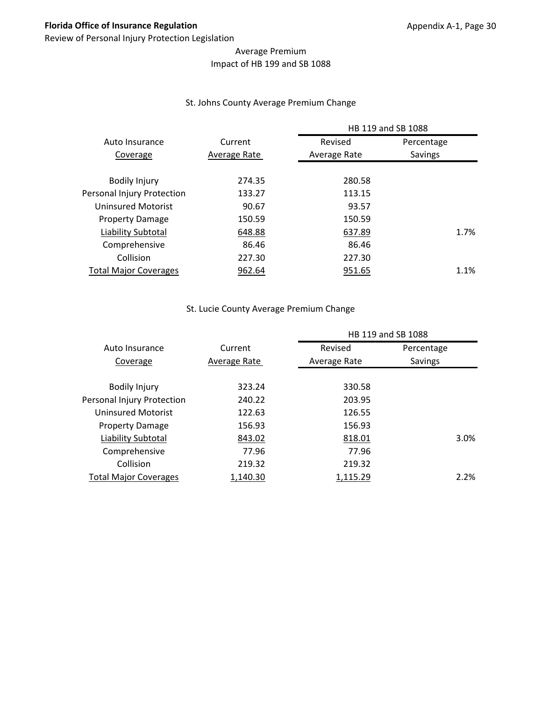## Average Premium Impact of HB 199 and SB 1088

#### St. Johns County Average Premium Change

|                              |              | HB 119 and SB 1088 |            |
|------------------------------|--------------|--------------------|------------|
| Auto Insurance               | Current      | Revised            | Percentage |
| Coverage                     | Average Rate | Average Rate       | Savings    |
| <b>Bodily Injury</b>         | 274.35       | 280.58             |            |
| Personal Injury Protection   | 133.27       | 113.15             |            |
| Uninsured Motorist           | 90.67        | 93.57              |            |
| <b>Property Damage</b>       | 150.59       | 150.59             |            |
| Liability Subtotal           | 648.88       | 637.89             | 1.7%       |
| Comprehensive                | 86.46        | 86.46              |            |
| Collision                    | 227.30       | 227.30             |            |
| <b>Total Major Coverages</b> | 962.64       | 951.65             | 1.1%       |
|                              |              |                    |            |

## St. Lucie County Average Premium Change

|                              |              | HB 119 and SB 1088 |            |      |
|------------------------------|--------------|--------------------|------------|------|
| Auto Insurance               | Current      | Revised            | Percentage |      |
| Coverage                     | Average Rate | Average Rate       | Savings    |      |
|                              |              |                    |            |      |
| <b>Bodily Injury</b>         | 323.24       | 330.58             |            |      |
| Personal Injury Protection   | 240.22       | 203.95             |            |      |
| Uninsured Motorist           | 122.63       | 126.55             |            |      |
| <b>Property Damage</b>       | 156.93       | 156.93             |            |      |
| Liability Subtotal           | 843.02       | 818.01             |            | 3.0% |
| Comprehensive                | 77.96        | 77.96              |            |      |
| Collision                    | 219.32       | 219.32             |            |      |
| <b>Total Major Coverages</b> | 1,140.30     | 1,115.29           |            | 2.2% |
|                              |              |                    |            |      |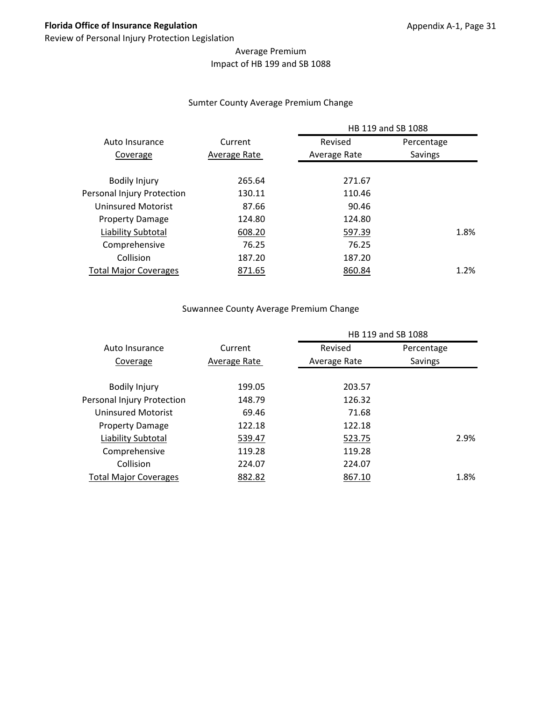## Average Premium Impact of HB 199 and SB 1088

#### Sumter County Average Premium Change

|                              |              | HB 119 and SB 1088 |            |  |
|------------------------------|--------------|--------------------|------------|--|
| Auto Insurance               | Current      | Revised            | Percentage |  |
| Coverage                     | Average Rate | Average Rate       | Savings    |  |
| <b>Bodily Injury</b>         | 265.64       | 271.67             |            |  |
| Personal Injury Protection   | 130.11       | 110.46             |            |  |
| Uninsured Motorist           | 87.66        | 90.46              |            |  |
| <b>Property Damage</b>       | 124.80       | 124.80             |            |  |
| Liability Subtotal           | 608.20       | 597.39             | 1.8%       |  |
| Comprehensive                | 76.25        | 76.25              |            |  |
| Collision                    | 187.20       | 187.20             |            |  |
| <b>Total Major Coverages</b> | 871.65       | 860.84             | 1.2%       |  |
|                              |              |                    |            |  |

## Suwannee County Average Premium Change

|                              |              | HB 119 and SB 1088 |            |
|------------------------------|--------------|--------------------|------------|
| Auto Insurance               | Current      | Revised            | Percentage |
| Coverage                     | Average Rate | Average Rate       | Savings    |
| <b>Bodily Injury</b>         | 199.05       | 203.57             |            |
| Personal Injury Protection   | 148.79       | 126.32             |            |
| Uninsured Motorist           | 69.46        | 71.68              |            |
| <b>Property Damage</b>       | 122.18       | 122.18             |            |
| Liability Subtotal           | 539.47       | 523.75             | 2.9%       |
| Comprehensive                | 119.28       | 119.28             |            |
| Collision                    | 224.07       | 224.07             |            |
| <b>Total Major Coverages</b> | 882.82       | 867.10             | 1.8%       |
|                              |              |                    |            |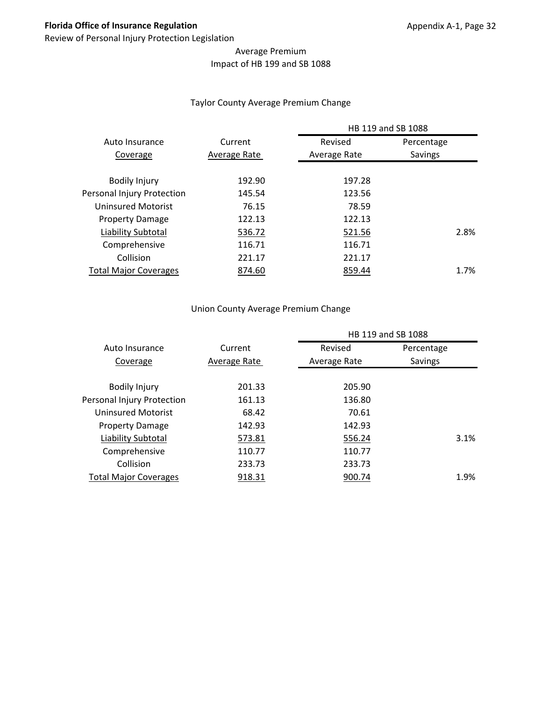## Average Premium Impact of HB 199 and SB 1088

#### Taylor County Average Premium Change

|                              |              | HB 119 and SB 1088 |            |  |
|------------------------------|--------------|--------------------|------------|--|
| Auto Insurance               | Current      | Revised            | Percentage |  |
| Coverage                     | Average Rate | Average Rate       | Savings    |  |
|                              |              |                    |            |  |
| <b>Bodily Injury</b>         | 192.90       | 197.28             |            |  |
| Personal Injury Protection   | 145.54       | 123.56             |            |  |
| Uninsured Motorist           | 76.15        | 78.59              |            |  |
| <b>Property Damage</b>       | 122.13       | 122.13             |            |  |
| Liability Subtotal           | 536.72       | 521.56             | 2.8%       |  |
| Comprehensive                | 116.71       | 116.71             |            |  |
| Collision                    | 221.17       | 221.17             |            |  |
| <b>Total Major Coverages</b> | 874.60       | 859.44             | 1.7%       |  |
|                              |              |                    |            |  |

#### Union County Average Premium Change

|                              |              | HB 119 and SB 1088 |            |      |  |
|------------------------------|--------------|--------------------|------------|------|--|
| Auto Insurance               | Current      | Revised            | Percentage |      |  |
| Coverage                     | Average Rate | Average Rate       | Savings    |      |  |
|                              |              |                    |            |      |  |
| <b>Bodily Injury</b>         | 201.33       | 205.90             |            |      |  |
| Personal Injury Protection   | 161.13       | 136.80             |            |      |  |
| Uninsured Motorist           | 68.42        | 70.61              |            |      |  |
| <b>Property Damage</b>       | 142.93       | 142.93             |            |      |  |
| Liability Subtotal           | 573.81       | 556.24             |            | 3.1% |  |
| Comprehensive                | 110.77       | 110.77             |            |      |  |
| Collision                    | 233.73       | 233.73             |            |      |  |
| <b>Total Major Coverages</b> | 918.31       | 900.74             |            | 1.9% |  |
|                              |              |                    |            |      |  |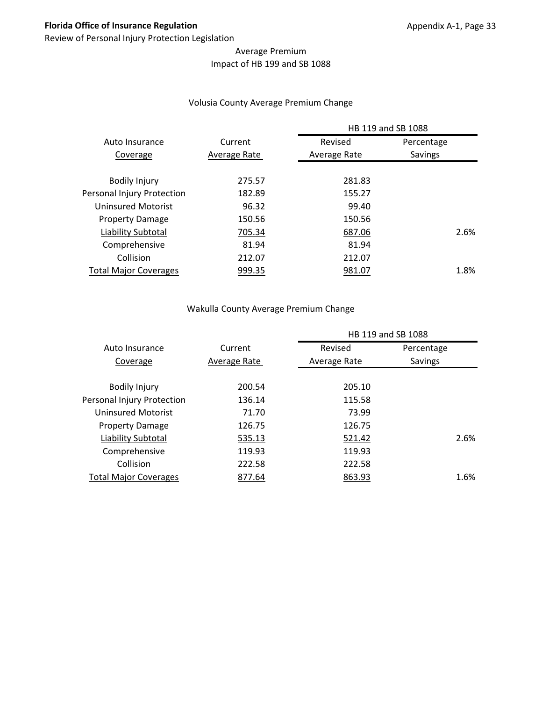## Average Premium Impact of HB 199 and SB 1088

#### Volusia County Average Premium Change

|                              |              | HB 119 and SB 1088 |            |  |
|------------------------------|--------------|--------------------|------------|--|
| Auto Insurance               | Current      | Revised            | Percentage |  |
| Coverage                     | Average Rate | Average Rate       | Savings    |  |
| <b>Bodily Injury</b>         | 275.57       | 281.83             |            |  |
| Personal Injury Protection   | 182.89       | 155.27             |            |  |
| Uninsured Motorist           | 96.32        | 99.40              |            |  |
| <b>Property Damage</b>       | 150.56       | 150.56             |            |  |
| Liability Subtotal           | 705.34       | 687.06             | 2.6%       |  |
| Comprehensive                | 81.94        | 81.94              |            |  |
| Collision                    | 212.07       | 212.07             |            |  |
| <b>Total Major Coverages</b> | 999.35       | 981.07             | 1.8%       |  |
|                              |              |                    |            |  |

#### Wakulla County Average Premium Change

|                              |              | HB 119 and SB 1088 |            |
|------------------------------|--------------|--------------------|------------|
| Auto Insurance               | Current      | Revised            | Percentage |
| Coverage                     | Average Rate | Average Rate       | Savings    |
|                              |              |                    |            |
| <b>Bodily Injury</b>         | 200.54       | 205.10             |            |
| Personal Injury Protection   | 136.14       | 115.58             |            |
| Uninsured Motorist           | 71.70        | 73.99              |            |
| <b>Property Damage</b>       | 126.75       | 126.75             |            |
| Liability Subtotal           | 535.13       | 521.42             | 2.6%       |
| Comprehensive                | 119.93       | 119.93             |            |
| Collision                    | 222.58       | 222.58             |            |
| <b>Total Major Coverages</b> | 877.64       | 863.93             | 1.6%       |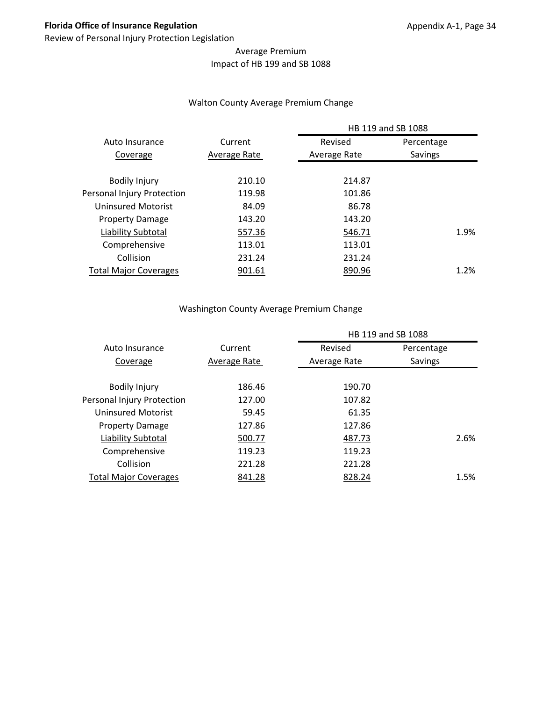## Average Premium Impact of HB 199 and SB 1088

#### Walton County Average Premium Change

|                              |              | HB 119 and SB 1088 |            |
|------------------------------|--------------|--------------------|------------|
| Auto Insurance               | Current      | Revised            | Percentage |
| Coverage                     | Average Rate | Average Rate       | Savings    |
| <b>Bodily Injury</b>         | 210.10       | 214.87             |            |
| Personal Injury Protection   | 119.98       | 101.86             |            |
| Uninsured Motorist           | 84.09        | 86.78              |            |
| <b>Property Damage</b>       | 143.20       | 143.20             |            |
| Liability Subtotal           | 557.36       | 546.71             | 1.9%       |
| Comprehensive                | 113.01       | 113.01             |            |
| Collision                    | 231.24       | 231.24             |            |
| <b>Total Major Coverages</b> | 901.61       | 890.96             | 1.2%       |
|                              |              |                    |            |

#### Washington County Average Premium Change

|                              |              | HB 119 and SB 1088 |            |      |  |
|------------------------------|--------------|--------------------|------------|------|--|
| Auto Insurance               | Current      | Revised            | Percentage |      |  |
| Coverage                     | Average Rate | Average Rate       | Savings    |      |  |
|                              |              |                    |            |      |  |
| <b>Bodily Injury</b>         | 186.46       | 190.70             |            |      |  |
| Personal Injury Protection   | 127.00       | 107.82             |            |      |  |
| Uninsured Motorist           | 59.45        | 61.35              |            |      |  |
| <b>Property Damage</b>       | 127.86       | 127.86             |            |      |  |
| Liability Subtotal           | 500.77       | 487.73             |            | 2.6% |  |
| Comprehensive                | 119.23       | 119.23             |            |      |  |
| Collision                    | 221.28       | 221.28             |            |      |  |
| <b>Total Major Coverages</b> | 841.28       | 828.24             |            | 1.5% |  |
|                              |              |                    |            |      |  |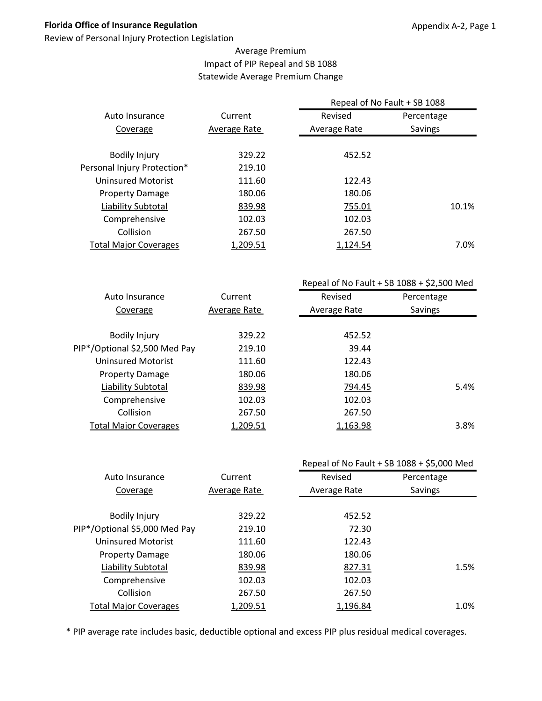Review of Personal Injury Protection Legislation

## Average Premium Impact of PIP Repeal and SB 1088 Statewide Average Premium Change

|                              |              | Repeal of No Fault + SB 1088 |            |
|------------------------------|--------------|------------------------------|------------|
| Auto Insurance               | Current      | Revised                      | Percentage |
| Coverage                     | Average Rate | Average Rate                 | Savings    |
| <b>Bodily Injury</b>         | 329.22       | 452.52                       |            |
| Personal Injury Protection*  | 219.10       |                              |            |
| Uninsured Motorist           | 111.60       | 122.43                       |            |
| <b>Property Damage</b>       | 180.06       | 180.06                       |            |
| Liability Subtotal           | 839.98       | 755.01                       | 10.1%      |
| Comprehensive                | 102.03       | 102.03                       |            |
| Collision                    | 267.50       | 267.50                       |            |
| <b>Total Major Coverages</b> | 1,209.51     | 1,124.54                     | 7.0%       |
|                              |              |                              |            |

|                               |              | Repeal of No Fault + SB $1088 + $2,500$ Med |            |
|-------------------------------|--------------|---------------------------------------------|------------|
| Auto Insurance                | Current      | Revised                                     | Percentage |
| Coverage                      | Average Rate | Average Rate                                | Savings    |
|                               |              |                                             |            |
| <b>Bodily Injury</b>          | 329.22       | 452.52                                      |            |
| PIP*/Optional \$2,500 Med Pay | 219.10       | 39.44                                       |            |
| Uninsured Motorist            | 111.60       | 122.43                                      |            |
| <b>Property Damage</b>        | 180.06       | 180.06                                      |            |
| Liability Subtotal            | 839.98       | 794.45                                      | 5.4%       |
| Comprehensive                 | 102.03       | 102.03                                      |            |
| Collision                     | 267.50       | 267.50                                      |            |
| <b>Total Major Coverages</b>  | 1,209.51     | 1,163.98                                    | 3.8%       |
|                               |              |                                             |            |

|              |              | Repeal of No Fault + SB 1088 + \$5,000 Med |
|--------------|--------------|--------------------------------------------|
| Current      | Revised      | Percentage                                 |
| Average Rate | Average Rate | Savings                                    |
|              |              |                                            |
| 329.22       | 452.52       |                                            |
| 219.10       | 72.30        |                                            |
| 111.60       | 122.43       |                                            |
| 180.06       | 180.06       |                                            |
| 839.98       | 827.31       | 1.5%                                       |
| 102.03       | 102.03       |                                            |
| 267.50       | 267.50       |                                            |
| 1,209.51     | 1,196.84     | 1.0%                                       |
|              |              |                                            |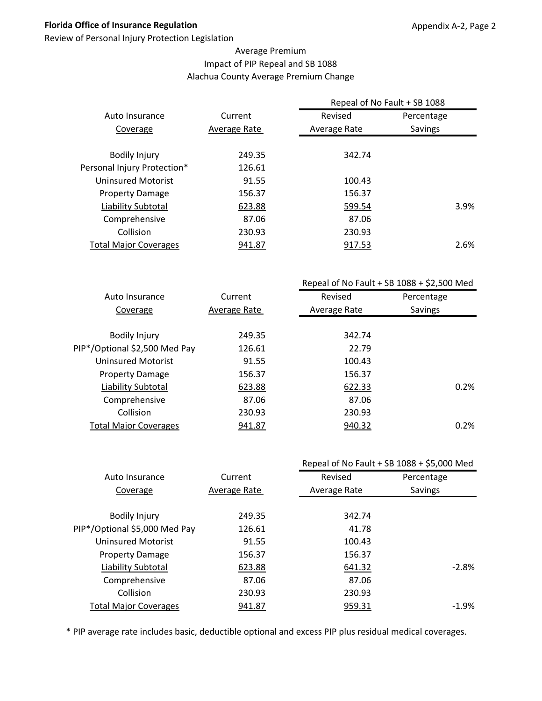Review of Personal Injury Protection Legislation

## Average Premium Impact of PIP Repeal and SB 1088 Alachua County Average Premium Change

|                              |              | Repeal of No Fault + SB 1088 |                |
|------------------------------|--------------|------------------------------|----------------|
| Auto Insurance               | Current      | Revised                      | Percentage     |
| Coverage                     | Average Rate | Average Rate                 | <b>Savings</b> |
|                              |              |                              |                |
| <b>Bodily Injury</b>         | 249.35       | 342.74                       |                |
| Personal Injury Protection*  | 126.61       |                              |                |
| Uninsured Motorist           | 91.55        | 100.43                       |                |
| <b>Property Damage</b>       | 156.37       | 156.37                       |                |
| Liability Subtotal           | 623.88       | 599.54                       | 3.9%           |
| Comprehensive                | 87.06        | 87.06                        |                |
| Collision                    | 230.93       | 230.93                       |                |
| <b>Total Major Coverages</b> | 941.87       | 917.53                       | 2.6%           |
|                              |              |                              |                |

|                               |              | Repeal of No Fault + SB $1088 + $2,500$ Med |            |
|-------------------------------|--------------|---------------------------------------------|------------|
| Auto Insurance                | Current      | Revised                                     | Percentage |
| Coverage                      | Average Rate | Average Rate                                | Savings    |
|                               |              |                                             |            |
| <b>Bodily Injury</b>          | 249.35       | 342.74                                      |            |
| PIP*/Optional \$2,500 Med Pay | 126.61       | 22.79                                       |            |
| Uninsured Motorist            | 91.55        | 100.43                                      |            |
| <b>Property Damage</b>        | 156.37       | 156.37                                      |            |
| Liability Subtotal            | 623.88       | 622.33                                      | 0.2%       |
| Comprehensive                 | 87.06        | 87.06                                       |            |
| Collision                     | 230.93       | 230.93                                      |            |
| <b>Total Major Coverages</b>  | 941.87       | 940.32                                      | 0.2%       |
|                               |              |                                             |            |

|                               |              |              | Repeal of No Fault + SB 1088 + \$5,000 Med |
|-------------------------------|--------------|--------------|--------------------------------------------|
| Auto Insurance                | Current      | Revised      | Percentage                                 |
| Coverage                      | Average Rate | Average Rate | Savings                                    |
|                               |              |              |                                            |
| <b>Bodily Injury</b>          | 249.35       | 342.74       |                                            |
| PIP*/Optional \$5,000 Med Pay | 126.61       | 41.78        |                                            |
| <b>Uninsured Motorist</b>     | 91.55        | 100.43       |                                            |
| <b>Property Damage</b>        | 156.37       | 156.37       |                                            |
| Liability Subtotal            | 623.88       | 641.32       | $-2.8%$                                    |
| Comprehensive                 | 87.06        | 87.06        |                                            |
| Collision                     | 230.93       | 230.93       |                                            |
| <b>Total Major Coverages</b>  | 941.87       | 959.31       | $-1.9%$                                    |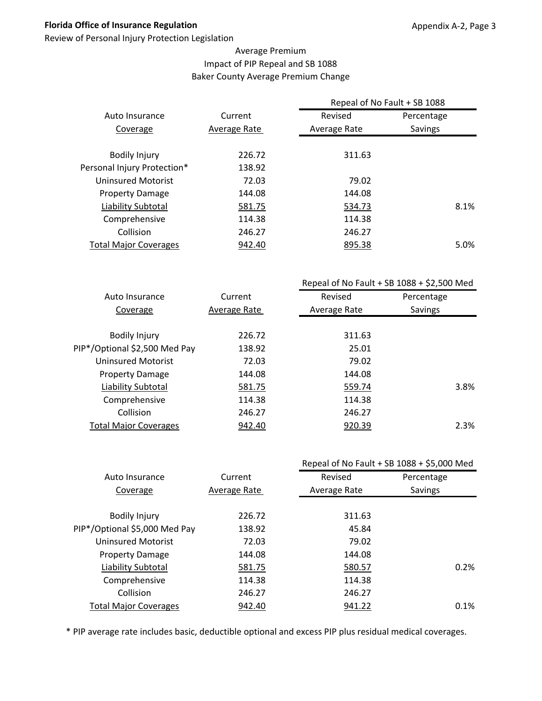Review of Personal Injury Protection Legislation

## Average Premium Impact of PIP Repeal and SB 1088 Baker County Average Premium Change

|                              |              | Repeal of No Fault + SB 1088 |            |      |
|------------------------------|--------------|------------------------------|------------|------|
| Auto Insurance               | Current      | Revised                      | Percentage |      |
| Coverage                     | Average Rate | Average Rate                 | Savings    |      |
|                              |              |                              |            |      |
| <b>Bodily Injury</b>         | 226.72       | 311.63                       |            |      |
| Personal Injury Protection*  | 138.92       |                              |            |      |
| Uninsured Motorist           | 72.03        | 79.02                        |            |      |
| <b>Property Damage</b>       | 144.08       | 144.08                       |            |      |
| Liability Subtotal           | 581.75       | 534.73                       |            | 8.1% |
| Comprehensive                | 114.38       | 114.38                       |            |      |
| Collision                    | 246.27       | 246.27                       |            |      |
| <b>Total Major Coverages</b> | 942.40       | 895.38                       |            | 5.0% |
|                              |              |                              |            |      |

|                               |              | Repeal of No Fault + SB $1088 + $2,500$ Med |            |
|-------------------------------|--------------|---------------------------------------------|------------|
| Auto Insurance                | Current      | Revised                                     | Percentage |
| Coverage                      | Average Rate | Average Rate                                | Savings    |
|                               |              |                                             |            |
| <b>Bodily Injury</b>          | 226.72       | 311.63                                      |            |
| PIP*/Optional \$2,500 Med Pay | 138.92       | 25.01                                       |            |
| <b>Uninsured Motorist</b>     | 72.03        | 79.02                                       |            |
| <b>Property Damage</b>        | 144.08       | 144.08                                      |            |
| Liability Subtotal            | 581.75       | 559.74                                      | 3.8%       |
| Comprehensive                 | 114.38       | 114.38                                      |            |
| Collision                     | 246.27       | 246.27                                      |            |
| <b>Total Major Coverages</b>  | 942.40       | 920.39                                      | 2.3%       |
|                               |              |                                             |            |

|                               |              | Repeal of No Fault + SB 1088 + \$5,000 Med |            |
|-------------------------------|--------------|--------------------------------------------|------------|
| Auto Insurance                | Current      | Revised                                    | Percentage |
| Coverage                      | Average Rate | Average Rate                               | Savings    |
|                               |              |                                            |            |
| <b>Bodily Injury</b>          | 226.72       | 311.63                                     |            |
| PIP*/Optional \$5,000 Med Pay | 138.92       | 45.84                                      |            |
| <b>Uninsured Motorist</b>     | 72.03        | 79.02                                      |            |
| <b>Property Damage</b>        | 144.08       | 144.08                                     |            |
| Liability Subtotal            | 581.75       | 580.57                                     | 0.2%       |
| Comprehensive                 | 114.38       | 114.38                                     |            |
| Collision                     | 246.27       | 246.27                                     |            |
| <b>Total Major Coverages</b>  | 942.40       | 941.22                                     | 0.1%       |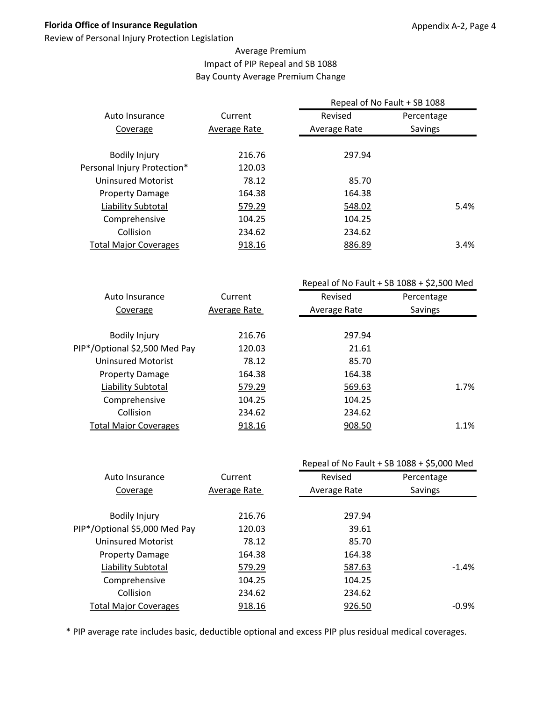Review of Personal Injury Protection Legislation

## Average Premium Impact of PIP Repeal and SB 1088 Bay County Average Premium Change

|                              |              | Repeal of No Fault + SB 1088 |                |
|------------------------------|--------------|------------------------------|----------------|
| Auto Insurance               | Current      | Revised                      | Percentage     |
| Coverage                     | Average Rate | Average Rate                 | <b>Savings</b> |
|                              |              |                              |                |
| <b>Bodily Injury</b>         | 216.76       | 297.94                       |                |
| Personal Injury Protection*  | 120.03       |                              |                |
| Uninsured Motorist           | 78.12        | 85.70                        |                |
| <b>Property Damage</b>       | 164.38       | 164.38                       |                |
| Liability Subtotal           | 579.29       | 548.02                       | 5.4%           |
| Comprehensive                | 104.25       | 104.25                       |                |
| Collision                    | 234.62       | 234.62                       |                |
| <b>Total Major Coverages</b> | 918.16       | 886.89                       | 3.4%           |
|                              |              |                              |                |

|                               |              | Repeal of No Fault + SB $1088 + $2,500$ Med |            |
|-------------------------------|--------------|---------------------------------------------|------------|
| Auto Insurance                | Current      | Revised                                     | Percentage |
| Coverage                      | Average Rate | Average Rate                                | Savings    |
|                               |              |                                             |            |
| <b>Bodily Injury</b>          | 216.76       | 297.94                                      |            |
| PIP*/Optional \$2,500 Med Pay | 120.03       | 21.61                                       |            |
| <b>Uninsured Motorist</b>     | 78.12        | 85.70                                       |            |
| <b>Property Damage</b>        | 164.38       | 164.38                                      |            |
| Liability Subtotal            | 579.29       | 569.63                                      | 1.7%       |
| Comprehensive                 | 104.25       | 104.25                                      |            |
| Collision                     | 234.62       | 234.62                                      |            |
| <b>Total Major Coverages</b>  | 918.16       | 908.50                                      | 1.1%       |
|                               |              |                                             |            |

|                               |              |              | Repeal of No Fault + SB 1088 + \$5,000 Med |
|-------------------------------|--------------|--------------|--------------------------------------------|
| Auto Insurance                | Current      | Revised      | Percentage                                 |
| Coverage                      | Average Rate | Average Rate | Savings                                    |
|                               |              |              |                                            |
| <b>Bodily Injury</b>          | 216.76       | 297.94       |                                            |
| PIP*/Optional \$5,000 Med Pay | 120.03       | 39.61        |                                            |
| <b>Uninsured Motorist</b>     | 78.12        | 85.70        |                                            |
| <b>Property Damage</b>        | 164.38       | 164.38       |                                            |
| Liability Subtotal            | 579.29       | 587.63       | $-1.4\%$                                   |
| Comprehensive                 | 104.25       | 104.25       |                                            |
| Collision                     | 234.62       | 234.62       |                                            |
| <b>Total Major Coverages</b>  | 918.16       | 926.50       | $-0.9%$                                    |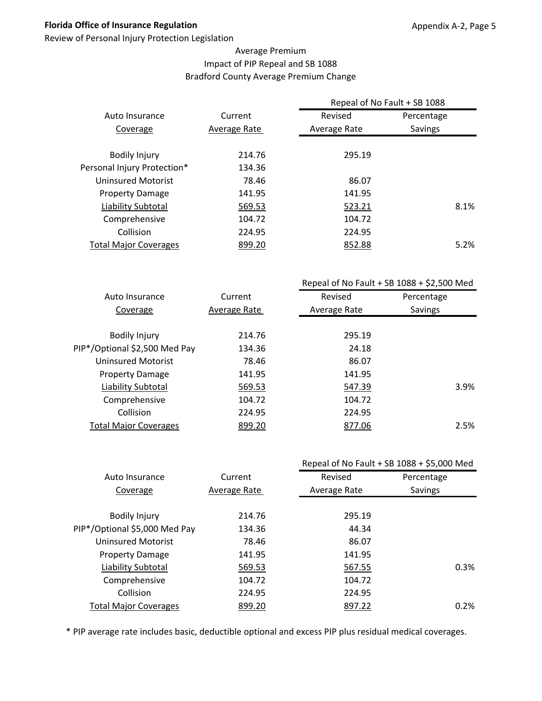Review of Personal Injury Protection Legislation

## Average Premium Impact of PIP Repeal and SB 1088 Bradford County Average Premium Change

|                              |              | Repeal of No Fault + SB 1088 |            |      |  |
|------------------------------|--------------|------------------------------|------------|------|--|
| Auto Insurance               | Current      | Revised                      | Percentage |      |  |
| Coverage                     | Average Rate | Average Rate                 | Savings    |      |  |
| <b>Bodily Injury</b>         | 214.76       | 295.19                       |            |      |  |
| Personal Injury Protection*  | 134.36       |                              |            |      |  |
| <b>Uninsured Motorist</b>    | 78.46        | 86.07                        |            |      |  |
| <b>Property Damage</b>       | 141.95       | 141.95                       |            |      |  |
| Liability Subtotal           | 569.53       | 523.21                       |            | 8.1% |  |
| Comprehensive                | 104.72       | 104.72                       |            |      |  |
| Collision                    | 224.95       | 224.95                       |            |      |  |
| <b>Total Major Coverages</b> | 899.20       | 852.88                       |            | 5.2% |  |
|                              |              |                              |            |      |  |

|                               |              | Repeal of No Fault + SB $1088 + $2,500$ Med |            |  |
|-------------------------------|--------------|---------------------------------------------|------------|--|
| Auto Insurance                | Current      | Revised                                     | Percentage |  |
| Coverage                      | Average Rate | Average Rate                                | Savings    |  |
|                               |              |                                             |            |  |
| <b>Bodily Injury</b>          | 214.76       | 295.19                                      |            |  |
| PIP*/Optional \$2,500 Med Pay | 134.36       | 24.18                                       |            |  |
| Uninsured Motorist            | 78.46        | 86.07                                       |            |  |
| <b>Property Damage</b>        | 141.95       | 141.95                                      |            |  |
| Liability Subtotal            | 569.53       | 547.39                                      | 3.9%       |  |
| Comprehensive                 | 104.72       | 104.72                                      |            |  |
| Collision                     | 224.95       | 224.95                                      |            |  |
| <b>Total Major Coverages</b>  | 899.20       | 877.06                                      | 2.5%       |  |
|                               |              |                                             |            |  |

|                               |              |              | Repeal of No Fault + SB 1088 + \$5,000 Med |
|-------------------------------|--------------|--------------|--------------------------------------------|
| Auto Insurance                | Current      | Revised      | Percentage                                 |
| Coverage                      | Average Rate | Average Rate | Savings                                    |
|                               |              |              |                                            |
| <b>Bodily Injury</b>          | 214.76       | 295.19       |                                            |
| PIP*/Optional \$5,000 Med Pay | 134.36       | 44.34        |                                            |
| <b>Uninsured Motorist</b>     | 78.46        | 86.07        |                                            |
| <b>Property Damage</b>        | 141.95       | 141.95       |                                            |
| Liability Subtotal            | 569.53       | 567.55       | 0.3%                                       |
| Comprehensive                 | 104.72       | 104.72       |                                            |
| Collision                     | 224.95       | 224.95       |                                            |
| <b>Total Major Coverages</b>  | 899.20       | 897.22       | 0.2%                                       |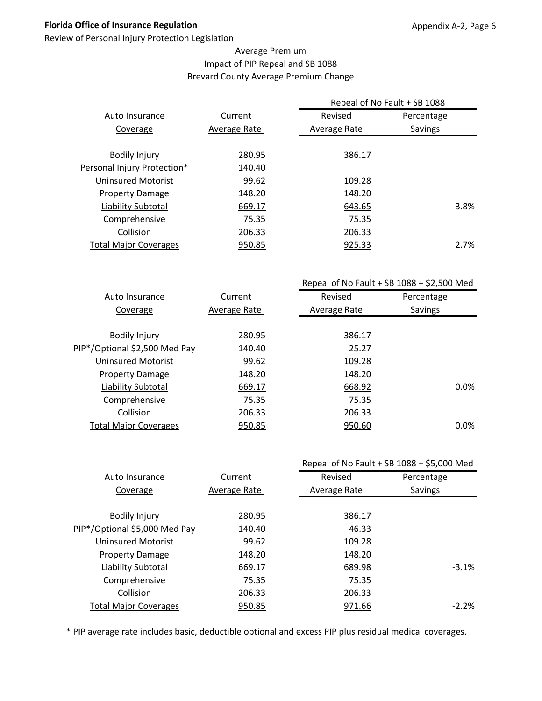Review of Personal Injury Protection Legislation

## Average Premium Impact of PIP Repeal and SB 1088 Brevard County Average Premium Change

|                              |              | Repeal of No Fault + SB 1088 |            |      |  |
|------------------------------|--------------|------------------------------|------------|------|--|
| Auto Insurance               | Current      | Revised                      | Percentage |      |  |
| Coverage                     | Average Rate | Average Rate                 | Savings    |      |  |
|                              |              |                              |            |      |  |
| <b>Bodily Injury</b>         | 280.95       | 386.17                       |            |      |  |
| Personal Injury Protection*  | 140.40       |                              |            |      |  |
| <b>Uninsured Motorist</b>    | 99.62        | 109.28                       |            |      |  |
| <b>Property Damage</b>       | 148.20       | 148.20                       |            |      |  |
| Liability Subtotal           | 669.17       | 643.65                       |            | 3.8% |  |
| Comprehensive                | 75.35        | 75.35                        |            |      |  |
| Collision                    | 206.33       | 206.33                       |            |      |  |
| <b>Total Major Coverages</b> | 950.85       | 925.33                       |            | 2.7% |  |
|                              |              |                              |            |      |  |

|                               |              | Repeal of No Fault + SB $1088 + $2,500$ Med |            |  |
|-------------------------------|--------------|---------------------------------------------|------------|--|
| Auto Insurance                | Current      | Revised                                     | Percentage |  |
| Coverage                      | Average Rate | Average Rate                                | Savings    |  |
|                               |              |                                             |            |  |
| <b>Bodily Injury</b>          | 280.95       | 386.17                                      |            |  |
| PIP*/Optional \$2,500 Med Pay | 140.40       | 25.27                                       |            |  |
| <b>Uninsured Motorist</b>     | 99.62        | 109.28                                      |            |  |
| <b>Property Damage</b>        | 148.20       | 148.20                                      |            |  |
| Liability Subtotal            | 669.17       | 668.92                                      | 0.0%       |  |
| Comprehensive                 | 75.35        | 75.35                                       |            |  |
| Collision                     | 206.33       | 206.33                                      |            |  |
| <b>Total Major Coverages</b>  | 950.85       | 950.60                                      | 0.0%       |  |
|                               |              |                                             |            |  |

|                               |              |              | Repeal of No Fault + SB 1088 + \$5,000 Med |
|-------------------------------|--------------|--------------|--------------------------------------------|
| Auto Insurance                | Current      | Revised      | Percentage                                 |
| Coverage                      | Average Rate | Average Rate | Savings                                    |
|                               |              |              |                                            |
| <b>Bodily Injury</b>          | 280.95       | 386.17       |                                            |
| PIP*/Optional \$5,000 Med Pay | 140.40       | 46.33        |                                            |
| <b>Uninsured Motorist</b>     | 99.62        | 109.28       |                                            |
| <b>Property Damage</b>        | 148.20       | 148.20       |                                            |
| Liability Subtotal            | 669.17       | 689.98       | $-3.1%$                                    |
| Comprehensive                 | 75.35        | 75.35        |                                            |
| Collision                     | 206.33       | 206.33       |                                            |
| <b>Total Major Coverages</b>  | 950.85       | 971.66       | $-2.2%$                                    |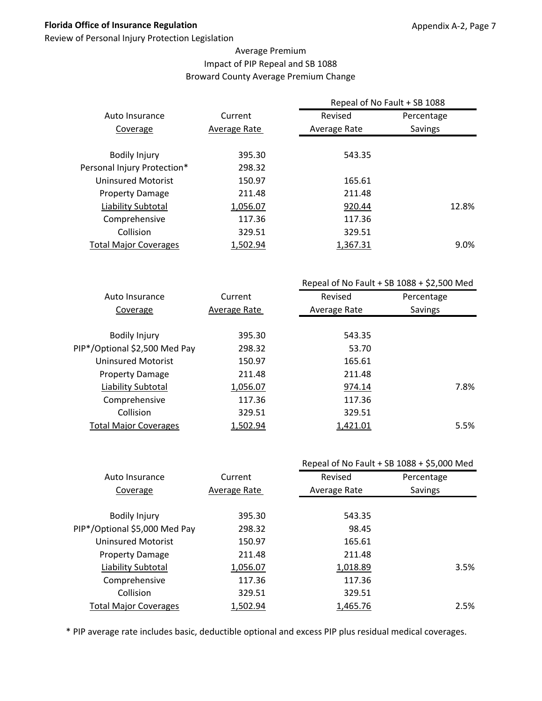Review of Personal Injury Protection Legislation

## Average Premium Impact of PIP Repeal and SB 1088 Broward County Average Premium Change

|              | Repeal of No Fault + SB 1088 |                |
|--------------|------------------------------|----------------|
| Current      | Revised                      | Percentage     |
| Average Rate | Average Rate                 | <b>Savings</b> |
|              |                              |                |
| 395.30       | 543.35                       |                |
| 298.32       |                              |                |
| 150.97       | 165.61                       |                |
| 211.48       | 211.48                       |                |
| 1,056.07     | 920.44                       | 12.8%          |
| 117.36       | 117.36                       |                |
| 329.51       | 329.51                       |                |
| 1,502.94     | 1,367.31                     | 9.0%           |
|              |                              |                |

|                               |              | Repeal of No Fault + SB $1088 + $2,500$ Med |            |  |
|-------------------------------|--------------|---------------------------------------------|------------|--|
| Auto Insurance                | Current      | Revised                                     | Percentage |  |
| Coverage                      | Average Rate | Average Rate                                | Savings    |  |
|                               |              |                                             |            |  |
| <b>Bodily Injury</b>          | 395.30       | 543.35                                      |            |  |
| PIP*/Optional \$2,500 Med Pay | 298.32       | 53.70                                       |            |  |
| <b>Uninsured Motorist</b>     | 150.97       | 165.61                                      |            |  |
| <b>Property Damage</b>        | 211.48       | 211.48                                      |            |  |
| Liability Subtotal            | 1,056.07     | 974.14                                      | 7.8%       |  |
| Comprehensive                 | 117.36       | 117.36                                      |            |  |
| Collision                     | 329.51       | 329.51                                      |            |  |
| <b>Total Major Coverages</b>  | 1,502.94     | 1,421.01                                    | 5.5%       |  |
|                               |              |                                             |            |  |

|                               |              |              | Repeal of No Fault + SB 1088 + \$5,000 Med |
|-------------------------------|--------------|--------------|--------------------------------------------|
| Auto Insurance                | Current      | Revised      | Percentage                                 |
| Coverage                      | Average Rate | Average Rate | Savings                                    |
|                               |              |              |                                            |
| <b>Bodily Injury</b>          | 395.30       | 543.35       |                                            |
| PIP*/Optional \$5,000 Med Pay | 298.32       | 98.45        |                                            |
| <b>Uninsured Motorist</b>     | 150.97       | 165.61       |                                            |
| <b>Property Damage</b>        | 211.48       | 211.48       |                                            |
| Liability Subtotal            | 1,056.07     | 1,018.89     | 3.5%                                       |
| Comprehensive                 | 117.36       | 117.36       |                                            |
| Collision                     | 329.51       | 329.51       |                                            |
| <b>Total Major Coverages</b>  | 1,502.94     | 1,465.76     | 2.5%                                       |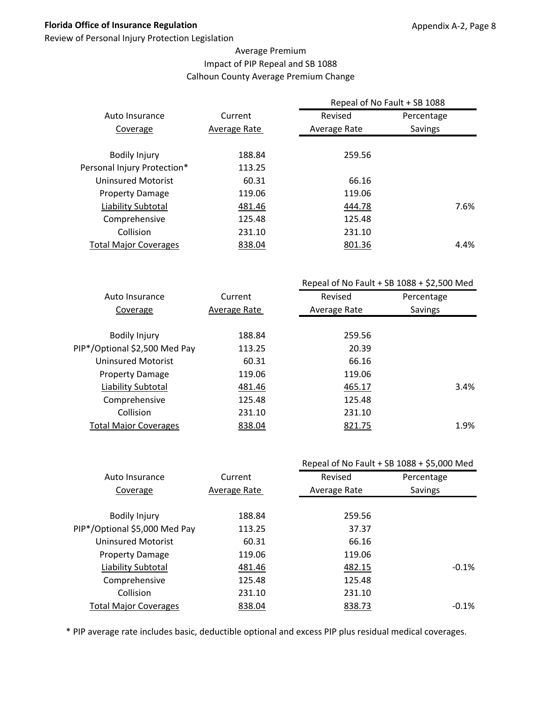Review of Personal Injury Protection Legislation

## Average Premium Impact of PIP Repeal and SB 1088 Calhoun County Average Premium Change

|                              |              | Repeal of No Fault + SB 1088 |                |  |  |
|------------------------------|--------------|------------------------------|----------------|--|--|
| Auto Insurance               | Current      | Revised                      | Percentage     |  |  |
| Coverage                     | Average Rate | Average Rate                 | <b>Savings</b> |  |  |
| <b>Bodily Injury</b>         | 188.84       | 259.56                       |                |  |  |
| Personal Injury Protection*  | 113.25       |                              |                |  |  |
| Uninsured Motorist           | 60.31        | 66.16                        |                |  |  |
| <b>Property Damage</b>       | 119.06       | 119.06                       |                |  |  |
| Liability Subtotal           | 481.46       | 444.78                       | 7.6%           |  |  |
| Comprehensive                | 125.48       | 125.48                       |                |  |  |
| Collision                    | 231.10       | 231.10                       |                |  |  |
| <b>Total Major Coverages</b> | 838.04       | 801.36                       | 4.4%           |  |  |
|                              |              |                              |                |  |  |

|                               |              | Repeal of No Fault + SB $1088 + $2,500$ Med |            |  |
|-------------------------------|--------------|---------------------------------------------|------------|--|
| Auto Insurance                | Current      | Revised                                     | Percentage |  |
| Coverage                      | Average Rate | Average Rate                                | Savings    |  |
|                               |              |                                             |            |  |
| <b>Bodily Injury</b>          | 188.84       | 259.56                                      |            |  |
| PIP*/Optional \$2,500 Med Pay | 113.25       | 20.39                                       |            |  |
| Uninsured Motorist            | 60.31        | 66.16                                       |            |  |
| <b>Property Damage</b>        | 119.06       | 119.06                                      |            |  |
| Liability Subtotal            | 481.46       | 465.17                                      | 3.4%       |  |
| Comprehensive                 | 125.48       | 125.48                                      |            |  |
| Collision                     | 231.10       | 231.10                                      |            |  |
| <b>Total Major Coverages</b>  | 838.04       | 821.75                                      | 1.9%       |  |
|                               |              |                                             |            |  |

|                               |              |              | Repeal of No Fault + SB 1088 + \$5,000 Med |
|-------------------------------|--------------|--------------|--------------------------------------------|
| Auto Insurance                | Current      | Revised      | Percentage                                 |
| Coverage                      | Average Rate | Average Rate | Savings                                    |
|                               |              |              |                                            |
| <b>Bodily Injury</b>          | 188.84       | 259.56       |                                            |
| PIP*/Optional \$5,000 Med Pay | 113.25       | 37.37        |                                            |
| <b>Uninsured Motorist</b>     | 60.31        | 66.16        |                                            |
| <b>Property Damage</b>        | 119.06       | 119.06       |                                            |
| Liability Subtotal            | 481.46       | 482.15       | $-0.1%$                                    |
| Comprehensive                 | 125.48       | 125.48       |                                            |
| Collision                     | 231.10       | 231.10       |                                            |
| <b>Total Major Coverages</b>  | 838.04       | 838.73       | $-0.1%$                                    |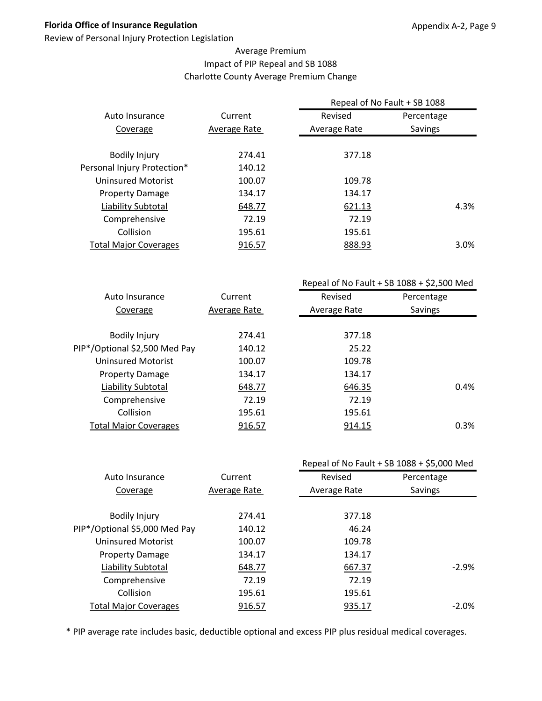Review of Personal Injury Protection Legislation

## Average Premium Impact of PIP Repeal and SB 1088 Charlotte County Average Premium Change

| Current      | Revised      | Percentage |                              |
|--------------|--------------|------------|------------------------------|
| Average Rate | Average Rate | Savings    |                              |
| 274.41       | 377.18       |            |                              |
| 140.12       |              |            |                              |
| 100.07       | 109.78       |            |                              |
| 134.17       | 134.17       |            |                              |
| 648.77       | 621.13       |            | 4.3%                         |
| 72.19        | 72.19        |            |                              |
| 195.61       | 195.61       |            |                              |
| 916.57       | 888.93       |            | 3.0%                         |
|              |              |            | Repeal of No Fault + SB 1088 |

|                               | Repeal of No Fault + SB $1088 + $2,500$ Med |              |            |
|-------------------------------|---------------------------------------------|--------------|------------|
| Auto Insurance                | Current                                     | Revised      | Percentage |
| Coverage                      | Average Rate                                | Average Rate | Savings    |
|                               |                                             |              |            |
| <b>Bodily Injury</b>          | 274.41                                      | 377.18       |            |
| PIP*/Optional \$2,500 Med Pay | 140.12                                      | 25.22        |            |
| <b>Uninsured Motorist</b>     | 100.07                                      | 109.78       |            |
| <b>Property Damage</b>        | 134.17                                      | 134.17       |            |
| Liability Subtotal            | 648.77                                      | 646.35       | 0.4%       |
| Comprehensive                 | 72.19                                       | 72.19        |            |
| Collision                     | 195.61                                      | 195.61       |            |
| <b>Total Major Coverages</b>  | 916.57                                      | 914.15       | 0.3%       |
|                               |                                             |              |            |

|                               |              |              | Repeal of No Fault + SB 1088 + \$5,000 Med |
|-------------------------------|--------------|--------------|--------------------------------------------|
| Auto Insurance                | Current      | Revised      | Percentage                                 |
| Coverage                      | Average Rate | Average Rate | Savings                                    |
|                               |              |              |                                            |
| <b>Bodily Injury</b>          | 274.41       | 377.18       |                                            |
| PIP*/Optional \$5,000 Med Pay | 140.12       | 46.24        |                                            |
| <b>Uninsured Motorist</b>     | 100.07       | 109.78       |                                            |
| <b>Property Damage</b>        | 134.17       | 134.17       |                                            |
| Liability Subtotal            | 648.77       | 667.37       | $-2.9%$                                    |
| Comprehensive                 | 72.19        | 72.19        |                                            |
| Collision                     | 195.61       | 195.61       |                                            |
| <b>Total Major Coverages</b>  | 916.57       | 935.17       | $-2.0%$                                    |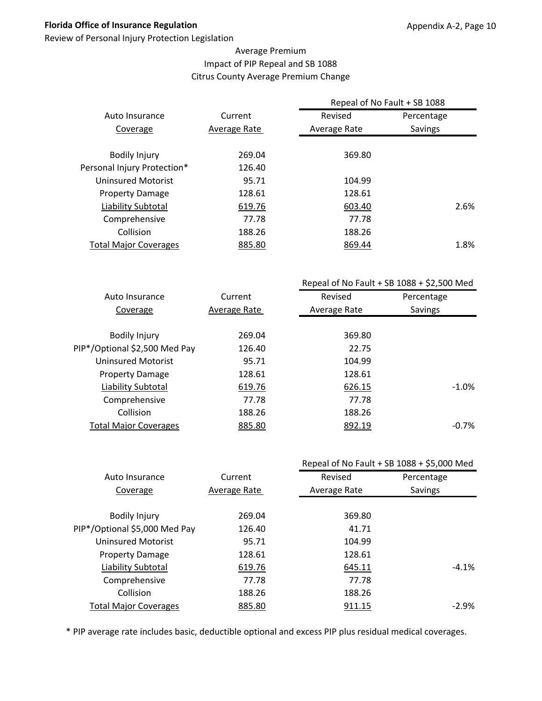Review of Personal Injury Protection Legislation

## Average Premium Impact of PIP Repeal and SB 1088 Citrus County Average Premium Change

|                              |              | Repeal of No Fault + SB 1088 |                |  |  |
|------------------------------|--------------|------------------------------|----------------|--|--|
| Auto Insurance               | Current      | Revised                      | Percentage     |  |  |
| Coverage                     | Average Rate | Average Rate                 | <b>Savings</b> |  |  |
| <b>Bodily Injury</b>         | 269.04       | 369.80                       |                |  |  |
| Personal Injury Protection*  | 126.40       |                              |                |  |  |
| Uninsured Motorist           | 95.71        | 104.99                       |                |  |  |
| <b>Property Damage</b>       | 128.61       | 128.61                       |                |  |  |
| Liability Subtotal           | 619.76       | 603.40                       | 2.6%           |  |  |
| Comprehensive                | 77.78        | 77.78                        |                |  |  |
| Collision                    | 188.26       | 188.26                       |                |  |  |
| <b>Total Major Coverages</b> | 885.80       | 869.44                       | 1.8%           |  |  |
|                              |              |                              |                |  |  |

|                               |              |              | Repeal of No Fault + SB $1088 + $2,500$ Med |
|-------------------------------|--------------|--------------|---------------------------------------------|
| Auto Insurance                | Current      | Revised      | Percentage                                  |
| Coverage                      | Average Rate | Average Rate | Savings                                     |
|                               |              |              |                                             |
| <b>Bodily Injury</b>          | 269.04       | 369.80       |                                             |
| PIP*/Optional \$2,500 Med Pay | 126.40       | 22.75        |                                             |
| Uninsured Motorist            | 95.71        | 104.99       |                                             |
| <b>Property Damage</b>        | 128.61       | 128.61       |                                             |
| Liability Subtotal            | 619.76       | 626.15       | $-1.0\%$                                    |
| Comprehensive                 | 77.78        | 77.78        |                                             |
| Collision                     | 188.26       | 188.26       |                                             |
| <b>Total Major Coverages</b>  | 885.80       | 892.19       | $-0.7%$                                     |
|                               |              |              |                                             |

|                               |              |              | Repeal of No Fault + SB 1088 + \$5,000 Med |
|-------------------------------|--------------|--------------|--------------------------------------------|
| Auto Insurance                | Current      | Revised      | Percentage                                 |
| Coverage                      | Average Rate | Average Rate | Savings                                    |
|                               |              |              |                                            |
| <b>Bodily Injury</b>          | 269.04       | 369.80       |                                            |
| PIP*/Optional \$5,000 Med Pay | 126.40       | 41.71        |                                            |
| <b>Uninsured Motorist</b>     | 95.71        | 104.99       |                                            |
| <b>Property Damage</b>        | 128.61       | 128.61       |                                            |
| Liability Subtotal            | 619.76       | 645.11       | $-4.1%$                                    |
| Comprehensive                 | 77.78        | 77.78        |                                            |
| Collision                     | 188.26       | 188.26       |                                            |
| <b>Total Major Coverages</b>  | 885.80       | 911.15       | $-2.9%$                                    |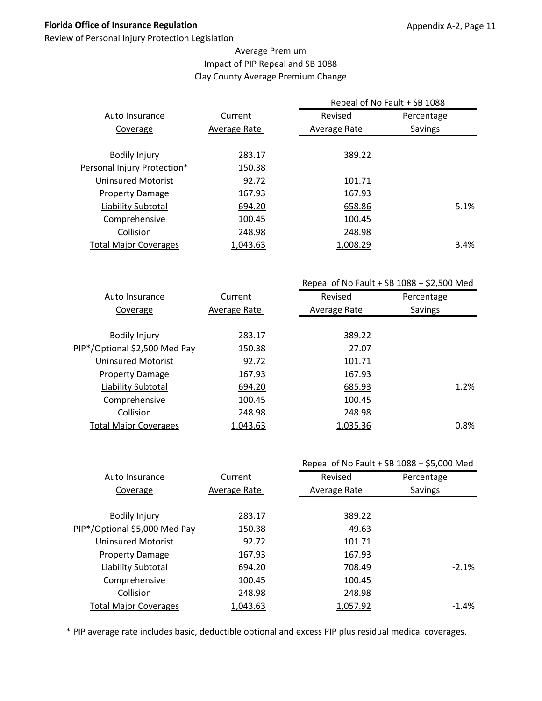Review of Personal Injury Protection Legislation

## Average Premium Impact of PIP Repeal and SB 1088 Clay County Average Premium Change

|                              |              | Repeal of No Fault + SB 1088 |            |  |
|------------------------------|--------------|------------------------------|------------|--|
| Auto Insurance               | Current      | Revised                      | Percentage |  |
| Coverage                     | Average Rate | Average Rate                 | Savings    |  |
|                              |              |                              |            |  |
| <b>Bodily Injury</b>         | 283.17       | 389.22                       |            |  |
| Personal Injury Protection*  | 150.38       |                              |            |  |
| <b>Uninsured Motorist</b>    | 92.72        | 101.71                       |            |  |
| <b>Property Damage</b>       | 167.93       | 167.93                       |            |  |
| Liability Subtotal           | 694.20       | 658.86                       | 5.1%       |  |
| Comprehensive                | 100.45       | 100.45                       |            |  |
| Collision                    | 248.98       | 248.98                       |            |  |
| <b>Total Major Coverages</b> | 1,043.63     | 1,008.29                     | $3.4\%$    |  |
|                              |              |                              |            |  |

|                               |              |              | Repeal of No Fault + SB $1088 + $2,500$ Med |
|-------------------------------|--------------|--------------|---------------------------------------------|
| Auto Insurance                | Current      | Revised      | Percentage                                  |
| Coverage                      | Average Rate | Average Rate | Savings                                     |
|                               |              |              |                                             |
| <b>Bodily Injury</b>          | 283.17       | 389.22       |                                             |
| PIP*/Optional \$2,500 Med Pay | 150.38       | 27.07        |                                             |
| Uninsured Motorist            | 92.72        | 101.71       |                                             |
| <b>Property Damage</b>        | 167.93       | 167.93       |                                             |
| Liability Subtotal            | 694.20       | 685.93       | 1.2%                                        |
| Comprehensive                 | 100.45       | 100.45       |                                             |
| Collision                     | 248.98       | 248.98       |                                             |
| <b>Total Major Coverages</b>  | 1,043.63     | 1,035.36     | 0.8%                                        |
|                               |              |              |                                             |

|                               |              |              | Repeal of No Fault + SB 1088 + \$5,000 Med |
|-------------------------------|--------------|--------------|--------------------------------------------|
| Auto Insurance                | Current      | Revised      | Percentage                                 |
| Coverage                      | Average Rate | Average Rate | Savings                                    |
|                               |              |              |                                            |
| <b>Bodily Injury</b>          | 283.17       | 389.22       |                                            |
| PIP*/Optional \$5,000 Med Pay | 150.38       | 49.63        |                                            |
| <b>Uninsured Motorist</b>     | 92.72        | 101.71       |                                            |
| <b>Property Damage</b>        | 167.93       | 167.93       |                                            |
| <b>Liability Subtotal</b>     | 694.20       | 708.49       | $-2.1%$                                    |
| Comprehensive                 | 100.45       | 100.45       |                                            |
| Collision                     | 248.98       | 248.98       |                                            |
| <b>Total Major Coverages</b>  | 1,043.63     | 1,057.92     | $-1.4%$                                    |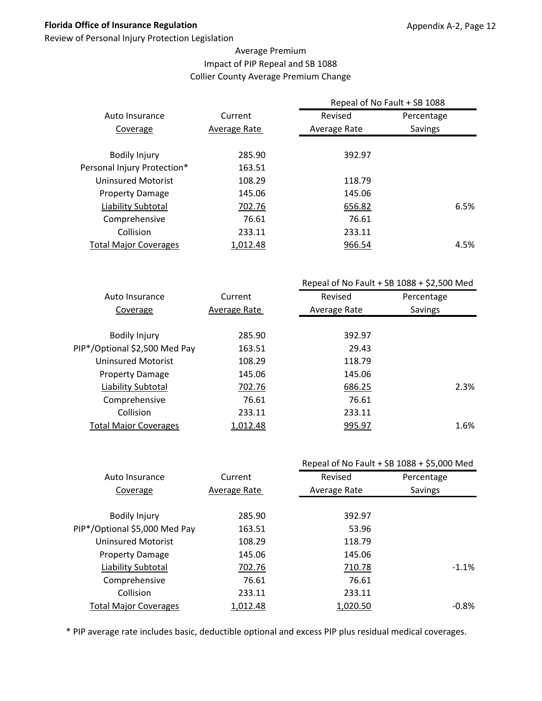Review of Personal Injury Protection Legislation

## Average Premium Impact of PIP Repeal and SB 1088 Collier County Average Premium Change

|                              |              | Repeal of No Fault + SB 1088 |            |      |
|------------------------------|--------------|------------------------------|------------|------|
| Auto Insurance               | Current      | Revised                      | Percentage |      |
| Coverage                     | Average Rate | Average Rate                 | Savings    |      |
|                              |              |                              |            |      |
| <b>Bodily Injury</b>         | 285.90       | 392.97                       |            |      |
| Personal Injury Protection*  | 163.51       |                              |            |      |
| <b>Uninsured Motorist</b>    | 108.29       | 118.79                       |            |      |
| <b>Property Damage</b>       | 145.06       | 145.06                       |            |      |
| Liability Subtotal           | 702.76       | 656.82                       |            | 6.5% |
| Comprehensive                | 76.61        | 76.61                        |            |      |
| Collision                    | 233.11       | 233.11                       |            |      |
| <b>Total Major Coverages</b> | 1,012.48     | 966.54                       |            | 4.5% |
|                              |              |                              |            |      |

|                               |              |              | Repeal of No Fault + SB $1088 + $2,500$ Med |
|-------------------------------|--------------|--------------|---------------------------------------------|
| Auto Insurance                | Current      | Revised      | Percentage                                  |
| Coverage                      | Average Rate | Average Rate | Savings                                     |
|                               |              |              |                                             |
| <b>Bodily Injury</b>          | 285.90       | 392.97       |                                             |
| PIP*/Optional \$2,500 Med Pay | 163.51       | 29.43        |                                             |
| Uninsured Motorist            | 108.29       | 118.79       |                                             |
| <b>Property Damage</b>        | 145.06       | 145.06       |                                             |
| Liability Subtotal            | 702.76       | 686.25       | 2.3%                                        |
| Comprehensive                 | 76.61        | 76.61        |                                             |
| Collision                     | 233.11       | 233.11       |                                             |
| <b>Total Major Coverages</b>  | 1,012.48     | 995.97       | 1.6%                                        |
|                               |              |              |                                             |

|              |              | Repeal of No Fault + SB 1088 + \$5,000 Med |
|--------------|--------------|--------------------------------------------|
| Current      | Revised      | Percentage                                 |
| Average Rate | Average Rate | Savings                                    |
|              |              |                                            |
| 285.90       | 392.97       |                                            |
| 163.51       | 53.96        |                                            |
| 108.29       | 118.79       |                                            |
| 145.06       | 145.06       |                                            |
| 702.76       | 710.78       | $-1.1%$                                    |
| 76.61        | 76.61        |                                            |
| 233.11       | 233.11       |                                            |
| 1,012.48     | 1,020.50     | $-0.8%$                                    |
|              |              |                                            |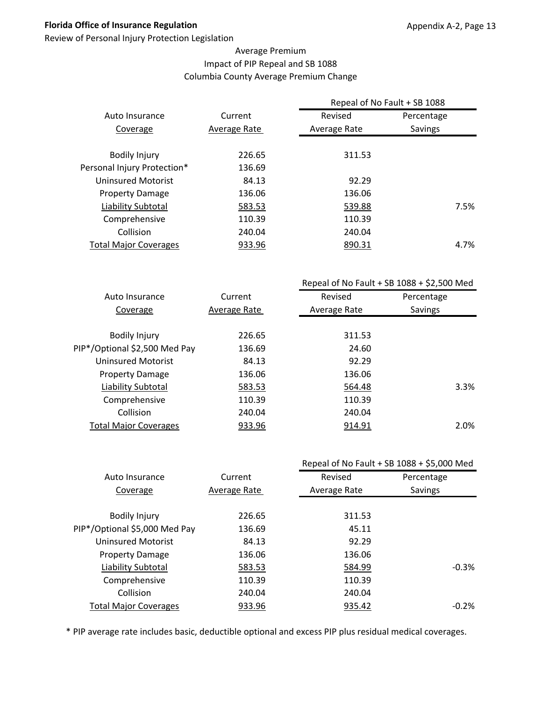Review of Personal Injury Protection Legislation

## Average Premium Impact of PIP Repeal and SB 1088 Columbia County Average Premium Change

|                              |              | Repeal of No Fault + SB 1088 |            |      |  |
|------------------------------|--------------|------------------------------|------------|------|--|
| Auto Insurance               | Current      | Revised                      | Percentage |      |  |
| Coverage                     | Average Rate | Average Rate                 | Savings    |      |  |
| <b>Bodily Injury</b>         | 226.65       | 311.53                       |            |      |  |
| Personal Injury Protection*  | 136.69       |                              |            |      |  |
| <b>Uninsured Motorist</b>    | 84.13        | 92.29                        |            |      |  |
| <b>Property Damage</b>       | 136.06       | 136.06                       |            |      |  |
| Liability Subtotal           | 583.53       | 539.88                       |            | 7.5% |  |
| Comprehensive                | 110.39       | 110.39                       |            |      |  |
| Collision                    | 240.04       | 240.04                       |            |      |  |
| <b>Total Major Coverages</b> | 933.96       | 890.31                       |            | 4.7% |  |
|                              |              |                              |            |      |  |

|                               |              | Repeal of No Fault + SB $1088 + $2,500$ Med |            |  |
|-------------------------------|--------------|---------------------------------------------|------------|--|
| Auto Insurance                | Current      | Revised                                     | Percentage |  |
| Coverage                      | Average Rate | Average Rate                                | Savings    |  |
|                               |              |                                             |            |  |
| <b>Bodily Injury</b>          | 226.65       | 311.53                                      |            |  |
| PIP*/Optional \$2,500 Med Pay | 136.69       | 24.60                                       |            |  |
| Uninsured Motorist            | 84.13        | 92.29                                       |            |  |
| <b>Property Damage</b>        | 136.06       | 136.06                                      |            |  |
| Liability Subtotal            | 583.53       | 564.48                                      | 3.3%       |  |
| Comprehensive                 | 110.39       | 110.39                                      |            |  |
| Collision                     | 240.04       | 240.04                                      |            |  |
| <b>Total Major Coverages</b>  | 933.96       | 914.91                                      | 2.0%       |  |
|                               |              |                                             |            |  |

|                               |              | Repeal of No Fault + SB 1088 + \$5,000 Med |            |  |
|-------------------------------|--------------|--------------------------------------------|------------|--|
| Auto Insurance                | Current      | Revised                                    | Percentage |  |
| Coverage                      | Average Rate | Average Rate                               | Savings    |  |
|                               |              |                                            |            |  |
| <b>Bodily Injury</b>          | 226.65       | 311.53                                     |            |  |
| PIP*/Optional \$5,000 Med Pay | 136.69       | 45.11                                      |            |  |
| <b>Uninsured Motorist</b>     | 84.13        | 92.29                                      |            |  |
| <b>Property Damage</b>        | 136.06       | 136.06                                     |            |  |
| Liability Subtotal            | 583.53       | 584.99                                     | $-0.3%$    |  |
| Comprehensive                 | 110.39       | 110.39                                     |            |  |
| Collision                     | 240.04       | 240.04                                     |            |  |
| <b>Total Major Coverages</b>  | 933.96       | 935.42                                     | $-0.2%$    |  |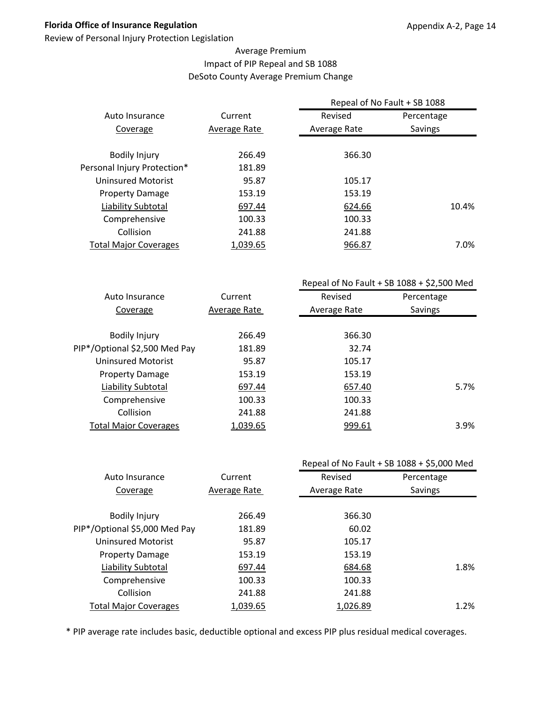Review of Personal Injury Protection Legislation

## Average Premium Impact of PIP Repeal and SB 1088 DeSoto County Average Premium Change

|                              |              | Repeal of No Fault + SB 1088 |            |
|------------------------------|--------------|------------------------------|------------|
| Auto Insurance               | Current      | Revised                      | Percentage |
| Coverage                     | Average Rate | Average Rate                 | Savings    |
|                              |              |                              |            |
| <b>Bodily Injury</b>         | 266.49       | 366.30                       |            |
| Personal Injury Protection*  | 181.89       |                              |            |
| Uninsured Motorist           | 95.87        | 105.17                       |            |
| <b>Property Damage</b>       | 153.19       | 153.19                       |            |
| Liability Subtotal           | 697.44       | 624.66                       | 10.4%      |
| Comprehensive                | 100.33       | 100.33                       |            |
| Collision                    | 241.88       | 241.88                       |            |
| <b>Total Major Coverages</b> | 1,039.65     | 966.87                       | 7.0%       |
|                              |              |                              |            |

|                               |              | Repeal of No Fault + SB $1088 + $2,500$ Med |            |
|-------------------------------|--------------|---------------------------------------------|------------|
| Auto Insurance                | Current      | Revised                                     | Percentage |
| Coverage                      | Average Rate | Average Rate                                | Savings    |
|                               |              |                                             |            |
| <b>Bodily Injury</b>          | 266.49       | 366.30                                      |            |
| PIP*/Optional \$2,500 Med Pay | 181.89       | 32.74                                       |            |
| <b>Uninsured Motorist</b>     | 95.87        | 105.17                                      |            |
| <b>Property Damage</b>        | 153.19       | 153.19                                      |            |
| Liability Subtotal            | 697.44       | 657.40                                      | 5.7%       |
| Comprehensive                 | 100.33       | 100.33                                      |            |
| Collision                     | 241.88       | 241.88                                      |            |
| <b>Total Major Coverages</b>  | 1,039.65     | 999.61                                      | 3.9%       |
|                               |              |                                             |            |

|                               |              |              | Repeal of No Fault + SB 1088 + \$5,000 Med |  |
|-------------------------------|--------------|--------------|--------------------------------------------|--|
| Auto Insurance                | Current      | Revised      | Percentage                                 |  |
| Coverage                      | Average Rate | Average Rate | Savings                                    |  |
|                               |              |              |                                            |  |
| <b>Bodily Injury</b>          | 266.49       | 366.30       |                                            |  |
| PIP*/Optional \$5,000 Med Pay | 181.89       | 60.02        |                                            |  |
| <b>Uninsured Motorist</b>     | 95.87        | 105.17       |                                            |  |
| <b>Property Damage</b>        | 153.19       | 153.19       |                                            |  |
| Liability Subtotal            | 697.44       | 684.68       | 1.8%                                       |  |
| Comprehensive                 | 100.33       | 100.33       |                                            |  |
| Collision                     | 241.88       | 241.88       |                                            |  |
| <b>Total Major Coverages</b>  | 1,039.65     | 1,026.89     | 1.2%                                       |  |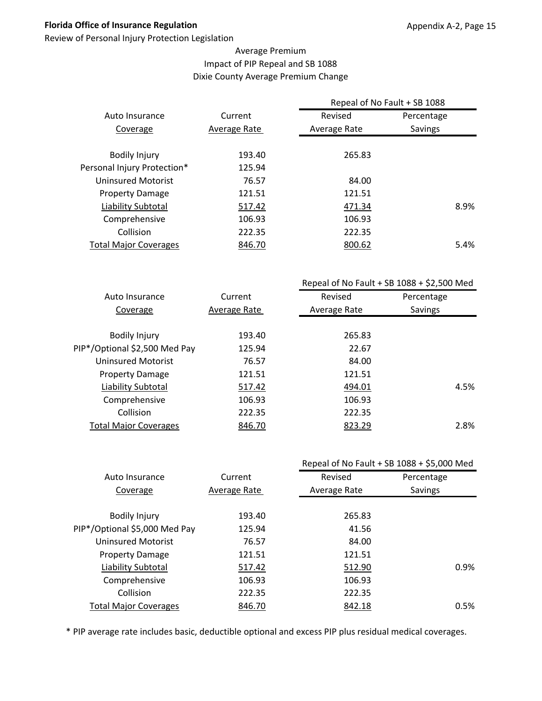Review of Personal Injury Protection Legislation

## Average Premium Impact of PIP Repeal and SB 1088 Dixie County Average Premium Change

|                              |              | Repeal of No Fault + SB 1088 |                |
|------------------------------|--------------|------------------------------|----------------|
| Auto Insurance               | Current      | Revised                      | Percentage     |
| Coverage                     | Average Rate | Average Rate                 | <b>Savings</b> |
|                              |              |                              |                |
| <b>Bodily Injury</b>         | 193.40       | 265.83                       |                |
| Personal Injury Protection*  | 125.94       |                              |                |
| Uninsured Motorist           | 76.57        | 84.00                        |                |
| <b>Property Damage</b>       | 121.51       | 121.51                       |                |
| Liability Subtotal           | 517.42       | 471.34                       | 8.9%           |
| Comprehensive                | 106.93       | 106.93                       |                |
| Collision                    | 222.35       | 222.35                       |                |
| <b>Total Major Coverages</b> | 846.70       | 800.62                       | 5.4%           |
|                              |              |                              |                |

|                               |              | Repeal of No Fault + SB $1088 + $2,500$ Med |            |  |
|-------------------------------|--------------|---------------------------------------------|------------|--|
| Auto Insurance                | Current      | Revised                                     | Percentage |  |
| Coverage                      | Average Rate | Average Rate                                | Savings    |  |
|                               |              |                                             |            |  |
| <b>Bodily Injury</b>          | 193.40       | 265.83                                      |            |  |
| PIP*/Optional \$2,500 Med Pay | 125.94       | 22.67                                       |            |  |
| Uninsured Motorist            | 76.57        | 84.00                                       |            |  |
| <b>Property Damage</b>        | 121.51       | 121.51                                      |            |  |
| Liability Subtotal            | 517.42       | 494.01                                      | 4.5%       |  |
| Comprehensive                 | 106.93       | 106.93                                      |            |  |
| Collision                     | 222.35       | 222.35                                      |            |  |
| <b>Total Major Coverages</b>  | 846.70       | 823.29                                      | 2.8%       |  |
|                               |              |                                             |            |  |

|                               |              |              | Repeal of No Fault + SB 1088 + \$5,000 Med |
|-------------------------------|--------------|--------------|--------------------------------------------|
| Auto Insurance                | Current      | Revised      | Percentage                                 |
| Coverage                      | Average Rate | Average Rate | Savings                                    |
|                               |              |              |                                            |
| <b>Bodily Injury</b>          | 193.40       | 265.83       |                                            |
| PIP*/Optional \$5,000 Med Pay | 125.94       | 41.56        |                                            |
| <b>Uninsured Motorist</b>     | 76.57        | 84.00        |                                            |
| <b>Property Damage</b>        | 121.51       | 121.51       |                                            |
| Liability Subtotal            | 517.42       | 512.90       | 0.9%                                       |
| Comprehensive                 | 106.93       | 106.93       |                                            |
| Collision                     | 222.35       | 222.35       |                                            |
| <b>Total Major Coverages</b>  | 846.70       | 842.18       | 0.5%                                       |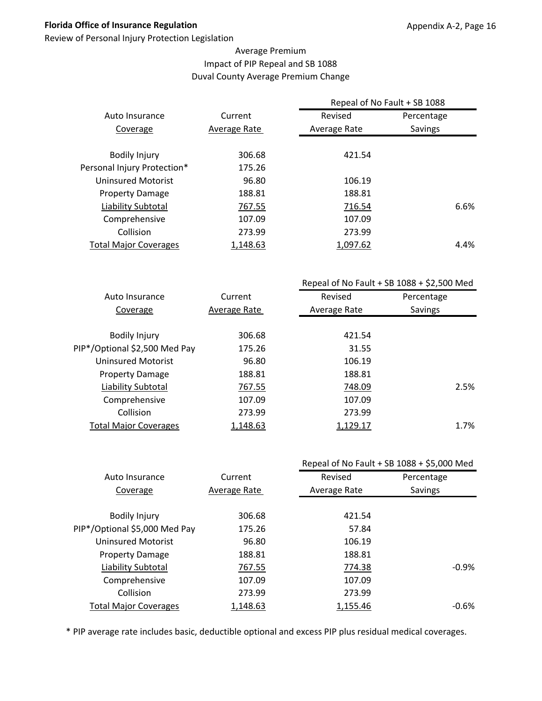Review of Personal Injury Protection Legislation

## Average Premium Impact of PIP Repeal and SB 1088 Duval County Average Premium Change

|                              |              | Repeal of No Fault + SB 1088 |                |
|------------------------------|--------------|------------------------------|----------------|
| Auto Insurance               | Current      | Revised                      | Percentage     |
| Coverage                     | Average Rate | Average Rate                 | <b>Savings</b> |
| <b>Bodily Injury</b>         | 306.68       | 421.54                       |                |
| Personal Injury Protection*  | 175.26       |                              |                |
| Uninsured Motorist           | 96.80        | 106.19                       |                |
| <b>Property Damage</b>       | 188.81       | 188.81                       |                |
| Liability Subtotal           | 767.55       | 716.54                       | 6.6%           |
| Comprehensive                | 107.09       | 107.09                       |                |
| Collision                    | 273.99       | 273.99                       |                |
| <b>Total Major Coverages</b> | 1,148.63     | 1,097.62                     | 4.4%           |

|                               |              | Repeal of No Fault + SB $1088 + $2,500$ Med |            |  |
|-------------------------------|--------------|---------------------------------------------|------------|--|
| Auto Insurance                | Current      | Revised                                     | Percentage |  |
| Coverage                      | Average Rate | Average Rate                                | Savings    |  |
|                               |              |                                             |            |  |
| <b>Bodily Injury</b>          | 306.68       | 421.54                                      |            |  |
| PIP*/Optional \$2,500 Med Pay | 175.26       | 31.55                                       |            |  |
| Uninsured Motorist            | 96.80        | 106.19                                      |            |  |
| <b>Property Damage</b>        | 188.81       | 188.81                                      |            |  |
| Liability Subtotal            | 767.55       | 748.09                                      | 2.5%       |  |
| Comprehensive                 | 107.09       | 107.09                                      |            |  |
| Collision                     | 273.99       | 273.99                                      |            |  |
| <b>Total Major Coverages</b>  | 1,148.63     | 1,129.17                                    | 1.7%       |  |
|                               |              |                                             |            |  |

|                               |              | Repeal of No Fault + SB 1088 + \$5,000 Med |            |  |
|-------------------------------|--------------|--------------------------------------------|------------|--|
| Auto Insurance                | Current      | Revised                                    | Percentage |  |
| Coverage                      | Average Rate | Average Rate                               | Savings    |  |
|                               |              |                                            |            |  |
| <b>Bodily Injury</b>          | 306.68       | 421.54                                     |            |  |
| PIP*/Optional \$5,000 Med Pay | 175.26       | 57.84                                      |            |  |
| <b>Uninsured Motorist</b>     | 96.80        | 106.19                                     |            |  |
| <b>Property Damage</b>        | 188.81       | 188.81                                     |            |  |
| Liability Subtotal            | 767.55       | 774.38                                     | $-0.9%$    |  |
| Comprehensive                 | 107.09       | 107.09                                     |            |  |
| Collision                     | 273.99       | 273.99                                     |            |  |
| <b>Total Major Coverages</b>  | 1,148.63     | 1,155.46                                   | $-0.6%$    |  |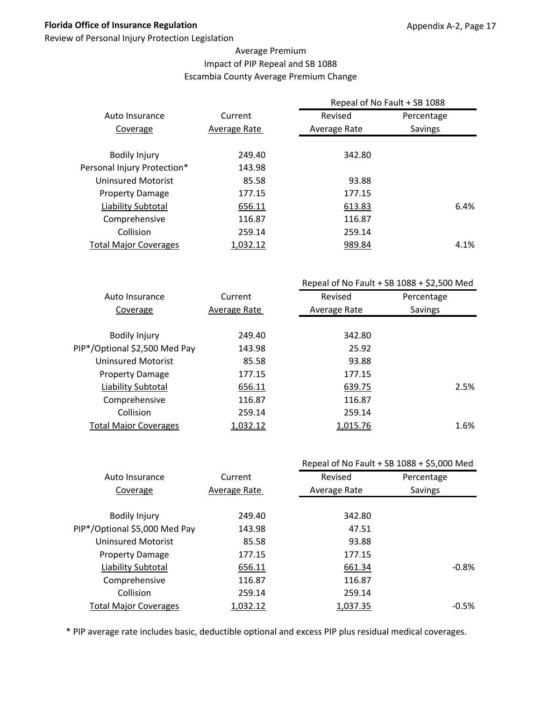Review of Personal Injury Protection Legislation

## Average Premium Impact of PIP Repeal and SB 1088 Escambia County Average Premium Change

|                              |              | Repeal of No Fault + SB 1088 |                |  |
|------------------------------|--------------|------------------------------|----------------|--|
| Auto Insurance               | Current      | Revised                      | Percentage     |  |
| Coverage                     | Average Rate | Average Rate                 | <b>Savings</b> |  |
| <b>Bodily Injury</b>         | 249.40       | 342.80                       |                |  |
| Personal Injury Protection*  | 143.98       |                              |                |  |
| Uninsured Motorist           | 85.58        | 93.88                        |                |  |
| <b>Property Damage</b>       | 177.15       | 177.15                       |                |  |
| Liability Subtotal           | 656.11       | 613.83                       | 6.4%           |  |
| Comprehensive                | 116.87       | 116.87                       |                |  |
| Collision                    | 259.14       | 259.14                       |                |  |
| <b>Total Major Coverages</b> | 1,032.12     | 989.84                       | 4.1%           |  |
|                              |              |                              |                |  |

|                               |              | Repeal of No Fault + SB $1088 + $2,500$ Med |            |  |
|-------------------------------|--------------|---------------------------------------------|------------|--|
| Auto Insurance                | Current      | Revised                                     | Percentage |  |
| Coverage                      | Average Rate | Average Rate                                | Savings    |  |
|                               |              |                                             |            |  |
| <b>Bodily Injury</b>          | 249.40       | 342.80                                      |            |  |
| PIP*/Optional \$2,500 Med Pay | 143.98       | 25.92                                       |            |  |
| <b>Uninsured Motorist</b>     | 85.58        | 93.88                                       |            |  |
| <b>Property Damage</b>        | 177.15       | 177.15                                      |            |  |
| Liability Subtotal            | 656.11       | 639.75                                      | 2.5%       |  |
| Comprehensive                 | 116.87       | 116.87                                      |            |  |
| Collision                     | 259.14       | 259.14                                      |            |  |
| <b>Total Major Coverages</b>  | 1,032.12     | 1,015.76                                    | 1.6%       |  |
|                               |              |                                             |            |  |

|                               |              | Repeal of No Fault + SB 1088 + \$5,000 Med |            |  |
|-------------------------------|--------------|--------------------------------------------|------------|--|
| Auto Insurance                | Current      | Revised                                    | Percentage |  |
| Coverage                      | Average Rate | Average Rate                               | Savings    |  |
|                               |              |                                            |            |  |
| <b>Bodily Injury</b>          | 249.40       | 342.80                                     |            |  |
| PIP*/Optional \$5,000 Med Pay | 143.98       | 47.51                                      |            |  |
| <b>Uninsured Motorist</b>     | 85.58        | 93.88                                      |            |  |
| <b>Property Damage</b>        | 177.15       | 177.15                                     |            |  |
| <b>Liability Subtotal</b>     | 656.11       | 661.34                                     | $-0.8\%$   |  |
| Comprehensive                 | 116.87       | 116.87                                     |            |  |
| Collision                     | 259.14       | 259.14                                     |            |  |
| <b>Total Major Coverages</b>  | 1,032.12     | 1,037.35                                   | $-0.5\%$   |  |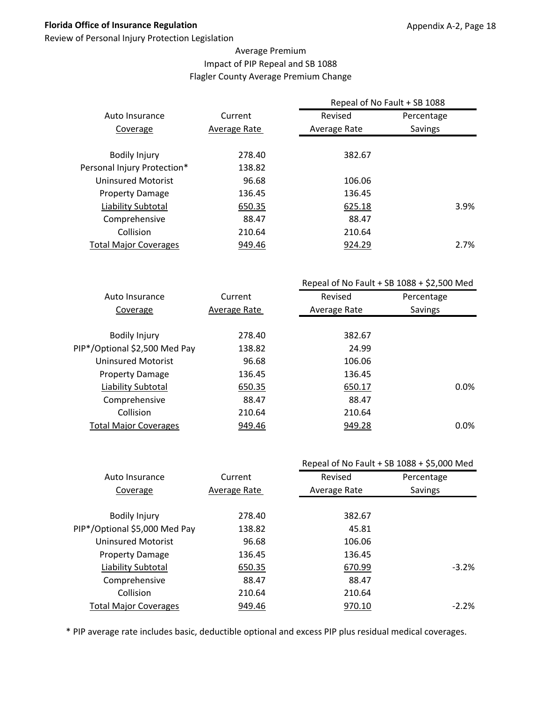Review of Personal Injury Protection Legislation

## Average Premium Impact of PIP Repeal and SB 1088 Flagler County Average Premium Change

|                              |              | Repeal of No Fault + SB 1088 |            |      |  |
|------------------------------|--------------|------------------------------|------------|------|--|
| Auto Insurance               | Current      | Revised                      | Percentage |      |  |
| Coverage                     | Average Rate | Average Rate                 | Savings    |      |  |
|                              |              |                              |            |      |  |
| <b>Bodily Injury</b>         | 278.40       | 382.67                       |            |      |  |
| Personal Injury Protection*  | 138.82       |                              |            |      |  |
| Uninsured Motorist           | 96.68        | 106.06                       |            |      |  |
| <b>Property Damage</b>       | 136.45       | 136.45                       |            |      |  |
| Liability Subtotal           | 650.35       | 625.18                       |            | 3.9% |  |
| Comprehensive                | 88.47        | 88.47                        |            |      |  |
| Collision                    | 210.64       | 210.64                       |            |      |  |
| <b>Total Major Coverages</b> | 949.46       | 924.29                       |            | 2.7% |  |
|                              |              |                              |            |      |  |

|                               |              | Repeal of No Fault + SB $1088 + $2,500$ Med |            |  |
|-------------------------------|--------------|---------------------------------------------|------------|--|
| Auto Insurance                | Current      | Revised                                     | Percentage |  |
| Coverage                      | Average Rate | Average Rate                                | Savings    |  |
|                               |              |                                             |            |  |
| <b>Bodily Injury</b>          | 278.40       | 382.67                                      |            |  |
| PIP*/Optional \$2,500 Med Pay | 138.82       | 24.99                                       |            |  |
| <b>Uninsured Motorist</b>     | 96.68        | 106.06                                      |            |  |
| <b>Property Damage</b>        | 136.45       | 136.45                                      |            |  |
| Liability Subtotal            | 650.35       | 650.17                                      | 0.0%       |  |
| Comprehensive                 | 88.47        | 88.47                                       |            |  |
| Collision                     | 210.64       | 210.64                                      |            |  |
| <b>Total Major Coverages</b>  | 949.46       | 949.28                                      | 0.0%       |  |
|                               |              |                                             |            |  |

|              |              | Repeal of No Fault + SB 1088 + \$5,000 Med |
|--------------|--------------|--------------------------------------------|
| Current      | Revised      | Percentage                                 |
| Average Rate | Average Rate | Savings                                    |
|              |              |                                            |
| 278.40       | 382.67       |                                            |
| 138.82       | 45.81        |                                            |
| 96.68        | 106.06       |                                            |
| 136.45       | 136.45       |                                            |
| 650.35       | 670.99       | $-3.2\%$                                   |
| 88.47        | 88.47        |                                            |
| 210.64       | 210.64       |                                            |
| 949.46       | 970.10       | $-2.2%$                                    |
|              |              |                                            |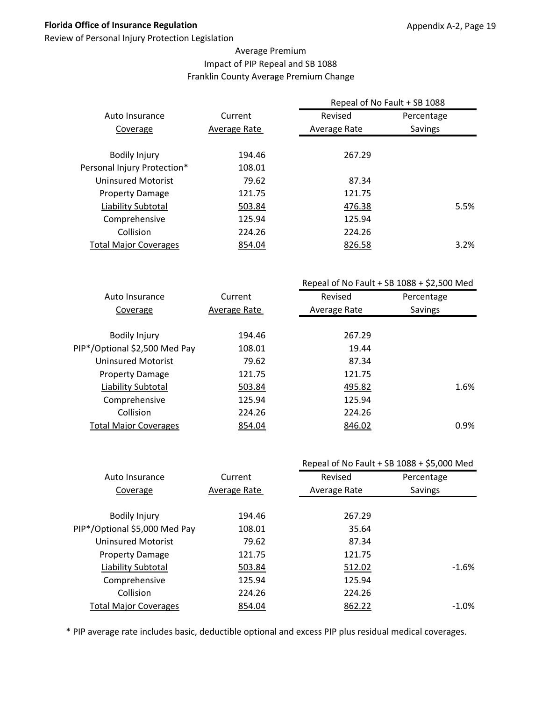Review of Personal Injury Protection Legislation

## Average Premium Impact of PIP Repeal and SB 1088 Franklin County Average Premium Change

|                              |              | Repeal of No Fault + SB 1088 |                |         |
|------------------------------|--------------|------------------------------|----------------|---------|
| Auto Insurance               | Current      | Revised                      | Percentage     |         |
| Coverage                     | Average Rate | Average Rate                 | <b>Savings</b> |         |
| <b>Bodily Injury</b>         | 194.46       | 267.29                       |                |         |
| Personal Injury Protection*  | 108.01       |                              |                |         |
| Uninsured Motorist           | 79.62        | 87.34                        |                |         |
| <b>Property Damage</b>       | 121.75       | 121.75                       |                |         |
| Liability Subtotal           | 503.84       | 476.38                       |                | 5.5%    |
| Comprehensive                | 125.94       | 125.94                       |                |         |
| Collision                    | 224.26       | 224.26                       |                |         |
| <b>Total Major Coverages</b> | 854.04       | 826.58                       |                | $3.2\%$ |
|                              |              |                              |                |         |

|                               |              | Repeal of No Fault + SB $1088 + $2,500$ Med |            |  |
|-------------------------------|--------------|---------------------------------------------|------------|--|
| Auto Insurance                | Current      | Revised                                     | Percentage |  |
| Coverage                      | Average Rate | Average Rate                                | Savings    |  |
|                               |              |                                             |            |  |
| <b>Bodily Injury</b>          | 194.46       | 267.29                                      |            |  |
| PIP*/Optional \$2,500 Med Pay | 108.01       | 19.44                                       |            |  |
| Uninsured Motorist            | 79.62        | 87.34                                       |            |  |
| <b>Property Damage</b>        | 121.75       | 121.75                                      |            |  |
| Liability Subtotal            | 503.84       | 495.82                                      | 1.6%       |  |
| Comprehensive                 | 125.94       | 125.94                                      |            |  |
| Collision                     | 224.26       | 224.26                                      |            |  |
| <b>Total Major Coverages</b>  | 854.04       | 846.02                                      | 0.9%       |  |
|                               |              |                                             |            |  |

|                               |              |              | Repeal of No Fault + SB 1088 + \$5,000 Med |
|-------------------------------|--------------|--------------|--------------------------------------------|
| Auto Insurance                | Current      | Revised      | Percentage                                 |
| Coverage                      | Average Rate | Average Rate | Savings                                    |
|                               |              |              |                                            |
| <b>Bodily Injury</b>          | 194.46       | 267.29       |                                            |
| PIP*/Optional \$5,000 Med Pay | 108.01       | 35.64        |                                            |
| <b>Uninsured Motorist</b>     | 79.62        | 87.34        |                                            |
| <b>Property Damage</b>        | 121.75       | 121.75       |                                            |
| Liability Subtotal            | 503.84       | 512.02       | $-1.6\%$                                   |
| Comprehensive                 | 125.94       | 125.94       |                                            |
| Collision                     | 224.26       | 224.26       |                                            |
| <b>Total Major Coverages</b>  | 854.04       | 862.22       | $-1.0\%$                                   |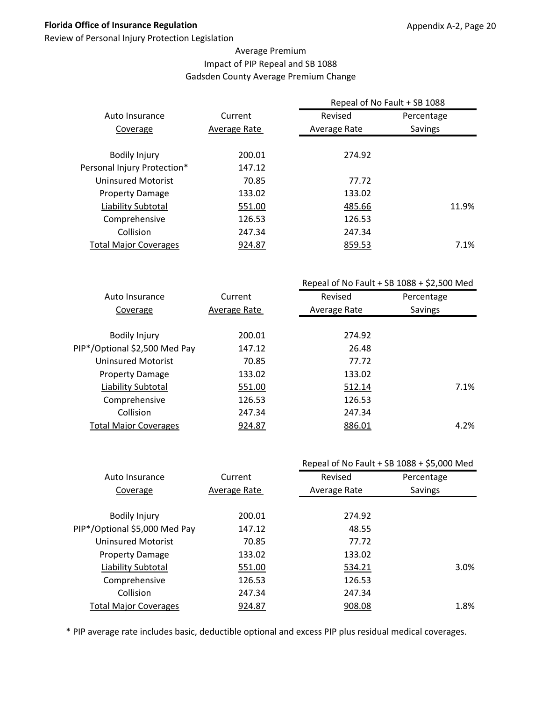Review of Personal Injury Protection Legislation

## Average Premium Impact of PIP Repeal and SB 1088 Gadsden County Average Premium Change

|                              |              | Repeal of No Fault + SB 1088 |                |
|------------------------------|--------------|------------------------------|----------------|
| Auto Insurance               | Current      | Revised                      | Percentage     |
| Coverage                     | Average Rate | Average Rate                 | <b>Savings</b> |
| <b>Bodily Injury</b>         | 200.01       | 274.92                       |                |
| Personal Injury Protection*  | 147.12       |                              |                |
| Uninsured Motorist           | 70.85        | 77.72                        |                |
| <b>Property Damage</b>       | 133.02       | 133.02                       |                |
| Liability Subtotal           | 551.00       | 485.66                       | 11.9%          |
| Comprehensive                | 126.53       | 126.53                       |                |
| Collision                    | 247.34       | 247.34                       |                |
| <b>Total Major Coverages</b> | 924.87       | 859.53                       | 7.1%           |
|                              |              |                              |                |

|                               |              | Repeal of No Fault + SB $1088 + $2,500$ Med |            |  |
|-------------------------------|--------------|---------------------------------------------|------------|--|
| Auto Insurance                | Current      | Revised                                     | Percentage |  |
| Coverage                      | Average Rate | Average Rate                                | Savings    |  |
|                               |              |                                             |            |  |
| <b>Bodily Injury</b>          | 200.01       | 274.92                                      |            |  |
| PIP*/Optional \$2,500 Med Pay | 147.12       | 26.48                                       |            |  |
| Uninsured Motorist            | 70.85        | 77.72                                       |            |  |
| <b>Property Damage</b>        | 133.02       | 133.02                                      |            |  |
| Liability Subtotal            | 551.00       | 512.14                                      | 7.1%       |  |
| Comprehensive                 | 126.53       | 126.53                                      |            |  |
| Collision                     | 247.34       | 247.34                                      |            |  |
| <b>Total Major Coverages</b>  | 924.87       | 886.01                                      | 4.2%       |  |
|                               |              |                                             |            |  |

|                               |              | Repeal of No Fault + SB 1088 + \$5,000 Med |            |  |
|-------------------------------|--------------|--------------------------------------------|------------|--|
| Auto Insurance                | Current      | Revised                                    | Percentage |  |
| Coverage                      | Average Rate | Average Rate                               | Savings    |  |
|                               |              |                                            |            |  |
| <b>Bodily Injury</b>          | 200.01       | 274.92                                     |            |  |
| PIP*/Optional \$5,000 Med Pay | 147.12       | 48.55                                      |            |  |
| <b>Uninsured Motorist</b>     | 70.85        | 77.72                                      |            |  |
| <b>Property Damage</b>        | 133.02       | 133.02                                     |            |  |
| Liability Subtotal            | 551.00       | 534.21                                     | 3.0%       |  |
| Comprehensive                 | 126.53       | 126.53                                     |            |  |
| Collision                     | 247.34       | 247.34                                     |            |  |
| <b>Total Major Coverages</b>  | 924.87       | 908.08                                     | 1.8%       |  |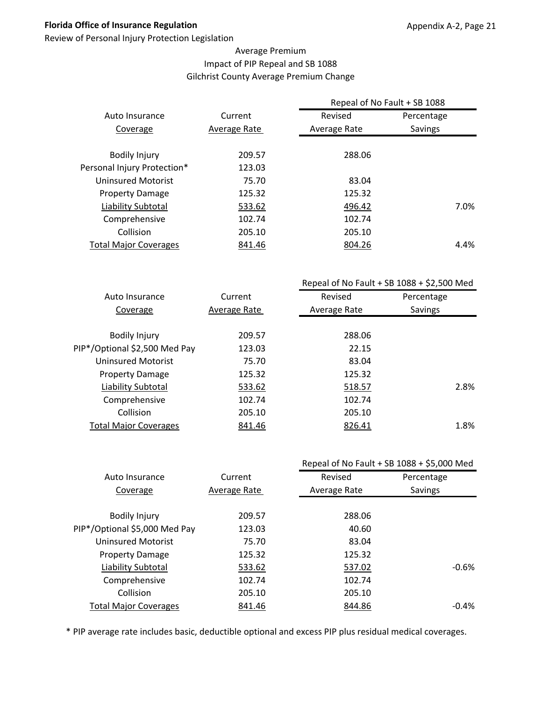Review of Personal Injury Protection Legislation

## Average Premium Impact of PIP Repeal and SB 1088 Gilchrist County Average Premium Change

|                              |              | Repeal of No Fault + SB 1088 |                |      |  |
|------------------------------|--------------|------------------------------|----------------|------|--|
| Auto Insurance               | Current      | Revised                      | Percentage     |      |  |
| Coverage                     | Average Rate | Average Rate                 | <b>Savings</b> |      |  |
| <b>Bodily Injury</b>         | 209.57       | 288.06                       |                |      |  |
| Personal Injury Protection*  | 123.03       |                              |                |      |  |
| Uninsured Motorist           | 75.70        | 83.04                        |                |      |  |
| <b>Property Damage</b>       | 125.32       | 125.32                       |                |      |  |
| Liability Subtotal           | 533.62       | 496.42                       |                | 7.0% |  |
| Comprehensive                | 102.74       | 102.74                       |                |      |  |
| Collision                    | 205.10       | 205.10                       |                |      |  |
| <b>Total Major Coverages</b> | 841.46       | 804.26                       |                | 4.4% |  |
|                              |              |                              |                |      |  |

|                               |              | Repeal of No Fault + SB $1088 + $2,500$ Med |            |  |
|-------------------------------|--------------|---------------------------------------------|------------|--|
| Auto Insurance                | Current      | Revised                                     | Percentage |  |
| Coverage                      | Average Rate | Average Rate                                | Savings    |  |
|                               |              |                                             |            |  |
| <b>Bodily Injury</b>          | 209.57       | 288.06                                      |            |  |
| PIP*/Optional \$2,500 Med Pay | 123.03       | 22.15                                       |            |  |
| <b>Uninsured Motorist</b>     | 75.70        | 83.04                                       |            |  |
| <b>Property Damage</b>        | 125.32       | 125.32                                      |            |  |
| Liability Subtotal            | 533.62       | 518.57                                      | 2.8%       |  |
| Comprehensive                 | 102.74       | 102.74                                      |            |  |
| Collision                     | 205.10       | 205.10                                      |            |  |
| <b>Total Major Coverages</b>  | 841.46       | 826.41                                      | 1.8%       |  |
|                               |              |                                             |            |  |

|                               |              |              | Repeal of No Fault + SB 1088 + \$5,000 Med |
|-------------------------------|--------------|--------------|--------------------------------------------|
| Auto Insurance                | Current      | Revised      | Percentage                                 |
| Coverage                      | Average Rate | Average Rate | Savings                                    |
|                               |              |              |                                            |
| <b>Bodily Injury</b>          | 209.57       | 288.06       |                                            |
| PIP*/Optional \$5,000 Med Pay | 123.03       | 40.60        |                                            |
| <b>Uninsured Motorist</b>     | 75.70        | 83.04        |                                            |
| <b>Property Damage</b>        | 125.32       | 125.32       |                                            |
| Liability Subtotal            | 533.62       | 537.02       | $-0.6%$                                    |
| Comprehensive                 | 102.74       | 102.74       |                                            |
| Collision                     | 205.10       | 205.10       |                                            |
| <b>Total Major Coverages</b>  | 841.46       | 844.86       | $-0.4\%$                                   |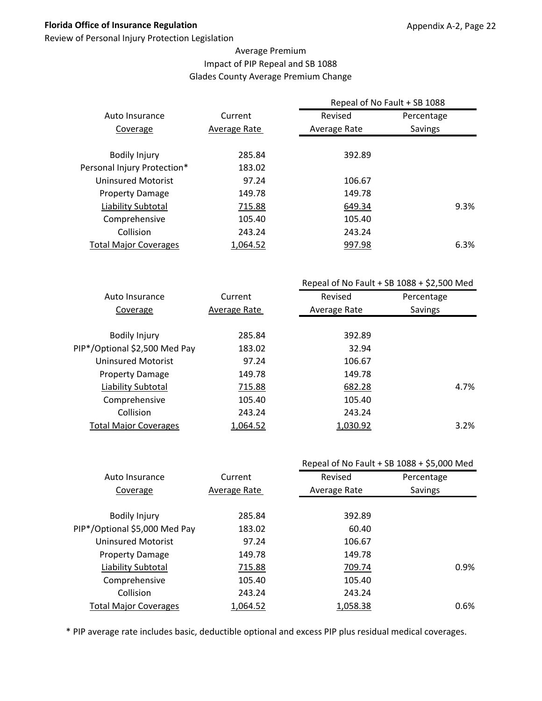Review of Personal Injury Protection Legislation

## Average Premium Impact of PIP Repeal and SB 1088 Glades County Average Premium Change

| Current      | Revised      | Percentage     |                              |
|--------------|--------------|----------------|------------------------------|
| Average Rate | Average Rate | <b>Savings</b> |                              |
|              |              |                |                              |
|              |              |                |                              |
| 183.02       |              |                |                              |
| 97.24        | 106.67       |                |                              |
| 149.78       | 149.78       |                |                              |
| 715.88       | 649.34       |                | 9.3%                         |
| 105.40       | 105.40       |                |                              |
| 243.24       | 243.24       |                |                              |
| 1,064.52     | 997.98       |                | 6.3%                         |
|              | 285.84       | 392.89         | Repeal of No Fault + SB 1088 |

|                               |              | Repeal of No Fault + SB $1088 + $2,500$ Med |            |  |
|-------------------------------|--------------|---------------------------------------------|------------|--|
| Auto Insurance                | Current      | Revised                                     | Percentage |  |
| Coverage                      | Average Rate | Average Rate                                | Savings    |  |
|                               |              |                                             |            |  |
| <b>Bodily Injury</b>          | 285.84       | 392.89                                      |            |  |
| PIP*/Optional \$2,500 Med Pay | 183.02       | 32.94                                       |            |  |
| Uninsured Motorist            | 97.24        | 106.67                                      |            |  |
| <b>Property Damage</b>        | 149.78       | 149.78                                      |            |  |
| Liability Subtotal            | 715.88       | 682.28                                      | 4.7%       |  |
| Comprehensive                 | 105.40       | 105.40                                      |            |  |
| Collision                     | 243.24       | 243.24                                      |            |  |
| <b>Total Major Coverages</b>  | 1,064.52     | 1,030.92                                    | 3.2%       |  |
|                               |              |                                             |            |  |

|              |              | Repeal of No Fault + SB 1088 + \$5,000 Med |
|--------------|--------------|--------------------------------------------|
| Current      | Revised      | Percentage                                 |
| Average Rate | Average Rate | Savings                                    |
|              |              |                                            |
| 285.84       | 392.89       |                                            |
| 183.02       | 60.40        |                                            |
| 97.24        | 106.67       |                                            |
| 149.78       | 149.78       |                                            |
| 715.88       | 709.74       | 0.9%                                       |
| 105.40       | 105.40       |                                            |
| 243.24       | 243.24       |                                            |
| 1,064.52     | 1,058.38     | 0.6%                                       |
|              |              |                                            |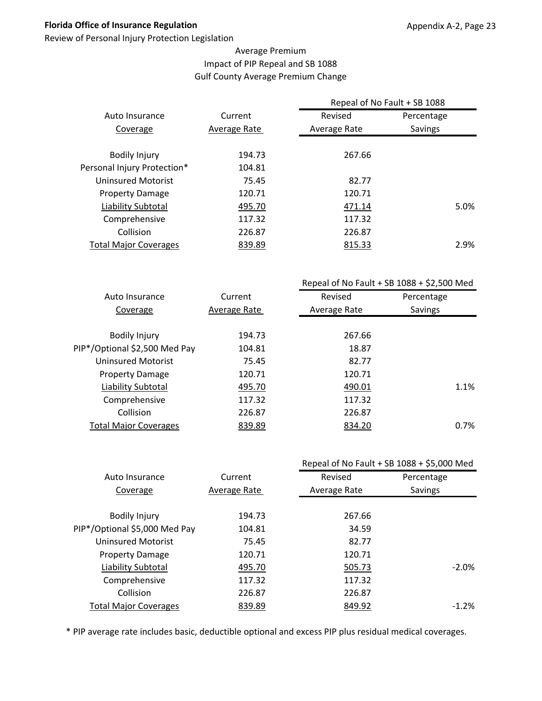Review of Personal Injury Protection Legislation

## Average Premium Impact of PIP Repeal and SB 1088 Gulf County Average Premium Change

|                              |              | Repeal of No Fault + SB 1088 |                |  |
|------------------------------|--------------|------------------------------|----------------|--|
| Auto Insurance               | Current      | Revised                      | Percentage     |  |
| Coverage                     | Average Rate | Average Rate                 | <b>Savings</b> |  |
|                              |              |                              |                |  |
| <b>Bodily Injury</b>         | 194.73       | 267.66                       |                |  |
| Personal Injury Protection*  | 104.81       |                              |                |  |
| Uninsured Motorist           | 75.45        | 82.77                        |                |  |
| <b>Property Damage</b>       | 120.71       | 120.71                       |                |  |
| Liability Subtotal           | 495.70       | 471.14                       | 5.0%           |  |
| Comprehensive                | 117.32       | 117.32                       |                |  |
| Collision                    | 226.87       | 226.87                       |                |  |
| <b>Total Major Coverages</b> | 839.89       | 815.33                       | 2.9%           |  |
|                              |              |                              |                |  |

|                               |              | Repeal of No Fault + SB $1088 + $2,500$ Med |            |  |
|-------------------------------|--------------|---------------------------------------------|------------|--|
| Auto Insurance                | Current      | Revised                                     | Percentage |  |
| Coverage                      | Average Rate | Average Rate                                | Savings    |  |
|                               |              |                                             |            |  |
| <b>Bodily Injury</b>          | 194.73       | 267.66                                      |            |  |
| PIP*/Optional \$2,500 Med Pay | 104.81       | 18.87                                       |            |  |
| Uninsured Motorist            | 75.45        | 82.77                                       |            |  |
| <b>Property Damage</b>        | 120.71       | 120.71                                      |            |  |
| Liability Subtotal            | 495.70       | 490.01                                      | 1.1%       |  |
| Comprehensive                 | 117.32       | 117.32                                      |            |  |
| Collision                     | 226.87       | 226.87                                      |            |  |
| <b>Total Major Coverages</b>  | 839.89       | 834.20                                      | 0.7%       |  |
|                               |              |                                             |            |  |

|                               |              | Repeal of No Fault + SB 1088 + \$5,000 Med |            |
|-------------------------------|--------------|--------------------------------------------|------------|
| Auto Insurance                | Current      | Revised                                    | Percentage |
| Coverage                      | Average Rate | Average Rate                               | Savings    |
|                               |              |                                            |            |
| <b>Bodily Injury</b>          | 194.73       | 267.66                                     |            |
| PIP*/Optional \$5,000 Med Pay | 104.81       | 34.59                                      |            |
| <b>Uninsured Motorist</b>     | 75.45        | 82.77                                      |            |
| <b>Property Damage</b>        | 120.71       | 120.71                                     |            |
| <b>Liability Subtotal</b>     | 495.70       | 505.73                                     | $-2.0%$    |
| Comprehensive                 | 117.32       | 117.32                                     |            |
| Collision                     | 226.87       | 226.87                                     |            |
| <b>Total Major Coverages</b>  | 839.89       | 849.92                                     | $-1.2%$    |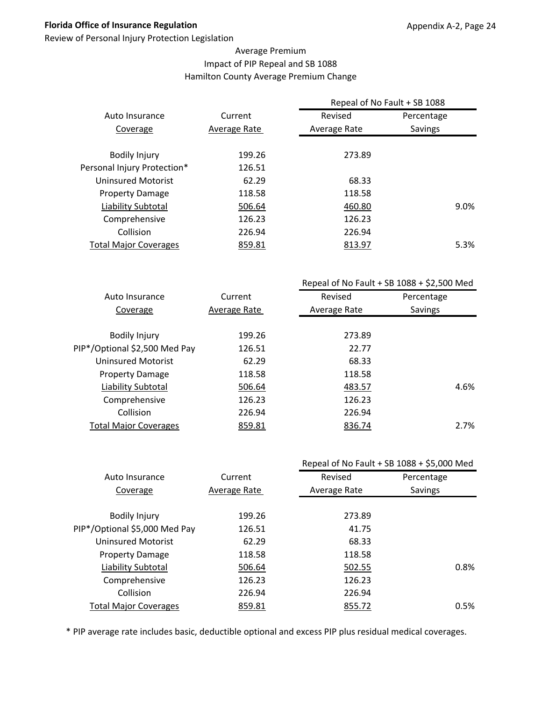Review of Personal Injury Protection Legislation

## Average Premium Impact of PIP Repeal and SB 1088 Hamilton County Average Premium Change

|                              |              | Repeal of No Fault + SB 1088 |                |
|------------------------------|--------------|------------------------------|----------------|
| Auto Insurance               | Current      | Revised                      | Percentage     |
| Coverage                     | Average Rate | Average Rate                 | <b>Savings</b> |
|                              |              |                              |                |
| <b>Bodily Injury</b>         | 199.26       | 273.89                       |                |
| Personal Injury Protection*  | 126.51       |                              |                |
| Uninsured Motorist           | 62.29        | 68.33                        |                |
| <b>Property Damage</b>       | 118.58       | 118.58                       |                |
| Liability Subtotal           | 506.64       | 460.80                       | 9.0%           |
| Comprehensive                | 126.23       | 126.23                       |                |
| Collision                    | 226.94       | 226.94                       |                |
| <b>Total Major Coverages</b> | 859.81       | 813.97                       | 5.3%           |

|                               |              | Repeal of No Fault + SB $1088 + $2,500$ Med |            |  |
|-------------------------------|--------------|---------------------------------------------|------------|--|
| Auto Insurance                | Current      | Revised                                     | Percentage |  |
| Coverage                      | Average Rate | Average Rate                                | Savings    |  |
|                               |              |                                             |            |  |
| <b>Bodily Injury</b>          | 199.26       | 273.89                                      |            |  |
| PIP*/Optional \$2,500 Med Pay | 126.51       | 22.77                                       |            |  |
| Uninsured Motorist            | 62.29        | 68.33                                       |            |  |
| <b>Property Damage</b>        | 118.58       | 118.58                                      |            |  |
| Liability Subtotal            | 506.64       | 483.57                                      | 4.6%       |  |
| Comprehensive                 | 126.23       | 126.23                                      |            |  |
| Collision                     | 226.94       | 226.94                                      |            |  |
| <b>Total Major Coverages</b>  | 859.81       | 836.74                                      | 2.7%       |  |
|                               |              |                                             |            |  |

|                               | Repeal of No Fault + SB 1088 + \$5,000 Med |              |            |
|-------------------------------|--------------------------------------------|--------------|------------|
| Auto Insurance                | Current                                    | Revised      | Percentage |
| Coverage                      | Average Rate                               | Average Rate | Savings    |
|                               |                                            |              |            |
| <b>Bodily Injury</b>          | 199.26                                     | 273.89       |            |
| PIP*/Optional \$5,000 Med Pay | 126.51                                     | 41.75        |            |
| <b>Uninsured Motorist</b>     | 62.29                                      | 68.33        |            |
| <b>Property Damage</b>        | 118.58                                     | 118.58       |            |
| Liability Subtotal            | 506.64                                     | 502.55       | 0.8%       |
| Comprehensive                 | 126.23                                     | 126.23       |            |
| Collision                     | 226.94                                     | 226.94       |            |
| <b>Total Major Coverages</b>  | 859.81                                     | 855.72       | 0.5%       |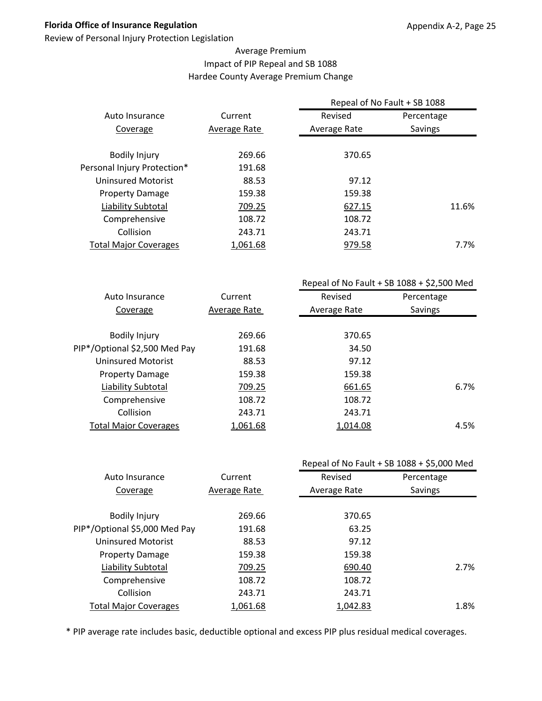Review of Personal Injury Protection Legislation

#### Average Premium Impact of PIP Repeal and SB 1088 Hardee County Average Premium Change

|                              |              |              | Repeal of No Fault + SB 1088 |
|------------------------------|--------------|--------------|------------------------------|
| Auto Insurance               | Current      | Revised      | Percentage                   |
| Coverage                     | Average Rate | Average Rate | Savings                      |
|                              |              |              |                              |
| <b>Bodily Injury</b>         | 269.66       | 370.65       |                              |
| Personal Injury Protection*  | 191.68       |              |                              |
| Uninsured Motorist           | 88.53        | 97.12        |                              |
| <b>Property Damage</b>       | 159.38       | 159.38       |                              |
| Liability Subtotal           | 709.25       | 627.15       | 11.6%                        |
| Comprehensive                | 108.72       | 108.72       |                              |
| Collision                    | 243.71       | 243.71       |                              |
| <b>Total Major Coverages</b> | 1,061.68     | 979.58       | 7.7%                         |
|                              |              |              |                              |

|                               |              |              | Repeal of No Fault + SB $1088 + $2,500$ Med |
|-------------------------------|--------------|--------------|---------------------------------------------|
| Auto Insurance                | Current      | Revised      | Percentage                                  |
| Coverage                      | Average Rate | Average Rate | <b>Savings</b>                              |
|                               |              |              |                                             |
| <b>Bodily Injury</b>          | 269.66       | 370.65       |                                             |
| PIP*/Optional \$2,500 Med Pay | 191.68       | 34.50        |                                             |
| <b>Uninsured Motorist</b>     | 88.53        | 97.12        |                                             |
| <b>Property Damage</b>        | 159.38       | 159.38       |                                             |
| Liability Subtotal            | 709.25       | 661.65       | 6.7%                                        |
| Comprehensive                 | 108.72       | 108.72       |                                             |
| Collision                     | 243.71       | 243.71       |                                             |
| <b>Total Major Coverages</b>  | 1,061.68     | 1,014.08     | 4.5%                                        |
|                               |              |              |                                             |

|              |              | Repeal of No Fault + SB 1088 + \$5,000 Med |
|--------------|--------------|--------------------------------------------|
| Current      | Revised      | Percentage                                 |
| Average Rate | Average Rate | Savings                                    |
|              |              |                                            |
| 269.66       | 370.65       |                                            |
| 191.68       | 63.25        |                                            |
| 88.53        | 97.12        |                                            |
| 159.38       | 159.38       |                                            |
| 709.25       | 690.40       | 2.7%                                       |
| 108.72       | 108.72       |                                            |
| 243.71       | 243.71       |                                            |
| 1,061.68     | 1,042.83     | 1.8%                                       |
|              |              |                                            |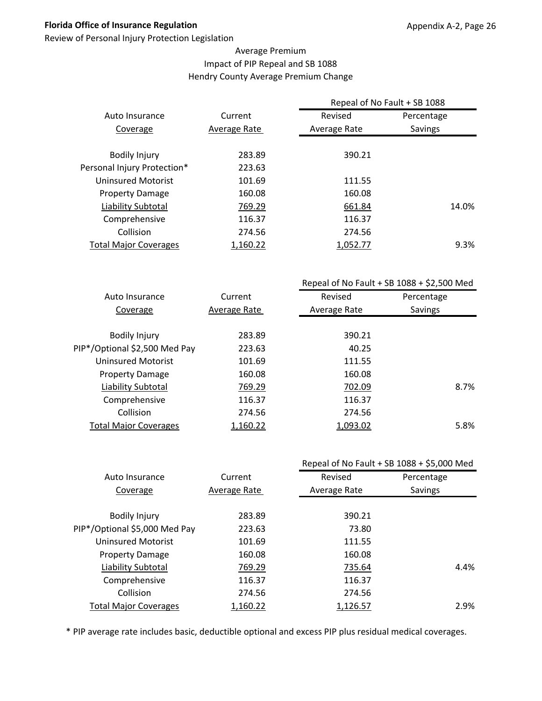Review of Personal Injury Protection Legislation

#### Average Premium Impact of PIP Repeal and SB 1088 Hendry County Average Premium Change

|                              |              | Repeal of No Fault + SB 1088<br>Revised<br>Percentage |         |
|------------------------------|--------------|-------------------------------------------------------|---------|
| Auto Insurance               | Current      |                                                       |         |
| Coverage                     | Average Rate | Average Rate                                          | Savings |
|                              |              |                                                       |         |
| <b>Bodily Injury</b>         | 283.89       | 390.21                                                |         |
| Personal Injury Protection*  | 223.63       |                                                       |         |
| <b>Uninsured Motorist</b>    | 101.69       | 111.55                                                |         |
| <b>Property Damage</b>       | 160.08       | 160.08                                                |         |
| Liability Subtotal           | 769.29       | 661.84                                                | 14.0%   |
| Comprehensive                | 116.37       | 116.37                                                |         |
| Collision                    | 274.56       | 274.56                                                |         |
| <b>Total Major Coverages</b> | 1,160.22     | 1,052.77                                              | 9.3%    |
|                              |              |                                                       |         |

|                               |              |              | Repeal of No Fault + SB $1088 + $2,500$ Med |
|-------------------------------|--------------|--------------|---------------------------------------------|
| Auto Insurance                | Current      | Revised      | Percentage                                  |
| Coverage                      | Average Rate | Average Rate | Savings                                     |
|                               |              |              |                                             |
| <b>Bodily Injury</b>          | 283.89       | 390.21       |                                             |
| PIP*/Optional \$2,500 Med Pay | 223.63       | 40.25        |                                             |
| Uninsured Motorist            | 101.69       | 111.55       |                                             |
| <b>Property Damage</b>        | 160.08       | 160.08       |                                             |
| Liability Subtotal            | 769.29       | 702.09       | 8.7%                                        |
| Comprehensive                 | 116.37       | 116.37       |                                             |
| Collision                     | 274.56       | 274.56       |                                             |
| <b>Total Major Coverages</b>  | 1,160.22     | 1,093.02     | 5.8%                                        |
|                               |              |              |                                             |

|              | Repeal of No Fault + SB 1088 + \$5,000 Med |            |  |
|--------------|--------------------------------------------|------------|--|
| Current      | Revised                                    | Percentage |  |
| Average Rate | Average Rate                               | Savings    |  |
|              |                                            |            |  |
| 283.89       | 390.21                                     |            |  |
| 223.63       | 73.80                                      |            |  |
| 101.69       | 111.55                                     |            |  |
| 160.08       | 160.08                                     |            |  |
| 769.29       | 735.64                                     | 4.4%       |  |
| 116.37       | 116.37                                     |            |  |
| 274.56       | 274.56                                     |            |  |
| 1,160.22     | 1,126.57                                   | 2.9%       |  |
|              |                                            |            |  |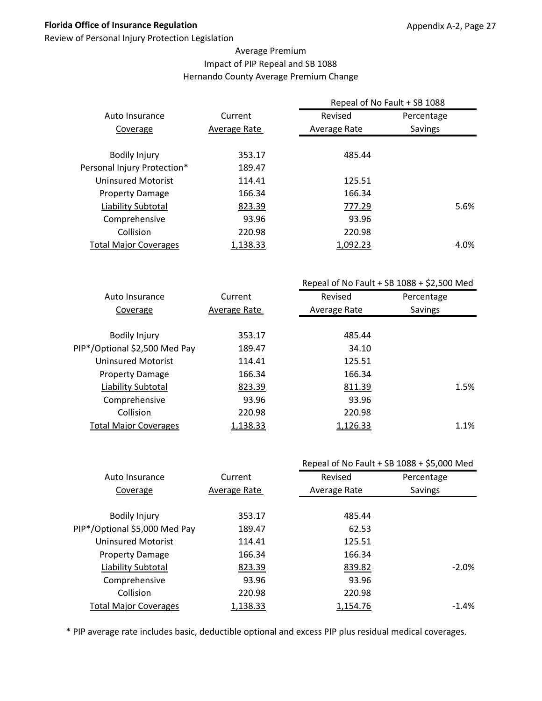Review of Personal Injury Protection Legislation

#### Average Premium Impact of PIP Repeal and SB 1088 Hernando County Average Premium Change

|                              |              | Repeal of No Fault + SB 1088<br>Revised<br>Percentage |         |      |
|------------------------------|--------------|-------------------------------------------------------|---------|------|
| Auto Insurance               | Current      |                                                       |         |      |
| Coverage                     | Average Rate | Average Rate                                          | Savings |      |
| <b>Bodily Injury</b>         | 353.17       | 485.44                                                |         |      |
| Personal Injury Protection*  | 189.47       |                                                       |         |      |
| Uninsured Motorist           | 114.41       | 125.51                                                |         |      |
| <b>Property Damage</b>       | 166.34       | 166.34                                                |         |      |
| Liability Subtotal           | 823.39       | 777.29                                                |         | 5.6% |
| Comprehensive                | 93.96        | 93.96                                                 |         |      |
| Collision                    | 220.98       | 220.98                                                |         |      |
| <b>Total Major Coverages</b> | 1,138.33     | 1.092.23                                              |         | 4.0% |

|                               |              |              | Repeal of No Fault + SB $1088 + $2,500$ Med |
|-------------------------------|--------------|--------------|---------------------------------------------|
| Auto Insurance                | Current      | Revised      | Percentage                                  |
| Coverage                      | Average Rate | Average Rate | Savings                                     |
|                               |              |              |                                             |
| <b>Bodily Injury</b>          | 353.17       | 485.44       |                                             |
| PIP*/Optional \$2,500 Med Pay | 189.47       | 34.10        |                                             |
| Uninsured Motorist            | 114.41       | 125.51       |                                             |
| <b>Property Damage</b>        | 166.34       | 166.34       |                                             |
| Liability Subtotal            | 823.39       | 811.39       | 1.5%                                        |
| Comprehensive                 | 93.96        | 93.96        |                                             |
| Collision                     | 220.98       | 220.98       |                                             |
| <b>Total Major Coverages</b>  | 1,138.33     | 1,126.33     | 1.1%                                        |
|                               |              |              |                                             |

|                               |              | Repeal of No Fault + SB 1088 + \$5,000 Med |            |  |
|-------------------------------|--------------|--------------------------------------------|------------|--|
| Auto Insurance                | Current      | Revised                                    | Percentage |  |
| Coverage                      | Average Rate | Average Rate                               | Savings    |  |
|                               |              |                                            |            |  |
| <b>Bodily Injury</b>          | 353.17       | 485.44                                     |            |  |
| PIP*/Optional \$5,000 Med Pay | 189.47       | 62.53                                      |            |  |
| <b>Uninsured Motorist</b>     | 114.41       | 125.51                                     |            |  |
| <b>Property Damage</b>        | 166.34       | 166.34                                     |            |  |
| Liability Subtotal            | 823.39       | 839.82                                     | $-2.0%$    |  |
| Comprehensive                 | 93.96        | 93.96                                      |            |  |
| Collision                     | 220.98       | 220.98                                     |            |  |
| <b>Total Major Coverages</b>  | 1,138.33     | 1,154.76                                   | $-1.4%$    |  |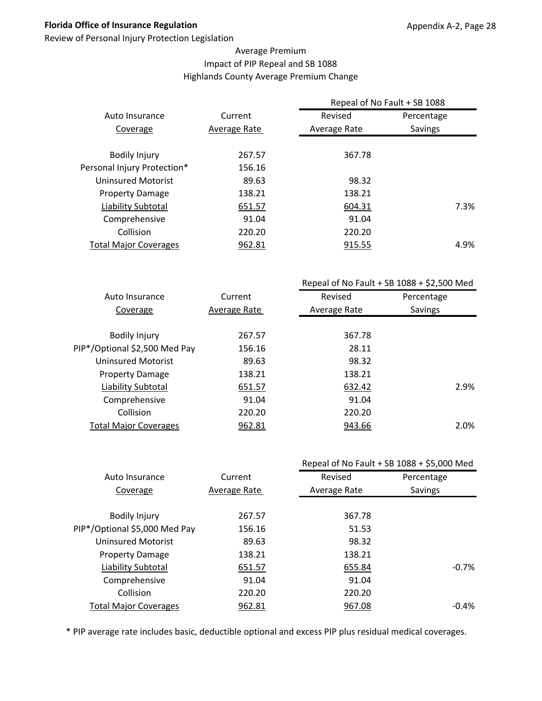Review of Personal Injury Protection Legislation

#### Average Premium Impact of PIP Repeal and SB 1088 Highlands County Average Premium Change

| Repeal of No Fault + SB 1088 |            |
|------------------------------|------------|
| Revised                      | Percentage |
| Average Rate                 | Savings    |
|                              |            |
| 367.78                       |            |
|                              |            |
| 98.32                        |            |
| 138.21                       |            |
| 604.31                       | 7.3%       |
| 91.04                        |            |
| 220.20                       |            |
| 915.55                       | 4.9%       |
|                              |            |

|                               |              |              | Repeal of No Fault + SB $1088 + $2,500$ Med |
|-------------------------------|--------------|--------------|---------------------------------------------|
| Auto Insurance                | Current      | Revised      | Percentage                                  |
| Coverage                      | Average Rate | Average Rate | Savings                                     |
|                               |              |              |                                             |
| <b>Bodily Injury</b>          | 267.57       | 367.78       |                                             |
| PIP*/Optional \$2,500 Med Pay | 156.16       | 28.11        |                                             |
| <b>Uninsured Motorist</b>     | 89.63        | 98.32        |                                             |
| <b>Property Damage</b>        | 138.21       | 138.21       |                                             |
| Liability Subtotal            | 651.57       | 632.42       | 2.9%                                        |
| Comprehensive                 | 91.04        | 91.04        |                                             |
| Collision                     | 220.20       | 220.20       |                                             |
| <b>Total Major Coverages</b>  | 962.81       | 943.66       | 2.0%                                        |
|                               |              |              |                                             |

|                               |              |              | Repeal of No Fault + SB 1088 + \$5,000 Med |
|-------------------------------|--------------|--------------|--------------------------------------------|
| Auto Insurance                | Current      | Revised      | Percentage                                 |
| Coverage                      | Average Rate | Average Rate | Savings                                    |
|                               |              |              |                                            |
| <b>Bodily Injury</b>          | 267.57       | 367.78       |                                            |
| PIP*/Optional \$5,000 Med Pay | 156.16       | 51.53        |                                            |
| <b>Uninsured Motorist</b>     | 89.63        | 98.32        |                                            |
| <b>Property Damage</b>        | 138.21       | 138.21       |                                            |
| Liability Subtotal            | 651.57       | 655.84       | $-0.7%$                                    |
| Comprehensive                 | 91.04        | 91.04        |                                            |
| Collision                     | 220.20       | 220.20       |                                            |
| <b>Total Major Coverages</b>  | 962.81       | 967.08       | $-0.4\%$                                   |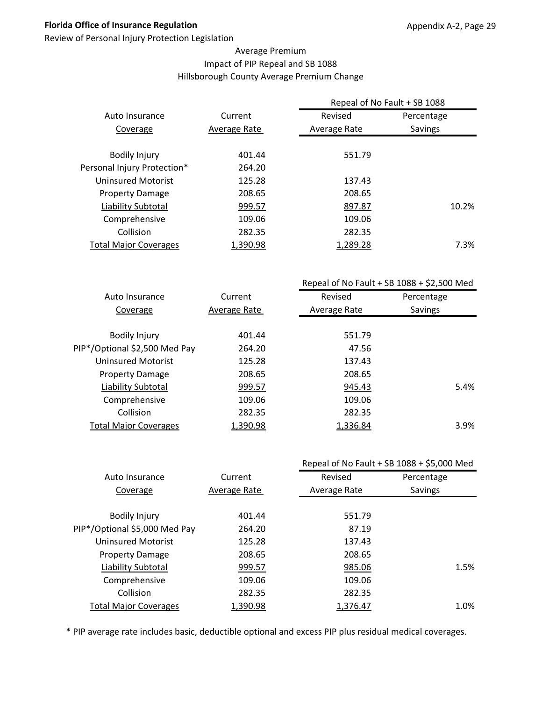Review of Personal Injury Protection Legislation

#### Average Premium Impact of PIP Repeal and SB 1088 Hillsborough County Average Premium Change

|                              |              | Repeal of No Fault + SB 1088 |            |
|------------------------------|--------------|------------------------------|------------|
| Auto Insurance               | Current      | Revised                      | Percentage |
| Coverage                     | Average Rate | Average Rate                 | Savings    |
|                              |              |                              |            |
| <b>Bodily Injury</b>         | 401.44       | 551.79                       |            |
| Personal Injury Protection*  | 264.20       |                              |            |
| Uninsured Motorist           | 125.28       | 137.43                       |            |
| <b>Property Damage</b>       | 208.65       | 208.65                       |            |
| Liability Subtotal           | 999.57       | 897.87                       | 10.2%      |
| Comprehensive                | 109.06       | 109.06                       |            |
| Collision                    | 282.35       | 282.35                       |            |
| <b>Total Major Coverages</b> | 1,390.98     | 1,289.28                     | 7.3%       |

|                               |              | Repeal of No Fault + SB $1088 + $2,500$ Med |                |
|-------------------------------|--------------|---------------------------------------------|----------------|
| Auto Insurance                | Current      | Revised                                     | Percentage     |
| Coverage                      | Average Rate | Average Rate                                | <b>Savings</b> |
|                               |              |                                             |                |
| <b>Bodily Injury</b>          | 401.44       | 551.79                                      |                |
| PIP*/Optional \$2,500 Med Pay | 264.20       | 47.56                                       |                |
| Uninsured Motorist            | 125.28       | 137.43                                      |                |
| <b>Property Damage</b>        | 208.65       | 208.65                                      |                |
| Liability Subtotal            | 999.57       | 945.43                                      | 5.4%           |
| Comprehensive                 | 109.06       | 109.06                                      |                |
| Collision                     | 282.35       | 282.35                                      |                |
| <b>Total Major Coverages</b>  | 1,390.98     | 1,336.84                                    | 3.9%           |
|                               |              |                                             |                |

|                               |              | Repeal of No Fault + SB 1088 + \$5,000 Med |            |
|-------------------------------|--------------|--------------------------------------------|------------|
| Auto Insurance                | Current      | Revised                                    | Percentage |
| Coverage                      | Average Rate | Average Rate                               | Savings    |
|                               |              |                                            |            |
| <b>Bodily Injury</b>          | 401.44       | 551.79                                     |            |
| PIP*/Optional \$5,000 Med Pay | 264.20       | 87.19                                      |            |
| <b>Uninsured Motorist</b>     | 125.28       | 137.43                                     |            |
| <b>Property Damage</b>        | 208.65       | 208.65                                     |            |
| Liability Subtotal            | 999.57       | 985.06                                     | 1.5%       |
| Comprehensive                 | 109.06       | 109.06                                     |            |
| Collision                     | 282.35       | 282.35                                     |            |
| <b>Total Major Coverages</b>  | 1,390.98     | 1,376.47                                   | 1.0%       |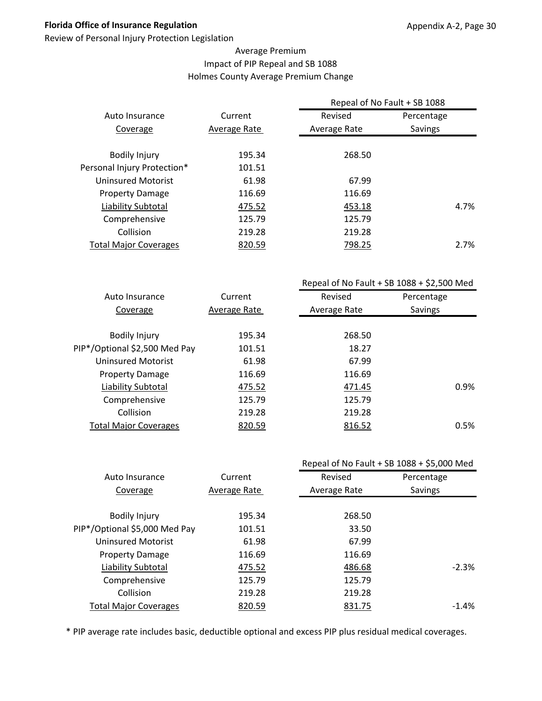Review of Personal Injury Protection Legislation

#### Average Premium Impact of PIP Repeal and SB 1088 Holmes County Average Premium Change

|                              |              | Repeal of No Fault + SB 1088 |                |  |
|------------------------------|--------------|------------------------------|----------------|--|
| Auto Insurance               | Current      | Revised                      | Percentage     |  |
| Coverage                     | Average Rate | Average Rate                 | <b>Savings</b> |  |
|                              |              |                              |                |  |
| <b>Bodily Injury</b>         | 195.34       | 268.50                       |                |  |
| Personal Injury Protection*  | 101.51       |                              |                |  |
| Uninsured Motorist           | 61.98        | 67.99                        |                |  |
| <b>Property Damage</b>       | 116.69       | 116.69                       |                |  |
| Liability Subtotal           | 475.52       | 453.18                       | 4.7%           |  |
| Comprehensive                | 125.79       | 125.79                       |                |  |
| Collision                    | 219.28       | 219.28                       |                |  |
| <b>Total Major Coverages</b> | 820.59       | 798.25                       | 2.7%           |  |
|                              |              |                              |                |  |

|                               |              | Repeal of No Fault + SB $1088 + $2,500$ Med |            |  |
|-------------------------------|--------------|---------------------------------------------|------------|--|
| Auto Insurance                | Current      | Revised                                     | Percentage |  |
| Coverage                      | Average Rate | Average Rate                                | Savings    |  |
|                               |              |                                             |            |  |
| <b>Bodily Injury</b>          | 195.34       | 268.50                                      |            |  |
| PIP*/Optional \$2,500 Med Pay | 101.51       | 18.27                                       |            |  |
| <b>Uninsured Motorist</b>     | 61.98        | 67.99                                       |            |  |
| <b>Property Damage</b>        | 116.69       | 116.69                                      |            |  |
| Liability Subtotal            | 475.52       | 471.45                                      | 0.9%       |  |
| Comprehensive                 | 125.79       | 125.79                                      |            |  |
| Collision                     | 219.28       | 219.28                                      |            |  |
| <b>Total Major Coverages</b>  | 820.59       | 816.52                                      | 0.5%       |  |
|                               |              |                                             |            |  |

|                               |              |              | Repeal of No Fault + SB 1088 + \$5,000 Med |  |
|-------------------------------|--------------|--------------|--------------------------------------------|--|
| Auto Insurance                | Current      | Revised      | Percentage                                 |  |
| Coverage                      | Average Rate | Average Rate | Savings                                    |  |
|                               |              |              |                                            |  |
| <b>Bodily Injury</b>          | 195.34       | 268.50       |                                            |  |
| PIP*/Optional \$5,000 Med Pay | 101.51       | 33.50        |                                            |  |
| <b>Uninsured Motorist</b>     | 61.98        | 67.99        |                                            |  |
| <b>Property Damage</b>        | 116.69       | 116.69       |                                            |  |
| Liability Subtotal            | 475.52       | 486.68       | $-2.3%$                                    |  |
| Comprehensive                 | 125.79       | 125.79       |                                            |  |
| Collision                     | 219.28       | 219.28       |                                            |  |
| <b>Total Major Coverages</b>  | 820.59       | 831.75       | $-1.4%$                                    |  |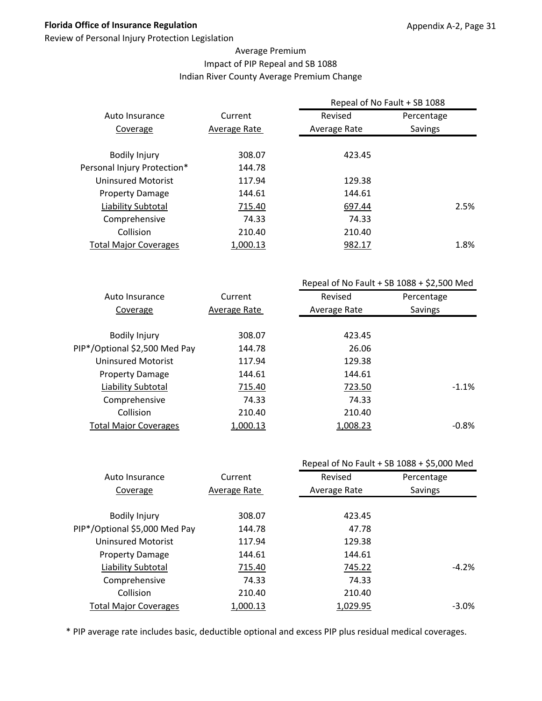Review of Personal Injury Protection Legislation

#### Average Premium Impact of PIP Repeal and SB 1088 Indian River County Average Premium Change

|                              |              | Repeal of No Fault + SB 1088 |            |
|------------------------------|--------------|------------------------------|------------|
| Auto Insurance               | Current      | Revised                      | Percentage |
| Coverage                     | Average Rate | Average Rate                 | Savings    |
| <b>Bodily Injury</b>         | 308.07       | 423.45                       |            |
| Personal Injury Protection*  | 144.78       |                              |            |
| Uninsured Motorist           | 117.94       | 129.38                       |            |
| <b>Property Damage</b>       | 144.61       | 144.61                       |            |
| Liability Subtotal           | 715.40       | 697.44                       | 2.5%       |
| Comprehensive                | 74.33        | 74.33                        |            |
| Collision                    | 210.40       | 210.40                       |            |
| <b>Total Major Coverages</b> | 1,000.13     | 982.17                       | 1.8%       |
|                              |              |                              |            |

|                               |              | Repeal of No Fault + SB $1088 + $2,500$ Med |            |  |
|-------------------------------|--------------|---------------------------------------------|------------|--|
| Auto Insurance                | Current      | Revised                                     | Percentage |  |
| Coverage                      | Average Rate | Average Rate                                | Savings    |  |
|                               |              |                                             |            |  |
| <b>Bodily Injury</b>          | 308.07       | 423.45                                      |            |  |
| PIP*/Optional \$2,500 Med Pay | 144.78       | 26.06                                       |            |  |
| Uninsured Motorist            | 117.94       | 129.38                                      |            |  |
| <b>Property Damage</b>        | 144.61       | 144.61                                      |            |  |
| Liability Subtotal            | 715.40       | 723.50                                      | $-1.1%$    |  |
| Comprehensive                 | 74.33        | 74.33                                       |            |  |
| Collision                     | 210.40       | 210.40                                      |            |  |
| <b>Total Major Coverages</b>  | 1,000.13     | 1,008.23                                    | $-0.8%$    |  |
|                               |              |                                             |            |  |

|                               |              |              | Repeal of No Fault + SB 1088 + \$5,000 Med |
|-------------------------------|--------------|--------------|--------------------------------------------|
| Auto Insurance                | Current      | Revised      | Percentage                                 |
| Coverage                      | Average Rate | Average Rate | Savings                                    |
|                               |              |              |                                            |
| <b>Bodily Injury</b>          | 308.07       | 423.45       |                                            |
| PIP*/Optional \$5,000 Med Pay | 144.78       | 47.78        |                                            |
| <b>Uninsured Motorist</b>     | 117.94       | 129.38       |                                            |
| <b>Property Damage</b>        | 144.61       | 144.61       |                                            |
| Liability Subtotal            | 715.40       | 745.22       | $-4.2%$                                    |
| Comprehensive                 | 74.33        | 74.33        |                                            |
| Collision                     | 210.40       | 210.40       |                                            |
| <b>Total Major Coverages</b>  | 1,000.13     | 1,029.95     | $-3.0\%$                                   |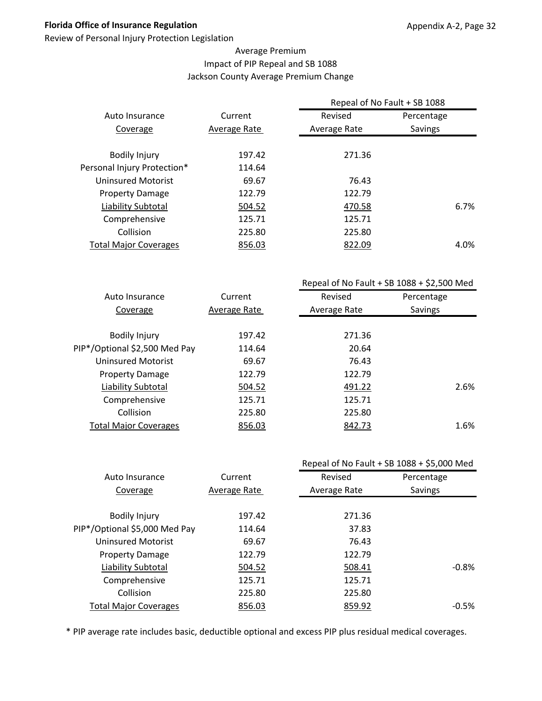Review of Personal Injury Protection Legislation

#### Average Premium Impact of PIP Repeal and SB 1088 Jackson County Average Premium Change

|                              |              | Repeal of No Fault + SB 1088 |                |
|------------------------------|--------------|------------------------------|----------------|
| Auto Insurance               | Current      | Revised                      | Percentage     |
| Coverage                     | Average Rate | Average Rate                 | <b>Savings</b> |
|                              |              |                              |                |
| <b>Bodily Injury</b>         | 197.42       | 271.36                       |                |
| Personal Injury Protection*  | 114.64       |                              |                |
| Uninsured Motorist           | 69.67        | 76.43                        |                |
| <b>Property Damage</b>       | 122.79       | 122.79                       |                |
| Liability Subtotal           | 504.52       | 470.58                       | 6.7%           |
| Comprehensive                | 125.71       | 125.71                       |                |
| Collision                    | 225.80       | 225.80                       |                |
| <b>Total Major Coverages</b> | 856.03       | 822.09                       | 4.0%           |
|                              |              |                              |                |

|                               |              | Repeal of No Fault + SB $1088 + $2,500$ Med |            |
|-------------------------------|--------------|---------------------------------------------|------------|
| Auto Insurance                | Current      | Revised                                     | Percentage |
| Coverage                      | Average Rate | Average Rate                                | Savings    |
|                               |              |                                             |            |
| <b>Bodily Injury</b>          | 197.42       | 271.36                                      |            |
| PIP*/Optional \$2,500 Med Pay | 114.64       | 20.64                                       |            |
| <b>Uninsured Motorist</b>     | 69.67        | 76.43                                       |            |
| <b>Property Damage</b>        | 122.79       | 122.79                                      |            |
| Liability Subtotal            | 504.52       | 491.22                                      | 2.6%       |
| Comprehensive                 | 125.71       | 125.71                                      |            |
| Collision                     | 225.80       | 225.80                                      |            |
| <b>Total Major Coverages</b>  | 856.03       | 842.73                                      | 1.6%       |
|                               |              |                                             |            |

|                               |              |              | Repeal of No Fault + SB 1088 + \$5,000 Med |
|-------------------------------|--------------|--------------|--------------------------------------------|
| Auto Insurance                | Current      | Revised      | Percentage                                 |
| Coverage                      | Average Rate | Average Rate | Savings                                    |
|                               |              |              |                                            |
| <b>Bodily Injury</b>          | 197.42       | 271.36       |                                            |
| PIP*/Optional \$5,000 Med Pay | 114.64       | 37.83        |                                            |
| <b>Uninsured Motorist</b>     | 69.67        | 76.43        |                                            |
| <b>Property Damage</b>        | 122.79       | 122.79       |                                            |
| Liability Subtotal            | 504.52       | 508.41       | $-0.8\%$                                   |
| Comprehensive                 | 125.71       | 125.71       |                                            |
| Collision                     | 225.80       | 225.80       |                                            |
| <b>Total Major Coverages</b>  | 856.03       | 859.92       | $-0.5%$                                    |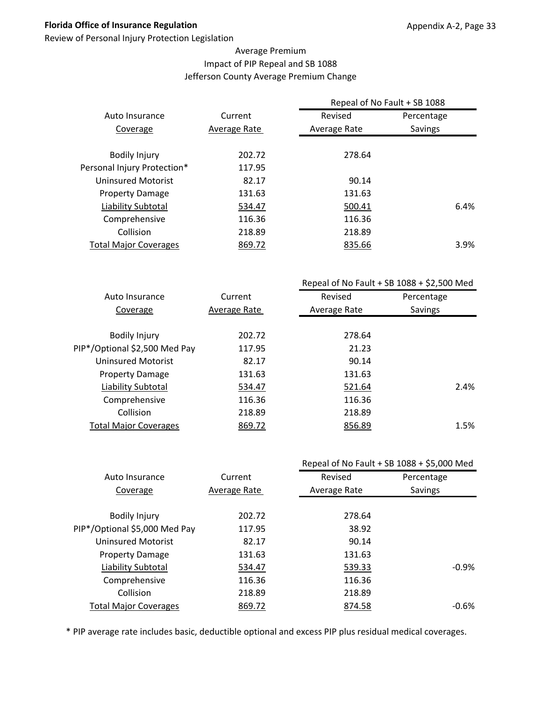Review of Personal Injury Protection Legislation

#### Average Premium Impact of PIP Repeal and SB 1088 Jefferson County Average Premium Change

|                              |              | Repeal of No Fault + SB 1088 |                |
|------------------------------|--------------|------------------------------|----------------|
| Auto Insurance               | Current      | Revised                      | Percentage     |
| Coverage                     | Average Rate | Average Rate                 | <b>Savings</b> |
|                              |              |                              |                |
| <b>Bodily Injury</b>         | 202.72       | 278.64                       |                |
| Personal Injury Protection*  | 117.95       |                              |                |
| Uninsured Motorist           | 82.17        | 90.14                        |                |
| <b>Property Damage</b>       | 131.63       | 131.63                       |                |
| Liability Subtotal           | 534.47       | 500.41                       | 6.4%           |
| Comprehensive                | 116.36       | 116.36                       |                |
| Collision                    | 218.89       | 218.89                       |                |
| <b>Total Major Coverages</b> | 869.72       | 835.66                       | 3.9%           |
|                              |              |                              |                |

|                               |              | Repeal of No Fault + SB $1088 + $2,500$ Med |            |
|-------------------------------|--------------|---------------------------------------------|------------|
| Auto Insurance                | Current      | Revised                                     | Percentage |
| Coverage                      | Average Rate | Average Rate                                | Savings    |
|                               |              |                                             |            |
| <b>Bodily Injury</b>          | 202.72       | 278.64                                      |            |
| PIP*/Optional \$2,500 Med Pay | 117.95       | 21.23                                       |            |
| Uninsured Motorist            | 82.17        | 90.14                                       |            |
| <b>Property Damage</b>        | 131.63       | 131.63                                      |            |
| Liability Subtotal            | 534.47       | 521.64                                      | 2.4%       |
| Comprehensive                 | 116.36       | 116.36                                      |            |
| Collision                     | 218.89       | 218.89                                      |            |
| <b>Total Major Coverages</b>  | 869.72       | 856.89                                      | 1.5%       |
|                               |              |                                             |            |

|                               |              |              | Repeal of No Fault + SB 1088 + \$5,000 Med |
|-------------------------------|--------------|--------------|--------------------------------------------|
| Auto Insurance                | Current      | Revised      | Percentage                                 |
| Coverage                      | Average Rate | Average Rate | Savings                                    |
|                               |              |              |                                            |
| <b>Bodily Injury</b>          | 202.72       | 278.64       |                                            |
| PIP*/Optional \$5,000 Med Pay | 117.95       | 38.92        |                                            |
| <b>Uninsured Motorist</b>     | 82.17        | 90.14        |                                            |
| <b>Property Damage</b>        | 131.63       | 131.63       |                                            |
| <b>Liability Subtotal</b>     | 534.47       | 539.33       | $-0.9%$                                    |
| Comprehensive                 | 116.36       | 116.36       |                                            |
| Collision                     | 218.89       | 218.89       |                                            |
| <b>Total Major Coverages</b>  | 869.72       | 874.58       | $-0.6\%$                                   |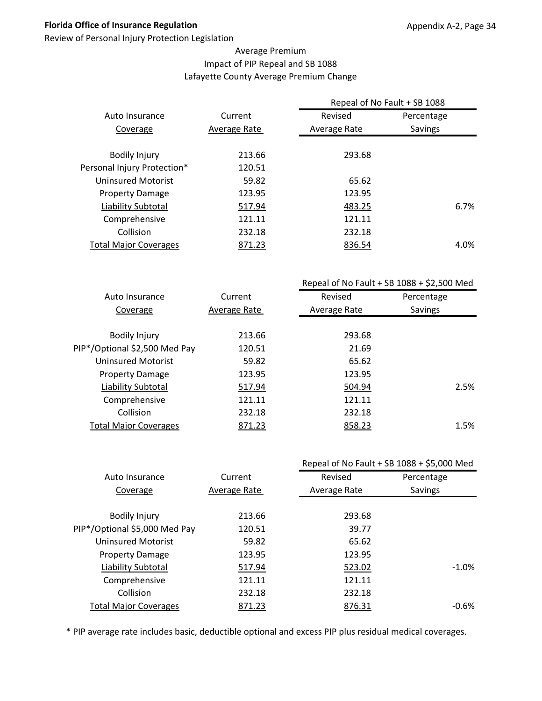Review of Personal Injury Protection Legislation

#### Average Premium Impact of PIP Repeal and SB 1088 Lafayette County Average Premium Change

| Current      | Revised      | Percentage     |                              |
|--------------|--------------|----------------|------------------------------|
| Average Rate | Average Rate | <b>Savings</b> |                              |
|              |              |                |                              |
| 213.66       | 293.68       |                |                              |
| 120.51       |              |                |                              |
| 59.82        | 65.62        |                |                              |
| 123.95       | 123.95       |                |                              |
| 517.94       | 483.25       |                | 6.7%                         |
| 121.11       | 121.11       |                |                              |
| 232.18       | 232.18       |                |                              |
| 871.23       | 836.54       |                | 4.0%                         |
|              |              |                | Repeal of No Fault + SB 1088 |

|                               |              | Repeal of No Fault + SB $1088 + $2,500$ Med |            |
|-------------------------------|--------------|---------------------------------------------|------------|
| Auto Insurance                | Current      | Revised                                     | Percentage |
| Coverage                      | Average Rate | Average Rate                                | Savings    |
|                               |              |                                             |            |
| <b>Bodily Injury</b>          | 213.66       | 293.68                                      |            |
| PIP*/Optional \$2,500 Med Pay | 120.51       | 21.69                                       |            |
| Uninsured Motorist            | 59.82        | 65.62                                       |            |
| <b>Property Damage</b>        | 123.95       | 123.95                                      |            |
| Liability Subtotal            | 517.94       | 504.94                                      | 2.5%       |
| Comprehensive                 | 121.11       | 121.11                                      |            |
| Collision                     | 232.18       | 232.18                                      |            |
| <b>Total Major Coverages</b>  | 871.23       | 858.23                                      | 1.5%       |
|                               |              |                                             |            |

|                               |              | Repeal of No Fault + SB 1088 + \$5,000 Med |            |
|-------------------------------|--------------|--------------------------------------------|------------|
| Auto Insurance                | Current      | Revised                                    | Percentage |
| Coverage                      | Average Rate | Average Rate                               | Savings    |
|                               |              |                                            |            |
| <b>Bodily Injury</b>          | 213.66       | 293.68                                     |            |
| PIP*/Optional \$5,000 Med Pay | 120.51       | 39.77                                      |            |
| <b>Uninsured Motorist</b>     | 59.82        | 65.62                                      |            |
| <b>Property Damage</b>        | 123.95       | 123.95                                     |            |
| Liability Subtotal            | 517.94       | 523.02                                     | $-1.0\%$   |
| Comprehensive                 | 121.11       | 121.11                                     |            |
| Collision                     | 232.18       | 232.18                                     |            |
| <b>Total Major Coverages</b>  | 871.23       | 876.31                                     | $-0.6%$    |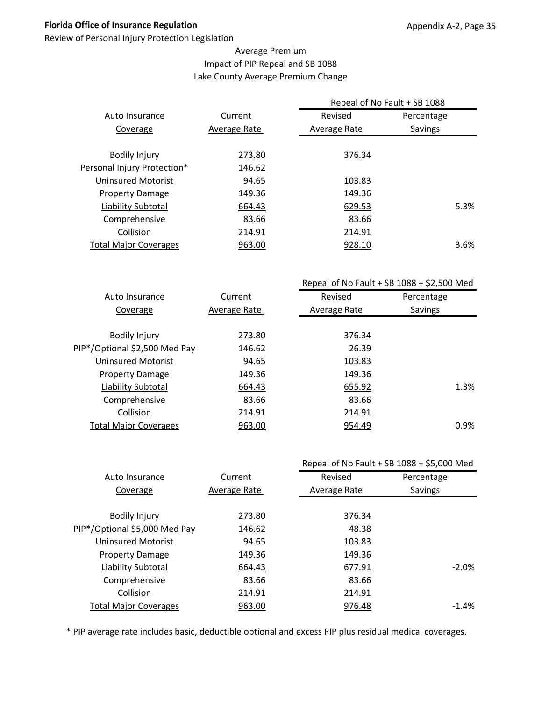Review of Personal Injury Protection Legislation

#### Average Premium Impact of PIP Repeal and SB 1088 Lake County Average Premium Change

|                              |              | Repeal of No Fault + SB 1088 |                |
|------------------------------|--------------|------------------------------|----------------|
| Auto Insurance               | Current      | Revised                      | Percentage     |
| Coverage                     | Average Rate | Average Rate                 | <b>Savings</b> |
| <b>Bodily Injury</b>         | 273.80       | 376.34                       |                |
| Personal Injury Protection*  | 146.62       |                              |                |
| Uninsured Motorist           | 94.65        | 103.83                       |                |
| <b>Property Damage</b>       | 149.36       | 149.36                       |                |
| Liability Subtotal           | 664.43       | 629.53                       | 5.3%           |
| Comprehensive                | 83.66        | 83.66                        |                |
| Collision                    | 214.91       | 214.91                       |                |
| <b>Total Major Coverages</b> | 963.00       | 928.10                       | 3.6%           |
|                              |              |                              |                |

|                               |              | Repeal of No Fault + SB $1088 + $2,500$ Med |            |  |
|-------------------------------|--------------|---------------------------------------------|------------|--|
| Auto Insurance                | Current      | Revised                                     | Percentage |  |
| Coverage                      | Average Rate | Average Rate                                | Savings    |  |
|                               |              |                                             |            |  |
| <b>Bodily Injury</b>          | 273.80       | 376.34                                      |            |  |
| PIP*/Optional \$2,500 Med Pay | 146.62       | 26.39                                       |            |  |
| <b>Uninsured Motorist</b>     | 94.65        | 103.83                                      |            |  |
| <b>Property Damage</b>        | 149.36       | 149.36                                      |            |  |
| Liability Subtotal            | 664.43       | 655.92                                      | 1.3%       |  |
| Comprehensive                 | 83.66        | 83.66                                       |            |  |
| Collision                     | 214.91       | 214.91                                      |            |  |
| <b>Total Major Coverages</b>  | 963.00       | 954.49                                      | 0.9%       |  |
|                               |              |                                             |            |  |

|                               |              |              | Repeal of No Fault + SB 1088 + \$5,000 Med |
|-------------------------------|--------------|--------------|--------------------------------------------|
| Auto Insurance                | Current      | Revised      | Percentage                                 |
| Coverage                      | Average Rate | Average Rate | Savings                                    |
|                               |              |              |                                            |
| <b>Bodily Injury</b>          | 273.80       | 376.34       |                                            |
| PIP*/Optional \$5,000 Med Pay | 146.62       | 48.38        |                                            |
| <b>Uninsured Motorist</b>     | 94.65        | 103.83       |                                            |
| <b>Property Damage</b>        | 149.36       | 149.36       |                                            |
| Liability Subtotal            | 664.43       | 677.91       | $-2.0\%$                                   |
| Comprehensive                 | 83.66        | 83.66        |                                            |
| Collision                     | 214.91       | 214.91       |                                            |
| <b>Total Major Coverages</b>  | 963.00       | 976.48       | $-1.4\%$                                   |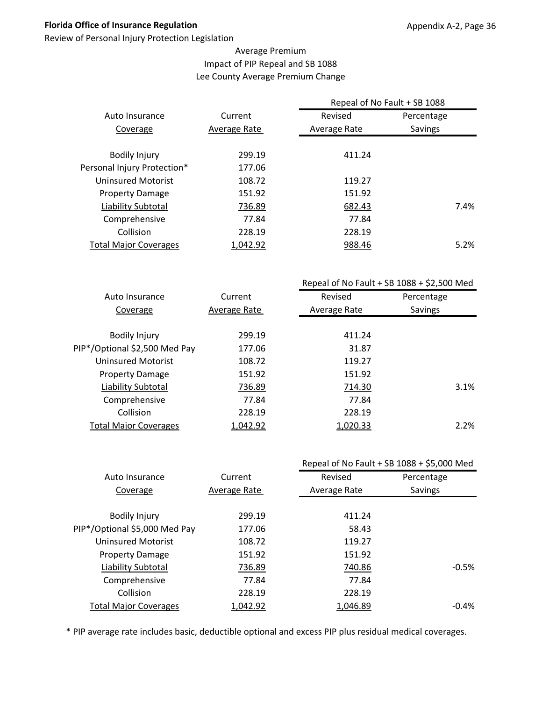Review of Personal Injury Protection Legislation

## Average Premium Impact of PIP Repeal and SB 1088 Lee County Average Premium Change

|                              |              | Repeal of No Fault + SB 1088 |            |      |
|------------------------------|--------------|------------------------------|------------|------|
| Auto Insurance               | Current      | Revised                      | Percentage |      |
| Coverage                     | Average Rate | Average Rate                 | Savings    |      |
|                              |              |                              |            |      |
| <b>Bodily Injury</b>         | 299.19       | 411.24                       |            |      |
| Personal Injury Protection*  | 177.06       |                              |            |      |
| Uninsured Motorist           | 108.72       | 119.27                       |            |      |
| <b>Property Damage</b>       | 151.92       | 151.92                       |            |      |
| Liability Subtotal           | 736.89       | 682.43                       |            | 7.4% |
| Comprehensive                | 77.84        | 77.84                        |            |      |
| Collision                    | 228.19       | 228.19                       |            |      |
| <b>Total Major Coverages</b> | 1,042.92     | 988.46                       |            | 5.2% |
|                              |              |                              |            |      |

|                               |              | Repeal of No Fault + SB $1088 + $2,500$ Med |            |
|-------------------------------|--------------|---------------------------------------------|------------|
| Auto Insurance                | Current      | Revised                                     | Percentage |
| Coverage                      | Average Rate | Average Rate                                | Savings    |
|                               |              |                                             |            |
| <b>Bodily Injury</b>          | 299.19       | 411.24                                      |            |
| PIP*/Optional \$2,500 Med Pay | 177.06       | 31.87                                       |            |
| Uninsured Motorist            | 108.72       | 119.27                                      |            |
| <b>Property Damage</b>        | 151.92       | 151.92                                      |            |
| Liability Subtotal            | 736.89       | 714.30                                      | 3.1%       |
| Comprehensive                 | 77.84        | 77.84                                       |            |
| Collision                     | 228.19       | 228.19                                      |            |
| <b>Total Major Coverages</b>  | 1,042.92     | 1,020.33                                    | 2.2%       |
|                               |              |                                             |            |

|                               |              | Repeal of No Fault + SB 1088 + \$5,000 Med |            |
|-------------------------------|--------------|--------------------------------------------|------------|
| Auto Insurance                | Current      | Revised                                    | Percentage |
| Coverage                      | Average Rate | Average Rate                               | Savings    |
|                               |              |                                            |            |
| <b>Bodily Injury</b>          | 299.19       | 411.24                                     |            |
| PIP*/Optional \$5,000 Med Pay | 177.06       | 58.43                                      |            |
| <b>Uninsured Motorist</b>     | 108.72       | 119.27                                     |            |
| <b>Property Damage</b>        | 151.92       | 151.92                                     |            |
| <b>Liability Subtotal</b>     | 736.89       | 740.86                                     | $-0.5%$    |
| Comprehensive                 | 77.84        | 77.84                                      |            |
| Collision                     | 228.19       | 228.19                                     |            |
| <b>Total Major Coverages</b>  | 1,042.92     | 1,046.89                                   | $-0.4\%$   |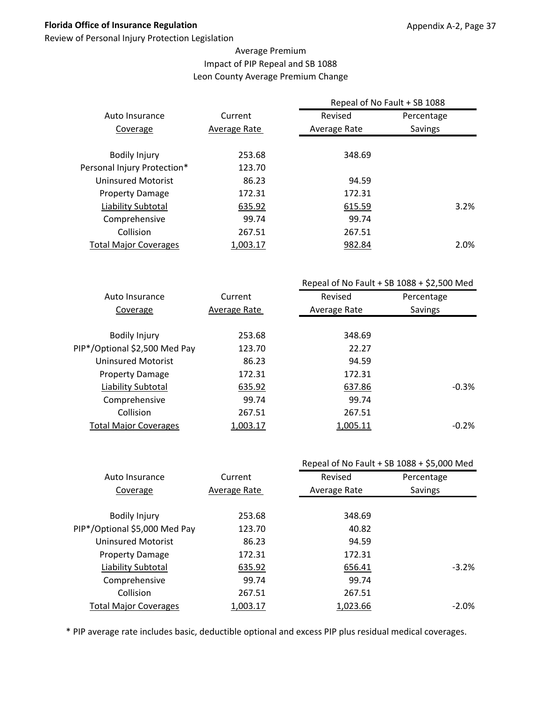Review of Personal Injury Protection Legislation

#### Average Premium Impact of PIP Repeal and SB 1088 Leon County Average Premium Change

|                              |              | Repeal of No Fault + SB 1088 |                |      |
|------------------------------|--------------|------------------------------|----------------|------|
| Auto Insurance               | Current      | Revised                      | Percentage     |      |
| Coverage                     | Average Rate | Average Rate                 | <b>Savings</b> |      |
|                              |              |                              |                |      |
| <b>Bodily Injury</b>         | 253.68       | 348.69                       |                |      |
| Personal Injury Protection*  | 123.70       |                              |                |      |
| Uninsured Motorist           | 86.23        | 94.59                        |                |      |
| <b>Property Damage</b>       | 172.31       | 172.31                       |                |      |
| Liability Subtotal           | 635.92       | 615.59                       |                | 3.2% |
| Comprehensive                | 99.74        | 99.74                        |                |      |
| Collision                    | 267.51       | 267.51                       |                |      |
| <b>Total Major Coverages</b> | 1,003.17     | 982.84                       |                | 2.0% |
|                              |              |                              |                |      |

|                               |              | Repeal of No Fault + SB $1088 + $2,500$ Med |            |
|-------------------------------|--------------|---------------------------------------------|------------|
| Auto Insurance                | Current      | Revised                                     | Percentage |
| Coverage                      | Average Rate | Average Rate                                | Savings    |
|                               |              |                                             |            |
| <b>Bodily Injury</b>          | 253.68       | 348.69                                      |            |
| PIP*/Optional \$2,500 Med Pay | 123.70       | 22.27                                       |            |
| <b>Uninsured Motorist</b>     | 86.23        | 94.59                                       |            |
| <b>Property Damage</b>        | 172.31       | 172.31                                      |            |
| Liability Subtotal            | 635.92       | 637.86                                      | $-0.3%$    |
| Comprehensive                 | 99.74        | 99.74                                       |            |
| Collision                     | 267.51       | 267.51                                      |            |
| <b>Total Major Coverages</b>  | 1,003.17     | 1,005.11                                    | $-0.2%$    |
|                               |              |                                             |            |

|                               |              |              | Repeal of No Fault + SB 1088 + \$5,000 Med |
|-------------------------------|--------------|--------------|--------------------------------------------|
| Auto Insurance                | Current      | Revised      | Percentage                                 |
| Coverage                      | Average Rate | Average Rate | Savings                                    |
|                               |              |              |                                            |
| <b>Bodily Injury</b>          | 253.68       | 348.69       |                                            |
| PIP*/Optional \$5,000 Med Pay | 123.70       | 40.82        |                                            |
| <b>Uninsured Motorist</b>     | 86.23        | 94.59        |                                            |
| <b>Property Damage</b>        | 172.31       | 172.31       |                                            |
| Liability Subtotal            | 635.92       | 656.41       | $-3.2\%$                                   |
| Comprehensive                 | 99.74        | 99.74        |                                            |
| Collision                     | 267.51       | 267.51       |                                            |
| <b>Total Major Coverages</b>  | 1,003.17     | 1,023.66     | $-2.0\%$                                   |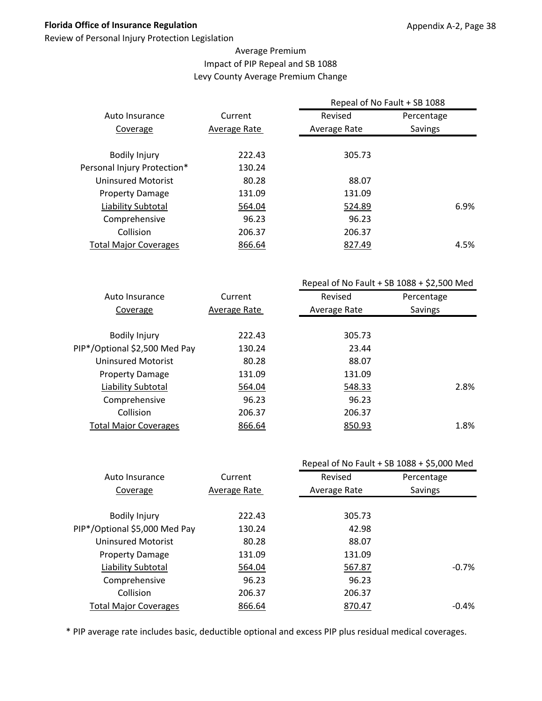Review of Personal Injury Protection Legislation

#### Average Premium Impact of PIP Repeal and SB 1088 Levy County Average Premium Change

|                              |              | Repeal of No Fault + SB 1088 |                |      |  |
|------------------------------|--------------|------------------------------|----------------|------|--|
| Auto Insurance               | Current      | Revised                      | Percentage     |      |  |
| Coverage                     | Average Rate | Average Rate                 | <b>Savings</b> |      |  |
|                              |              |                              |                |      |  |
| <b>Bodily Injury</b>         | 222.43       | 305.73                       |                |      |  |
| Personal Injury Protection*  | 130.24       |                              |                |      |  |
| Uninsured Motorist           | 80.28        | 88.07                        |                |      |  |
| <b>Property Damage</b>       | 131.09       | 131.09                       |                |      |  |
| Liability Subtotal           | 564.04       | 524.89                       |                | 6.9% |  |
| Comprehensive                | 96.23        | 96.23                        |                |      |  |
| Collision                    | 206.37       | 206.37                       |                |      |  |
| <b>Total Major Coverages</b> | 866.64       | 827.49                       |                | 4.5% |  |
|                              |              |                              |                |      |  |

|                               |              | Repeal of No Fault + SB $1088 + $2,500$ Med |            |  |
|-------------------------------|--------------|---------------------------------------------|------------|--|
| Auto Insurance                | Current      | Revised                                     | Percentage |  |
| Coverage                      | Average Rate | Average Rate                                | Savings    |  |
|                               |              |                                             |            |  |
| <b>Bodily Injury</b>          | 222.43       | 305.73                                      |            |  |
| PIP*/Optional \$2,500 Med Pay | 130.24       | 23.44                                       |            |  |
| Uninsured Motorist            | 80.28        | 88.07                                       |            |  |
| <b>Property Damage</b>        | 131.09       | 131.09                                      |            |  |
| Liability Subtotal            | 564.04       | 548.33                                      | 2.8%       |  |
| Comprehensive                 | 96.23        | 96.23                                       |            |  |
| Collision                     | 206.37       | 206.37                                      |            |  |
| <b>Total Major Coverages</b>  | 866.64       | 850.93                                      | 1.8%       |  |
|                               |              |                                             |            |  |

|                               |              |              | Repeal of No Fault + SB 1088 + \$5,000 Med |
|-------------------------------|--------------|--------------|--------------------------------------------|
| Auto Insurance                | Current      | Revised      | Percentage                                 |
| Coverage                      | Average Rate | Average Rate | Savings                                    |
|                               |              |              |                                            |
| <b>Bodily Injury</b>          | 222.43       | 305.73       |                                            |
| PIP*/Optional \$5,000 Med Pay | 130.24       | 42.98        |                                            |
| <b>Uninsured Motorist</b>     | 80.28        | 88.07        |                                            |
| <b>Property Damage</b>        | 131.09       | 131.09       |                                            |
| Liability Subtotal            | 564.04       | 567.87       | $-0.7%$                                    |
| Comprehensive                 | 96.23        | 96.23        |                                            |
| Collision                     | 206.37       | 206.37       |                                            |
| <b>Total Major Coverages</b>  | 866.64       | 870.47       | $-0.4\%$                                   |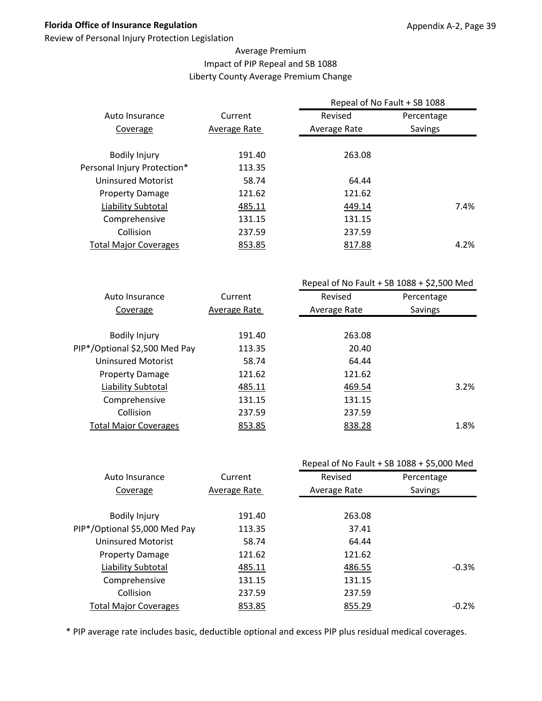Review of Personal Injury Protection Legislation

#### Average Premium Impact of PIP Repeal and SB 1088 Liberty County Average Premium Change

|                              |              | Repeal of No Fault + SB 1088 |                |      |  |
|------------------------------|--------------|------------------------------|----------------|------|--|
| Auto Insurance               | Current      | Revised                      | Percentage     |      |  |
| Coverage                     | Average Rate | Average Rate                 | <b>Savings</b> |      |  |
|                              |              |                              |                |      |  |
| <b>Bodily Injury</b>         | 191.40       | 263.08                       |                |      |  |
| Personal Injury Protection*  | 113.35       |                              |                |      |  |
| Uninsured Motorist           | 58.74        | 64.44                        |                |      |  |
| <b>Property Damage</b>       | 121.62       | 121.62                       |                |      |  |
| Liability Subtotal           | 485.11       | 449.14                       |                | 7.4% |  |
| Comprehensive                | 131.15       | 131.15                       |                |      |  |
| Collision                    | 237.59       | 237.59                       |                |      |  |
| <b>Total Major Coverages</b> | 853.85       | 817.88                       |                | 4.2% |  |
|                              |              |                              |                |      |  |

|                               |              | Repeal of No Fault + SB $1088 + $2,500$ Med |            |
|-------------------------------|--------------|---------------------------------------------|------------|
| Auto Insurance                | Current      | Revised                                     | Percentage |
| Coverage                      | Average Rate | Average Rate                                | Savings    |
|                               |              |                                             |            |
| <b>Bodily Injury</b>          | 191.40       | 263.08                                      |            |
| PIP*/Optional \$2,500 Med Pay | 113.35       | 20.40                                       |            |
| Uninsured Motorist            | 58.74        | 64.44                                       |            |
| <b>Property Damage</b>        | 121.62       | 121.62                                      |            |
| Liability Subtotal            | 485.11       | 469.54                                      | 3.2%       |
| Comprehensive                 | 131.15       | 131.15                                      |            |
| Collision                     | 237.59       | 237.59                                      |            |
| <b>Total Major Coverages</b>  | 853.85       | 838.28                                      | 1.8%       |
|                               |              |                                             |            |

|                               |              |              | Repeal of No Fault + SB 1088 + \$5,000 Med |
|-------------------------------|--------------|--------------|--------------------------------------------|
| Auto Insurance                | Current      | Revised      | Percentage                                 |
| Coverage                      | Average Rate | Average Rate | Savings                                    |
|                               |              |              |                                            |
| <b>Bodily Injury</b>          | 191.40       | 263.08       |                                            |
| PIP*/Optional \$5,000 Med Pay | 113.35       | 37.41        |                                            |
| <b>Uninsured Motorist</b>     | 58.74        | 64.44        |                                            |
| <b>Property Damage</b>        | 121.62       | 121.62       |                                            |
| Liability Subtotal            | 485.11       | 486.55       | $-0.3%$                                    |
| Comprehensive                 | 131.15       | 131.15       |                                            |
| Collision                     | 237.59       | 237.59       |                                            |
| <b>Total Major Coverages</b>  | 853.85       | 855.29       | $-0.2\%$                                   |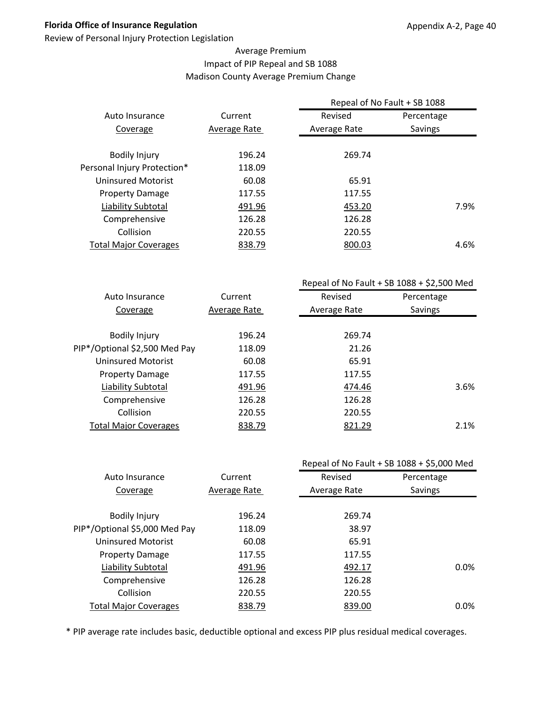Review of Personal Injury Protection Legislation

#### Average Premium Impact of PIP Repeal and SB 1088 Madison County Average Premium Change

|                              |              | Repeal of No Fault + SB 1088 |                |
|------------------------------|--------------|------------------------------|----------------|
| Auto Insurance               | Current      | Revised                      | Percentage     |
| Coverage                     | Average Rate | Average Rate                 | <b>Savings</b> |
|                              |              |                              |                |
| <b>Bodily Injury</b>         | 196.24       | 269.74                       |                |
| Personal Injury Protection*  | 118.09       |                              |                |
| Uninsured Motorist           | 60.08        | 65.91                        |                |
| <b>Property Damage</b>       | 117.55       | 117.55                       |                |
| Liability Subtotal           | 491.96       | 453.20                       | 7.9%           |
| Comprehensive                | 126.28       | 126.28                       |                |
| Collision                    | 220.55       | 220.55                       |                |
| <b>Total Major Coverages</b> | 838.79       | 800.03                       | 4.6%           |
|                              |              |                              |                |

|                               |              | Repeal of No Fault + SB $1088 + $2,500$ Med |            |  |
|-------------------------------|--------------|---------------------------------------------|------------|--|
| Auto Insurance                | Current      | Revised                                     | Percentage |  |
| Coverage                      | Average Rate | Average Rate                                | Savings    |  |
|                               |              |                                             |            |  |
| <b>Bodily Injury</b>          | 196.24       | 269.74                                      |            |  |
| PIP*/Optional \$2,500 Med Pay | 118.09       | 21.26                                       |            |  |
| Uninsured Motorist            | 60.08        | 65.91                                       |            |  |
| <b>Property Damage</b>        | 117.55       | 117.55                                      |            |  |
| Liability Subtotal            | 491.96       | 474.46                                      | 3.6%       |  |
| Comprehensive                 | 126.28       | 126.28                                      |            |  |
| Collision                     | 220.55       | 220.55                                      |            |  |
| <b>Total Major Coverages</b>  | 838.79       | 821.29                                      | 2.1%       |  |
|                               |              |                                             |            |  |

|                               |              |              | Repeal of No Fault + SB 1088 + \$5,000 Med |
|-------------------------------|--------------|--------------|--------------------------------------------|
| Auto Insurance                | Current      | Revised      | Percentage                                 |
| Coverage                      | Average Rate | Average Rate | Savings                                    |
|                               |              |              |                                            |
| <b>Bodily Injury</b>          | 196.24       | 269.74       |                                            |
| PIP*/Optional \$5,000 Med Pay | 118.09       | 38.97        |                                            |
| <b>Uninsured Motorist</b>     | 60.08        | 65.91        |                                            |
| <b>Property Damage</b>        | 117.55       | 117.55       |                                            |
| Liability Subtotal            | 491.96       | 492.17       | $0.0\%$                                    |
| Comprehensive                 | 126.28       | 126.28       |                                            |
| Collision                     | 220.55       | 220.55       |                                            |
| <b>Total Major Coverages</b>  | 838.79       | 839.00       | $0.0\%$                                    |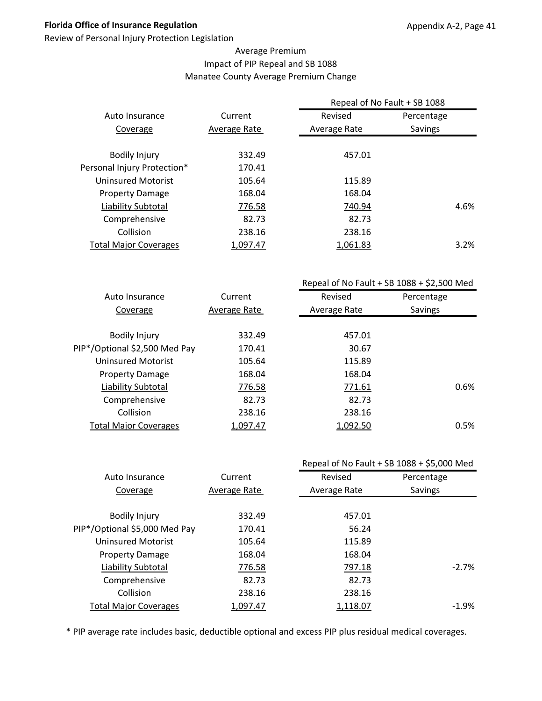Review of Personal Injury Protection Legislation

#### Average Premium Impact of PIP Repeal and SB 1088 Manatee County Average Premium Change

|                              |              | Repeal of No Fault + SB 1088 |            |      |
|------------------------------|--------------|------------------------------|------------|------|
| Auto Insurance               | Current      | Revised                      | Percentage |      |
| Coverage                     | Average Rate | Average Rate                 | Savings    |      |
| <b>Bodily Injury</b>         | 332.49       | 457.01                       |            |      |
| Personal Injury Protection*  | 170.41       |                              |            |      |
| Uninsured Motorist           | 105.64       | 115.89                       |            |      |
| <b>Property Damage</b>       | 168.04       | 168.04                       |            |      |
| Liability Subtotal           | 776.58       | 740.94                       |            | 4.6% |
| Comprehensive                | 82.73        | 82.73                        |            |      |
| Collision                    | 238.16       | 238.16                       |            |      |
| <b>Total Major Coverages</b> | 1.097.47     | 1.061.83                     |            | 3.2% |

|                               |              | Repeal of No Fault + SB $1088 + $2,500$ Med |            |  |
|-------------------------------|--------------|---------------------------------------------|------------|--|
| Auto Insurance                | Current      | Revised                                     | Percentage |  |
| Coverage                      | Average Rate | Average Rate                                | Savings    |  |
|                               |              |                                             |            |  |
| <b>Bodily Injury</b>          | 332.49       | 457.01                                      |            |  |
| PIP*/Optional \$2,500 Med Pay | 170.41       | 30.67                                       |            |  |
| Uninsured Motorist            | 105.64       | 115.89                                      |            |  |
| <b>Property Damage</b>        | 168.04       | 168.04                                      |            |  |
| Liability Subtotal            | 776.58       | 771.61                                      | 0.6%       |  |
| Comprehensive                 | 82.73        | 82.73                                       |            |  |
| Collision                     | 238.16       | 238.16                                      |            |  |
| <b>Total Major Coverages</b>  | 1,097.47     | 1,092.50                                    | 0.5%       |  |
|                               |              |                                             |            |  |

|                               |              |              | Repeal of No Fault + SB 1088 + \$5,000 Med |
|-------------------------------|--------------|--------------|--------------------------------------------|
| Auto Insurance                | Current      | Revised      | Percentage                                 |
| Coverage                      | Average Rate | Average Rate | Savings                                    |
|                               |              |              |                                            |
| <b>Bodily Injury</b>          | 332.49       | 457.01       |                                            |
| PIP*/Optional \$5,000 Med Pay | 170.41       | 56.24        |                                            |
| <b>Uninsured Motorist</b>     | 105.64       | 115.89       |                                            |
| <b>Property Damage</b>        | 168.04       | 168.04       |                                            |
| Liability Subtotal            | 776.58       | 797.18       | $-2.7%$                                    |
| Comprehensive                 | 82.73        | 82.73        |                                            |
| Collision                     | 238.16       | 238.16       |                                            |
| <b>Total Major Coverages</b>  | 1,097.47     | 1,118.07     | $-1.9\%$                                   |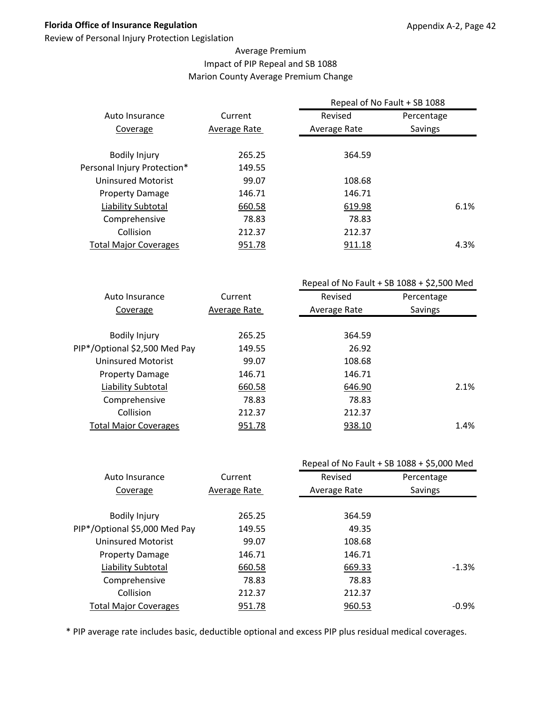Review of Personal Injury Protection Legislation

#### Average Premium Impact of PIP Repeal and SB 1088 Marion County Average Premium Change

|                              |              | Repeal of No Fault + SB 1088 |            |      |  |
|------------------------------|--------------|------------------------------|------------|------|--|
| Auto Insurance               | Current      | Revised                      | Percentage |      |  |
| Coverage                     | Average Rate | Average Rate                 | Savings    |      |  |
|                              |              |                              |            |      |  |
| <b>Bodily Injury</b>         | 265.25       | 364.59                       |            |      |  |
| Personal Injury Protection*  | 149.55       |                              |            |      |  |
| Uninsured Motorist           | 99.07        | 108.68                       |            |      |  |
| <b>Property Damage</b>       | 146.71       | 146.71                       |            |      |  |
| Liability Subtotal           | 660.58       | 619.98                       |            | 6.1% |  |
| Comprehensive                | 78.83        | 78.83                        |            |      |  |
| Collision                    | 212.37       | 212.37                       |            |      |  |
| <b>Total Major Coverages</b> | 951.78       | 911.18                       |            | 4.3% |  |
|                              |              |                              |            |      |  |

|                               |              | Repeal of No Fault + SB $1088 + $2,500$ Med |            |  |
|-------------------------------|--------------|---------------------------------------------|------------|--|
| Auto Insurance                | Current      | Revised                                     | Percentage |  |
| Coverage                      | Average Rate | Average Rate                                | Savings    |  |
|                               |              |                                             |            |  |
| <b>Bodily Injury</b>          | 265.25       | 364.59                                      |            |  |
| PIP*/Optional \$2,500 Med Pay | 149.55       | 26.92                                       |            |  |
| Uninsured Motorist            | 99.07        | 108.68                                      |            |  |
| <b>Property Damage</b>        | 146.71       | 146.71                                      |            |  |
| Liability Subtotal            | 660.58       | 646.90                                      | 2.1%       |  |
| Comprehensive                 | 78.83        | 78.83                                       |            |  |
| Collision                     | 212.37       | 212.37                                      |            |  |
| <b>Total Major Coverages</b>  | 951.78       | 938.10                                      | 1.4%       |  |
|                               |              |                                             |            |  |

|                               |              |              | Repeal of No Fault + SB 1088 + \$5,000 Med |
|-------------------------------|--------------|--------------|--------------------------------------------|
| Auto Insurance                | Current      | Revised      | Percentage                                 |
| Coverage                      | Average Rate | Average Rate | Savings                                    |
|                               |              |              |                                            |
| <b>Bodily Injury</b>          | 265.25       | 364.59       |                                            |
| PIP*/Optional \$5,000 Med Pay | 149.55       | 49.35        |                                            |
| <b>Uninsured Motorist</b>     | 99.07        | 108.68       |                                            |
| <b>Property Damage</b>        | 146.71       | 146.71       |                                            |
| Liability Subtotal            | 660.58       | 669.33       | $-1.3%$                                    |
| Comprehensive                 | 78.83        | 78.83        |                                            |
| Collision                     | 212.37       | 212.37       |                                            |
| <b>Total Major Coverages</b>  | 951.78       | 960.53       | $-0.9%$                                    |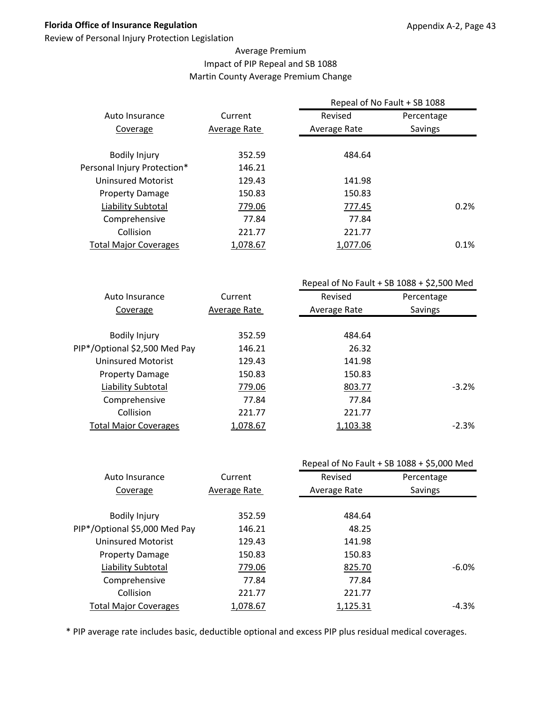Review of Personal Injury Protection Legislation

#### Average Premium Impact of PIP Repeal and SB 1088 Martin County Average Premium Change

|                              |              | Repeal of No Fault + SB 1088 |            |
|------------------------------|--------------|------------------------------|------------|
| Auto Insurance               | Current      | Revised                      | Percentage |
| Coverage                     | Average Rate | Average Rate                 | Savings    |
|                              |              |                              |            |
| <b>Bodily Injury</b>         | 352.59       | 484.64                       |            |
| Personal Injury Protection*  | 146.21       |                              |            |
| <b>Uninsured Motorist</b>    | 129.43       | 141.98                       |            |
| <b>Property Damage</b>       | 150.83       | 150.83                       |            |
| Liability Subtotal           | 779.06       | 777.45                       | 0.2%       |
| Comprehensive                | 77.84        | 77.84                        |            |
| Collision                    | 221.77       | 221.77                       |            |
| <b>Total Major Coverages</b> | 1,078.67     | 1,077.06                     | 0.1%       |
|                              |              |                              |            |

|                               |              |              | Repeal of No Fault + SB $1088 + $2,500$ Med |
|-------------------------------|--------------|--------------|---------------------------------------------|
| Auto Insurance                | Current      | Revised      | Percentage                                  |
| Coverage                      | Average Rate | Average Rate | Savings                                     |
|                               |              |              |                                             |
| <b>Bodily Injury</b>          | 352.59       | 484.64       |                                             |
| PIP*/Optional \$2,500 Med Pay | 146.21       | 26.32        |                                             |
| Uninsured Motorist            | 129.43       | 141.98       |                                             |
| <b>Property Damage</b>        | 150.83       | 150.83       |                                             |
| Liability Subtotal            | 779.06       | 803.77       | $-3.2%$                                     |
| Comprehensive                 | 77.84        | 77.84        |                                             |
| Collision                     | 221.77       | 221.77       |                                             |
| <b>Total Major Coverages</b>  | 1,078.67     | 1,103.38     | $-2.3%$                                     |
|                               |              |              |                                             |

|                               |              |              | Repeal of No Fault + SB 1088 + \$5,000 Med |
|-------------------------------|--------------|--------------|--------------------------------------------|
| Auto Insurance                | Current      | Revised      | Percentage                                 |
| Coverage                      | Average Rate | Average Rate | Savings                                    |
|                               |              |              |                                            |
| <b>Bodily Injury</b>          | 352.59       | 484.64       |                                            |
| PIP*/Optional \$5,000 Med Pay | 146.21       | 48.25        |                                            |
| <b>Uninsured Motorist</b>     | 129.43       | 141.98       |                                            |
| <b>Property Damage</b>        | 150.83       | 150.83       |                                            |
| Liability Subtotal            | 779.06       | 825.70       | $-6.0\%$                                   |
| Comprehensive                 | 77.84        | 77.84        |                                            |
| Collision                     | 221.77       | 221.77       |                                            |
| <b>Total Major Coverages</b>  | 1,078.67     | 1,125.31     | -4.3%                                      |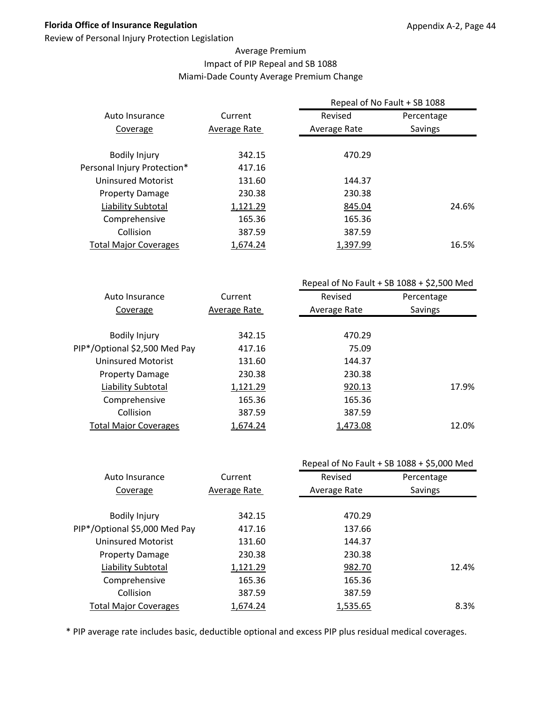Review of Personal Injury Protection Legislation

#### Average Premium Impact of PIP Repeal and SB 1088 Miami‐Dade County Average Premium Change

|                              |              | Repeal of No Fault + SB 1088 |            |
|------------------------------|--------------|------------------------------|------------|
| Auto Insurance               | Current      | Revised                      | Percentage |
| Coverage                     | Average Rate | Average Rate                 | Savings    |
|                              |              |                              |            |
| <b>Bodily Injury</b>         | 342.15       | 470.29                       |            |
| Personal Injury Protection*  | 417.16       |                              |            |
| Uninsured Motorist           | 131.60       | 144.37                       |            |
| <b>Property Damage</b>       | 230.38       | 230.38                       |            |
| Liability Subtotal           | 1,121.29     | 845.04                       | 24.6%      |
| Comprehensive                | 165.36       | 165.36                       |            |
| Collision                    | 387.59       | 387.59                       |            |
| <b>Total Major Coverages</b> | 1,674.24     | 1,397.99                     | 16.5%      |
|                              |              |                              |            |

|                               |              | Repeal of No Fault + SB $1088 + $2,500$ Med |            |  |
|-------------------------------|--------------|---------------------------------------------|------------|--|
| Auto Insurance                | Current      | Revised                                     | Percentage |  |
| Coverage                      | Average Rate | Average Rate                                | Savings    |  |
|                               |              |                                             |            |  |
| <b>Bodily Injury</b>          | 342.15       | 470.29                                      |            |  |
| PIP*/Optional \$2,500 Med Pay | 417.16       | 75.09                                       |            |  |
| <b>Uninsured Motorist</b>     | 131.60       | 144.37                                      |            |  |
| <b>Property Damage</b>        | 230.38       | 230.38                                      |            |  |
| Liability Subtotal            | 1,121.29     | 920.13                                      | 17.9%      |  |
| Comprehensive                 | 165.36       | 165.36                                      |            |  |
| Collision                     | 387.59       | 387.59                                      |            |  |
| <b>Total Major Coverages</b>  | 1,674.24     | 1,473.08                                    | 12.0%      |  |
|                               |              |                                             |            |  |

|                               |              |              | Repeal of No Fault + SB 1088 + \$5,000 Med |
|-------------------------------|--------------|--------------|--------------------------------------------|
| Auto Insurance                | Current      | Revised      | Percentage                                 |
| Coverage                      | Average Rate | Average Rate | Savings                                    |
|                               |              |              |                                            |
| <b>Bodily Injury</b>          | 342.15       | 470.29       |                                            |
| PIP*/Optional \$5,000 Med Pay | 417.16       | 137.66       |                                            |
| <b>Uninsured Motorist</b>     | 131.60       | 144.37       |                                            |
| <b>Property Damage</b>        | 230.38       | 230.38       |                                            |
| Liability Subtotal            | 1,121.29     | 982.70       | 12.4%                                      |
| Comprehensive                 | 165.36       | 165.36       |                                            |
| Collision                     | 387.59       | 387.59       |                                            |
| <b>Total Major Coverages</b>  | 1,674.24     | 1,535.65     | 8.3%                                       |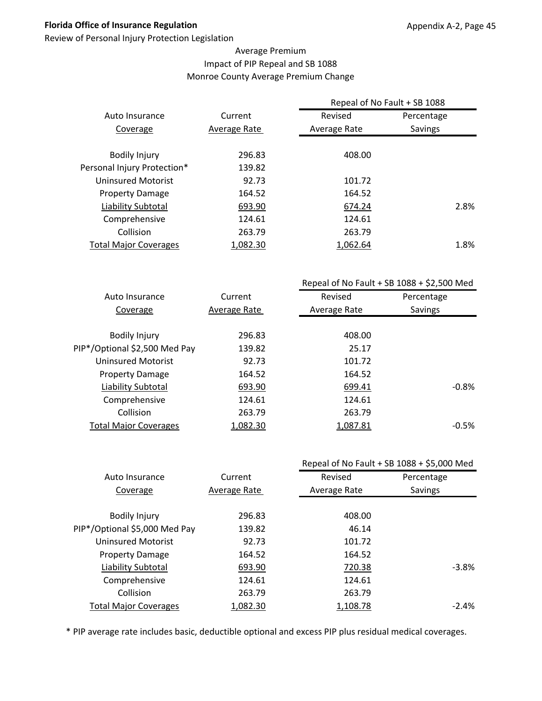Review of Personal Injury Protection Legislation

#### Average Premium Impact of PIP Repeal and SB 1088 Monroe County Average Premium Change

|                              |              | Repeal of No Fault + SB 1088 |            |      |
|------------------------------|--------------|------------------------------|------------|------|
| Auto Insurance               | Current      | Revised                      | Percentage |      |
| Coverage                     | Average Rate | Average Rate                 | Savings    |      |
|                              |              |                              |            |      |
| <b>Bodily Injury</b>         | 296.83       | 408.00                       |            |      |
| Personal Injury Protection*  | 139.82       |                              |            |      |
| Uninsured Motorist           | 92.73        | 101.72                       |            |      |
| <b>Property Damage</b>       | 164.52       | 164.52                       |            |      |
| Liability Subtotal           | 693.90       | 674.24                       |            | 2.8% |
| Comprehensive                | 124.61       | 124.61                       |            |      |
| Collision                    | 263.79       | 263.79                       |            |      |
| <b>Total Major Coverages</b> | 1,082.30     | 1,062.64                     |            | 1.8% |
|                              |              |                              |            |      |

|                               |              | Repeal of No Fault + SB $1088 + $2,500$ Med |            |  |
|-------------------------------|--------------|---------------------------------------------|------------|--|
| Auto Insurance                | Current      | Revised                                     | Percentage |  |
| Coverage                      | Average Rate | Average Rate                                | Savings    |  |
|                               |              |                                             |            |  |
| <b>Bodily Injury</b>          | 296.83       | 408.00                                      |            |  |
| PIP*/Optional \$2,500 Med Pay | 139.82       | 25.17                                       |            |  |
| Uninsured Motorist            | 92.73        | 101.72                                      |            |  |
| <b>Property Damage</b>        | 164.52       | 164.52                                      |            |  |
| Liability Subtotal            | 693.90       | 699.41                                      | $-0.8%$    |  |
| Comprehensive                 | 124.61       | 124.61                                      |            |  |
| Collision                     | 263.79       | 263.79                                      |            |  |
| <b>Total Major Coverages</b>  | 1,082.30     | 1,087.81                                    | $-0.5%$    |  |
|                               |              |                                             |            |  |

|                               |              |              | Repeal of No Fault + SB 1088 + \$5,000 Med |
|-------------------------------|--------------|--------------|--------------------------------------------|
| Auto Insurance                | Current      | Revised      | Percentage                                 |
| Coverage                      | Average Rate | Average Rate | Savings                                    |
|                               |              |              |                                            |
| <b>Bodily Injury</b>          | 296.83       | 408.00       |                                            |
| PIP*/Optional \$5,000 Med Pay | 139.82       | 46.14        |                                            |
| <b>Uninsured Motorist</b>     | 92.73        | 101.72       |                                            |
| <b>Property Damage</b>        | 164.52       | 164.52       |                                            |
| Liability Subtotal            | 693.90       | 720.38       | $-3.8%$                                    |
| Comprehensive                 | 124.61       | 124.61       |                                            |
| Collision                     | 263.79       | 263.79       |                                            |
| <b>Total Major Coverages</b>  | 1,082.30     | 1,108.78     | $-2.4%$                                    |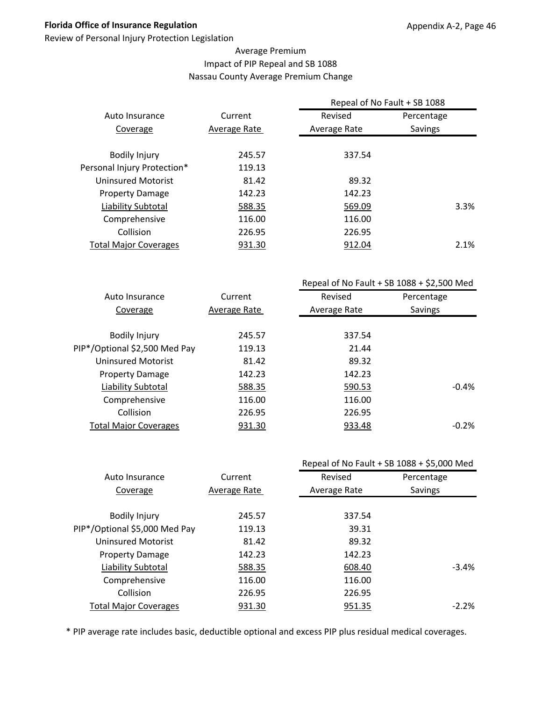Review of Personal Injury Protection Legislation

#### Average Premium Impact of PIP Repeal and SB 1088 Nassau County Average Premium Change

|                              |              | Repeal of No Fault + SB 1088 |            |  |
|------------------------------|--------------|------------------------------|------------|--|
| Auto Insurance               | Current      | Revised                      | Percentage |  |
| Coverage                     | Average Rate | Average Rate                 | Savings    |  |
|                              |              |                              |            |  |
| <b>Bodily Injury</b>         | 245.57       | 337.54                       |            |  |
| Personal Injury Protection*  | 119.13       |                              |            |  |
| Uninsured Motorist           | 81.42        | 89.32                        |            |  |
| <b>Property Damage</b>       | 142.23       | 142.23                       |            |  |
| Liability Subtotal           | 588.35       | 569.09                       | 3.3%       |  |
| Comprehensive                | 116.00       | 116.00                       |            |  |
| Collision                    | 226.95       | 226.95                       |            |  |
| <b>Total Major Coverages</b> | 931.30       | 912.04                       | 2.1%       |  |
|                              |              |                              |            |  |

|                               |              | Repeal of No Fault + SB $1088 + $2,500$ Med |            |  |
|-------------------------------|--------------|---------------------------------------------|------------|--|
| Auto Insurance                | Current      | Revised                                     | Percentage |  |
| Coverage                      | Average Rate | Average Rate                                | Savings    |  |
|                               |              |                                             |            |  |
| <b>Bodily Injury</b>          | 245.57       | 337.54                                      |            |  |
| PIP*/Optional \$2,500 Med Pay | 119.13       | 21.44                                       |            |  |
| Uninsured Motorist            | 81.42        | 89.32                                       |            |  |
| <b>Property Damage</b>        | 142.23       | 142.23                                      |            |  |
| Liability Subtotal            | 588.35       | 590.53                                      | $-0.4%$    |  |
| Comprehensive                 | 116.00       | 116.00                                      |            |  |
| Collision                     | 226.95       | 226.95                                      |            |  |
| <b>Total Major Coverages</b>  | 931.30       | 933.48                                      | $-0.2%$    |  |
|                               |              |                                             |            |  |

|                               |              |              | Repeal of No Fault + SB 1088 + \$5,000 Med |
|-------------------------------|--------------|--------------|--------------------------------------------|
| Auto Insurance                | Current      | Revised      | Percentage                                 |
| Coverage                      | Average Rate | Average Rate | Savings                                    |
|                               |              |              |                                            |
| <b>Bodily Injury</b>          | 245.57       | 337.54       |                                            |
| PIP*/Optional \$5,000 Med Pay | 119.13       | 39.31        |                                            |
| <b>Uninsured Motorist</b>     | 81.42        | 89.32        |                                            |
| <b>Property Damage</b>        | 142.23       | 142.23       |                                            |
| Liability Subtotal            | 588.35       | 608.40       | $-3.4%$                                    |
| Comprehensive                 | 116.00       | 116.00       |                                            |
| Collision                     | 226.95       | 226.95       |                                            |
| <b>Total Major Coverages</b>  | 931.30       | 951.35       | $-2.2\%$                                   |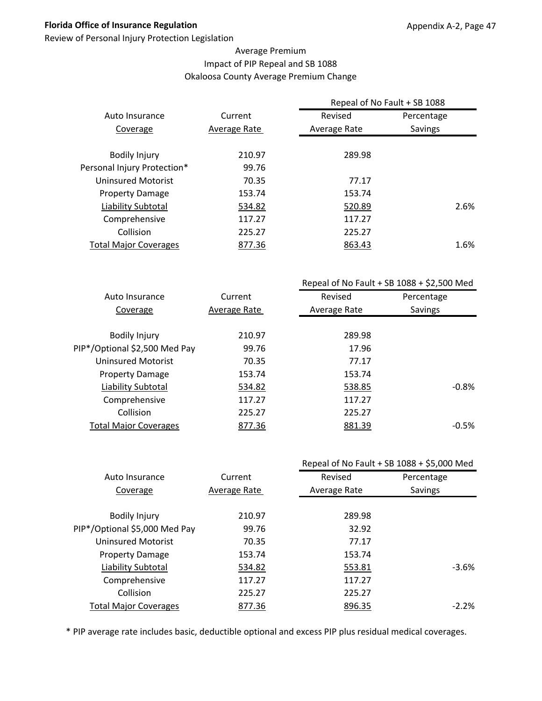Review of Personal Injury Protection Legislation

#### Average Premium Impact of PIP Repeal and SB 1088 Okaloosa County Average Premium Change

|                              |              | Repeal of No Fault + SB 1088 |                |  |
|------------------------------|--------------|------------------------------|----------------|--|
| Auto Insurance               | Current      | Revised                      | Percentage     |  |
| Coverage                     | Average Rate | Average Rate                 | <b>Savings</b> |  |
|                              |              |                              |                |  |
| <b>Bodily Injury</b>         | 210.97       | 289.98                       |                |  |
| Personal Injury Protection*  | 99.76        |                              |                |  |
| Uninsured Motorist           | 70.35        | 77.17                        |                |  |
| <b>Property Damage</b>       | 153.74       | 153.74                       |                |  |
| Liability Subtotal           | 534.82       | 520.89                       | 2.6%           |  |
| Comprehensive                | 117.27       | 117.27                       |                |  |
| Collision                    | 225.27       | 225.27                       |                |  |
| <b>Total Major Coverages</b> | 877.36       | 863.43                       | 1.6%           |  |
|                              |              |                              |                |  |

|                               |              | Repeal of No Fault + SB $1088 + $2,500$ Med |            |  |
|-------------------------------|--------------|---------------------------------------------|------------|--|
| Auto Insurance                | Current      | Revised                                     | Percentage |  |
| Coverage                      | Average Rate | Average Rate                                | Savings    |  |
|                               |              |                                             |            |  |
| <b>Bodily Injury</b>          | 210.97       | 289.98                                      |            |  |
| PIP*/Optional \$2,500 Med Pay | 99.76        | 17.96                                       |            |  |
| <b>Uninsured Motorist</b>     | 70.35        | 77.17                                       |            |  |
| <b>Property Damage</b>        | 153.74       | 153.74                                      |            |  |
| Liability Subtotal            | 534.82       | 538.85                                      | $-0.8%$    |  |
| Comprehensive                 | 117.27       | 117.27                                      |            |  |
| Collision                     | 225.27       | 225.27                                      |            |  |
| <b>Total Major Coverages</b>  | 877.36       | 881.39                                      | $-0.5%$    |  |
|                               |              |                                             |            |  |

|                               |              |              | Repeal of No Fault + SB 1088 + \$5,000 Med |
|-------------------------------|--------------|--------------|--------------------------------------------|
| Auto Insurance                | Current      | Revised      | Percentage                                 |
| Coverage                      | Average Rate | Average Rate | Savings                                    |
|                               |              |              |                                            |
| <b>Bodily Injury</b>          | 210.97       | 289.98       |                                            |
| PIP*/Optional \$5,000 Med Pay | 99.76        | 32.92        |                                            |
| <b>Uninsured Motorist</b>     | 70.35        | 77.17        |                                            |
| <b>Property Damage</b>        | 153.74       | 153.74       |                                            |
| Liability Subtotal            | 534.82       | 553.81       | $-3.6%$                                    |
| Comprehensive                 | 117.27       | 117.27       |                                            |
| Collision                     | 225.27       | 225.27       |                                            |
| <b>Total Major Coverages</b>  | 877.36       | 896.35       | $-2.2%$                                    |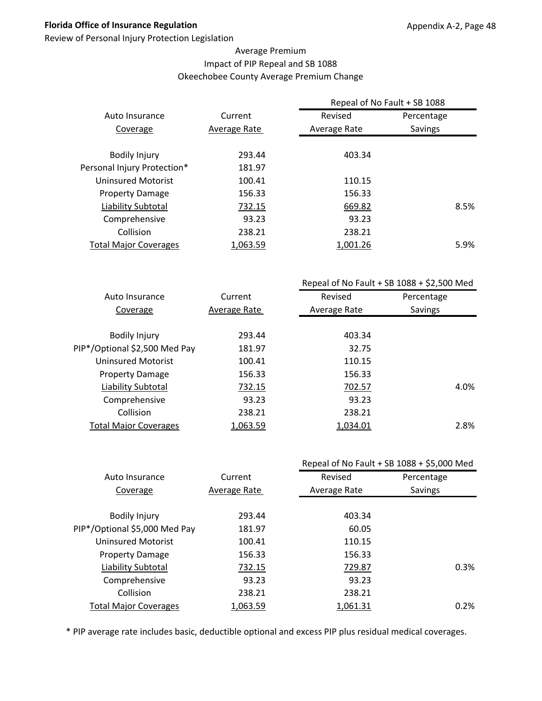Review of Personal Injury Protection Legislation

#### Average Premium Impact of PIP Repeal and SB 1088 Okeechobee County Average Premium Change

|                              |              | Repeal of No Fault + SB 1088 |            |      |
|------------------------------|--------------|------------------------------|------------|------|
| Auto Insurance               | Current      | Revised                      | Percentage |      |
| Coverage                     | Average Rate | Average Rate                 | Savings    |      |
| <b>Bodily Injury</b>         | 293.44       | 403.34                       |            |      |
| Personal Injury Protection*  | 181.97       |                              |            |      |
| <b>Uninsured Motorist</b>    | 100.41       | 110.15                       |            |      |
| <b>Property Damage</b>       | 156.33       | 156.33                       |            |      |
| Liability Subtotal           | 732.15       | 669.82                       |            | 8.5% |
| Comprehensive                | 93.23        | 93.23                        |            |      |
| Collision                    | 238.21       | 238.21                       |            |      |
| <b>Total Major Coverages</b> | 1.063.59     | 1.001.26                     |            | 5.9% |

|                               |              | Repeal of No Fault + SB $1088 + $2,500$ Med |            |  |
|-------------------------------|--------------|---------------------------------------------|------------|--|
| Auto Insurance                | Current      | Revised                                     | Percentage |  |
| Coverage                      | Average Rate | Average Rate                                | Savings    |  |
|                               |              |                                             |            |  |
| <b>Bodily Injury</b>          | 293.44       | 403.34                                      |            |  |
| PIP*/Optional \$2,500 Med Pay | 181.97       | 32.75                                       |            |  |
| <b>Uninsured Motorist</b>     | 100.41       | 110.15                                      |            |  |
| <b>Property Damage</b>        | 156.33       | 156.33                                      |            |  |
| Liability Subtotal            | 732.15       | 702.57                                      | 4.0%       |  |
| Comprehensive                 | 93.23        | 93.23                                       |            |  |
| Collision                     | 238.21       | 238.21                                      |            |  |
| <b>Total Major Coverages</b>  | 1,063.59     | 1,034.01                                    | 2.8%       |  |
|                               |              |                                             |            |  |

|                               |              | Repeal of No Fault + SB 1088 + \$5,000 Med |            |  |
|-------------------------------|--------------|--------------------------------------------|------------|--|
| Auto Insurance                | Current      | Revised                                    | Percentage |  |
| Coverage                      | Average Rate | Average Rate                               | Savings    |  |
|                               |              |                                            |            |  |
| <b>Bodily Injury</b>          | 293.44       | 403.34                                     |            |  |
| PIP*/Optional \$5,000 Med Pay | 181.97       | 60.05                                      |            |  |
| <b>Uninsured Motorist</b>     | 100.41       | 110.15                                     |            |  |
| <b>Property Damage</b>        | 156.33       | 156.33                                     |            |  |
| Liability Subtotal            | 732.15       | 729.87                                     | 0.3%       |  |
| Comprehensive                 | 93.23        | 93.23                                      |            |  |
| Collision                     | 238.21       | 238.21                                     |            |  |
| <b>Total Major Coverages</b>  | 1,063.59     | 1,061.31                                   | 0.2%       |  |
|                               |              |                                            |            |  |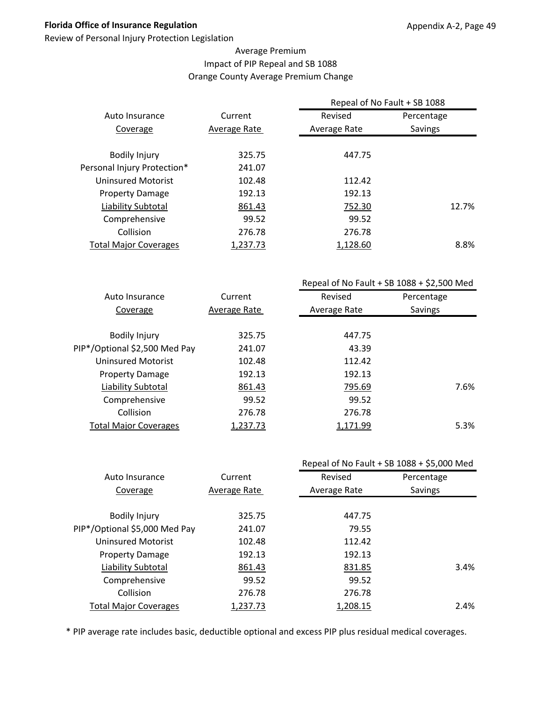Review of Personal Injury Protection Legislation

#### Average Premium Impact of PIP Repeal and SB 1088 Orange County Average Premium Change

|                              |              | Repeal of No Fault + SB 1088 |            |
|------------------------------|--------------|------------------------------|------------|
| Auto Insurance               | Current      | Revised                      | Percentage |
| Coverage                     | Average Rate | Average Rate                 | Savings    |
|                              |              |                              |            |
| <b>Bodily Injury</b>         | 325.75       | 447.75                       |            |
| Personal Injury Protection*  | 241.07       |                              |            |
| Uninsured Motorist           | 102.48       | 112.42                       |            |
| <b>Property Damage</b>       | 192.13       | 192.13                       |            |
| Liability Subtotal           | 861.43       | 752.30                       | 12.7%      |
| Comprehensive                | 99.52        | 99.52                        |            |
| Collision                    | 276.78       | 276.78                       |            |
| <b>Total Major Coverages</b> | 1,237.73     | 1,128.60                     | 8.8%       |

|                               |              | Repeal of No Fault + SB $1088 + $2,500$ Med |            |  |
|-------------------------------|--------------|---------------------------------------------|------------|--|
| Auto Insurance                | Current      | Revised                                     | Percentage |  |
| Coverage                      | Average Rate | Average Rate                                | Savings    |  |
|                               |              |                                             |            |  |
| <b>Bodily Injury</b>          | 325.75       | 447.75                                      |            |  |
| PIP*/Optional \$2,500 Med Pay | 241.07       | 43.39                                       |            |  |
| Uninsured Motorist            | 102.48       | 112.42                                      |            |  |
| <b>Property Damage</b>        | 192.13       | 192.13                                      |            |  |
| Liability Subtotal            | 861.43       | 795.69                                      | 7.6%       |  |
| Comprehensive                 | 99.52        | 99.52                                       |            |  |
| Collision                     | 276.78       | 276.78                                      |            |  |
| <b>Total Major Coverages</b>  | 1,237.73     | 1,171.99                                    | 5.3%       |  |
|                               |              |                                             |            |  |

|                               |              |              | Repeal of No Fault + SB 1088 + \$5,000 Med |
|-------------------------------|--------------|--------------|--------------------------------------------|
| Auto Insurance                | Current      | Revised      | Percentage                                 |
| Coverage                      | Average Rate | Average Rate | Savings                                    |
|                               |              |              |                                            |
| <b>Bodily Injury</b>          | 325.75       | 447.75       |                                            |
| PIP*/Optional \$5,000 Med Pay | 241.07       | 79.55        |                                            |
| <b>Uninsured Motorist</b>     | 102.48       | 112.42       |                                            |
| <b>Property Damage</b>        | 192.13       | 192.13       |                                            |
| <b>Liability Subtotal</b>     | 861.43       | 831.85       | 3.4%                                       |
| Comprehensive                 | 99.52        | 99.52        |                                            |
| Collision                     | 276.78       | 276.78       |                                            |
| <b>Total Major Coverages</b>  | 1,237.73     | 1,208.15     | 2.4%                                       |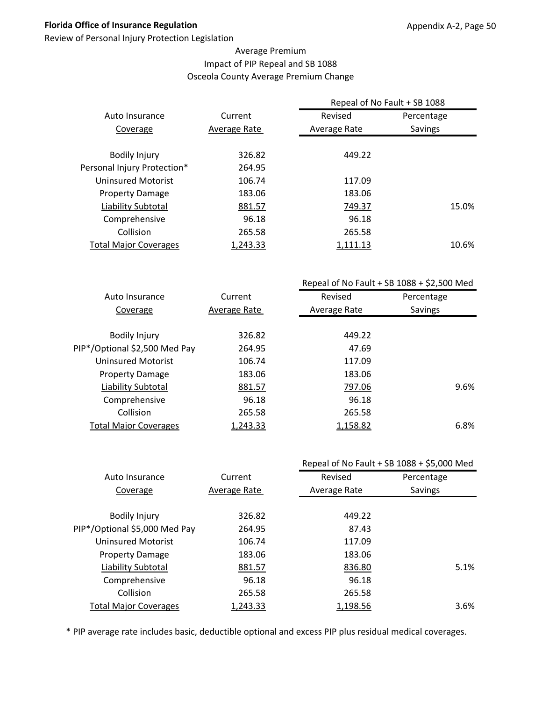Review of Personal Injury Protection Legislation

#### Average Premium Impact of PIP Repeal and SB 1088 Osceola County Average Premium Change

|                              |              | Repeal of No Fault + SB 1088 |            |
|------------------------------|--------------|------------------------------|------------|
| Auto Insurance               | Current      | Revised                      | Percentage |
| Coverage                     | Average Rate | Average Rate                 | Savings    |
|                              |              |                              |            |
| <b>Bodily Injury</b>         | 326.82       | 449.22                       |            |
| Personal Injury Protection*  | 264.95       |                              |            |
| Uninsured Motorist           | 106.74       | 117.09                       |            |
| <b>Property Damage</b>       | 183.06       | 183.06                       |            |
| Liability Subtotal           | 881.57       | 749.37                       | 15.0%      |
| Comprehensive                | 96.18        | 96.18                        |            |
| Collision                    | 265.58       | 265.58                       |            |
| <b>Total Major Coverages</b> | 1,243.33     | 1,111.13                     | 10.6%      |

|                               |              | Repeal of No Fault + SB $1088 + $2,500$ Med |            |  |
|-------------------------------|--------------|---------------------------------------------|------------|--|
| Auto Insurance                | Current      | Revised                                     | Percentage |  |
| Coverage                      | Average Rate | Average Rate                                | Savings    |  |
|                               |              |                                             |            |  |
| <b>Bodily Injury</b>          | 326.82       | 449.22                                      |            |  |
| PIP*/Optional \$2,500 Med Pay | 264.95       | 47.69                                       |            |  |
| <b>Uninsured Motorist</b>     | 106.74       | 117.09                                      |            |  |
| <b>Property Damage</b>        | 183.06       | 183.06                                      |            |  |
| Liability Subtotal            | 881.57       | 797.06                                      | 9.6%       |  |
| Comprehensive                 | 96.18        | 96.18                                       |            |  |
| Collision                     | 265.58       | 265.58                                      |            |  |
| <b>Total Major Coverages</b>  | 1,243.33     | 1,158.82                                    | 6.8%       |  |
|                               |              |                                             |            |  |

|                               |              |              | Repeal of No Fault + SB 1088 + \$5,000 Med |
|-------------------------------|--------------|--------------|--------------------------------------------|
| Auto Insurance                | Current      | Revised      | Percentage                                 |
| Coverage                      | Average Rate | Average Rate | Savings                                    |
|                               |              |              |                                            |
| <b>Bodily Injury</b>          | 326.82       | 449.22       |                                            |
| PIP*/Optional \$5,000 Med Pay | 264.95       | 87.43        |                                            |
| <b>Uninsured Motorist</b>     | 106.74       | 117.09       |                                            |
| <b>Property Damage</b>        | 183.06       | 183.06       |                                            |
| <b>Liability Subtotal</b>     | 881.57       | 836.80       | 5.1%                                       |
| Comprehensive                 | 96.18        | 96.18        |                                            |
| Collision                     | 265.58       | 265.58       |                                            |
| <b>Total Major Coverages</b>  | 1,243.33     | 1,198.56     | 3.6%                                       |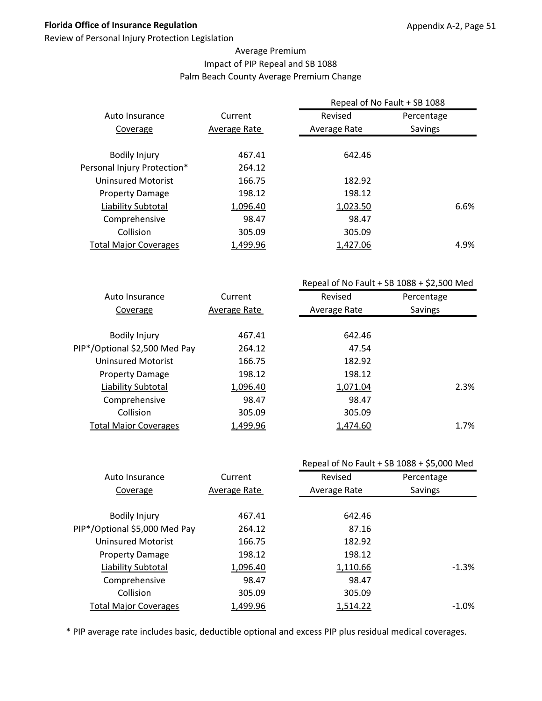Review of Personal Injury Protection Legislation

#### Average Premium Impact of PIP Repeal and SB 1088 Palm Beach County Average Premium Change

|                              |              | Repeal of No Fault + SB 1088 |            |      |
|------------------------------|--------------|------------------------------|------------|------|
| Auto Insurance               | Current      | Revised                      | Percentage |      |
| Coverage                     | Average Rate | Average Rate                 | Savings    |      |
| <b>Bodily Injury</b>         | 467.41       | 642.46                       |            |      |
| Personal Injury Protection*  | 264.12       |                              |            |      |
| <b>Uninsured Motorist</b>    | 166.75       | 182.92                       |            |      |
| <b>Property Damage</b>       | 198.12       | 198.12                       |            |      |
| Liability Subtotal           | 1,096.40     | 1,023.50                     |            | 6.6% |
| Comprehensive                | 98.47        | 98.47                        |            |      |
| Collision                    | 305.09       | 305.09                       |            |      |
| <b>Total Major Coverages</b> | 1,499.96     | 1,427.06                     |            | 4.9% |

|                               |              | Repeal of No Fault + SB $1088 + $2,500$ Med |            |  |
|-------------------------------|--------------|---------------------------------------------|------------|--|
| Auto Insurance                | Current      | Revised                                     | Percentage |  |
| Coverage                      | Average Rate | Average Rate                                | Savings    |  |
|                               |              |                                             |            |  |
| <b>Bodily Injury</b>          | 467.41       | 642.46                                      |            |  |
| PIP*/Optional \$2,500 Med Pay | 264.12       | 47.54                                       |            |  |
| <b>Uninsured Motorist</b>     | 166.75       | 182.92                                      |            |  |
| <b>Property Damage</b>        | 198.12       | 198.12                                      |            |  |
| Liability Subtotal            | 1,096.40     | 1,071.04                                    | 2.3%       |  |
| Comprehensive                 | 98.47        | 98.47                                       |            |  |
| Collision                     | 305.09       | 305.09                                      |            |  |
| <b>Total Major Coverages</b>  | 1,499.96     | 1,474.60                                    | 1.7%       |  |
|                               |              |                                             |            |  |

|                               |              |              | Repeal of No Fault + SB 1088 + \$5,000 Med |
|-------------------------------|--------------|--------------|--------------------------------------------|
| Auto Insurance                | Current      | Revised      | Percentage                                 |
| Coverage                      | Average Rate | Average Rate | Savings                                    |
|                               |              |              |                                            |
| <b>Bodily Injury</b>          | 467.41       | 642.46       |                                            |
| PIP*/Optional \$5,000 Med Pay | 264.12       | 87.16        |                                            |
| <b>Uninsured Motorist</b>     | 166.75       | 182.92       |                                            |
| <b>Property Damage</b>        | 198.12       | 198.12       |                                            |
| <b>Liability Subtotal</b>     | 1,096.40     | 1,110.66     | $-1.3%$                                    |
| Comprehensive                 | 98.47        | 98.47        |                                            |
| Collision                     | 305.09       | 305.09       |                                            |
| <b>Total Major Coverages</b>  | 1,499.96     | 1,514.22     | $-1.0\%$                                   |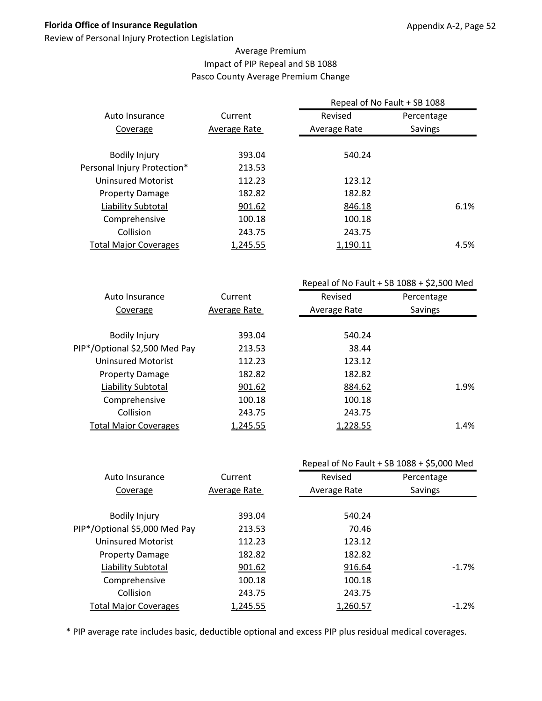Review of Personal Injury Protection Legislation

#### Average Premium Impact of PIP Repeal and SB 1088 Pasco County Average Premium Change

|                              |              | Repeal of No Fault + SB 1088 |            |
|------------------------------|--------------|------------------------------|------------|
| Auto Insurance               | Current      | Revised                      | Percentage |
| Coverage                     | Average Rate | Average Rate                 | Savings    |
|                              |              |                              |            |
| <b>Bodily Injury</b>         | 393.04       | 540.24                       |            |
| Personal Injury Protection*  | 213.53       |                              |            |
| <b>Uninsured Motorist</b>    | 112.23       | 123.12                       |            |
| <b>Property Damage</b>       | 182.82       | 182.82                       |            |
| Liability Subtotal           | 901.62       | 846.18                       | 6.1%       |
| Comprehensive                | 100.18       | 100.18                       |            |
| Collision                    | 243.75       | 243.75                       |            |
| <b>Total Major Coverages</b> | 1,245.55     | 1,190.11                     | 4.5%       |
|                              |              |                              |            |

|                               |              | Repeal of No Fault + SB $1088 + $2,500$ Med |            |
|-------------------------------|--------------|---------------------------------------------|------------|
| Auto Insurance                | Current      | Revised                                     | Percentage |
| Coverage                      | Average Rate | Average Rate                                | Savings    |
|                               |              |                                             |            |
| <b>Bodily Injury</b>          | 393.04       | 540.24                                      |            |
| PIP*/Optional \$2,500 Med Pay | 213.53       | 38.44                                       |            |
| Uninsured Motorist            | 112.23       | 123.12                                      |            |
| <b>Property Damage</b>        | 182.82       | 182.82                                      |            |
| Liability Subtotal            | 901.62       | 884.62                                      | 1.9%       |
| Comprehensive                 | 100.18       | 100.18                                      |            |
| Collision                     | 243.75       | 243.75                                      |            |
| <b>Total Major Coverages</b>  | 1,245.55     | 1,228.55                                    | 1.4%       |
|                               |              |                                             |            |

|              |              | Repeal of No Fault + SB 1088 + \$5,000 Med |
|--------------|--------------|--------------------------------------------|
| Current      | Revised      | Percentage                                 |
| Average Rate | Average Rate | Savings                                    |
|              |              |                                            |
| 393.04       | 540.24       |                                            |
| 213.53       | 70.46        |                                            |
| 112.23       | 123.12       |                                            |
| 182.82       | 182.82       |                                            |
| 901.62       | 916.64       | $-1.7\%$                                   |
| 100.18       | 100.18       |                                            |
| 243.75       | 243.75       |                                            |
| 1,245.55     | 1,260.57     | $-1.2%$                                    |
|              |              |                                            |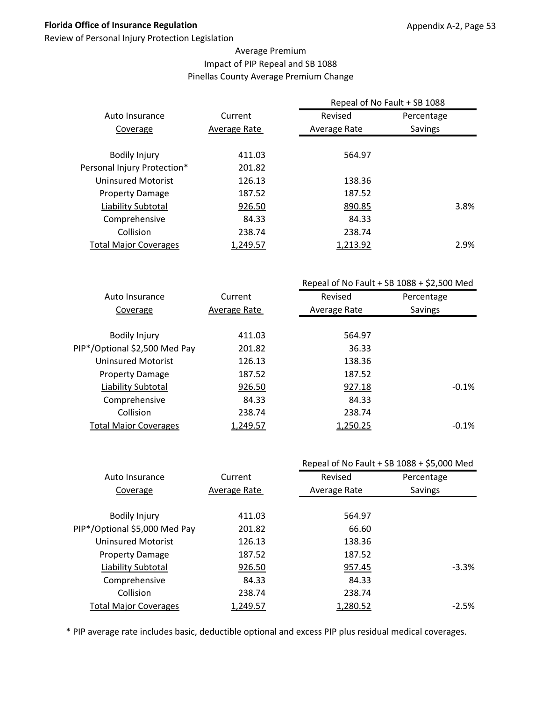Review of Personal Injury Protection Legislation

#### Average Premium Impact of PIP Repeal and SB 1088 Pinellas County Average Premium Change

|                              |              | Repeal of No Fault + SB 1088 |            |
|------------------------------|--------------|------------------------------|------------|
| Auto Insurance               | Current      | Revised                      | Percentage |
| Coverage                     | Average Rate | Average Rate                 | Savings    |
|                              |              |                              |            |
| <b>Bodily Injury</b>         | 411.03       | 564.97                       |            |
| Personal Injury Protection*  | 201.82       |                              |            |
| Uninsured Motorist           | 126.13       | 138.36                       |            |
| <b>Property Damage</b>       | 187.52       | 187.52                       |            |
| Liability Subtotal           | 926.50       | 890.85                       | 3.8%       |
| Comprehensive                | 84.33        | 84.33                        |            |
| Collision                    | 238.74       | 238.74                       |            |
| <b>Total Major Coverages</b> | 1,249.57     | 1,213.92                     | 2.9%       |
|                              |              |                              |            |

|                               |              | Repeal of No Fault + SB $1088 + $2,500$ Med |            |
|-------------------------------|--------------|---------------------------------------------|------------|
| Auto Insurance                | Current      | Revised                                     | Percentage |
| Coverage                      | Average Rate | Average Rate                                | Savings    |
|                               |              |                                             |            |
| <b>Bodily Injury</b>          | 411.03       | 564.97                                      |            |
| PIP*/Optional \$2,500 Med Pay | 201.82       | 36.33                                       |            |
| <b>Uninsured Motorist</b>     | 126.13       | 138.36                                      |            |
| <b>Property Damage</b>        | 187.52       | 187.52                                      |            |
| Liability Subtotal            | 926.50       | 927.18                                      | $-0.1%$    |
| Comprehensive                 | 84.33        | 84.33                                       |            |
| Collision                     | 238.74       | 238.74                                      |            |
| <b>Total Major Coverages</b>  | 1,249.57     | 1,250.25                                    | $-0.1%$    |
|                               |              |                                             |            |

|                               |              |              | Repeal of No Fault + SB 1088 + \$5,000 Med |
|-------------------------------|--------------|--------------|--------------------------------------------|
| Auto Insurance                | Current      | Revised      | Percentage                                 |
| Coverage                      | Average Rate | Average Rate | Savings                                    |
|                               |              |              |                                            |
| <b>Bodily Injury</b>          | 411.03       | 564.97       |                                            |
| PIP*/Optional \$5,000 Med Pay | 201.82       | 66.60        |                                            |
| <b>Uninsured Motorist</b>     | 126.13       | 138.36       |                                            |
| <b>Property Damage</b>        | 187.52       | 187.52       |                                            |
| <b>Liability Subtotal</b>     | 926.50       | 957.45       | $-3.3\%$                                   |
| Comprehensive                 | 84.33        | 84.33        |                                            |
| Collision                     | 238.74       | 238.74       |                                            |
| <b>Total Major Coverages</b>  | 1,249.57     | 1,280.52     | $-2.5%$                                    |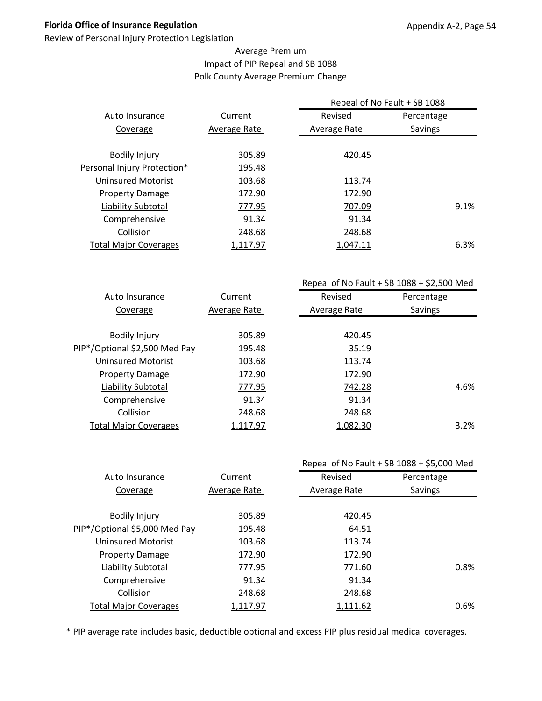Review of Personal Injury Protection Legislation

#### Average Premium Impact of PIP Repeal and SB 1088 Polk County Average Premium Change

|                              |              | Repeal of No Fault + SB 1088 |            |  |
|------------------------------|--------------|------------------------------|------------|--|
| Auto Insurance               | Current      | Revised                      | Percentage |  |
| Coverage                     | Average Rate | Average Rate                 | Savings    |  |
|                              |              |                              |            |  |
| <b>Bodily Injury</b>         | 305.89       | 420.45                       |            |  |
| Personal Injury Protection*  | 195.48       |                              |            |  |
| Uninsured Motorist           | 103.68       | 113.74                       |            |  |
| <b>Property Damage</b>       | 172.90       | 172.90                       |            |  |
| Liability Subtotal           | 777.95       | 707.09                       | 9.1%       |  |
| Comprehensive                | 91.34        | 91.34                        |            |  |
| Collision                    | 248.68       | 248.68                       |            |  |
| <b>Total Major Coverages</b> | 1,117.97     | 1,047.11                     | 6.3%       |  |
|                              |              |                              |            |  |

|                               |              |              | Repeal of No Fault + SB $1088 + $2,500$ Med |
|-------------------------------|--------------|--------------|---------------------------------------------|
| Auto Insurance                | Current      | Revised      | Percentage                                  |
| Coverage                      | Average Rate | Average Rate | Savings                                     |
|                               |              |              |                                             |
| <b>Bodily Injury</b>          | 305.89       | 420.45       |                                             |
| PIP*/Optional \$2,500 Med Pay | 195.48       | 35.19        |                                             |
| Uninsured Motorist            | 103.68       | 113.74       |                                             |
| <b>Property Damage</b>        | 172.90       | 172.90       |                                             |
| Liability Subtotal            | 777.95       | 742.28       | 4.6%                                        |
| Comprehensive                 | 91.34        | 91.34        |                                             |
| Collision                     | 248.68       | 248.68       |                                             |
| <b>Total Major Coverages</b>  | 1,117.97     | 1,082.30     | 3.2%                                        |
|                               |              |              |                                             |

|                               |              |              | Repeal of No Fault + SB 1088 + \$5,000 Med |
|-------------------------------|--------------|--------------|--------------------------------------------|
| Auto Insurance                | Current      | Revised      | Percentage                                 |
| Coverage                      | Average Rate | Average Rate | Savings                                    |
|                               |              |              |                                            |
| <b>Bodily Injury</b>          | 305.89       | 420.45       |                                            |
| PIP*/Optional \$5,000 Med Pay | 195.48       | 64.51        |                                            |
| <b>Uninsured Motorist</b>     | 103.68       | 113.74       |                                            |
| <b>Property Damage</b>        | 172.90       | 172.90       |                                            |
| Liability Subtotal            | 777.95       | 771.60       | 0.8%                                       |
| Comprehensive                 | 91.34        | 91.34        |                                            |
| Collision                     | 248.68       | 248.68       |                                            |
| <b>Total Major Coverages</b>  | 1,117.97     | 1,111.62     | 0.6%                                       |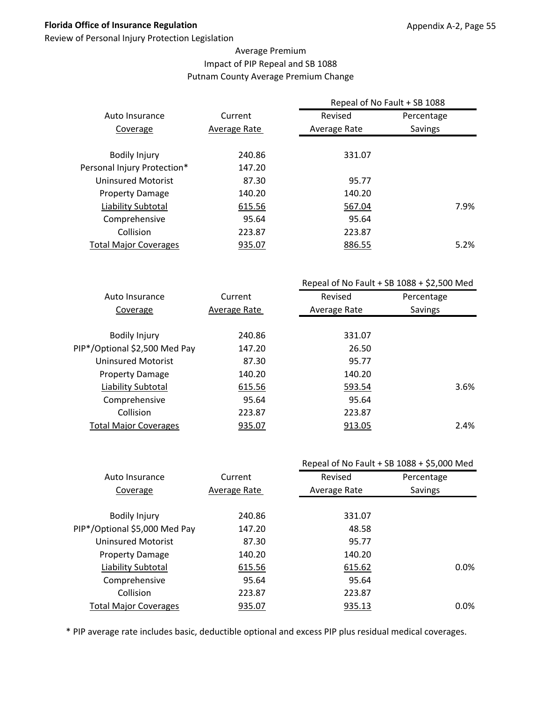Review of Personal Injury Protection Legislation

#### Average Premium Impact of PIP Repeal and SB 1088 Putnam County Average Premium Change

|                              |              | Repeal of No Fault + SB 1088 |                |  |
|------------------------------|--------------|------------------------------|----------------|--|
| Auto Insurance               | Current      | Revised                      | Percentage     |  |
| Coverage                     | Average Rate | Average Rate                 | <b>Savings</b> |  |
| <b>Bodily Injury</b>         | 240.86       | 331.07                       |                |  |
| Personal Injury Protection*  | 147.20       |                              |                |  |
| Uninsured Motorist           | 87.30        | 95.77                        |                |  |
| <b>Property Damage</b>       | 140.20       | 140.20                       |                |  |
| Liability Subtotal           | 615.56       | 567.04                       | 7.9%           |  |
| Comprehensive                | 95.64        | 95.64                        |                |  |
| Collision                    | 223.87       | 223.87                       |                |  |
| <b>Total Major Coverages</b> | 935.07       | 886.55                       | 5.2%           |  |
|                              |              |                              |                |  |

|                               |              | Repeal of No Fault + SB $1088 + $2,500$ Med |            |  |
|-------------------------------|--------------|---------------------------------------------|------------|--|
| Auto Insurance                | Current      | Revised                                     | Percentage |  |
| Coverage                      | Average Rate | Average Rate                                | Savings    |  |
|                               |              |                                             |            |  |
| <b>Bodily Injury</b>          | 240.86       | 331.07                                      |            |  |
| PIP*/Optional \$2,500 Med Pay | 147.20       | 26.50                                       |            |  |
| <b>Uninsured Motorist</b>     | 87.30        | 95.77                                       |            |  |
| <b>Property Damage</b>        | 140.20       | 140.20                                      |            |  |
| Liability Subtotal            | 615.56       | 593.54                                      | 3.6%       |  |
| Comprehensive                 | 95.64        | 95.64                                       |            |  |
| Collision                     | 223.87       | 223.87                                      |            |  |
| <b>Total Major Coverages</b>  | 935.07       | 913.05                                      | 2.4%       |  |
|                               |              |                                             |            |  |

|                               |              |              | Repeal of No Fault + SB 1088 + \$5,000 Med |
|-------------------------------|--------------|--------------|--------------------------------------------|
| Auto Insurance                | Current      | Revised      | Percentage                                 |
| Coverage                      | Average Rate | Average Rate | Savings                                    |
|                               |              |              |                                            |
| <b>Bodily Injury</b>          | 240.86       | 331.07       |                                            |
| PIP*/Optional \$5,000 Med Pay | 147.20       | 48.58        |                                            |
| <b>Uninsured Motorist</b>     | 87.30        | 95.77        |                                            |
| <b>Property Damage</b>        | 140.20       | 140.20       |                                            |
| Liability Subtotal            | 615.56       | 615.62       | 0.0%                                       |
| Comprehensive                 | 95.64        | 95.64        |                                            |
| Collision                     | 223.87       | 223.87       |                                            |
| <b>Total Major Coverages</b>  | 935.07       | 935.13       | 0.0%                                       |
|                               |              |              |                                            |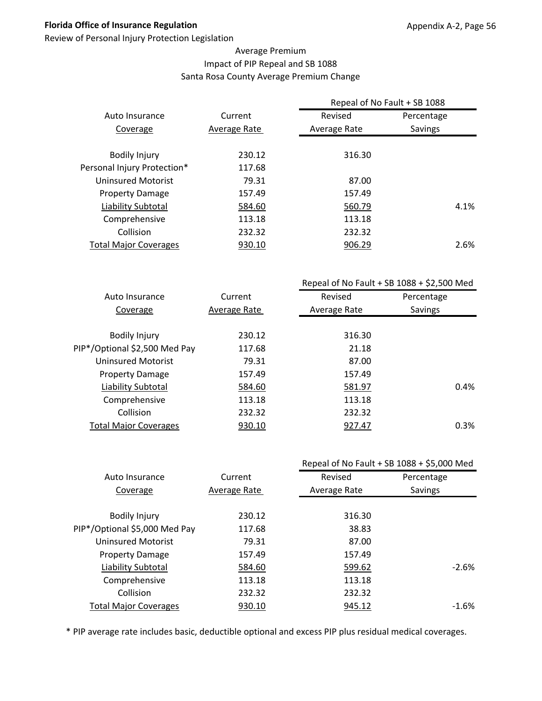Review of Personal Injury Protection Legislation

#### Average Premium Impact of PIP Repeal and SB 1088 Santa Rosa County Average Premium Change

|                              |              | Repeal of No Fault + SB 1088 |            |      |  |
|------------------------------|--------------|------------------------------|------------|------|--|
| Auto Insurance               | Current      | Revised                      | Percentage |      |  |
| Coverage                     | Average Rate | Average Rate                 | Savings    |      |  |
|                              |              |                              |            |      |  |
| <b>Bodily Injury</b>         | 230.12       | 316.30                       |            |      |  |
| Personal Injury Protection*  | 117.68       |                              |            |      |  |
| <b>Uninsured Motorist</b>    | 79.31        | 87.00                        |            |      |  |
| <b>Property Damage</b>       | 157.49       | 157.49                       |            |      |  |
| Liability Subtotal           | 584.60       | 560.79                       |            | 4.1% |  |
| Comprehensive                | 113.18       | 113.18                       |            |      |  |
| Collision                    | 232.32       | 232.32                       |            |      |  |
| <b>Total Major Coverages</b> | 930.10       | 906.29                       |            | 2.6% |  |
|                              |              |                              |            |      |  |

|                               |              | Repeal of No Fault + SB $1088 + $2,500$ Med |            |
|-------------------------------|--------------|---------------------------------------------|------------|
| Auto Insurance                | Current      | Revised                                     | Percentage |
| Coverage                      | Average Rate | Average Rate                                | Savings    |
|                               |              |                                             |            |
| <b>Bodily Injury</b>          | 230.12       | 316.30                                      |            |
| PIP*/Optional \$2,500 Med Pay | 117.68       | 21.18                                       |            |
| Uninsured Motorist            | 79.31        | 87.00                                       |            |
| <b>Property Damage</b>        | 157.49       | 157.49                                      |            |
| Liability Subtotal            | 584.60       | 581.97                                      | 0.4%       |
| Comprehensive                 | 113.18       | 113.18                                      |            |
| Collision                     | 232.32       | 232.32                                      |            |
| <b>Total Major Coverages</b>  | 930.10       | 927.47                                      | 0.3%       |
|                               |              |                                             |            |

|                               |              | Repeal of No Fault + SB 1088 + \$5,000 Med |            |
|-------------------------------|--------------|--------------------------------------------|------------|
| Auto Insurance                | Current      | Revised                                    | Percentage |
| Coverage                      | Average Rate | Average Rate                               | Savings    |
|                               |              |                                            |            |
| <b>Bodily Injury</b>          | 230.12       | 316.30                                     |            |
| PIP*/Optional \$5,000 Med Pay | 117.68       | 38.83                                      |            |
| <b>Uninsured Motorist</b>     | 79.31        | 87.00                                      |            |
| <b>Property Damage</b>        | 157.49       | 157.49                                     |            |
| Liability Subtotal            | 584.60       | 599.62                                     | $-2.6%$    |
| Comprehensive                 | 113.18       | 113.18                                     |            |
| Collision                     | 232.32       | 232.32                                     |            |
| <b>Total Major Coverages</b>  | 930.10       | 945.12                                     | $-1.6\%$   |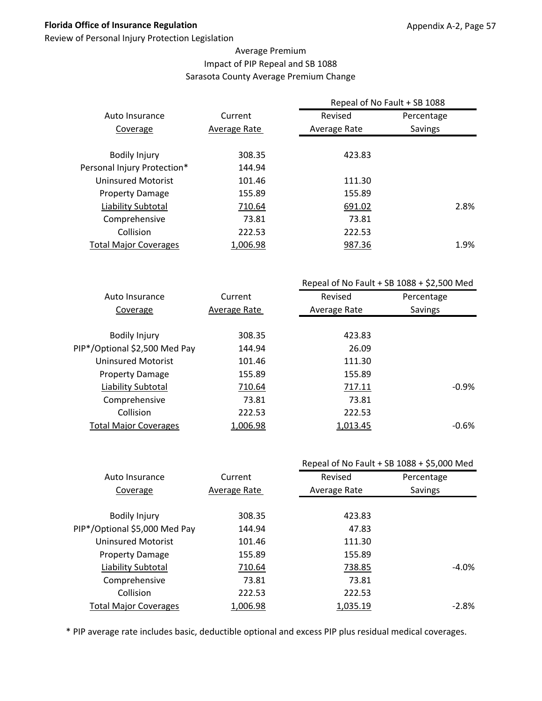Review of Personal Injury Protection Legislation

#### Average Premium Impact of PIP Repeal and SB 1088 Sarasota County Average Premium Change

| Current      | Revised          | Percentage     |                              |  |
|--------------|------------------|----------------|------------------------------|--|
| Average Rate | Average Rate     | <b>Savings</b> |                              |  |
|              |                  |                |                              |  |
|              |                  |                |                              |  |
|              |                  |                |                              |  |
| 101.46       | 111.30           |                |                              |  |
| 155.89       | 155.89           |                |                              |  |
| 710.64       | 691.02           |                | 2.8%                         |  |
| 73.81        | 73.81            |                |                              |  |
| 222.53       | 222.53           |                |                              |  |
| 1,006.98     | 987.36           |                | 1.9%                         |  |
|              | 308.35<br>144.94 | 423.83         | Repeal of No Fault + SB 1088 |  |

|                               |              | Repeal of No Fault + SB $1088 + $2,500$ Med |            |  |
|-------------------------------|--------------|---------------------------------------------|------------|--|
| Auto Insurance                | Current      | Revised                                     | Percentage |  |
| Coverage                      | Average Rate | Average Rate                                | Savings    |  |
|                               |              |                                             |            |  |
| <b>Bodily Injury</b>          | 308.35       | 423.83                                      |            |  |
| PIP*/Optional \$2,500 Med Pay | 144.94       | 26.09                                       |            |  |
| <b>Uninsured Motorist</b>     | 101.46       | 111.30                                      |            |  |
| <b>Property Damage</b>        | 155.89       | 155.89                                      |            |  |
| Liability Subtotal            | 710.64       | 717.11                                      | $-0.9%$    |  |
| Comprehensive                 | 73.81        | 73.81                                       |            |  |
| Collision                     | 222.53       | 222.53                                      |            |  |
| <b>Total Major Coverages</b>  | 1,006.98     | 1,013.45                                    | $-0.6%$    |  |
|                               |              |                                             |            |  |

|              |              | Repeal of No Fault + SB 1088 + \$5,000 Med |
|--------------|--------------|--------------------------------------------|
| Current      | Revised      | Percentage                                 |
| Average Rate | Average Rate | Savings                                    |
|              |              |                                            |
| 308.35       | 423.83       |                                            |
| 144.94       | 47.83        |                                            |
| 101.46       | 111.30       |                                            |
| 155.89       | 155.89       |                                            |
| 710.64       | 738.85       | $-4.0\%$                                   |
| 73.81        | 73.81        |                                            |
| 222.53       | 222.53       |                                            |
| 1,006.98     | 1,035.19     | $-2.8\%$                                   |
|              |              |                                            |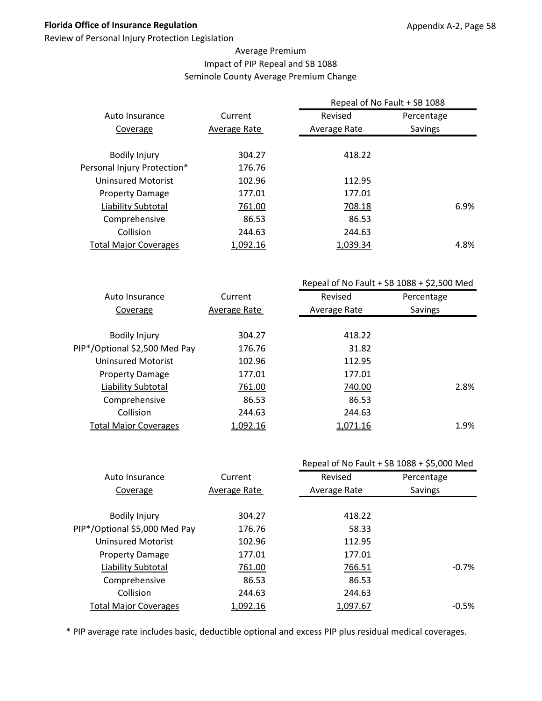Review of Personal Injury Protection Legislation

#### Average Premium Impact of PIP Repeal and SB 1088 Seminole County Average Premium Change

|                              | Repeal of No Fault + SB 1088 |              |            |      |
|------------------------------|------------------------------|--------------|------------|------|
| Auto Insurance               | Current                      | Revised      | Percentage |      |
| Coverage                     | Average Rate                 | Average Rate | Savings    |      |
| <b>Bodily Injury</b>         | 304.27                       | 418.22       |            |      |
| Personal Injury Protection*  | 176.76                       |              |            |      |
| Uninsured Motorist           | 102.96                       | 112.95       |            |      |
| <b>Property Damage</b>       | 177.01                       | 177.01       |            |      |
| Liability Subtotal           | 761.00                       | 708.18       |            | 6.9% |
| Comprehensive                | 86.53                        | 86.53        |            |      |
| Collision                    | 244.63                       | 244.63       |            |      |
| <b>Total Major Coverages</b> | 1,092.16                     | 1.039.34     |            | 4.8% |

|                               |              | Repeal of No Fault + SB $1088 + $2,500$ Med |            |  |
|-------------------------------|--------------|---------------------------------------------|------------|--|
| Auto Insurance                | Current      | Revised                                     | Percentage |  |
| Coverage                      | Average Rate | Average Rate                                | Savings    |  |
|                               |              |                                             |            |  |
| <b>Bodily Injury</b>          | 304.27       | 418.22                                      |            |  |
| PIP*/Optional \$2,500 Med Pay | 176.76       | 31.82                                       |            |  |
| Uninsured Motorist            | 102.96       | 112.95                                      |            |  |
| <b>Property Damage</b>        | 177.01       | 177.01                                      |            |  |
| Liability Subtotal            | 761.00       | 740.00                                      | 2.8%       |  |
| Comprehensive                 | 86.53        | 86.53                                       |            |  |
| Collision                     | 244.63       | 244.63                                      |            |  |
| <b>Total Major Coverages</b>  | 1,092.16     | 1,071.16                                    | 1.9%       |  |
|                               |              |                                             |            |  |

|                               |              |              | Repeal of No Fault + SB 1088 + \$5,000 Med |
|-------------------------------|--------------|--------------|--------------------------------------------|
| Auto Insurance                | Current      | Revised      | Percentage                                 |
| Coverage                      | Average Rate | Average Rate | Savings                                    |
|                               |              |              |                                            |
| <b>Bodily Injury</b>          | 304.27       | 418.22       |                                            |
| PIP*/Optional \$5,000 Med Pay | 176.76       | 58.33        |                                            |
| <b>Uninsured Motorist</b>     | 102.96       | 112.95       |                                            |
| <b>Property Damage</b>        | 177.01       | 177.01       |                                            |
| Liability Subtotal            | 761.00       | 766.51       | $-0.7%$                                    |
| Comprehensive                 | 86.53        | 86.53        |                                            |
| Collision                     | 244.63       | 244.63       |                                            |
| <b>Total Major Coverages</b>  | 1,092.16     | 1,097.67     | $-0.5%$                                    |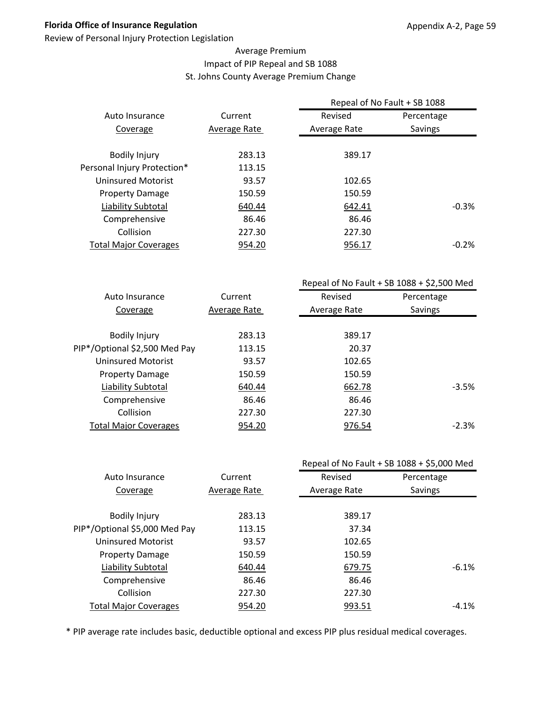Review of Personal Injury Protection Legislation

#### Average Premium Impact of PIP Repeal and SB 1088 St. Johns County Average Premium Change

|                              |              | Repeal of No Fault + SB 1088 |            |
|------------------------------|--------------|------------------------------|------------|
| Auto Insurance               | Current      | Revised                      | Percentage |
| Coverage                     | Average Rate | Average Rate                 | Savings    |
|                              |              |                              |            |
| <b>Bodily Injury</b>         | 283.13       | 389.17                       |            |
| Personal Injury Protection*  | 113.15       |                              |            |
| <b>Uninsured Motorist</b>    | 93.57        | 102.65                       |            |
| <b>Property Damage</b>       | 150.59       | 150.59                       |            |
| Liability Subtotal           | 640.44       | 642.41                       | $-0.3%$    |
| Comprehensive                | 86.46        | 86.46                        |            |
| Collision                    | 227.30       | 227.30                       |            |
| <b>Total Major Coverages</b> | 954.20       | 956.17                       | $-0.2\%$   |
|                              |              |                              |            |

|                               |              | Repeal of No Fault + SB $1088 + $2,500$ Med |            |  |
|-------------------------------|--------------|---------------------------------------------|------------|--|
| Auto Insurance                | Current      | Revised                                     | Percentage |  |
| Coverage                      | Average Rate | Average Rate                                | Savings    |  |
|                               |              |                                             |            |  |
| <b>Bodily Injury</b>          | 283.13       | 389.17                                      |            |  |
| PIP*/Optional \$2,500 Med Pay | 113.15       | 20.37                                       |            |  |
| Uninsured Motorist            | 93.57        | 102.65                                      |            |  |
| <b>Property Damage</b>        | 150.59       | 150.59                                      |            |  |
| Liability Subtotal            | 640.44       | 662.78                                      | $-3.5%$    |  |
| Comprehensive                 | 86.46        | 86.46                                       |            |  |
| Collision                     | 227.30       | 227.30                                      |            |  |
| <b>Total Major Coverages</b>  | 954.20       | 976.54                                      | $-2.3%$    |  |
|                               |              |                                             |            |  |

|                               |              |              | Repeal of No Fault + SB 1088 + \$5,000 Med |
|-------------------------------|--------------|--------------|--------------------------------------------|
| Auto Insurance                | Current      | Revised      | Percentage                                 |
| Coverage                      | Average Rate | Average Rate | Savings                                    |
|                               |              |              |                                            |
| <b>Bodily Injury</b>          | 283.13       | 389.17       |                                            |
| PIP*/Optional \$5,000 Med Pay | 113.15       | 37.34        |                                            |
| <b>Uninsured Motorist</b>     | 93.57        | 102.65       |                                            |
| <b>Property Damage</b>        | 150.59       | 150.59       |                                            |
| <b>Liability Subtotal</b>     | 640.44       | 679.75       | $-6.1%$                                    |
| Comprehensive                 | 86.46        | 86.46        |                                            |
| Collision                     | 227.30       | 227.30       |                                            |
| <b>Total Major Coverages</b>  | 954.20       | 993.51       | $-4.1\%$                                   |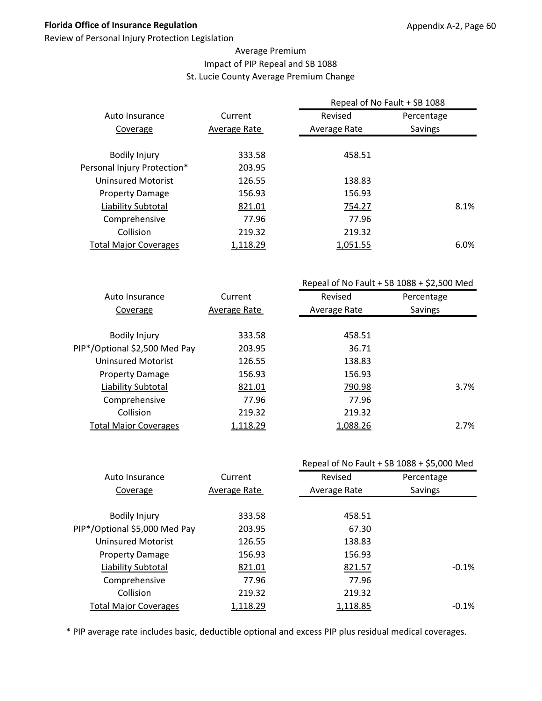Review of Personal Injury Protection Legislation

#### Average Premium Impact of PIP Repeal and SB 1088 St. Lucie County Average Premium Change

| Current      | Revised      | Percentage |                                                 |  |
|--------------|--------------|------------|-------------------------------------------------|--|
| Average Rate | Average Rate | Savings    |                                                 |  |
|              |              |            |                                                 |  |
| 203.95       |              |            |                                                 |  |
| 126.55       | 138.83       |            |                                                 |  |
| 156.93       | 156.93       |            |                                                 |  |
| 821.01       | 754.27       |            |                                                 |  |
| 77.96        | 77.96        |            |                                                 |  |
| 219.32       | 219.32       |            |                                                 |  |
| 1,118.29     | 1,051.55     |            |                                                 |  |
|              | 333.58       | 458.51     | Repeal of No Fault + SB 1088<br>8.1%<br>$6.0\%$ |  |

|                               |              | Repeal of No Fault + SB $1088 + $2,500$ Med |            |  |
|-------------------------------|--------------|---------------------------------------------|------------|--|
| Auto Insurance                | Current      | Revised                                     | Percentage |  |
| Coverage                      | Average Rate | Average Rate                                | Savings    |  |
|                               |              |                                             |            |  |
| <b>Bodily Injury</b>          | 333.58       | 458.51                                      |            |  |
| PIP*/Optional \$2,500 Med Pay | 203.95       | 36.71                                       |            |  |
| <b>Uninsured Motorist</b>     | 126.55       | 138.83                                      |            |  |
| <b>Property Damage</b>        | 156.93       | 156.93                                      |            |  |
| Liability Subtotal            | 821.01       | 790.98                                      | 3.7%       |  |
| Comprehensive                 | 77.96        | 77.96                                       |            |  |
| Collision                     | 219.32       | 219.32                                      |            |  |
| <b>Total Major Coverages</b>  | 1,118.29     | 1,088.26                                    | 2.7%       |  |
|                               |              |                                             |            |  |

|                               |              |              | Repeal of No Fault + SB 1088 + \$5,000 Med |
|-------------------------------|--------------|--------------|--------------------------------------------|
| Auto Insurance                | Current      | Revised      | Percentage                                 |
| Coverage                      | Average Rate | Average Rate | Savings                                    |
|                               |              |              |                                            |
| <b>Bodily Injury</b>          | 333.58       | 458.51       |                                            |
| PIP*/Optional \$5,000 Med Pay | 203.95       | 67.30        |                                            |
| <b>Uninsured Motorist</b>     | 126.55       | 138.83       |                                            |
| <b>Property Damage</b>        | 156.93       | 156.93       |                                            |
| <b>Liability Subtotal</b>     | 821.01       | 821.57       | $-0.1%$                                    |
| Comprehensive                 | 77.96        | 77.96        |                                            |
| Collision                     | 219.32       | 219.32       |                                            |
| <b>Total Major Coverages</b>  | 1,118.29     | 1,118.85     | $-0.1\%$                                   |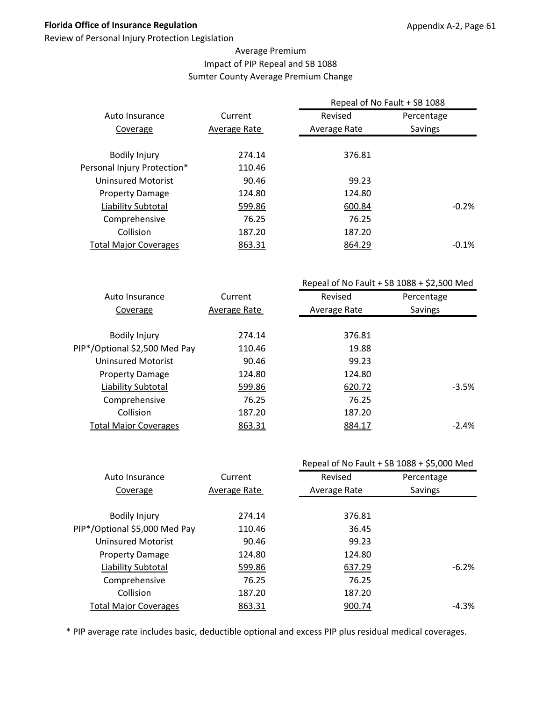Review of Personal Injury Protection Legislation

#### Average Premium Impact of PIP Repeal and SB 1088 Sumter County Average Premium Change

|                              |              | Repeal of No Fault + SB 1088 |            |
|------------------------------|--------------|------------------------------|------------|
| Auto Insurance               | Current      | Revised                      | Percentage |
| Coverage                     | Average Rate | Average Rate                 | Savings    |
|                              |              |                              |            |
| <b>Bodily Injury</b>         | 274.14       | 376.81                       |            |
| Personal Injury Protection*  | 110.46       |                              |            |
| <b>Uninsured Motorist</b>    | 90.46        | 99.23                        |            |
| <b>Property Damage</b>       | 124.80       | 124.80                       |            |
| Liability Subtotal           | 599.86       | 600.84                       | $-0.2%$    |
| Comprehensive                | 76.25        | 76.25                        |            |
| Collision                    | 187.20       | 187.20                       |            |
| <b>Total Major Coverages</b> | 863.31       | 864.29                       | $-0.1\%$   |
|                              |              |                              |            |

|                               |              | Repeal of No Fault + SB $1088 + $2,500$ Med |            |  |
|-------------------------------|--------------|---------------------------------------------|------------|--|
| Auto Insurance                | Current      | Revised                                     | Percentage |  |
| Coverage                      | Average Rate | Average Rate                                | Savings    |  |
|                               |              |                                             |            |  |
| <b>Bodily Injury</b>          | 274.14       | 376.81                                      |            |  |
| PIP*/Optional \$2,500 Med Pay | 110.46       | 19.88                                       |            |  |
| <b>Uninsured Motorist</b>     | 90.46        | 99.23                                       |            |  |
| <b>Property Damage</b>        | 124.80       | 124.80                                      |            |  |
| Liability Subtotal            | 599.86       | 620.72                                      | $-3.5%$    |  |
| Comprehensive                 | 76.25        | 76.25                                       |            |  |
| Collision                     | 187.20       | 187.20                                      |            |  |
| <b>Total Major Coverages</b>  | 863.31       | 884.17                                      | $-2.4%$    |  |
|                               |              |                                             |            |  |

|                               |              |              | Repeal of No Fault + SB 1088 + \$5,000 Med |
|-------------------------------|--------------|--------------|--------------------------------------------|
| Auto Insurance                | Current      | Revised      | Percentage                                 |
| Coverage                      | Average Rate | Average Rate | Savings                                    |
|                               |              |              |                                            |
| <b>Bodily Injury</b>          | 274.14       | 376.81       |                                            |
| PIP*/Optional \$5,000 Med Pay | 110.46       | 36.45        |                                            |
| <b>Uninsured Motorist</b>     | 90.46        | 99.23        |                                            |
| <b>Property Damage</b>        | 124.80       | 124.80       |                                            |
| Liability Subtotal            | 599.86       | 637.29       | $-6.2%$                                    |
| Comprehensive                 | 76.25        | 76.25        |                                            |
| Collision                     | 187.20       | 187.20       |                                            |
| <b>Total Major Coverages</b>  | 863.31       | 900.74       | $-4.3\%$                                   |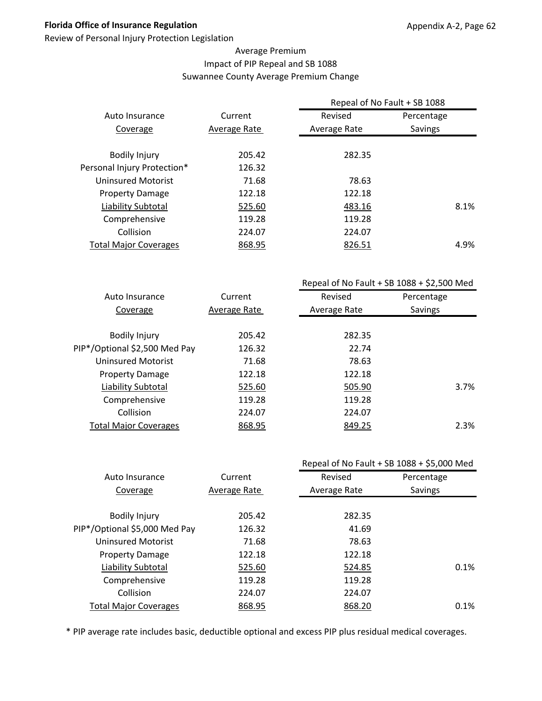Review of Personal Injury Protection Legislation

#### Average Premium Impact of PIP Repeal and SB 1088 Suwannee County Average Premium Change

| Current      | Revised          | Percentage     |                                              |  |
|--------------|------------------|----------------|----------------------------------------------|--|
| Average Rate | Average Rate     | <b>Savings</b> |                                              |  |
|              |                  |                |                                              |  |
|              |                  |                |                                              |  |
|              |                  |                |                                              |  |
| 71.68        | 78.63            |                |                                              |  |
| 122.18       | 122.18           |                |                                              |  |
| 525.60       | 483.16           |                |                                              |  |
| 119.28       | 119.28           |                |                                              |  |
| 224.07       | 224.07           |                |                                              |  |
| 868.95       | 826.51           |                |                                              |  |
|              | 205.42<br>126.32 | 282.35         | Repeal of No Fault + SB 1088<br>8.1%<br>4.9% |  |

|                               |              | Repeal of No Fault + SB $1088 + $2,500$ Med |            |  |
|-------------------------------|--------------|---------------------------------------------|------------|--|
| Auto Insurance                | Current      | Revised                                     | Percentage |  |
| Coverage                      | Average Rate | Average Rate                                | Savings    |  |
|                               |              |                                             |            |  |
| <b>Bodily Injury</b>          | 205.42       | 282.35                                      |            |  |
| PIP*/Optional \$2,500 Med Pay | 126.32       | 22.74                                       |            |  |
| Uninsured Motorist            | 71.68        | 78.63                                       |            |  |
| <b>Property Damage</b>        | 122.18       | 122.18                                      |            |  |
| Liability Subtotal            | 525.60       | 505.90                                      | 3.7%       |  |
| Comprehensive                 | 119.28       | 119.28                                      |            |  |
| Collision                     | 224.07       | 224.07                                      |            |  |
| <b>Total Major Coverages</b>  | 868.95       | 849.25                                      | 2.3%       |  |
|                               |              |                                             |            |  |

|                               |              |              | Repeal of No Fault + SB 1088 + \$5,000 Med |
|-------------------------------|--------------|--------------|--------------------------------------------|
| Auto Insurance                | Current      | Revised      | Percentage                                 |
| Coverage                      | Average Rate | Average Rate | Savings                                    |
|                               |              |              |                                            |
| <b>Bodily Injury</b>          | 205.42       | 282.35       |                                            |
| PIP*/Optional \$5,000 Med Pay | 126.32       | 41.69        |                                            |
| <b>Uninsured Motorist</b>     | 71.68        | 78.63        |                                            |
| <b>Property Damage</b>        | 122.18       | 122.18       |                                            |
| Liability Subtotal            | 525.60       | 524.85       | 0.1%                                       |
| Comprehensive                 | 119.28       | 119.28       |                                            |
| Collision                     | 224.07       | 224.07       |                                            |
| <b>Total Major Coverages</b>  | 868.95       | 868.20       | 0.1%                                       |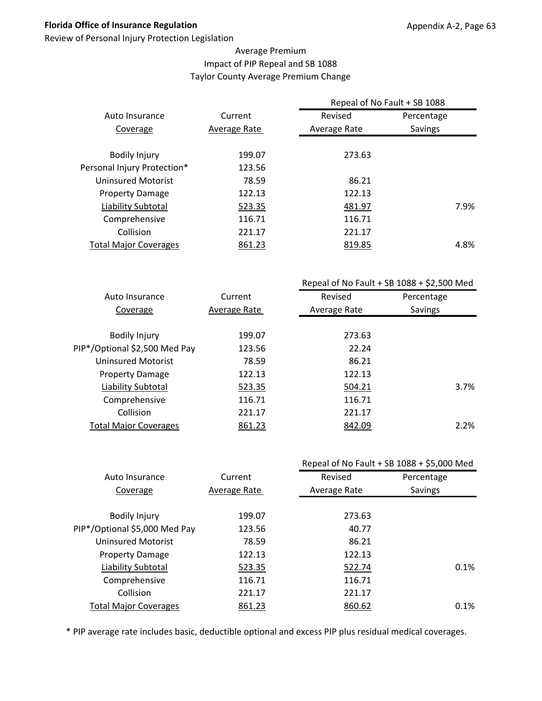Review of Personal Injury Protection Legislation

#### Average Premium Impact of PIP Repeal and SB 1088 Taylor County Average Premium Change

|                              |              | Repeal of No Fault + SB 1088 |                |  |
|------------------------------|--------------|------------------------------|----------------|--|
| Auto Insurance               | Current      | Revised                      | Percentage     |  |
| Coverage                     | Average Rate | Average Rate                 | <b>Savings</b> |  |
|                              |              |                              |                |  |
| <b>Bodily Injury</b>         | 199.07       | 273.63                       |                |  |
| Personal Injury Protection*  | 123.56       |                              |                |  |
| Uninsured Motorist           | 78.59        | 86.21                        |                |  |
| <b>Property Damage</b>       | 122.13       | 122.13                       |                |  |
| Liability Subtotal           | 523.35       | 481.97                       | 7.9%           |  |
| Comprehensive                | 116.71       | 116.71                       |                |  |
| Collision                    | 221.17       | 221.17                       |                |  |
| <b>Total Major Coverages</b> | 861.23       | 819.85                       | 4.8%           |  |
|                              |              |                              |                |  |

|                               |              | Repeal of No Fault + SB $1088 + $2,500$ Med |            |  |
|-------------------------------|--------------|---------------------------------------------|------------|--|
| Auto Insurance                | Current      | Revised                                     | Percentage |  |
| Coverage                      | Average Rate | Average Rate                                | Savings    |  |
|                               |              |                                             |            |  |
| <b>Bodily Injury</b>          | 199.07       | 273.63                                      |            |  |
| PIP*/Optional \$2,500 Med Pay | 123.56       | 22.24                                       |            |  |
| Uninsured Motorist            | 78.59        | 86.21                                       |            |  |
| <b>Property Damage</b>        | 122.13       | 122.13                                      |            |  |
| Liability Subtotal            | 523.35       | 504.21                                      | 3.7%       |  |
| Comprehensive                 | 116.71       | 116.71                                      |            |  |
| Collision                     | 221.17       | 221.17                                      |            |  |
| <b>Total Major Coverages</b>  | 861.23       | 842.09                                      | 2.2%       |  |
|                               |              |                                             |            |  |

|                               |              |              | Repeal of No Fault + SB 1088 + \$5,000 Med |
|-------------------------------|--------------|--------------|--------------------------------------------|
| Auto Insurance                | Current      | Revised      | Percentage                                 |
| Coverage                      | Average Rate | Average Rate | Savings                                    |
|                               |              |              |                                            |
| <b>Bodily Injury</b>          | 199.07       | 273.63       |                                            |
| PIP*/Optional \$5,000 Med Pay | 123.56       | 40.77        |                                            |
| <b>Uninsured Motorist</b>     | 78.59        | 86.21        |                                            |
| <b>Property Damage</b>        | 122.13       | 122.13       |                                            |
| Liability Subtotal            | 523.35       | 522.74       | 0.1%                                       |
| Comprehensive                 | 116.71       | 116.71       |                                            |
| Collision                     | 221.17       | 221.17       |                                            |
| <b>Total Major Coverages</b>  | 861.23       | 860.62       | 0.1%                                       |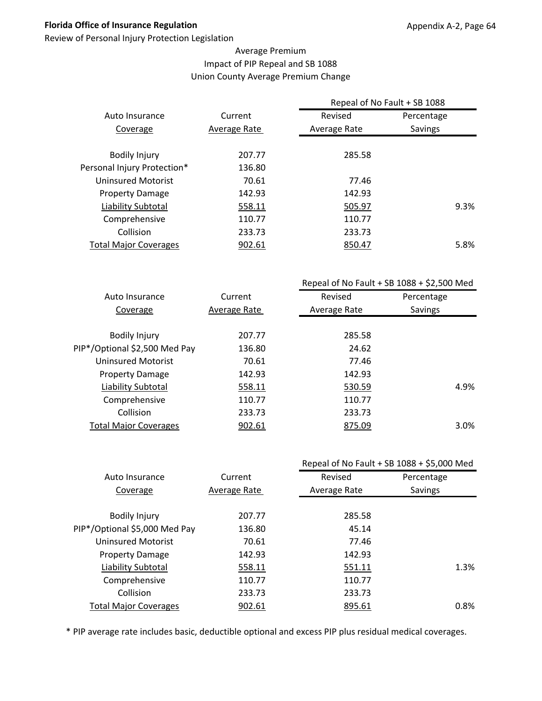Review of Personal Injury Protection Legislation

#### Average Premium Impact of PIP Repeal and SB 1088 Union County Average Premium Change

| Current      | Revised      | Percentage |                              |  |
|--------------|--------------|------------|------------------------------|--|
| Average Rate | Average Rate | Savings    |                              |  |
|              |              |            |                              |  |
|              |              |            |                              |  |
| 136.80       |              |            |                              |  |
| 70.61        | 77.46        |            |                              |  |
| 142.93       | 142.93       |            |                              |  |
| 558.11       | 505.97       |            | 9.3%                         |  |
| 110.77       | 110.77       |            |                              |  |
| 233.73       | 233.73       |            |                              |  |
| 902.61       | 850.47       |            | 5.8%                         |  |
|              | 207.77       | 285.58     | Repeal of No Fault + SB 1088 |  |

|                               |              | Repeal of No Fault + SB $1088 + $2,500$ Med |            |  |
|-------------------------------|--------------|---------------------------------------------|------------|--|
| Auto Insurance                | Current      | Revised                                     | Percentage |  |
| Coverage                      | Average Rate | Average Rate                                | Savings    |  |
|                               |              |                                             |            |  |
| <b>Bodily Injury</b>          | 207.77       | 285.58                                      |            |  |
| PIP*/Optional \$2,500 Med Pay | 136.80       | 24.62                                       |            |  |
| Uninsured Motorist            | 70.61        | 77.46                                       |            |  |
| <b>Property Damage</b>        | 142.93       | 142.93                                      |            |  |
| Liability Subtotal            | 558.11       | 530.59                                      | 4.9%       |  |
| Comprehensive                 | 110.77       | 110.77                                      |            |  |
| Collision                     | 233.73       | 233.73                                      |            |  |
| <b>Total Major Coverages</b>  | 902.61       | 875.09                                      | 3.0%       |  |
|                               |              |                                             |            |  |

|                               |              |              | Repeal of No Fault + SB 1088 + \$5,000 Med |
|-------------------------------|--------------|--------------|--------------------------------------------|
| Auto Insurance                | Current      | Revised      | Percentage                                 |
| Coverage                      | Average Rate | Average Rate | Savings                                    |
|                               |              |              |                                            |
| <b>Bodily Injury</b>          | 207.77       | 285.58       |                                            |
| PIP*/Optional \$5,000 Med Pay | 136.80       | 45.14        |                                            |
| <b>Uninsured Motorist</b>     | 70.61        | 77.46        |                                            |
| <b>Property Damage</b>        | 142.93       | 142.93       |                                            |
| Liability Subtotal            | 558.11       | 551.11       | 1.3%                                       |
| Comprehensive                 | 110.77       | 110.77       |                                            |
| Collision                     | 233.73       | 233.73       |                                            |
| <b>Total Major Coverages</b>  | 902.61       | 895.61       | 0.8%                                       |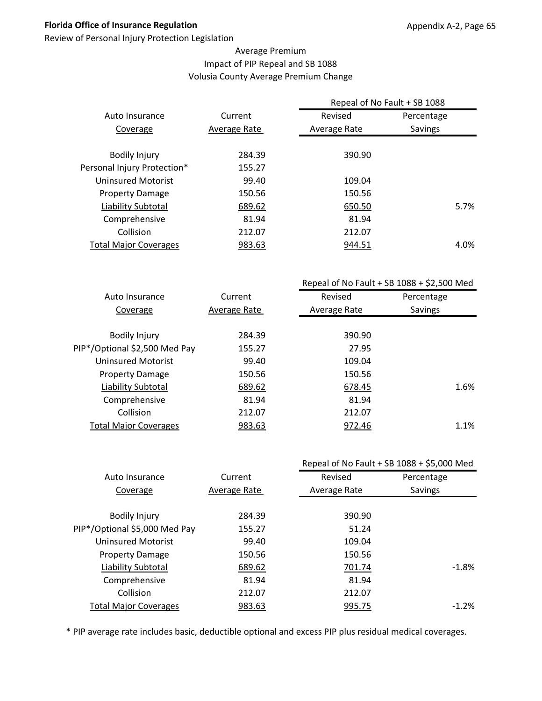Review of Personal Injury Protection Legislation

#### Average Premium Impact of PIP Repeal and SB 1088 Volusia County Average Premium Change

|                              |              | Repeal of No Fault + SB 1088 |            |      |
|------------------------------|--------------|------------------------------|------------|------|
| Auto Insurance               | Current      | Revised                      | Percentage |      |
| Coverage                     | Average Rate | Average Rate                 | Savings    |      |
|                              |              |                              |            |      |
| <b>Bodily Injury</b>         | 284.39       | 390.90                       |            |      |
| Personal Injury Protection*  | 155.27       |                              |            |      |
| Uninsured Motorist           | 99.40        | 109.04                       |            |      |
| <b>Property Damage</b>       | 150.56       | 150.56                       |            |      |
| Liability Subtotal           | 689.62       | 650.50                       |            | 5.7% |
| Comprehensive                | 81.94        | 81.94                        |            |      |
| Collision                    | 212.07       | 212.07                       |            |      |
| <b>Total Major Coverages</b> | 983.63       | 944.51                       |            | 4.0% |
|                              |              |                              |            |      |

|                               |              | Repeal of No Fault + SB $1088 + $2,500$ Med |            |
|-------------------------------|--------------|---------------------------------------------|------------|
| Auto Insurance                | Current      | Revised                                     | Percentage |
| Coverage                      | Average Rate | Average Rate                                | Savings    |
|                               |              |                                             |            |
| <b>Bodily Injury</b>          | 284.39       | 390.90                                      |            |
| PIP*/Optional \$2,500 Med Pay | 155.27       | 27.95                                       |            |
| Uninsured Motorist            | 99.40        | 109.04                                      |            |
| <b>Property Damage</b>        | 150.56       | 150.56                                      |            |
| Liability Subtotal            | 689.62       | 678.45                                      | 1.6%       |
| Comprehensive                 | 81.94        | 81.94                                       |            |
| Collision                     | 212.07       | 212.07                                      |            |
| <b>Total Major Coverages</b>  | 983.63       | 972.46                                      | 1.1%       |
|                               |              |                                             |            |

|                               |              |              | Repeal of No Fault + SB 1088 + \$5,000 Med |
|-------------------------------|--------------|--------------|--------------------------------------------|
| Auto Insurance                | Current      | Revised      | Percentage                                 |
| Coverage                      | Average Rate | Average Rate | Savings                                    |
|                               |              |              |                                            |
| <b>Bodily Injury</b>          | 284.39       | 390.90       |                                            |
| PIP*/Optional \$5,000 Med Pay | 155.27       | 51.24        |                                            |
| <b>Uninsured Motorist</b>     | 99.40        | 109.04       |                                            |
| <b>Property Damage</b>        | 150.56       | 150.56       |                                            |
| Liability Subtotal            | 689.62       | 701.74       | -1.8%                                      |
| Comprehensive                 | 81.94        | 81.94        |                                            |
| Collision                     | 212.07       | 212.07       |                                            |
| <b>Total Major Coverages</b>  | 983.63       | 995.75       | $-1.2%$                                    |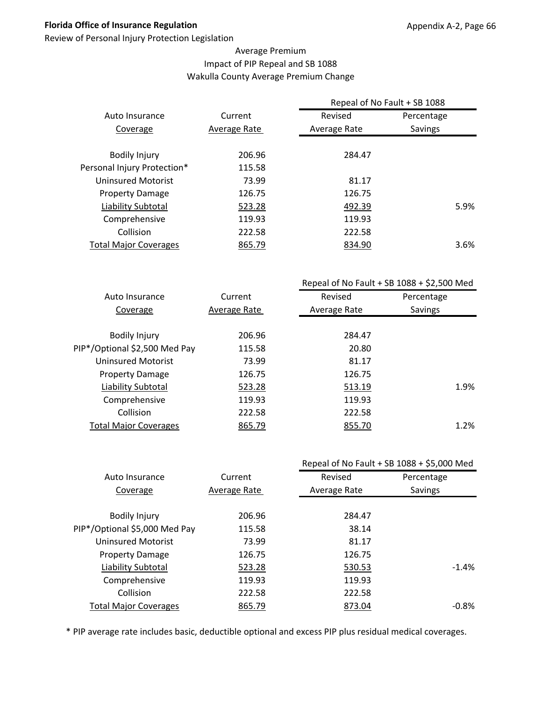Review of Personal Injury Protection Legislation

#### Average Premium Impact of PIP Repeal and SB 1088 Wakulla County Average Premium Change

|                              |              | Repeal of No Fault + SB 1088 |                |      |
|------------------------------|--------------|------------------------------|----------------|------|
| Auto Insurance               | Current      | Revised                      | Percentage     |      |
| Coverage                     | Average Rate | Average Rate                 | <b>Savings</b> |      |
|                              | 206.96       | 284.47                       |                |      |
| <b>Bodily Injury</b>         |              |                              |                |      |
| Personal Injury Protection*  | 115.58       |                              |                |      |
| Uninsured Motorist           | 73.99        | 81.17                        |                |      |
| <b>Property Damage</b>       | 126.75       | 126.75                       |                |      |
| Liability Subtotal           | 523.28       | 492.39                       | 5.9%           |      |
| Comprehensive                | 119.93       | 119.93                       |                |      |
| Collision                    | 222.58       | 222.58                       |                |      |
| <b>Total Major Coverages</b> | 865.79       | 834.90                       |                | 3.6% |
|                              |              |                              |                |      |

|                               |              | Repeal of No Fault + SB $1088 + $2,500$ Med |            |  |
|-------------------------------|--------------|---------------------------------------------|------------|--|
| Auto Insurance                | Current      | Revised                                     | Percentage |  |
| Coverage                      | Average Rate | Average Rate                                | Savings    |  |
|                               |              |                                             |            |  |
| <b>Bodily Injury</b>          | 206.96       | 284.47                                      |            |  |
| PIP*/Optional \$2,500 Med Pay | 115.58       | 20.80                                       |            |  |
| Uninsured Motorist            | 73.99        | 81.17                                       |            |  |
| <b>Property Damage</b>        | 126.75       | 126.75                                      |            |  |
| Liability Subtotal            | 523.28       | 513.19                                      | 1.9%       |  |
| Comprehensive                 | 119.93       | 119.93                                      |            |  |
| Collision                     | 222.58       | 222.58                                      |            |  |
| <b>Total Major Coverages</b>  | 865.79       | 855.70                                      | 1.2%       |  |
|                               |              |                                             |            |  |

|                               |              |              | Repeal of No Fault + SB 1088 + \$5,000 Med |
|-------------------------------|--------------|--------------|--------------------------------------------|
| Auto Insurance                | Current      | Revised      | Percentage                                 |
| Coverage                      | Average Rate | Average Rate | Savings                                    |
|                               |              |              |                                            |
| <b>Bodily Injury</b>          | 206.96       | 284.47       |                                            |
| PIP*/Optional \$5,000 Med Pay | 115.58       | 38.14        |                                            |
| <b>Uninsured Motorist</b>     | 73.99        | 81.17        |                                            |
| <b>Property Damage</b>        | 126.75       | 126.75       |                                            |
| <b>Liability Subtotal</b>     | 523.28       | 530.53       | $-1.4%$                                    |
| Comprehensive                 | 119.93       | 119.93       |                                            |
| Collision                     | 222.58       | 222.58       |                                            |
| <b>Total Major Coverages</b>  | 865.79       | 873.04       | $-0.8\%$                                   |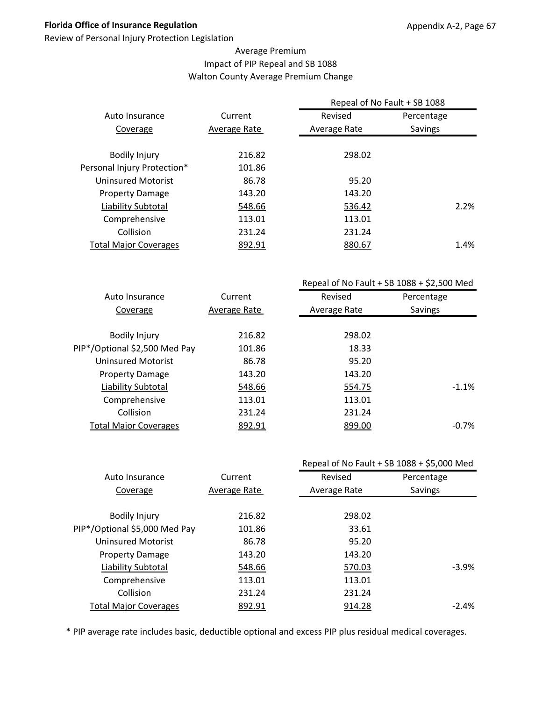Review of Personal Injury Protection Legislation

#### Average Premium Impact of PIP Repeal and SB 1088 Walton County Average Premium Change

|                              |              | Repeal of No Fault + SB 1088 |                |      |  |
|------------------------------|--------------|------------------------------|----------------|------|--|
| Auto Insurance               | Current      | Revised                      | Percentage     |      |  |
| Coverage                     | Average Rate | Average Rate                 | <b>Savings</b> |      |  |
|                              |              |                              |                |      |  |
| <b>Bodily Injury</b>         | 216.82       | 298.02                       |                |      |  |
| Personal Injury Protection*  | 101.86       |                              |                |      |  |
| Uninsured Motorist           | 86.78        | 95.20                        |                |      |  |
| <b>Property Damage</b>       | 143.20       | 143.20                       |                |      |  |
| Liability Subtotal           | 548.66       | 536.42                       |                | 2.2% |  |
| Comprehensive                | 113.01       | 113.01                       |                |      |  |
| Collision                    | 231.24       | 231.24                       |                |      |  |
| <b>Total Major Coverages</b> | 892.91       | 880.67                       |                | 1.4% |  |
|                              |              |                              |                |      |  |

|                               |              | Repeal of No Fault + SB $1088 + $2,500$ Med |            |  |
|-------------------------------|--------------|---------------------------------------------|------------|--|
| Auto Insurance                | Current      | Revised                                     | Percentage |  |
| Coverage                      | Average Rate | Average Rate                                | Savings    |  |
|                               |              |                                             |            |  |
| <b>Bodily Injury</b>          | 216.82       | 298.02                                      |            |  |
| PIP*/Optional \$2,500 Med Pay | 101.86       | 18.33                                       |            |  |
| <b>Uninsured Motorist</b>     | 86.78        | 95.20                                       |            |  |
| <b>Property Damage</b>        | 143.20       | 143.20                                      |            |  |
| Liability Subtotal            | 548.66       | 554.75                                      | $-1.1%$    |  |
| Comprehensive                 | 113.01       | 113.01                                      |            |  |
| Collision                     | 231.24       | 231.24                                      |            |  |
| <b>Total Major Coverages</b>  | 892.91       | 899.00                                      | $-0.7%$    |  |
|                               |              |                                             |            |  |

|                               |              | Repeal of No Fault + SB 1088 + \$5,000 Med |            |
|-------------------------------|--------------|--------------------------------------------|------------|
| Auto Insurance                | Current      | Revised                                    | Percentage |
| Coverage                      | Average Rate | Average Rate                               | Savings    |
|                               |              |                                            |            |
| <b>Bodily Injury</b>          | 216.82       | 298.02                                     |            |
| PIP*/Optional \$5,000 Med Pay | 101.86       | 33.61                                      |            |
| <b>Uninsured Motorist</b>     | 86.78        | 95.20                                      |            |
| <b>Property Damage</b>        | 143.20       | 143.20                                     |            |
| Liability Subtotal            | 548.66       | 570.03                                     | $-3.9%$    |
| Comprehensive                 | 113.01       | 113.01                                     |            |
| Collision                     | 231.24       | 231.24                                     |            |
| <b>Total Major Coverages</b>  | 892.91       | 914.28                                     | $-2.4\%$   |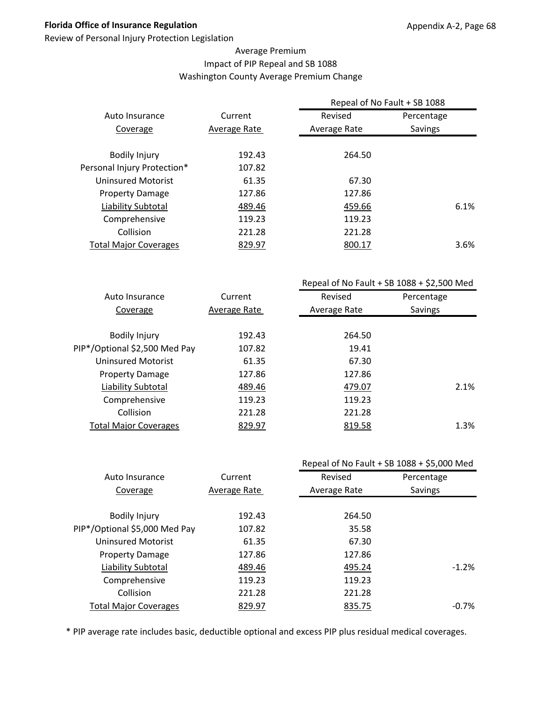Review of Personal Injury Protection Legislation

#### Average Premium Impact of PIP Repeal and SB 1088 Washington County Average Premium Change

|                              |              | Repeal of No Fault + SB 1088 |            |
|------------------------------|--------------|------------------------------|------------|
| Auto Insurance               | Current      | Revised                      | Percentage |
| Coverage                     | Average Rate | Average Rate                 | Savings    |
|                              |              |                              |            |
| <b>Bodily Injury</b>         | 192.43       | 264.50                       |            |
| Personal Injury Protection*  | 107.82       |                              |            |
| Uninsured Motorist           | 61.35        | 67.30                        |            |
| <b>Property Damage</b>       | 127.86       | 127.86                       |            |
| Liability Subtotal           | 489.46       | 459.66                       | 6.1%       |
| Comprehensive                | 119.23       | 119.23                       |            |
| Collision                    | 221.28       | 221.28                       |            |
| <b>Total Major Coverages</b> | 829.97       | 800.17                       | 3.6%       |
|                              |              |                              |            |

|                               |              | Repeal of No Fault + SB $1088 + $2,500$ Med |            |
|-------------------------------|--------------|---------------------------------------------|------------|
| Auto Insurance                | Current      | Revised                                     | Percentage |
| Coverage                      | Average Rate | Average Rate                                | Savings    |
|                               |              |                                             |            |
| <b>Bodily Injury</b>          | 192.43       | 264.50                                      |            |
| PIP*/Optional \$2,500 Med Pay | 107.82       | 19.41                                       |            |
| Uninsured Motorist            | 61.35        | 67.30                                       |            |
| <b>Property Damage</b>        | 127.86       | 127.86                                      |            |
| Liability Subtotal            | 489.46       | 479.07                                      | 2.1%       |
| Comprehensive                 | 119.23       | 119.23                                      |            |
| Collision                     | 221.28       | 221.28                                      |            |
| <b>Total Major Coverages</b>  | 829.97       | 819.58                                      | 1.3%       |
|                               |              |                                             |            |

|                               |              |              | Repeal of No Fault + SB 1088 + \$5,000 Med |
|-------------------------------|--------------|--------------|--------------------------------------------|
| Auto Insurance                | Current      | Revised      | Percentage                                 |
| Coverage                      | Average Rate | Average Rate | Savings                                    |
|                               |              |              |                                            |
| <b>Bodily Injury</b>          | 192.43       | 264.50       |                                            |
| PIP*/Optional \$5,000 Med Pay | 107.82       | 35.58        |                                            |
| <b>Uninsured Motorist</b>     | 61.35        | 67.30        |                                            |
| <b>Property Damage</b>        | 127.86       | 127.86       |                                            |
| Liability Subtotal            | 489.46       | 495.24       | $-1.2%$                                    |
| Comprehensive                 | 119.23       | 119.23       |                                            |
| Collision                     | 221.28       | 221.28       |                                            |
| <b>Total Major Coverages</b>  | 829.97       | 835.75       | $-0.7\%$                                   |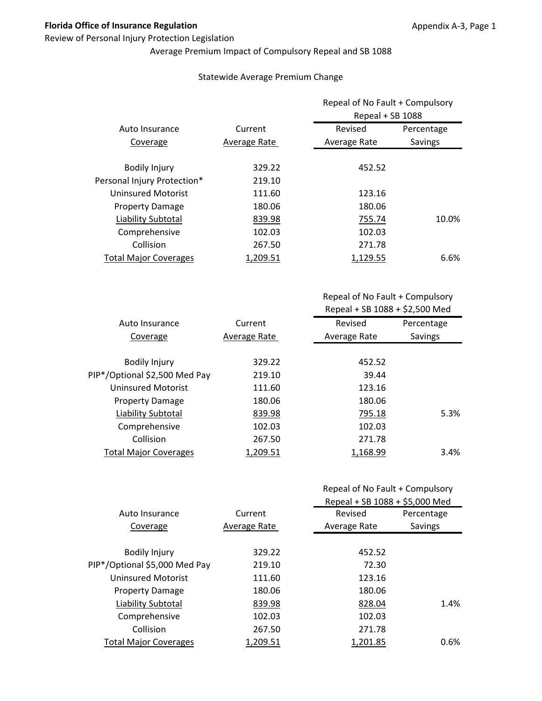#### Review of Personal Injury Protection Legislation

Average Premium Impact of Compulsory Repeal and SB 1088

#### Statewide Average Premium Change

|                              |              | Repeal of No Fault + Compulsory |            |
|------------------------------|--------------|---------------------------------|------------|
|                              |              | Repeal + SB 1088                |            |
| Auto Insurance               | Current      | Revised                         | Percentage |
| Coverage                     | Average Rate | Average Rate                    | Savings    |
| <b>Bodily Injury</b>         | 329.22       | 452.52                          |            |
| Personal Injury Protection*  | 219.10       |                                 |            |
| <b>Uninsured Motorist</b>    | 111.60       | 123.16                          |            |
| <b>Property Damage</b>       | 180.06       | 180.06                          |            |
| Liability Subtotal           | 839.98       | 755.74                          | 10.0%      |
| Comprehensive                | 102.03       | 102.03                          |            |
| Collision                    | 267.50       | 271.78                          |            |
| <b>Total Major Coverages</b> | 1.209.51     | 1.129.55                        | 6.6%       |

Repeal of No Fault + Compulsory Repeal + SB 1088 + \$2,500 Med

| Auto Insurance                | Current      | Revised      | Percentage     |
|-------------------------------|--------------|--------------|----------------|
| Coverage                      | Average Rate | Average Rate | <b>Savings</b> |
|                               |              |              |                |
| <b>Bodily Injury</b>          | 329.22       | 452.52       |                |
| PIP*/Optional \$2,500 Med Pay | 219.10       | 39.44        |                |
| Uninsured Motorist            | 111.60       | 123.16       |                |
| <b>Property Damage</b>        | 180.06       | 180.06       |                |
| Liability Subtotal            | 839.98       | 795.18       | 5.3%           |
| Comprehensive                 | 102.03       | 102.03       |                |
| Collision                     | 267.50       | 271.78       |                |
| <b>Total Major Coverages</b>  | 1,209.51     | 1,168.99     | 3.4%           |
|                               |              |              |                |

| Repeal of No Fault + Compulsory |
|---------------------------------|
|---------------------------------|

|                               |              | Repeal + SB 1088 + \$5,000 Med |            |
|-------------------------------|--------------|--------------------------------|------------|
| Auto Insurance                | Current      | Revised                        | Percentage |
| Coverage                      | Average Rate | Average Rate                   | Savings    |
|                               |              |                                |            |
| <b>Bodily Injury</b>          | 329.22       | 452.52                         |            |
| PIP*/Optional \$5,000 Med Pay | 219.10       | 72.30                          |            |
| <b>Uninsured Motorist</b>     | 111.60       | 123.16                         |            |
| <b>Property Damage</b>        | 180.06       | 180.06                         |            |
| Liability Subtotal            | 839.98       | 828.04                         | 1.4%       |
| Comprehensive                 | 102.03       | 102.03                         |            |
| Collision                     | 267.50       | 271.78                         |            |
| <b>Total Major Coverages</b>  | 1.209.51     | 1.201.85                       | 0.6%       |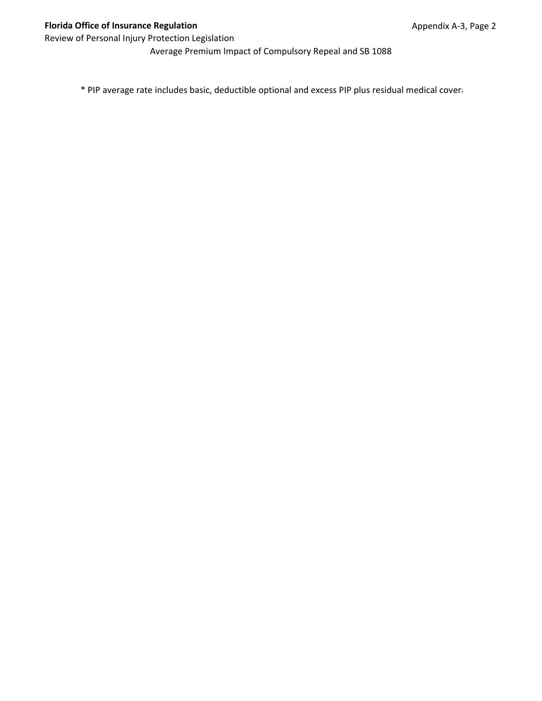Average Premium Impact of Compulsory Repeal and SB 1088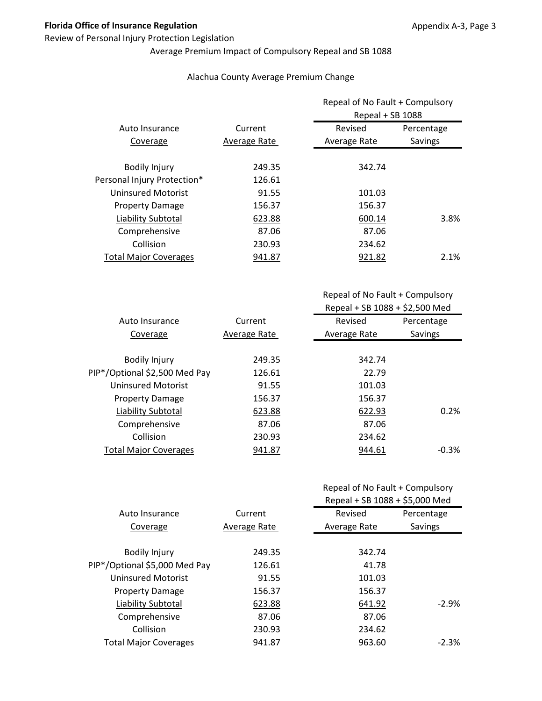#### Review of Personal Injury Protection Legislation

# Average Premium Impact of Compulsory Repeal and SB 1088

#### Alachua County Average Premium Change

|              |              | Repeal of No Fault + Compulsory<br>Repeal + SB 1088 |  |
|--------------|--------------|-----------------------------------------------------|--|
| Current      | Revised      | Percentage                                          |  |
| Average Rate | Average Rate | Savings                                             |  |
| 249.35       | 342.74       |                                                     |  |
| 126.61       |              |                                                     |  |
| 91.55        | 101.03       |                                                     |  |
| 156.37       | 156.37       |                                                     |  |
| 623.88       | 600.14       | 3.8%                                                |  |
| 87.06        | 87.06        |                                                     |  |
| 230.93       | 234.62       |                                                     |  |
| 941.87       | 921.82       | 2.1%                                                |  |
|              |              |                                                     |  |

Repeal of No Fault + Compulsory Repeal + SB 1088 + \$2,500 Med

| Auto Insurance                | Current      | Revised      | Percentage |
|-------------------------------|--------------|--------------|------------|
| Coverage                      | Average Rate | Average Rate | Savings    |
|                               |              |              |            |
| <b>Bodily Injury</b>          | 249.35       | 342.74       |            |
| PIP*/Optional \$2,500 Med Pay | 126.61       | 22.79        |            |
| Uninsured Motorist            | 91.55        | 101.03       |            |
| <b>Property Damage</b>        | 156.37       | 156.37       |            |
| Liability Subtotal            | 623.88       | 622.93       | 0.2%       |
| Comprehensive                 | 87.06        | 87.06        |            |
| Collision                     | 230.93       | 234.62       |            |
| <b>Total Major Coverages</b>  | 941.87       | 944.61       | $-0.3%$    |
|                               |              |              |            |

# Repeal of No Fault + Compulsory

|                               |              | Repeal + SB 1088 + \$5,000 Med |            |
|-------------------------------|--------------|--------------------------------|------------|
| Auto Insurance                | Current      | Revised                        | Percentage |
| Coverage                      | Average Rate | Average Rate                   | Savings    |
|                               |              |                                |            |
| <b>Bodily Injury</b>          | 249.35       | 342.74                         |            |
| PIP*/Optional \$5,000 Med Pay | 126.61       | 41.78                          |            |
| <b>Uninsured Motorist</b>     | 91.55        | 101.03                         |            |
| <b>Property Damage</b>        | 156.37       | 156.37                         |            |
| Liability Subtotal            | 623.88       | 641.92                         | $-2.9%$    |
| Comprehensive                 | 87.06        | 87.06                          |            |
| Collision                     | 230.93       | 234.62                         |            |
| <b>Total Major Coverages</b>  | 941.87       | 963.60                         | $-2.3%$    |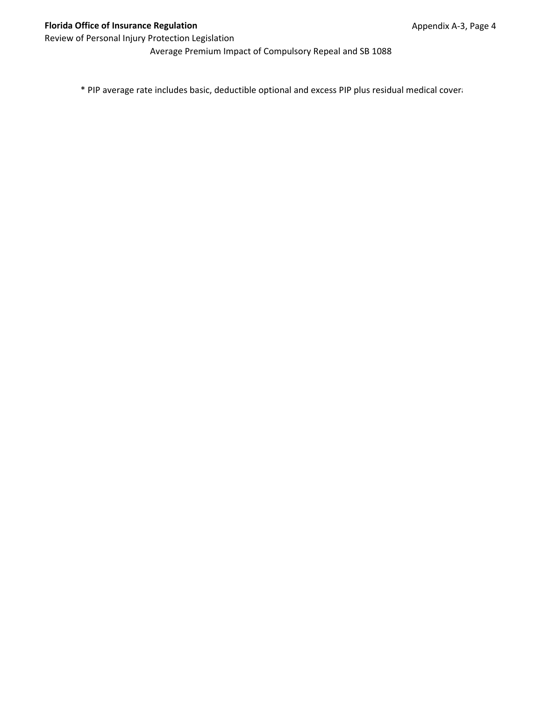Average Premium Impact of Compulsory Repeal and SB 1088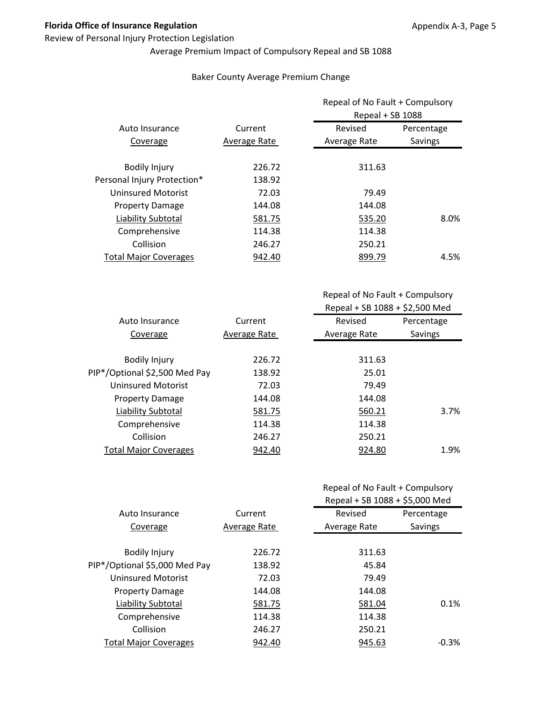#### Review of Personal Injury Protection Legislation

# Average Premium Impact of Compulsory Repeal and SB 1088

#### Baker County Average Premium Change

|                              |              | Repeal of No Fault + Compulsory<br>Repeal + SB 1088 |            |
|------------------------------|--------------|-----------------------------------------------------|------------|
| Auto Insurance               | Current      | Revised                                             | Percentage |
| Coverage                     | Average Rate | Average Rate                                        | Savings    |
| <b>Bodily Injury</b>         | 226.72       | 311.63                                              |            |
| Personal Injury Protection*  | 138.92       |                                                     |            |
| <b>Uninsured Motorist</b>    | 72.03        | 79.49                                               |            |
| <b>Property Damage</b>       | 144.08       | 144.08                                              |            |
| Liability Subtotal           | 581.75       | 535.20                                              | 8.0%       |
| Comprehensive                | 114.38       | 114.38                                              |            |
| Collision                    | 246.27       | 250.21                                              |            |
| <b>Total Major Coverages</b> | 942.40       | 899.79                                              | 4.5%       |

Repeal of No Fault + Compulsory Repeal + SB 1088 + \$2,500 Med

| Auto Insurance                | Current      | Revised      | Percentage |
|-------------------------------|--------------|--------------|------------|
| Coverage                      | Average Rate | Average Rate | Savings    |
|                               |              |              |            |
| <b>Bodily Injury</b>          | 226.72       | 311.63       |            |
| PIP*/Optional \$2,500 Med Pay | 138.92       | 25.01        |            |
| Uninsured Motorist            | 72.03        | 79.49        |            |
| <b>Property Damage</b>        | 144.08       | 144.08       |            |
| Liability Subtotal            | 581.75       | 560.21       | 3.7%       |
| Comprehensive                 | 114.38       | 114.38       |            |
| Collision                     | 246.27       | 250.21       |            |
| <b>Total Major Coverages</b>  | 942.40       | 924.80       | 1.9%       |

# Repeal of No Fault + Compulsory

|                               |              | Repeal + SB 1088 + \$5,000 Med |            |
|-------------------------------|--------------|--------------------------------|------------|
| Auto Insurance                | Current      | Revised                        | Percentage |
| Coverage                      | Average Rate | Average Rate                   | Savings    |
|                               |              |                                |            |
| <b>Bodily Injury</b>          | 226.72       | 311.63                         |            |
| PIP*/Optional \$5,000 Med Pay | 138.92       | 45.84                          |            |
| <b>Uninsured Motorist</b>     | 72.03        | 79.49                          |            |
| <b>Property Damage</b>        | 144.08       | 144.08                         |            |
| Liability Subtotal            | 581.75       | 581.04                         | 0.1%       |
| Comprehensive                 | 114.38       | 114.38                         |            |
| Collision                     | 246.27       | 250.21                         |            |
| <b>Total Major Coverages</b>  | 942.40       | 945.63                         | $-0.3\%$   |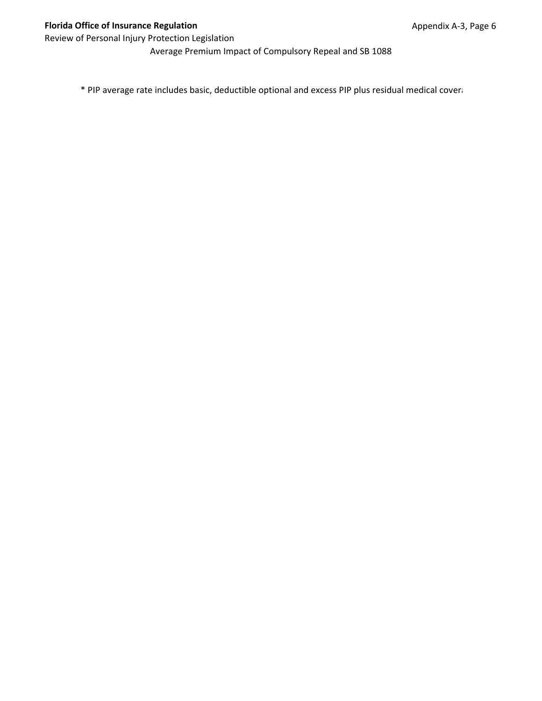Average Premium Impact of Compulsory Repeal and SB 1088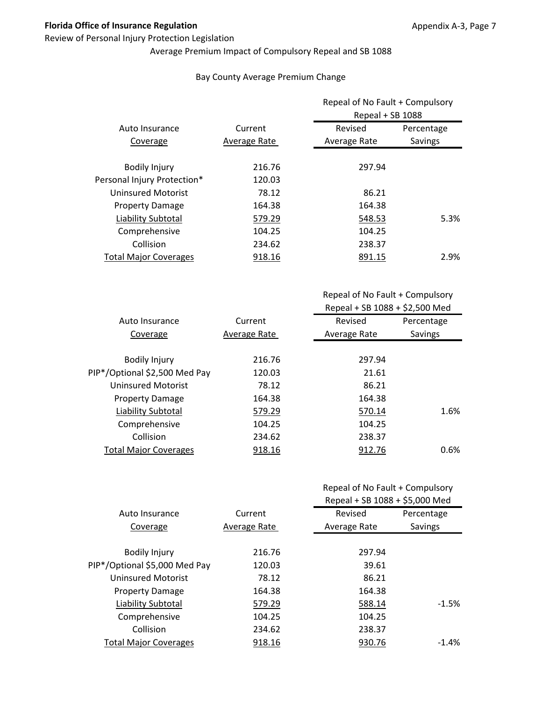#### Review of Personal Injury Protection Legislation

## Average Premium Impact of Compulsory Repeal and SB 1088

#### Bay County Average Premium Change

|                              |              | Repeal of No Fault + Compulsory<br>Repeal + SB 1088 |            |
|------------------------------|--------------|-----------------------------------------------------|------------|
| Auto Insurance               | Current      | Revised                                             | Percentage |
| Coverage                     | Average Rate | Average Rate                                        | Savings    |
| <b>Bodily Injury</b>         | 216.76       | 297.94                                              |            |
| Personal Injury Protection*  | 120.03       |                                                     |            |
| <b>Uninsured Motorist</b>    | 78.12        | 86.21                                               |            |
| <b>Property Damage</b>       | 164.38       | 164.38                                              |            |
| Liability Subtotal           | 579.29       | 548.53                                              | 5.3%       |
| Comprehensive                | 104.25       | 104.25                                              |            |
| Collision                    | 234.62       | 238.37                                              |            |
| <b>Total Major Coverages</b> | 918.16       | 891.15                                              | 2.9%       |

Repeal of No Fault + Compulsory Repeal + SB 1088 + \$2,500 Med

| Auto Insurance                | Current      | Revised      | Percentage |
|-------------------------------|--------------|--------------|------------|
| Coverage                      | Average Rate | Average Rate | Savings    |
|                               |              |              |            |
| <b>Bodily Injury</b>          | 216.76       | 297.94       |            |
| PIP*/Optional \$2,500 Med Pay | 120.03       | 21.61        |            |
| Uninsured Motorist            | 78.12        | 86.21        |            |
| <b>Property Damage</b>        | 164.38       | 164.38       |            |
| Liability Subtotal            | 579.29       | 570.14       | 1.6%       |
| Comprehensive                 | 104.25       | 104.25       |            |
| Collision                     | 234.62       | 238.37       |            |
| <b>Total Major Coverages</b>  | 918.16       | 912.76       | 0.6%       |

## Repeal of No Fault + Compulsory

|                               |              | Repeal + SB 1088 + \$5,000 Med |            |
|-------------------------------|--------------|--------------------------------|------------|
| Auto Insurance                | Current      | Revised                        | Percentage |
| Coverage                      | Average Rate | Average Rate                   | Savings    |
|                               |              |                                |            |
| <b>Bodily Injury</b>          | 216.76       | 297.94                         |            |
| PIP*/Optional \$5,000 Med Pay | 120.03       | 39.61                          |            |
| <b>Uninsured Motorist</b>     | 78.12        | 86.21                          |            |
| <b>Property Damage</b>        | 164.38       | 164.38                         |            |
| Liability Subtotal            | 579.29       | 588.14                         | $-1.5%$    |
| Comprehensive                 | 104.25       | 104.25                         |            |
| Collision                     | 234.62       | 238.37                         |            |
| <b>Total Major Coverages</b>  | 918.16       | 930.76                         | $-1.4\%$   |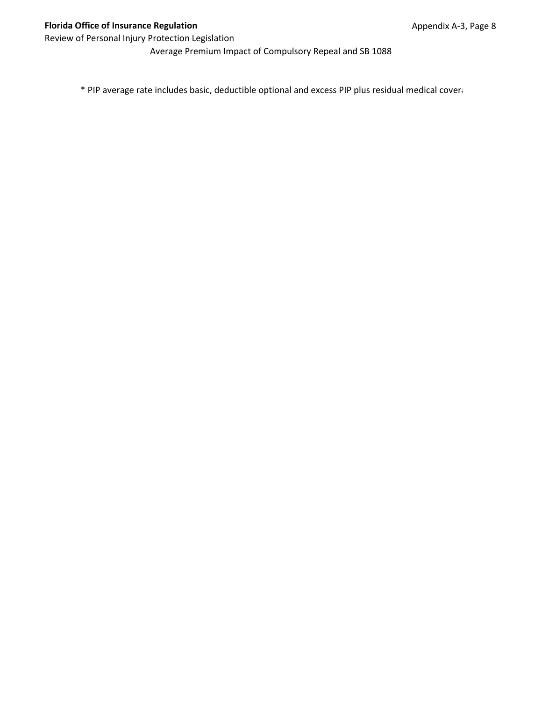Average Premium Impact of Compulsory Repeal and SB 1088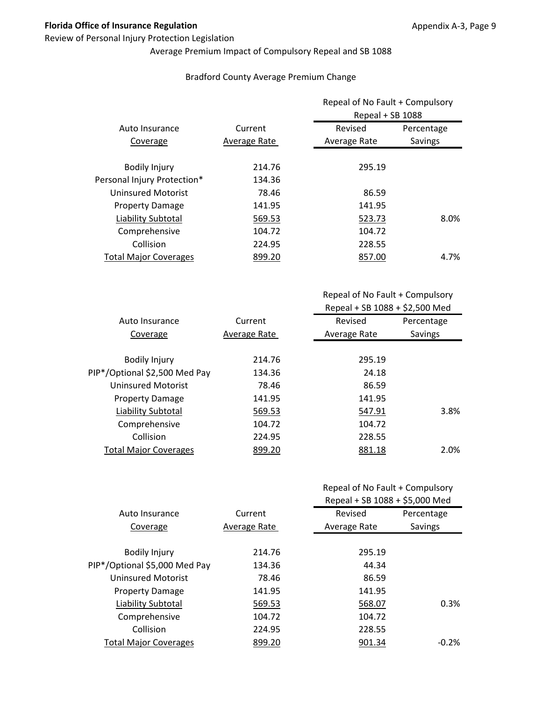#### Review of Personal Injury Protection Legislation

# Average Premium Impact of Compulsory Repeal and SB 1088

#### Bradford County Average Premium Change

|                              |              | Repeal of No Fault + Compulsory<br>Repeal + SB 1088 |            |
|------------------------------|--------------|-----------------------------------------------------|------------|
| Auto Insurance               | Current      | Revised                                             | Percentage |
| Coverage                     | Average Rate | Average Rate                                        | Savings    |
| <b>Bodily Injury</b>         | 214.76       | 295.19                                              |            |
| Personal Injury Protection*  | 134.36       |                                                     |            |
| <b>Uninsured Motorist</b>    | 78.46        | 86.59                                               |            |
| <b>Property Damage</b>       | 141.95       | 141.95                                              |            |
| Liability Subtotal           | 569.53       | 523.73                                              | 8.0%       |
| Comprehensive                | 104.72       | 104.72                                              |            |
| Collision                    | 224.95       | 228.55                                              |            |
| <b>Total Major Coverages</b> | 899.20       | 857.00                                              | 4.7%       |

Repeal of No Fault + Compulsory Repeal + SB 1088 + \$2,500 Med

| Auto Insurance                | Current      | Revised      | Percentage |
|-------------------------------|--------------|--------------|------------|
|                               |              |              |            |
| Coverage                      | Average Rate | Average Rate | Savings    |
|                               |              |              |            |
| <b>Bodily Injury</b>          | 214.76       | 295.19       |            |
| PIP*/Optional \$2,500 Med Pay | 134.36       | 24.18        |            |
| Uninsured Motorist            | 78.46        | 86.59        |            |
| <b>Property Damage</b>        | 141.95       | 141.95       |            |
| Liability Subtotal            | 569.53       | 547.91       | 3.8%       |
| Comprehensive                 | 104.72       | 104.72       |            |
| Collision                     | 224.95       | 228.55       |            |
| <b>Total Major Coverages</b>  | 899.20       | 881.18       | 2.0%       |

## Repeal of No Fault + Compulsory

|                               |              | Repeal + SB 1088 + \$5,000 Med |            |
|-------------------------------|--------------|--------------------------------|------------|
| Auto Insurance                | Current      | Revised                        | Percentage |
| Coverage                      | Average Rate | Average Rate                   | Savings    |
|                               |              |                                |            |
| <b>Bodily Injury</b>          | 214.76       | 295.19                         |            |
| PIP*/Optional \$5,000 Med Pay | 134.36       | 44.34                          |            |
| <b>Uninsured Motorist</b>     | 78.46        | 86.59                          |            |
| <b>Property Damage</b>        | 141.95       | 141.95                         |            |
| Liability Subtotal            | 569.53       | 568.07                         | 0.3%       |
| Comprehensive                 | 104.72       | 104.72                         |            |
| Collision                     | 224.95       | 228.55                         |            |
| <b>Total Major Coverages</b>  | 899.20       | 901.34                         | $-0.2\%$   |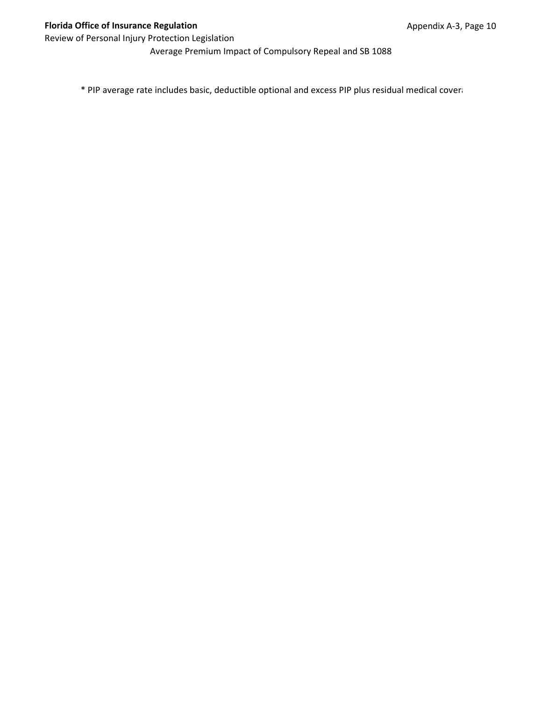Average Premium Impact of Compulsory Repeal and SB 1088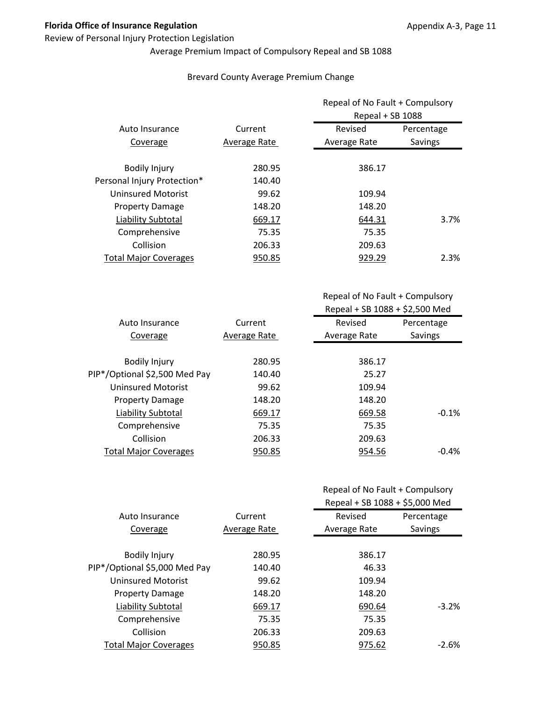#### Review of Personal Injury Protection Legislation

# Average Premium Impact of Compulsory Repeal and SB 1088

#### Brevard County Average Premium Change

|                              |              | Repeal of No Fault + Compulsory<br>Repeal + SB 1088 |            |
|------------------------------|--------------|-----------------------------------------------------|------------|
|                              |              |                                                     |            |
| Auto Insurance               | Current      | Revised                                             | Percentage |
| Coverage                     | Average Rate | Average Rate                                        | Savings    |
|                              |              |                                                     |            |
| <b>Bodily Injury</b>         | 280.95       | 386.17                                              |            |
| Personal Injury Protection*  | 140.40       |                                                     |            |
| Uninsured Motorist           | 99.62        | 109.94                                              |            |
| <b>Property Damage</b>       | 148.20       | 148.20                                              |            |
| Liability Subtotal           | 669.17       | 644.31                                              | 3.7%       |
| Comprehensive                | 75.35        | 75.35                                               |            |
| Collision                    | 206.33       | 209.63                                              |            |
| <b>Total Major Coverages</b> | 950.85       | 929.29                                              | 2.3%       |

| Repeal of No Fault + Compulsory |
|---------------------------------|
| Repeal + SB 1088 + \$2,500 Med  |

| Auto Insurance                | Current      | Revised      | Percentage     |
|-------------------------------|--------------|--------------|----------------|
| Coverage                      | Average Rate | Average Rate | <b>Savings</b> |
|                               |              |              |                |
| <b>Bodily Injury</b>          | 280.95       | 386.17       |                |
| PIP*/Optional \$2,500 Med Pay | 140.40       | 25.27        |                |
| Uninsured Motorist            | 99.62        | 109.94       |                |
| <b>Property Damage</b>        | 148.20       | 148.20       |                |
| Liability Subtotal            | 669.17       | 669.58       | $-0.1%$        |
| Comprehensive                 | 75.35        | 75.35        |                |
| Collision                     | 206.33       | 209.63       |                |
| <b>Total Major Coverages</b>  | 950.85       | 954.56       | $-0.4\%$       |

| Repeal of No Fault + Compulsory |
|---------------------------------|
| Repeal + SB 1088 + \$5,000 Med  |

|                               |              | $1000 + 301 + 2000 + 30000$ |            |
|-------------------------------|--------------|-----------------------------|------------|
| Auto Insurance                | Current      | Revised                     | Percentage |
| Coverage                      | Average Rate | Average Rate                | Savings    |
|                               |              |                             |            |
| <b>Bodily Injury</b>          | 280.95       | 386.17                      |            |
| PIP*/Optional \$5,000 Med Pay | 140.40       | 46.33                       |            |
| <b>Uninsured Motorist</b>     | 99.62        | 109.94                      |            |
| <b>Property Damage</b>        | 148.20       | 148.20                      |            |
| Liability Subtotal            | 669.17       | 690.64                      | $-3.2%$    |
| Comprehensive                 | 75.35        | 75.35                       |            |
| Collision                     | 206.33       | 209.63                      |            |
| <b>Total Major Coverages</b>  | 950.85       | 975.62                      | $-2.6\%$   |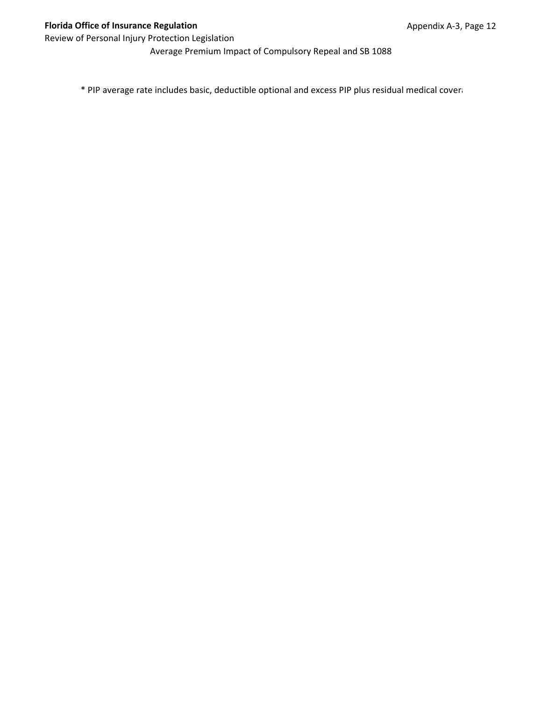Average Premium Impact of Compulsory Repeal and SB 1088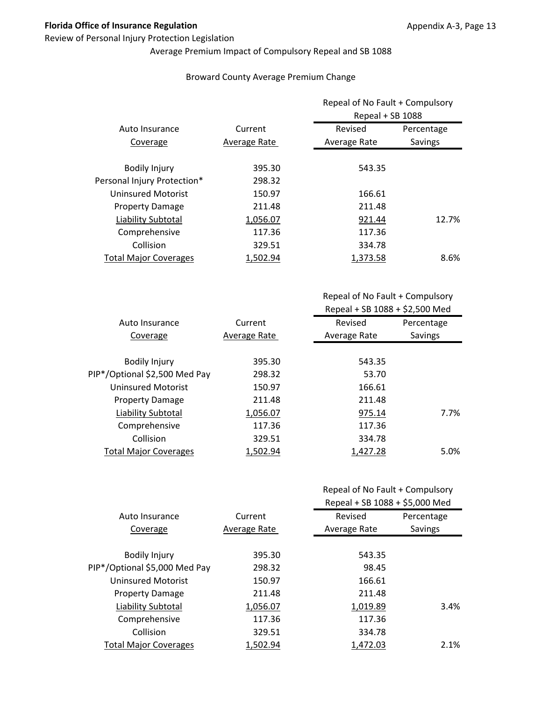#### Review of Personal Injury Protection Legislation

# Average Premium Impact of Compulsory Repeal and SB 1088

#### Broward County Average Premium Change

|                              |              | Repeal of No Fault + Compulsory |            |
|------------------------------|--------------|---------------------------------|------------|
|                              |              | Repeal + SB 1088                |            |
| Auto Insurance               | Current      | Revised                         | Percentage |
| Coverage                     | Average Rate | Average Rate                    | Savings    |
|                              |              |                                 |            |
| <b>Bodily Injury</b>         | 395.30       | 543.35                          |            |
| Personal Injury Protection*  | 298.32       |                                 |            |
| <b>Uninsured Motorist</b>    | 150.97       | 166.61                          |            |
| <b>Property Damage</b>       | 211.48       | 211.48                          |            |
| Liability Subtotal           | 1,056.07     | 921.44                          | 12.7%      |
| Comprehensive                | 117.36       | 117.36                          |            |
| Collision                    | 329.51       | 334.78                          |            |
| <b>Total Major Coverages</b> | 1,502.94     | 1,373.58                        | 8.6%       |

Repeal of No Fault + Compulsory Repeal + SB 1088 + \$2,500 Med

| Auto Insurance                | Current      | Revised      | Percentage |
|-------------------------------|--------------|--------------|------------|
| Coverage                      | Average Rate | Average Rate | Savings    |
|                               |              |              |            |
| <b>Bodily Injury</b>          | 395.30       | 543.35       |            |
| PIP*/Optional \$2,500 Med Pay | 298.32       | 53.70        |            |
| Uninsured Motorist            | 150.97       | 166.61       |            |
| <b>Property Damage</b>        | 211.48       | 211.48       |            |
| Liability Subtotal            | 1,056.07     | 975.14       | 7.7%       |
| Comprehensive                 | 117.36       | 117.36       |            |
| Collision                     | 329.51       | 334.78       |            |
| <b>Total Major Coverages</b>  | 1,502.94     | 1,427.28     | 5.0%       |
|                               |              |              |            |

| Repeal of No Fault + Compulsory |
|---------------------------------|
| D                               |

|                               |              | Repeal + SB 1088 + \$5,000 Med |                |
|-------------------------------|--------------|--------------------------------|----------------|
| Auto Insurance                | Current      | Revised                        | Percentage     |
| Coverage                      | Average Rate | Average Rate                   | <b>Savings</b> |
|                               |              |                                |                |
| <b>Bodily Injury</b>          | 395.30       | 543.35                         |                |
| PIP*/Optional \$5,000 Med Pay | 298.32       | 98.45                          |                |
| <b>Uninsured Motorist</b>     | 150.97       | 166.61                         |                |
| <b>Property Damage</b>        | 211.48       | 211.48                         |                |
| Liability Subtotal            | 1,056.07     | 1,019.89                       | 3.4%           |
| Comprehensive                 | 117.36       | 117.36                         |                |
| Collision                     | 329.51       | 334.78                         |                |
| <b>Total Major Coverages</b>  | 1.502.94     | 1.472.03                       | 2.1%           |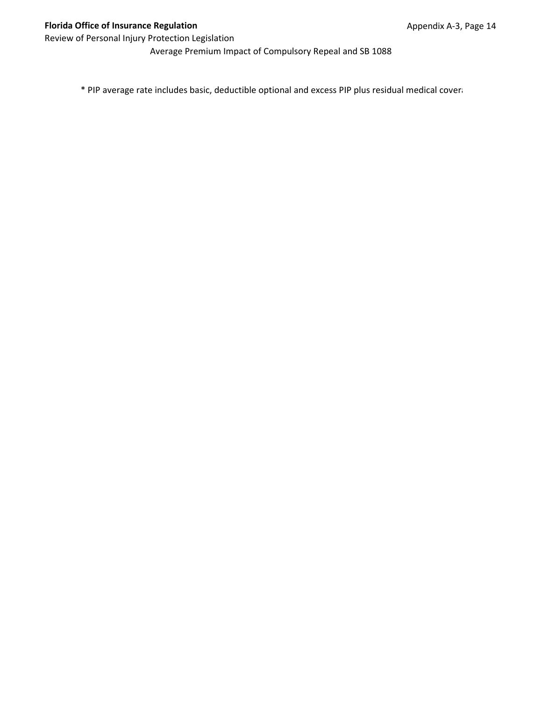Average Premium Impact of Compulsory Repeal and SB 1088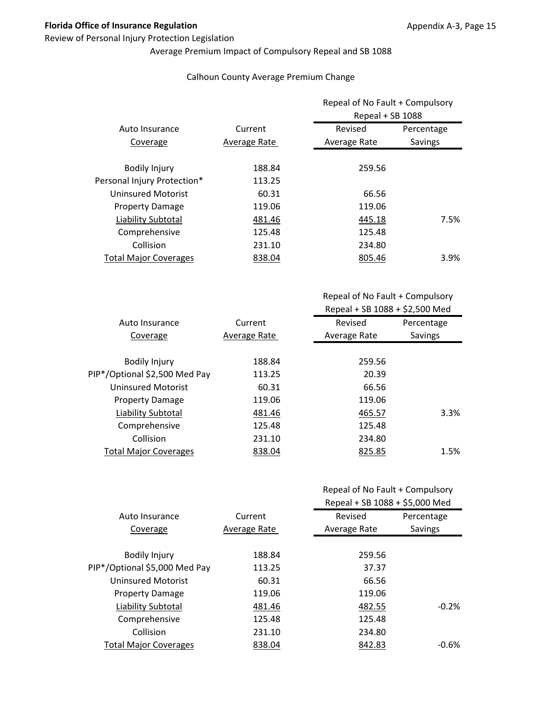#### Review of Personal Injury Protection Legislation

# Average Premium Impact of Compulsory Repeal and SB 1088

#### Calhoun County Average Premium Change

|                              |              | Repeal of No Fault + Compulsory<br>Repeal + SB 1088 |            |
|------------------------------|--------------|-----------------------------------------------------|------------|
| Auto Insurance               | Current      | Revised                                             | Percentage |
| Coverage                     | Average Rate | Average Rate                                        | Savings    |
| <b>Bodily Injury</b>         | 188.84       | 259.56                                              |            |
| Personal Injury Protection*  | 113.25       |                                                     |            |
| Uninsured Motorist           | 60.31        | 66.56                                               |            |
| <b>Property Damage</b>       | 119.06       | 119.06                                              |            |
| Liability Subtotal           | 481.46       | 445.18                                              | 7.5%       |
| Comprehensive                | 125.48       | 125.48                                              |            |
| Collision                    | 231.10       | 234.80                                              |            |
| <b>Total Major Coverages</b> | 838.04       | 805.46                                              | $3.9\%$    |

Repeal of No Fault + Compulsory Repeal + SB 1088 + \$2,500 Med

| Auto Insurance                | Current      | Revised      | Percentage |
|-------------------------------|--------------|--------------|------------|
| Coverage                      | Average Rate | Average Rate | Savings    |
|                               |              |              |            |
| <b>Bodily Injury</b>          | 188.84       | 259.56       |            |
| PIP*/Optional \$2,500 Med Pay | 113.25       | 20.39        |            |
| Uninsured Motorist            | 60.31        | 66.56        |            |
| <b>Property Damage</b>        | 119.06       | 119.06       |            |
| Liability Subtotal            | 481.46       | 465.57       | 3.3%       |
| Comprehensive                 | 125.48       | 125.48       |            |
| Collision                     | 231.10       | 234.80       |            |
| <b>Total Major Coverages</b>  | 838.04       | 825.85       | 1.5%       |
|                               |              |              |            |

| Repeal of No Fault + Compulsory |
|---------------------------------|
| P                               |

|                               |              | Repeal + SB 1088 + \$5,000 Med |            |
|-------------------------------|--------------|--------------------------------|------------|
| Auto Insurance                | Current      | Revised                        | Percentage |
| Coverage                      | Average Rate | Average Rate                   | Savings    |
|                               |              |                                |            |
| <b>Bodily Injury</b>          | 188.84       | 259.56                         |            |
| PIP*/Optional \$5,000 Med Pay | 113.25       | 37.37                          |            |
| <b>Uninsured Motorist</b>     | 60.31        | 66.56                          |            |
| <b>Property Damage</b>        | 119.06       | 119.06                         |            |
| Liability Subtotal            | 481.46       | 482.55                         | $-0.2%$    |
| Comprehensive                 | 125.48       | 125.48                         |            |
| Collision                     | 231.10       | 234.80                         |            |
| <b>Total Major Coverages</b>  | 838.04       | 842.83                         | -0.6%      |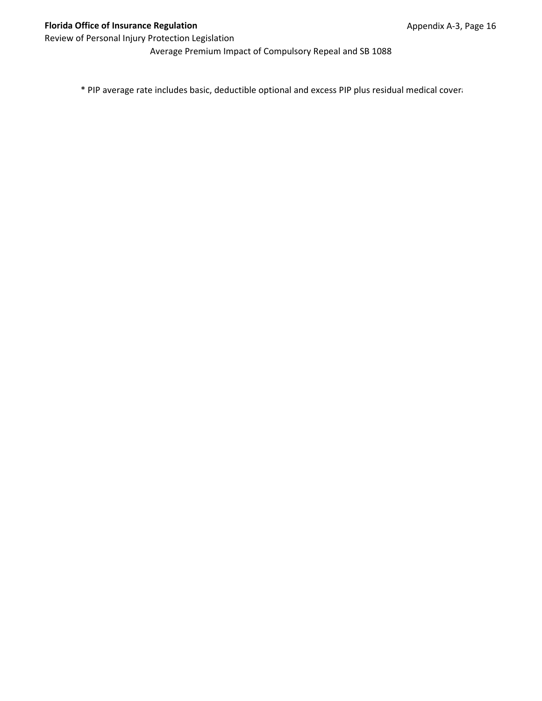Average Premium Impact of Compulsory Repeal and SB 1088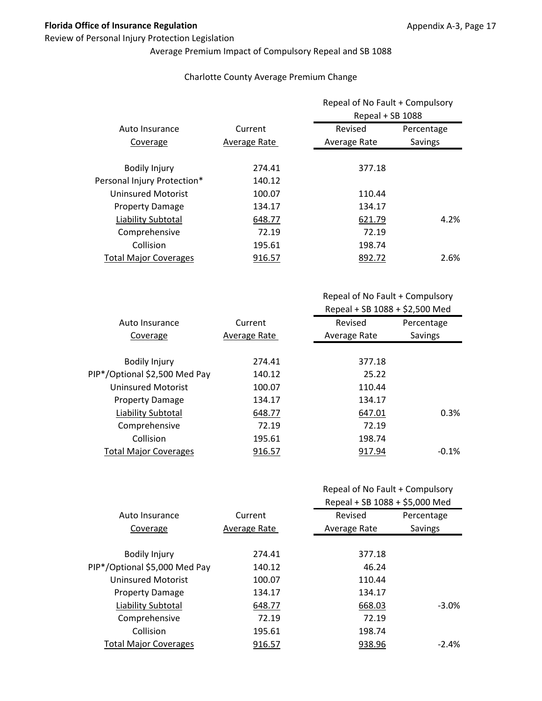#### Review of Personal Injury Protection Legislation

# Average Premium Impact of Compulsory Repeal and SB 1088

#### Charlotte County Average Premium Change

|                              |              | Repeal of No Fault + Compulsory<br>Repeal + SB 1088 |            |
|------------------------------|--------------|-----------------------------------------------------|------------|
| Auto Insurance               | Current      | Revised                                             | Percentage |
| Coverage                     | Average Rate | Average Rate                                        | Savings    |
| <b>Bodily Injury</b>         | 274.41       | 377.18                                              |            |
| Personal Injury Protection*  | 140.12       |                                                     |            |
| <b>Uninsured Motorist</b>    | 100.07       | 110.44                                              |            |
| <b>Property Damage</b>       | 134.17       | 134.17                                              |            |
| Liability Subtotal           | 648.77       | 621.79                                              | 4.2%       |
| Comprehensive                | 72.19        | 72.19                                               |            |
| Collision                    | 195.61       | 198.74                                              |            |
| <b>Total Major Coverages</b> | 916.57       | 892.72                                              | 2.6%       |

Repeal of No Fault + Compulsory Repeal + SB 1088 + \$2,500 Med

| Auto Insurance                | Current      | Revised      | Percentage |
|-------------------------------|--------------|--------------|------------|
|                               |              |              |            |
| Coverage                      | Average Rate | Average Rate | Savings    |
|                               |              |              |            |
| <b>Bodily Injury</b>          | 274.41       | 377.18       |            |
| PIP*/Optional \$2,500 Med Pay | 140.12       | 25.22        |            |
| Uninsured Motorist            | 100.07       | 110.44       |            |
| <b>Property Damage</b>        | 134.17       | 134.17       |            |
| Liability Subtotal            | 648.77       | 647.01       | 0.3%       |
| Comprehensive                 | 72.19        | 72.19        |            |
| Collision                     | 195.61       | 198.74       |            |
| <b>Total Major Coverages</b>  | 916.57       | 917.94       | $-0.1\%$   |

| Repeal of No Fault + Compulsory        |
|----------------------------------------|
| $D + r + 1$ $(2D - 4000)$ $(2E - 000)$ |

|                               |              | Repeal + SB 1088 + \$5,000 Med |            |
|-------------------------------|--------------|--------------------------------|------------|
| Auto Insurance                | Current      | Revised                        | Percentage |
| Coverage                      | Average Rate | Average Rate                   | Savings    |
|                               |              |                                |            |
| <b>Bodily Injury</b>          | 274.41       | 377.18                         |            |
| PIP*/Optional \$5,000 Med Pay | 140.12       | 46.24                          |            |
| <b>Uninsured Motorist</b>     | 100.07       | 110.44                         |            |
| <b>Property Damage</b>        | 134.17       | 134.17                         |            |
| Liability Subtotal            | 648.77       | 668.03                         | $-3.0\%$   |
| Comprehensive                 | 72.19        | 72.19                          |            |
| Collision                     | 195.61       | 198.74                         |            |
| <b>Total Major Coverages</b>  | 916.57       | 938.96                         | $-2.4%$    |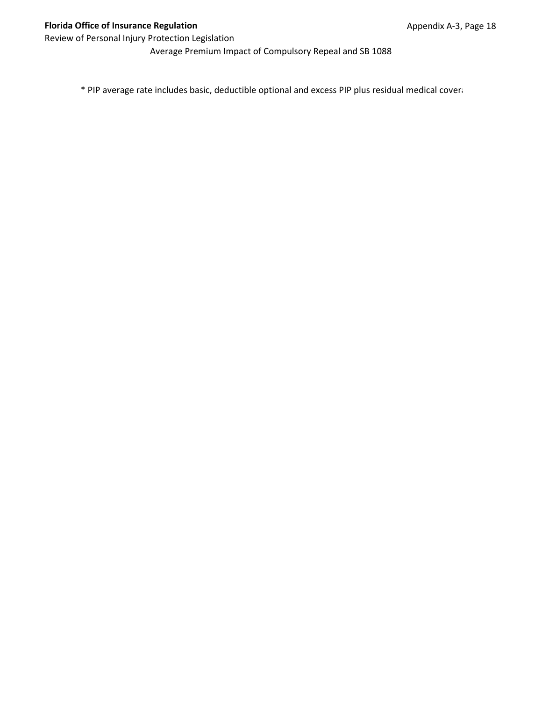Average Premium Impact of Compulsory Repeal and SB 1088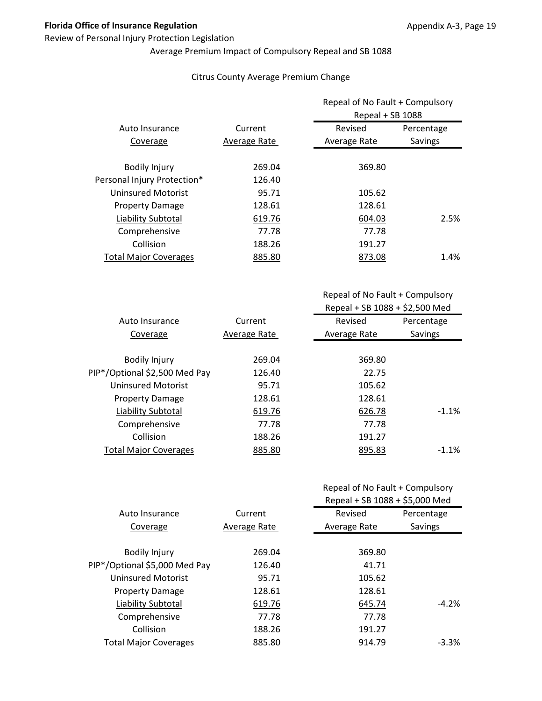#### Review of Personal Injury Protection Legislation

# Average Premium Impact of Compulsory Repeal and SB 1088

#### Citrus County Average Premium Change

|                              |              | Repeal of No Fault + Compulsory<br>Repeal + SB 1088 |            |
|------------------------------|--------------|-----------------------------------------------------|------------|
| Auto Insurance               | Current      | Revised                                             | Percentage |
| Coverage                     | Average Rate | Average Rate                                        | Savings    |
| <b>Bodily Injury</b>         | 269.04       | 369.80                                              |            |
| Personal Injury Protection*  | 126.40       |                                                     |            |
| <b>Uninsured Motorist</b>    | 95.71        | 105.62                                              |            |
| <b>Property Damage</b>       | 128.61       | 128.61                                              |            |
| Liability Subtotal           | 619.76       | 604.03                                              | 2.5%       |
| Comprehensive                | 77.78        | 77.78                                               |            |
| Collision                    | 188.26       | 191.27                                              |            |
| <b>Total Major Coverages</b> | 885.80       | 873.08                                              | 1.4%       |

Repeal of No Fault + Compulsory Repeal + SB 1088 + \$2,500 Med

| Auto Insurance                | Current      | Revised      | Percentage |
|-------------------------------|--------------|--------------|------------|
| Coverage                      | Average Rate | Average Rate | Savings    |
|                               |              |              |            |
| <b>Bodily Injury</b>          | 269.04       | 369.80       |            |
| PIP*/Optional \$2,500 Med Pay | 126.40       | 22.75        |            |
| Uninsured Motorist            | 95.71        | 105.62       |            |
| <b>Property Damage</b>        | 128.61       | 128.61       |            |
| Liability Subtotal            | 619.76       | 626.78       | $-1.1\%$   |
| Comprehensive                 | 77.78        | 77.78        |            |
| Collision                     | 188.26       | 191.27       |            |
| <b>Total Major Coverages</b>  | 885.80       | 895.83       | $-1.1%$    |
|                               |              |              |            |

| Repeal of No Fault + Compulsory |  |
|---------------------------------|--|
|---------------------------------|--|

|                               |              | Repeal + SB 1088 + \$5,000 Med |            |
|-------------------------------|--------------|--------------------------------|------------|
| Auto Insurance                | Current      | Revised                        | Percentage |
| Coverage                      | Average Rate | Average Rate                   | Savings    |
|                               |              |                                |            |
| <b>Bodily Injury</b>          | 269.04       | 369.80                         |            |
| PIP*/Optional \$5,000 Med Pay | 126.40       | 41.71                          |            |
| <b>Uninsured Motorist</b>     | 95.71        | 105.62                         |            |
| <b>Property Damage</b>        | 128.61       | 128.61                         |            |
| Liability Subtotal            | 619.76       | 645.74                         | $-4.2%$    |
| Comprehensive                 | 77.78        | 77.78                          |            |
| Collision                     | 188.26       | 191.27                         |            |
| <b>Total Major Coverages</b>  | 885.80       | 914.79                         | $-3.3%$    |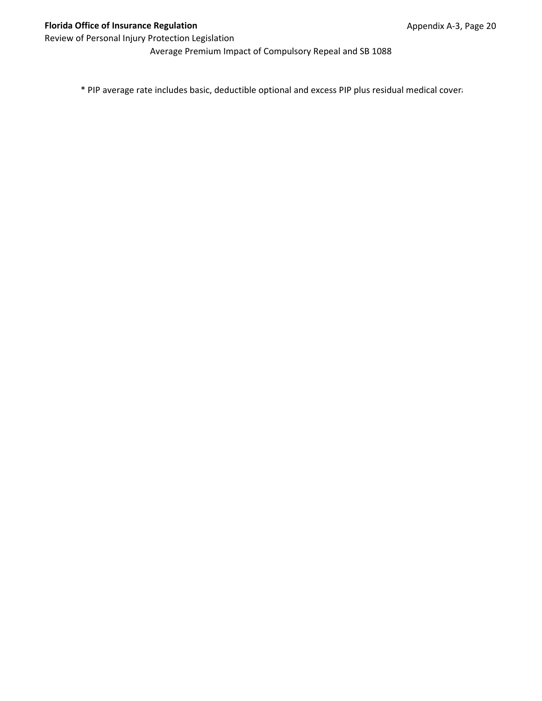Average Premium Impact of Compulsory Repeal and SB 1088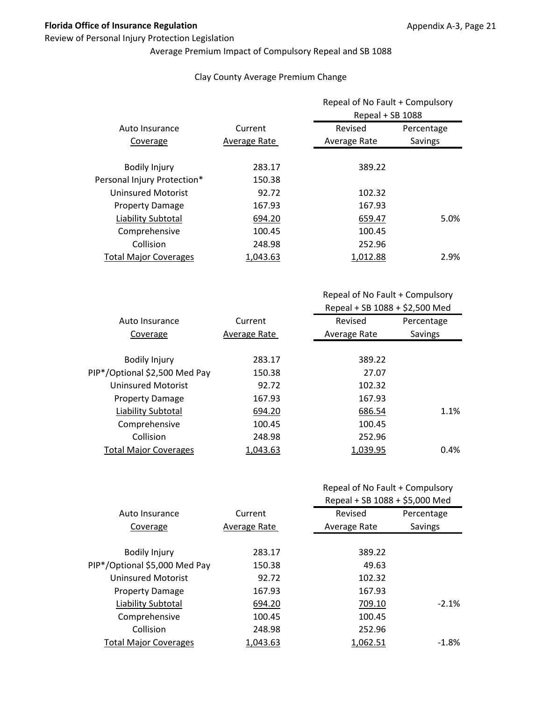#### Review of Personal Injury Protection Legislation

# Average Premium Impact of Compulsory Repeal and SB 1088

#### Clay County Average Premium Change

|                              |              |              | Repeal of No Fault + Compulsory<br>Repeal + SB 1088 |  |
|------------------------------|--------------|--------------|-----------------------------------------------------|--|
| Auto Insurance               | Current      | Revised      | Percentage                                          |  |
| Coverage                     | Average Rate | Average Rate | Savings                                             |  |
| <b>Bodily Injury</b>         | 283.17       | 389.22       |                                                     |  |
| Personal Injury Protection*  | 150.38       |              |                                                     |  |
| <b>Uninsured Motorist</b>    | 92.72        | 102.32       |                                                     |  |
| <b>Property Damage</b>       | 167.93       | 167.93       |                                                     |  |
| Liability Subtotal           | 694.20       | 659.47       | 5.0%                                                |  |
| Comprehensive                | 100.45       | 100.45       |                                                     |  |
| Collision                    | 248.98       | 252.96       |                                                     |  |
| <b>Total Major Coverages</b> | 1.043.63     | 1,012.88     | 2.9%                                                |  |

Repeal of No Fault + Compulsory Repeal + SB 1088 + \$2,500 Med

| Auto Insurance                | Current      | Revised      | Percentage |
|-------------------------------|--------------|--------------|------------|
| Coverage                      | Average Rate | Average Rate | Savings    |
|                               |              |              |            |
| <b>Bodily Injury</b>          | 283.17       | 389.22       |            |
| PIP*/Optional \$2,500 Med Pay | 150.38       | 27.07        |            |
| Uninsured Motorist            | 92.72        | 102.32       |            |
| <b>Property Damage</b>        | 167.93       | 167.93       |            |
| Liability Subtotal            | 694.20       | 686.54       | 1.1%       |
| Comprehensive                 | 100.45       | 100.45       |            |
| Collision                     | 248.98       | 252.96       |            |
| <b>Total Major Coverages</b>  | 1,043.63     | 1,039.95     | 0.4%       |
|                               |              |              |            |

## Repeal of No Fault + Compulsory

|                               |              | Repeal + SB 1088 + \$5,000 Med |            |
|-------------------------------|--------------|--------------------------------|------------|
| Auto Insurance                | Current      | Revised                        | Percentage |
| Coverage                      | Average Rate | Average Rate                   | Savings    |
|                               |              |                                |            |
| <b>Bodily Injury</b>          | 283.17       | 389.22                         |            |
| PIP*/Optional \$5,000 Med Pay | 150.38       | 49.63                          |            |
| <b>Uninsured Motorist</b>     | 92.72        | 102.32                         |            |
| <b>Property Damage</b>        | 167.93       | 167.93                         |            |
| Liability Subtotal            | 694.20       | 709.10                         | $-2.1%$    |
| Comprehensive                 | 100.45       | 100.45                         |            |
| Collision                     | 248.98       | 252.96                         |            |
| <b>Total Major Coverages</b>  | 1.043.63     | 1.062.51                       | $-1.8\%$   |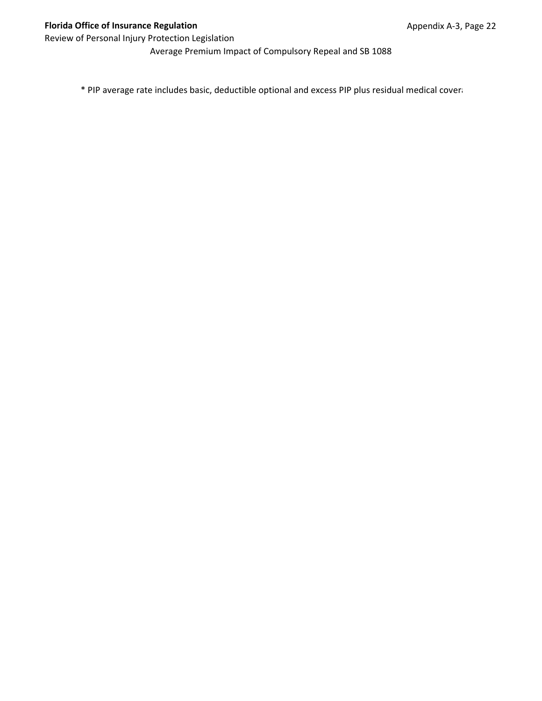Average Premium Impact of Compulsory Repeal and SB 1088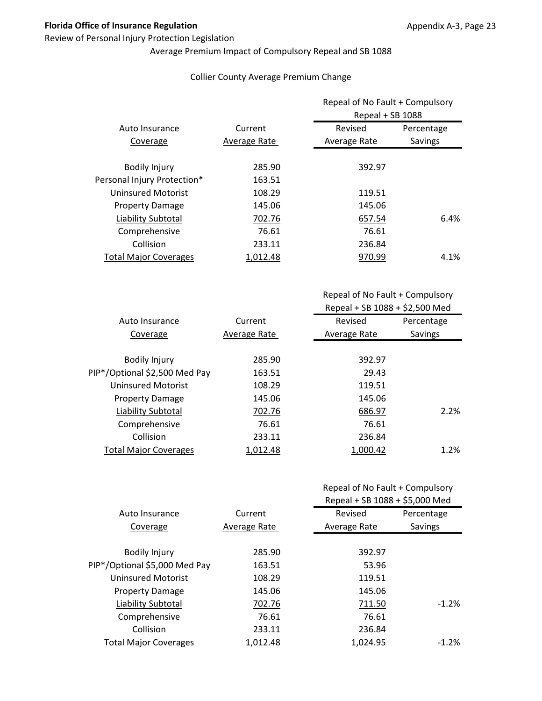#### Review of Personal Injury Protection Legislation

# Average Premium Impact of Compulsory Repeal and SB 1088

#### Collier County Average Premium Change

|                              |              |              | Repeal of No Fault + Compulsory<br>Repeal + SB 1088 |  |
|------------------------------|--------------|--------------|-----------------------------------------------------|--|
| Auto Insurance               | Current      | Revised      | Percentage                                          |  |
| Coverage                     | Average Rate | Average Rate | Savings                                             |  |
| <b>Bodily Injury</b>         | 285.90       | 392.97       |                                                     |  |
| Personal Injury Protection*  | 163.51       |              |                                                     |  |
| <b>Uninsured Motorist</b>    | 108.29       | 119.51       |                                                     |  |
| <b>Property Damage</b>       | 145.06       | 145.06       |                                                     |  |
| Liability Subtotal           | 702.76       | 657.54       | 6.4%                                                |  |
| Comprehensive                | 76.61        | 76.61        |                                                     |  |
| Collision                    | 233.11       | 236.84       |                                                     |  |
| <b>Total Major Coverages</b> | 1.012.48     | 970.99       | 4.1%                                                |  |

Repeal of No Fault + Compulsory Repeal + SB 1088 + \$2,500 Med

| Current      | Revised      | Percentage |
|--------------|--------------|------------|
| Average Rate | Average Rate | Savings    |
|              |              |            |
| 285.90       | 392.97       |            |
| 163.51       | 29.43        |            |
| 108.29       | 119.51       |            |
| 145.06       | 145.06       |            |
| 702.76       | 686.97       | 2.2%       |
| 76.61        | 76.61        |            |
| 233.11       | 236.84       |            |
| 1,012.48     | 1,000.42     | 1.2%       |
|              |              |            |

|  |  | Repeal of No Fault + Compulsory |
|--|--|---------------------------------|
|--|--|---------------------------------|

|                               |              | Repeal + SB 1088 + \$5,000 Med |            |
|-------------------------------|--------------|--------------------------------|------------|
| Auto Insurance                | Current      | Revised                        | Percentage |
| Coverage                      | Average Rate | Average Rate                   | Savings    |
|                               |              |                                |            |
| <b>Bodily Injury</b>          | 285.90       | 392.97                         |            |
| PIP*/Optional \$5,000 Med Pay | 163.51       | 53.96                          |            |
| <b>Uninsured Motorist</b>     | 108.29       | 119.51                         |            |
| <b>Property Damage</b>        | 145.06       | 145.06                         |            |
| Liability Subtotal            | 702.76       | 711.50                         | $-1.2%$    |
| Comprehensive                 | 76.61        | 76.61                          |            |
| Collision                     | 233.11       | 236.84                         |            |
| <b>Total Major Coverages</b>  | 1.012.48     | 1.024.95                       | $-1.2%$    |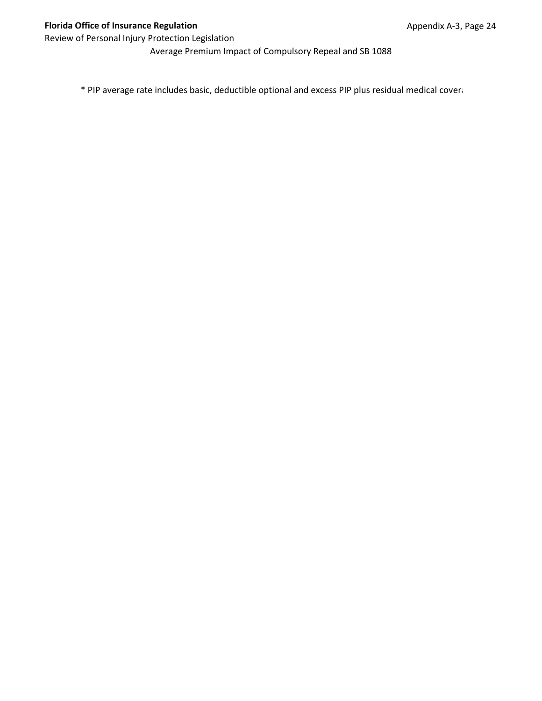Average Premium Impact of Compulsory Repeal and SB 1088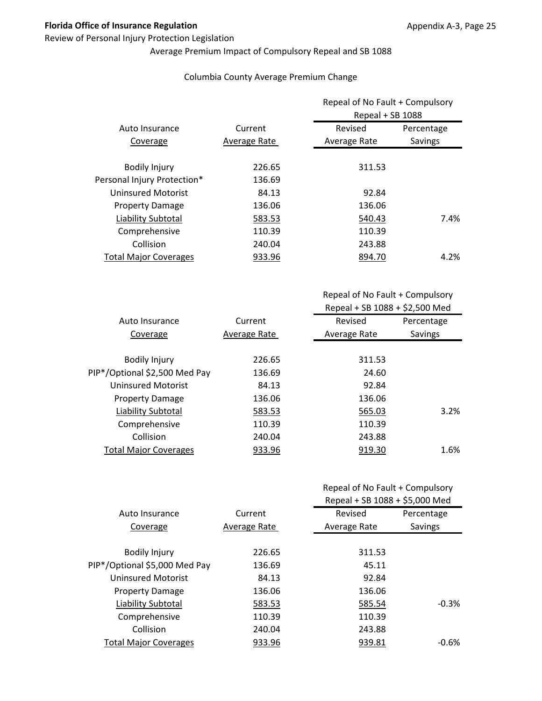#### Review of Personal Injury Protection Legislation

# Average Premium Impact of Compulsory Repeal and SB 1088

#### Columbia County Average Premium Change

|              | Repeal of No Fault + Compulsory<br>Repeal + SB 1088 |            |
|--------------|-----------------------------------------------------|------------|
| Current      | Revised                                             | Percentage |
| Average Rate | Average Rate                                        | Savings    |
| 226.65       | 311.53                                              |            |
| 136.69       |                                                     |            |
| 84.13        | 92.84                                               |            |
| 136.06       | 136.06                                              |            |
| 583.53       | 540.43                                              | 7.4%       |
| 110.39       | 110.39                                              |            |
| 240.04       | 243.88                                              |            |
| 933.96       | 894.70                                              | 4.2%       |
|              |                                                     |            |

Repeal of No Fault + Compulsory Repeal + SB 1088 + \$2,500 Med

| Auto Insurance                | Current      | Revised      | Percentage |
|-------------------------------|--------------|--------------|------------|
| Coverage                      | Average Rate | Average Rate | Savings    |
|                               |              |              |            |
| <b>Bodily Injury</b>          | 226.65       | 311.53       |            |
| PIP*/Optional \$2,500 Med Pay | 136.69       | 24.60        |            |
| Uninsured Motorist            | 84.13        | 92.84        |            |
| <b>Property Damage</b>        | 136.06       | 136.06       |            |
| Liability Subtotal            | 583.53       | 565.03       | 3.2%       |
| Comprehensive                 | 110.39       | 110.39       |            |
| Collision                     | 240.04       | 243.88       |            |
| <b>Total Major Coverages</b>  | 933.96       | 919.30       | 1.6%       |
|                               |              |              |            |

| Repeal of No Fault + Compulsory |  |
|---------------------------------|--|
|---------------------------------|--|

|                               |              | Repeal + SB 1088 + \$5,000 Med |            |
|-------------------------------|--------------|--------------------------------|------------|
| Auto Insurance                | Current      | Revised                        | Percentage |
| Coverage                      | Average Rate | Average Rate                   | Savings    |
|                               |              |                                |            |
| <b>Bodily Injury</b>          | 226.65       | 311.53                         |            |
| PIP*/Optional \$5,000 Med Pay | 136.69       | 45.11                          |            |
| <b>Uninsured Motorist</b>     | 84.13        | 92.84                          |            |
| <b>Property Damage</b>        | 136.06       | 136.06                         |            |
| Liability Subtotal            | 583.53       | 585.54                         | $-0.3%$    |
| Comprehensive                 | 110.39       | 110.39                         |            |
| Collision                     | 240.04       | 243.88                         |            |
| <b>Total Major Coverages</b>  | 933.96       | 939.81                         | -0.6%      |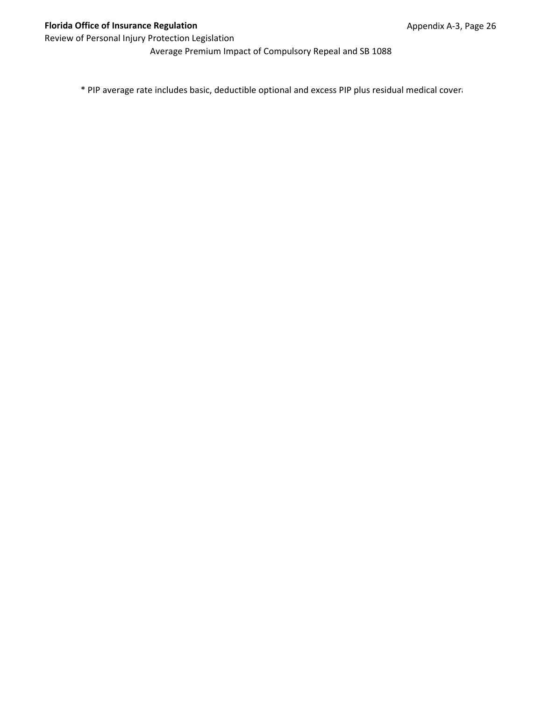Average Premium Impact of Compulsory Repeal and SB 1088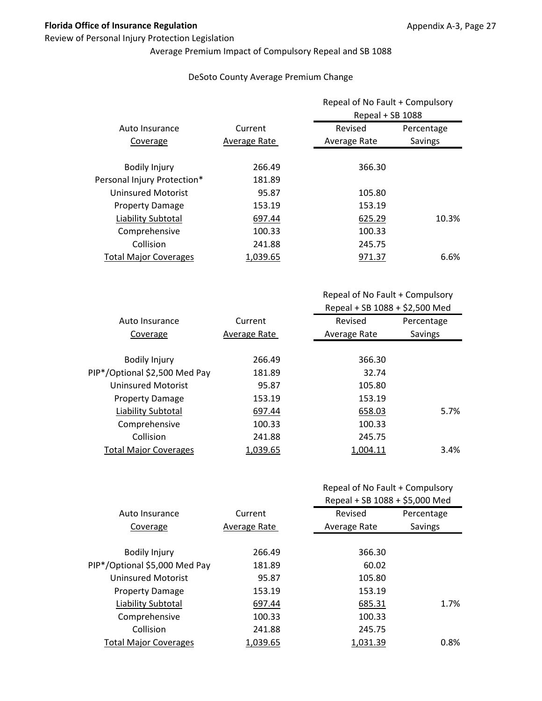#### Review of Personal Injury Protection Legislation

# Average Premium Impact of Compulsory Repeal and SB 1088

#### DeSoto County Average Premium Change

|                              | Current      | Repeal of No Fault + Compulsory<br>Repeal + SB 1088 |            |
|------------------------------|--------------|-----------------------------------------------------|------------|
| Auto Insurance               |              | Revised                                             | Percentage |
| Coverage                     | Average Rate | Average Rate                                        | Savings    |
| <b>Bodily Injury</b>         | 266.49       | 366.30                                              |            |
| Personal Injury Protection*  | 181.89       |                                                     |            |
| Uninsured Motorist           | 95.87        | 105.80                                              |            |
| <b>Property Damage</b>       | 153.19       | 153.19                                              |            |
| Liability Subtotal           | 697.44       | 625.29                                              | 10.3%      |
| Comprehensive                | 100.33       | 100.33                                              |            |
| Collision                    | 241.88       | 245.75                                              |            |
| <b>Total Major Coverages</b> | 1,039.65     | 971.37                                              | 6.6%       |

Repeal of No Fault + Compulsory Repeal + SB 1088 + \$2,500 Med

| Auto Insurance                | Current      | Revised      | Percentage |
|-------------------------------|--------------|--------------|------------|
| Coverage                      | Average Rate | Average Rate | Savings    |
|                               |              |              |            |
| <b>Bodily Injury</b>          | 266.49       | 366.30       |            |
| PIP*/Optional \$2,500 Med Pay | 181.89       | 32.74        |            |
| Uninsured Motorist            | 95.87        | 105.80       |            |
| <b>Property Damage</b>        | 153.19       | 153.19       |            |
| Liability Subtotal            | 697.44       | 658.03       | 5.7%       |
| Comprehensive                 | 100.33       | 100.33       |            |
| Collision                     | 241.88       | 245.75       |            |
| <b>Total Major Coverages</b>  | 1,039.65     | 1,004.11     | 3.4%       |
|                               |              |              |            |

## Repeal of No Fault + Compulsory

|                               | Current      | Repeal + SB 1088 + \$5,000 Med |            |
|-------------------------------|--------------|--------------------------------|------------|
| Auto Insurance                |              | Revised                        | Percentage |
| Coverage                      | Average Rate | Average Rate                   | Savings    |
|                               |              |                                |            |
| <b>Bodily Injury</b>          | 266.49       | 366.30                         |            |
| PIP*/Optional \$5,000 Med Pay | 181.89       | 60.02                          |            |
| <b>Uninsured Motorist</b>     | 95.87        | 105.80                         |            |
| <b>Property Damage</b>        | 153.19       | 153.19                         |            |
| Liability Subtotal            | 697.44       | 685.31                         | 1.7%       |
| Comprehensive                 | 100.33       | 100.33                         |            |
| Collision                     | 241.88       | 245.75                         |            |
| <b>Total Major Coverages</b>  | 1.039.65     | 1,031.39                       | 0.8%       |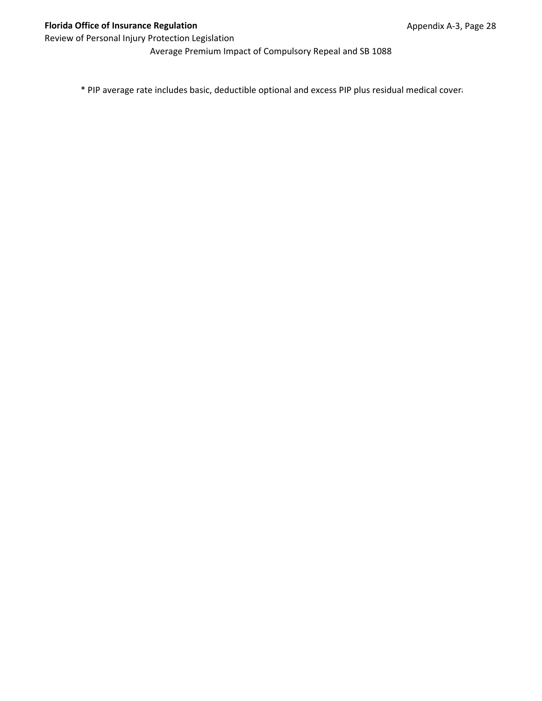Average Premium Impact of Compulsory Repeal and SB 1088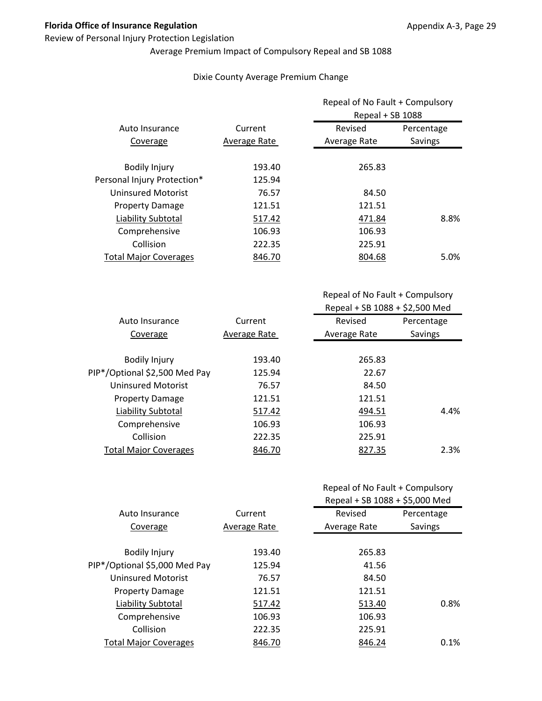## Review of Personal Injury Protection Legislation

# Average Premium Impact of Compulsory Repeal and SB 1088

## Dixie County Average Premium Change

|                              | Current      |              | Repeal of No Fault + Compulsory<br>Repeal + SB 1088 |  |
|------------------------------|--------------|--------------|-----------------------------------------------------|--|
| Auto Insurance               |              | Revised      | Percentage                                          |  |
| Coverage                     | Average Rate | Average Rate | Savings                                             |  |
| <b>Bodily Injury</b>         | 193.40       | 265.83       |                                                     |  |
| Personal Injury Protection*  | 125.94       |              |                                                     |  |
| <b>Uninsured Motorist</b>    | 76.57        | 84.50        |                                                     |  |
| <b>Property Damage</b>       | 121.51       | 121.51       |                                                     |  |
| Liability Subtotal           | 517.42       | 471.84       | 8.8%                                                |  |
| Comprehensive                | 106.93       | 106.93       |                                                     |  |
| Collision                    | 222.35       | 225.91       |                                                     |  |
| <b>Total Major Coverages</b> | 846.70       | 804.68       | 5.0%                                                |  |

| Auto Insurance                | Current      | Revised      | Percentage |
|-------------------------------|--------------|--------------|------------|
| Coverage                      | Average Rate | Average Rate | Savings    |
|                               |              |              |            |
| <b>Bodily Injury</b>          | 193.40       | 265.83       |            |
| PIP*/Optional \$2,500 Med Pay | 125.94       | 22.67        |            |
| Uninsured Motorist            | 76.57        | 84.50        |            |
| <b>Property Damage</b>        | 121.51       | 121.51       |            |
| <b>Liability Subtotal</b>     | 517.42       | 494.51       | 4.4%       |
| Comprehensive                 | 106.93       | 106.93       |            |
| Collision                     | 222.35       | 225.91       |            |
| <b>Total Major Coverages</b>  | 846.70       | 827.35       | 2.3%       |

| Repeal of No Fault + Compulsory |  |
|---------------------------------|--|
|---------------------------------|--|

|                               |              | Repeal + SB 1088 + \$5,000 Med |            |
|-------------------------------|--------------|--------------------------------|------------|
| Auto Insurance                | Current      | Revised                        | Percentage |
| Coverage                      | Average Rate | Average Rate                   | Savings    |
|                               |              |                                |            |
| <b>Bodily Injury</b>          | 193.40       | 265.83                         |            |
| PIP*/Optional \$5,000 Med Pay | 125.94       | 41.56                          |            |
| <b>Uninsured Motorist</b>     | 76.57        | 84.50                          |            |
| <b>Property Damage</b>        | 121.51       | 121.51                         |            |
| Liability Subtotal            | 517.42       | 513.40                         | 0.8%       |
| Comprehensive                 | 106.93       | 106.93                         |            |
| Collision                     | 222.35       | 225.91                         |            |
| <b>Total Major Coverages</b>  | 846.70       | 846.24                         | 0.1%       |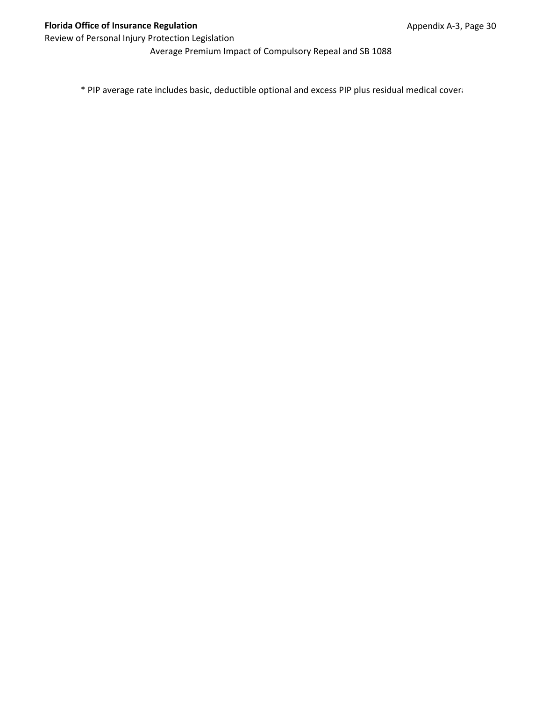Average Premium Impact of Compulsory Repeal and SB 1088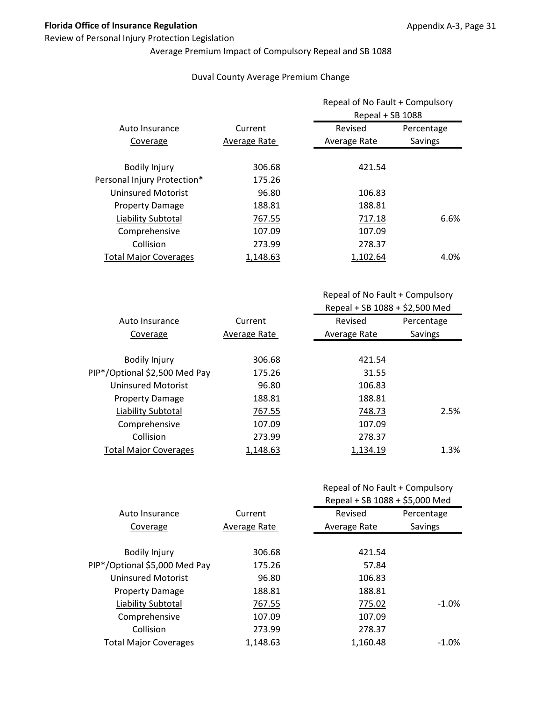## Review of Personal Injury Protection Legislation

# Average Premium Impact of Compulsory Repeal and SB 1088

## Duval County Average Premium Change

|                              | Current      |              | Repeal of No Fault + Compulsory<br>Repeal + SB 1088 |  |
|------------------------------|--------------|--------------|-----------------------------------------------------|--|
| Auto Insurance               |              | Revised      | Percentage                                          |  |
| Coverage                     | Average Rate | Average Rate | Savings                                             |  |
| <b>Bodily Injury</b>         | 306.68       | 421.54       |                                                     |  |
| Personal Injury Protection*  | 175.26       |              |                                                     |  |
| <b>Uninsured Motorist</b>    | 96.80        | 106.83       |                                                     |  |
| <b>Property Damage</b>       | 188.81       | 188.81       |                                                     |  |
| Liability Subtotal           | 767.55       | 717.18       | 6.6%                                                |  |
| Comprehensive                | 107.09       | 107.09       |                                                     |  |
| Collision                    | 273.99       | 278.37       |                                                     |  |
| <b>Total Major Coverages</b> | 1,148.63     | 1.102.64     | 4.0%                                                |  |

| Auto Insurance                | Current      | Revised      | Percentage     |
|-------------------------------|--------------|--------------|----------------|
| Coverage                      | Average Rate | Average Rate | <b>Savings</b> |
|                               |              |              |                |
| <b>Bodily Injury</b>          | 306.68       | 421.54       |                |
| PIP*/Optional \$2,500 Med Pay | 175.26       | 31.55        |                |
| <b>Uninsured Motorist</b>     | 96.80        | 106.83       |                |
| <b>Property Damage</b>        | 188.81       | 188.81       |                |
| Liability Subtotal            | 767.55       | 748.73       | 2.5%           |
| Comprehensive                 | 107.09       | 107.09       |                |
| Collision                     | 273.99       | 278.37       |                |
| <b>Total Major Coverages</b>  | 1,148.63     | 1,134.19     | 1.3%           |
|                               |              |              |                |

|  |  | Repeal of No Fault + Compulsory |
|--|--|---------------------------------|
|--|--|---------------------------------|

|                               |              | Repeal + SB 1088 + \$5,000 Med |            |
|-------------------------------|--------------|--------------------------------|------------|
| Auto Insurance                | Current      | Revised                        | Percentage |
| Coverage                      | Average Rate | Average Rate                   | Savings    |
|                               |              |                                |            |
| <b>Bodily Injury</b>          | 306.68       | 421.54                         |            |
| PIP*/Optional \$5,000 Med Pay | 175.26       | 57.84                          |            |
| <b>Uninsured Motorist</b>     | 96.80        | 106.83                         |            |
| <b>Property Damage</b>        | 188.81       | 188.81                         |            |
| Liability Subtotal            | 767.55       | 775.02                         | $-1.0\%$   |
| Comprehensive                 | 107.09       | 107.09                         |            |
| Collision                     | 273.99       | 278.37                         |            |
| <b>Total Major Coverages</b>  | 1.148.63     | 1.160.48                       | $-1.0\%$   |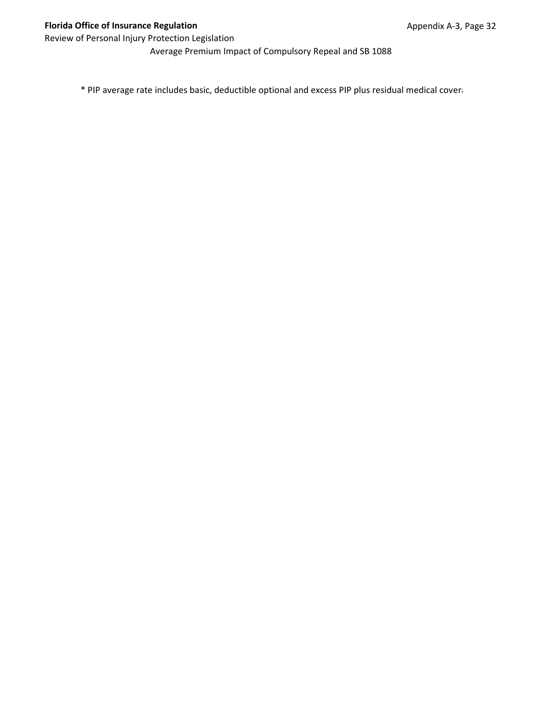Average Premium Impact of Compulsory Repeal and SB 1088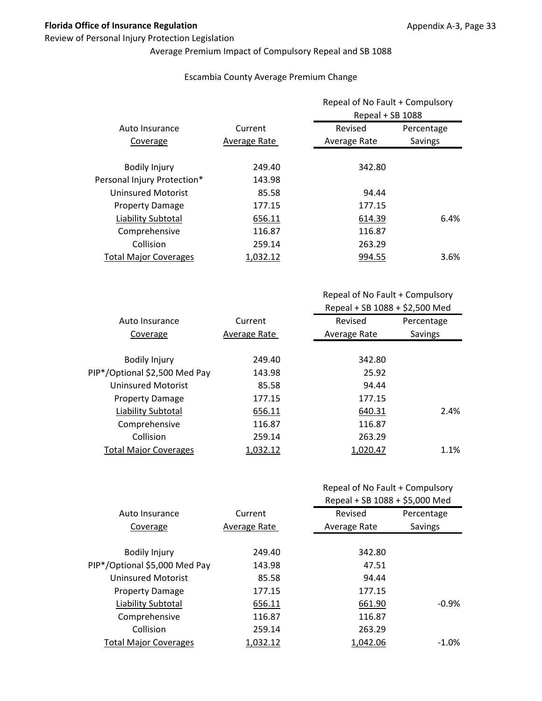## Review of Personal Injury Protection Legislation

# Average Premium Impact of Compulsory Repeal and SB 1088

## Escambia County Average Premium Change

|                              | Current      |              | Repeal of No Fault + Compulsory<br>Repeal + SB 1088 |  |
|------------------------------|--------------|--------------|-----------------------------------------------------|--|
| Auto Insurance               |              | Revised      | Percentage                                          |  |
| Coverage                     | Average Rate | Average Rate | Savings                                             |  |
| <b>Bodily Injury</b>         | 249.40       | 342.80       |                                                     |  |
| Personal Injury Protection*  | 143.98       |              |                                                     |  |
| <b>Uninsured Motorist</b>    | 85.58        | 94.44        |                                                     |  |
| <b>Property Damage</b>       | 177.15       | 177.15       |                                                     |  |
| Liability Subtotal           | 656.11       | 614.39       | 6.4%                                                |  |
| Comprehensive                | 116.87       | 116.87       |                                                     |  |
| Collision                    | 259.14       | 263.29       |                                                     |  |
| <b>Total Major Coverages</b> | 1,032.12     | 994.55       | $3.6\%$                                             |  |

| Auto Insurance                | Current      | Revised      | Percentage |
|-------------------------------|--------------|--------------|------------|
| Coverage                      | Average Rate | Average Rate | Savings    |
|                               |              |              |            |
| <b>Bodily Injury</b>          | 249.40       | 342.80       |            |
| PIP*/Optional \$2,500 Med Pay | 143.98       | 25.92        |            |
| Uninsured Motorist            | 85.58        | 94.44        |            |
| <b>Property Damage</b>        | 177.15       | 177.15       |            |
| Liability Subtotal            | 656.11       | 640.31       | 2.4%       |
| Comprehensive                 | 116.87       | 116.87       |            |
| Collision                     | 259.14       | 263.29       |            |
| <b>Total Major Coverages</b>  | 1,032.12     | 1,020.47     | 1.1%       |
|                               |              |              |            |

|  |  | Repeal of No Fault + Compulsory |
|--|--|---------------------------------|
|--|--|---------------------------------|

|                               |              | Repeal + SB 1088 + \$5,000 Med |            |
|-------------------------------|--------------|--------------------------------|------------|
| Auto Insurance                | Current      | Revised                        | Percentage |
| Coverage                      | Average Rate | Average Rate                   | Savings    |
|                               |              |                                |            |
| <b>Bodily Injury</b>          | 249.40       | 342.80                         |            |
| PIP*/Optional \$5,000 Med Pay | 143.98       | 47.51                          |            |
| <b>Uninsured Motorist</b>     | 85.58        | 94.44                          |            |
| <b>Property Damage</b>        | 177.15       | 177.15                         |            |
| Liability Subtotal            | 656.11       | 661.90                         | $-0.9%$    |
| Comprehensive                 | 116.87       | 116.87                         |            |
| Collision                     | 259.14       | 263.29                         |            |
| <b>Total Major Coverages</b>  | 1.032.12     | 1,042.06                       | $-1.0\%$   |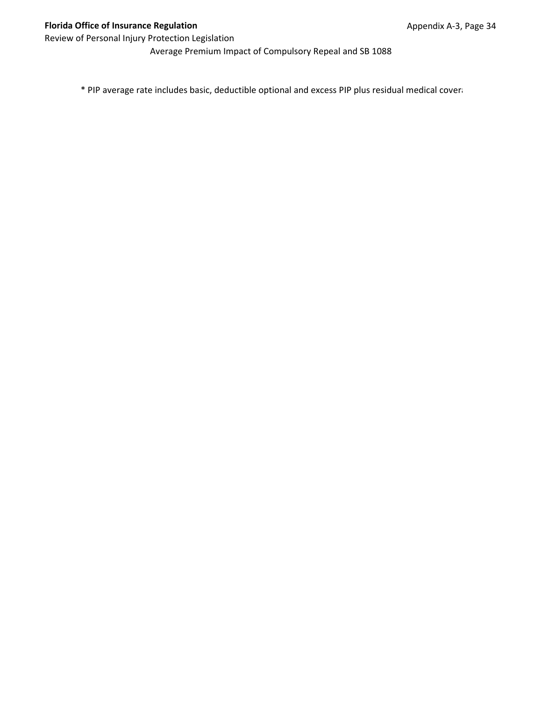Average Premium Impact of Compulsory Repeal and SB 1088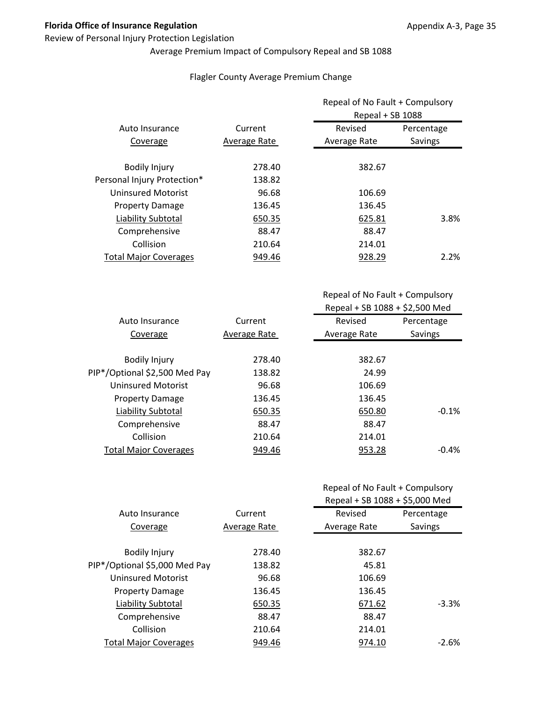## Review of Personal Injury Protection Legislation

# Average Premium Impact of Compulsory Repeal and SB 1088

## Flagler County Average Premium Change

|                              |              | Repeal of No Fault + Compulsory<br>Repeal + SB 1088 |            |
|------------------------------|--------------|-----------------------------------------------------|------------|
| Auto Insurance               | Current      | Revised                                             | Percentage |
| Coverage                     | Average Rate | Average Rate                                        | Savings    |
| <b>Bodily Injury</b>         | 278.40       | 382.67                                              |            |
| Personal Injury Protection*  | 138.82       |                                                     |            |
| <b>Uninsured Motorist</b>    | 96.68        | 106.69                                              |            |
| <b>Property Damage</b>       | 136.45       | 136.45                                              |            |
| Liability Subtotal           | 650.35       | 625.81                                              | 3.8%       |
| Comprehensive                | 88.47        | 88.47                                               |            |
| Collision                    | 210.64       | 214.01                                              |            |
| <b>Total Major Coverages</b> | 949.46       | 928.29                                              | 2.2%       |

| Auto Insurance                | Current      | Revised      | Percentage |
|-------------------------------|--------------|--------------|------------|
| Coverage                      | Average Rate | Average Rate | Savings    |
|                               |              |              |            |
| <b>Bodily Injury</b>          | 278.40       | 382.67       |            |
| PIP*/Optional \$2,500 Med Pay | 138.82       | 24.99        |            |
| Uninsured Motorist            | 96.68        | 106.69       |            |
| <b>Property Damage</b>        | 136.45       | 136.45       |            |
| Liability Subtotal            | 650.35       | 650.80       | $-0.1%$    |
| Comprehensive                 | 88.47        | 88.47        |            |
| Collision                     | 210.64       | 214.01       |            |
| <b>Total Major Coverages</b>  | 949.46       | 953.28       | $-0.4%$    |

| Repeal of No Fault + Compulsory |  |
|---------------------------------|--|
|---------------------------------|--|

|                               |              | Repeal + SB 1088 + \$5,000 Med |            |
|-------------------------------|--------------|--------------------------------|------------|
| Auto Insurance                | Current      | Revised                        | Percentage |
| Coverage                      | Average Rate | Average Rate                   | Savings    |
|                               |              |                                |            |
| <b>Bodily Injury</b>          | 278.40       | 382.67                         |            |
| PIP*/Optional \$5,000 Med Pay | 138.82       | 45.81                          |            |
| <b>Uninsured Motorist</b>     | 96.68        | 106.69                         |            |
| <b>Property Damage</b>        | 136.45       | 136.45                         |            |
| Liability Subtotal            | 650.35       | 671.62                         | $-3.3%$    |
| Comprehensive                 | 88.47        | 88.47                          |            |
| Collision                     | 210.64       | 214.01                         |            |
| <b>Total Major Coverages</b>  | 949.46       | 974.10                         | $-2.6\%$   |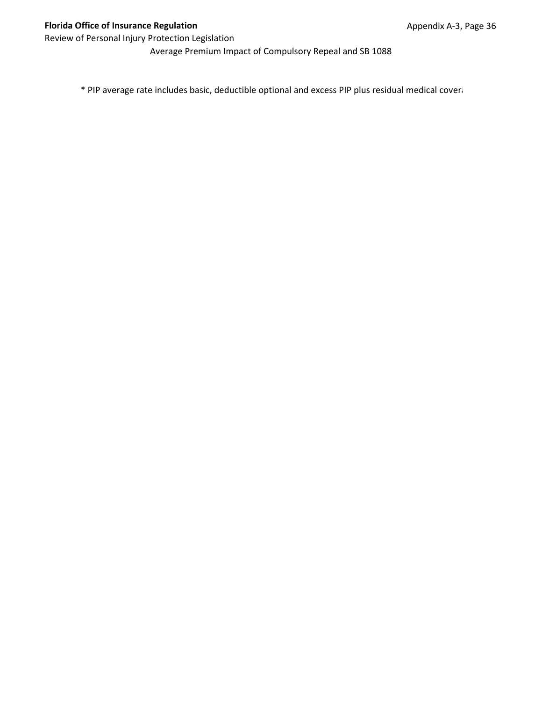Average Premium Impact of Compulsory Repeal and SB 1088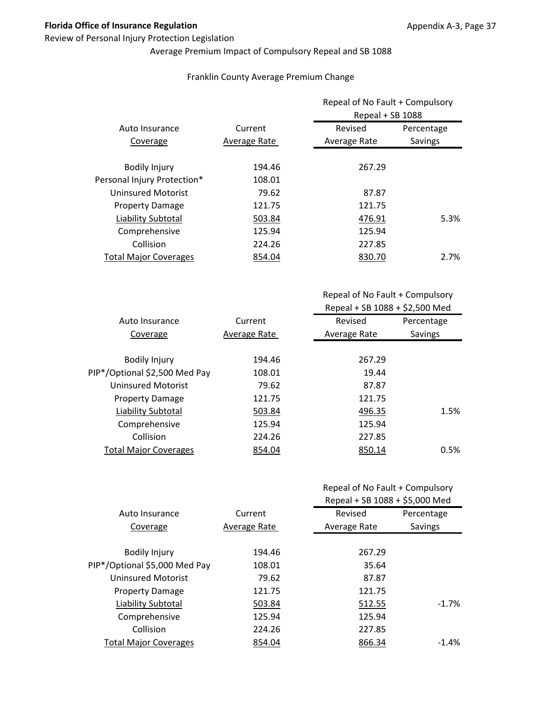## Review of Personal Injury Protection Legislation

# Average Premium Impact of Compulsory Repeal and SB 1088

## Franklin County Average Premium Change

|                              |              | Repeal of No Fault + Compulsory<br>Repeal + SB 1088 |            |
|------------------------------|--------------|-----------------------------------------------------|------------|
| Auto Insurance               | Current      | Revised                                             | Percentage |
| Coverage                     | Average Rate | Average Rate                                        | Savings    |
| <b>Bodily Injury</b>         | 194.46       | 267.29                                              |            |
| Personal Injury Protection*  | 108.01       |                                                     |            |
| <b>Uninsured Motorist</b>    | 79.62        | 87.87                                               |            |
| <b>Property Damage</b>       | 121.75       | 121.75                                              |            |
| Liability Subtotal           | 503.84       | 476.91                                              | 5.3%       |
| Comprehensive                | 125.94       | 125.94                                              |            |
| Collision                    | 224.26       | 227.85                                              |            |
| <b>Total Major Coverages</b> | 854.04       | 830.70                                              | 2.7%       |

Repeal of No Fault + Compulsory Repeal + SB 1088 + \$2,500 Med

| Auto Insurance                | Current      | Revised      | Percentage |
|-------------------------------|--------------|--------------|------------|
| Coverage                      | Average Rate | Average Rate | Savings    |
|                               |              |              |            |
| <b>Bodily Injury</b>          | 194.46       | 267.29       |            |
| PIP*/Optional \$2,500 Med Pay | 108.01       | 19.44        |            |
| Uninsured Motorist            | 79.62        | 87.87        |            |
| <b>Property Damage</b>        | 121.75       | 121.75       |            |
| Liability Subtotal            | 503.84       | 496.35       | 1.5%       |
| Comprehensive                 | 125.94       | 125.94       |            |
| Collision                     | 224.26       | 227.85       |            |
| <b>Total Major Coverages</b>  | 854.04       | 850.14       | 0.5%       |
|                               |              |              |            |

|                               |              | Repeal + SB 1088 + \$5,000 Med |            |
|-------------------------------|--------------|--------------------------------|------------|
| Auto Insurance                | Current      | Revised                        | Percentage |
| Coverage                      | Average Rate | Average Rate                   | Savings    |
|                               |              |                                |            |
| <b>Bodily Injury</b>          | 194.46       | 267.29                         |            |
| PIP*/Optional \$5,000 Med Pay | 108.01       | 35.64                          |            |
| <b>Uninsured Motorist</b>     | 79.62        | 87.87                          |            |
| <b>Property Damage</b>        | 121.75       | 121.75                         |            |
| Liability Subtotal            | 503.84       | 512.55                         | $-1.7\%$   |
| Comprehensive                 | 125.94       | 125.94                         |            |
| Collision                     | 224.26       | 227.85                         |            |
| <b>Total Major Coverages</b>  | 854.04       | 866.34                         | $-1.4\%$   |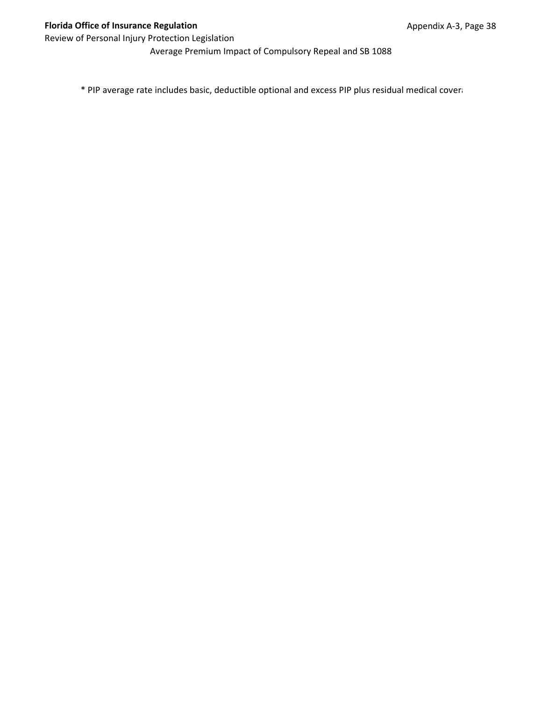Average Premium Impact of Compulsory Repeal and SB 1088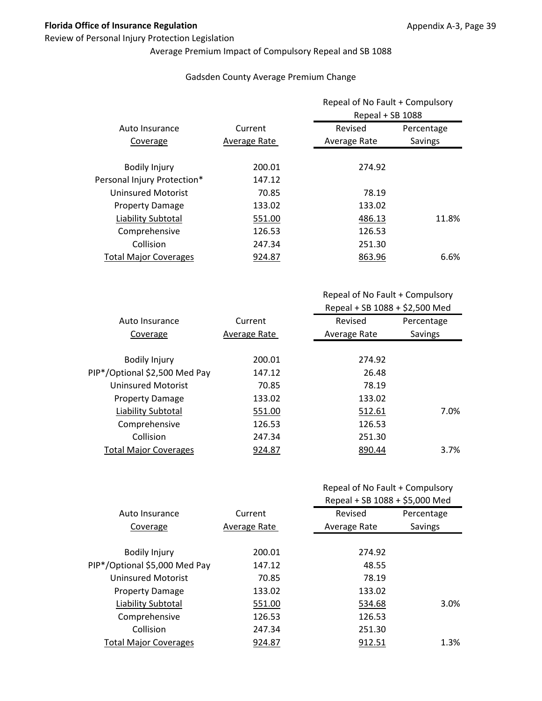## Review of Personal Injury Protection Legislation

# Average Premium Impact of Compulsory Repeal and SB 1088

## Gadsden County Average Premium Change

|                              |              | Repeal of No Fault + Compulsory<br>Repeal + SB 1088 |            |
|------------------------------|--------------|-----------------------------------------------------|------------|
| Auto Insurance               | Current      | Revised                                             | Percentage |
| Coverage                     | Average Rate | Average Rate                                        | Savings    |
| <b>Bodily Injury</b>         | 200.01       | 274.92                                              |            |
| Personal Injury Protection*  | 147.12       |                                                     |            |
| <b>Uninsured Motorist</b>    | 70.85        | 78.19                                               |            |
| <b>Property Damage</b>       | 133.02       | 133.02                                              |            |
| Liability Subtotal           | 551.00       | 486.13                                              | 11.8%      |
| Comprehensive                | 126.53       | 126.53                                              |            |
| Collision                    | 247.34       | 251.30                                              |            |
| <b>Total Major Coverages</b> | 924.87       | 863.96                                              | 6.6%       |

Repeal of No Fault + Compulsory Repeal + SB 1088 + \$2,500 Med

| Auto Insurance                | Current      | Revised      | Percentage |
|-------------------------------|--------------|--------------|------------|
| Coverage                      | Average Rate | Average Rate | Savings    |
|                               |              |              |            |
| <b>Bodily Injury</b>          | 200.01       | 274.92       |            |
| PIP*/Optional \$2,500 Med Pay | 147.12       | 26.48        |            |
| Uninsured Motorist            | 70.85        | 78.19        |            |
| <b>Property Damage</b>        | 133.02       | 133.02       |            |
| Liability Subtotal            | 551.00       | 512.61       | 7.0%       |
| Comprehensive                 | 126.53       | 126.53       |            |
| Collision                     | 247.34       | 251.30       |            |
| <b>Total Major Coverages</b>  | 924.87       | 890.44       | $3.7\%$    |
|                               |              |              |            |

|                               |              | Repeal + SB 1088 + \$5,000 Med |            |
|-------------------------------|--------------|--------------------------------|------------|
| Auto Insurance                | Current      | Revised                        | Percentage |
| Coverage                      | Average Rate | Average Rate                   | Savings    |
|                               |              |                                |            |
| <b>Bodily Injury</b>          | 200.01       | 274.92                         |            |
| PIP*/Optional \$5,000 Med Pay | 147.12       | 48.55                          |            |
| <b>Uninsured Motorist</b>     | 70.85        | 78.19                          |            |
| <b>Property Damage</b>        | 133.02       | 133.02                         |            |
| Liability Subtotal            | 551.00       | 534.68                         | 3.0%       |
| Comprehensive                 | 126.53       | 126.53                         |            |
| Collision                     | 247.34       | 251.30                         |            |
| <b>Total Major Coverages</b>  | 924.87       | 912.51                         | 1.3%       |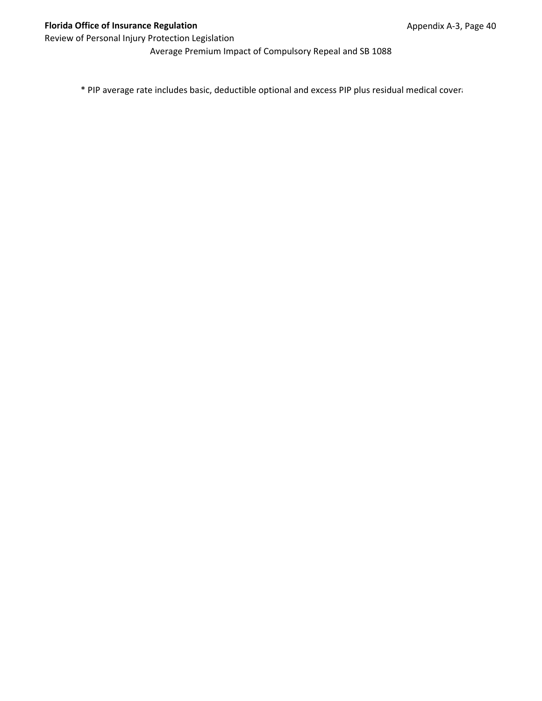Average Premium Impact of Compulsory Repeal and SB 1088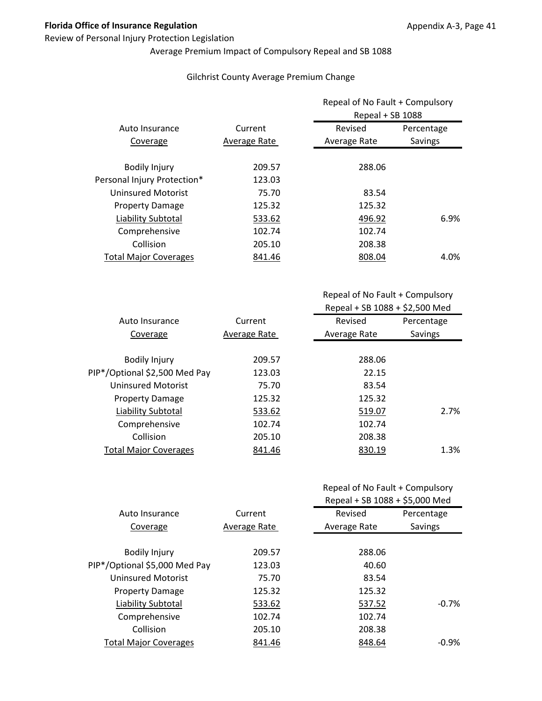## Review of Personal Injury Protection Legislation

# Average Premium Impact of Compulsory Repeal and SB 1088

## Gilchrist County Average Premium Change

|                              |              | Repeal of No Fault + Compulsory<br>Repeal + SB 1088 |            |
|------------------------------|--------------|-----------------------------------------------------|------------|
| Auto Insurance               | Current      | Revised                                             | Percentage |
| Coverage                     | Average Rate | Average Rate                                        | Savings    |
| <b>Bodily Injury</b>         | 209.57       | 288.06                                              |            |
| Personal Injury Protection*  | 123.03       |                                                     |            |
| <b>Uninsured Motorist</b>    | 75.70        | 83.54                                               |            |
| <b>Property Damage</b>       | 125.32       | 125.32                                              |            |
| Liability Subtotal           | 533.62       | 496.92                                              | 6.9%       |
| Comprehensive                | 102.74       | 102.74                                              |            |
| Collision                    | 205.10       | 208.38                                              |            |
| <b>Total Major Coverages</b> | 841.46       | 808.04                                              | 4.0%       |

| Auto Insurance                | Current      | Revised      | Percentage |
|-------------------------------|--------------|--------------|------------|
| Coverage                      | Average Rate | Average Rate | Savings    |
|                               |              |              |            |
| <b>Bodily Injury</b>          | 209.57       | 288.06       |            |
| PIP*/Optional \$2,500 Med Pay | 123.03       | 22.15        |            |
| Uninsured Motorist            | 75.70        | 83.54        |            |
| <b>Property Damage</b>        | 125.32       | 125.32       |            |
| <b>Liability Subtotal</b>     | 533.62       | 519.07       | 2.7%       |
| Comprehensive                 | 102.74       | 102.74       |            |
| Collision                     | 205.10       | 208.38       |            |
| <b>Total Major Coverages</b>  | 841.46       | 830.19       | 1.3%       |
|                               |              |              |            |

|  | Repeal of No Fault + Compulsory |
|--|---------------------------------|
|--|---------------------------------|

|                               |              | Repeal + SB 1088 + \$5,000 Med |            |
|-------------------------------|--------------|--------------------------------|------------|
| Auto Insurance                | Current      | Revised                        | Percentage |
| Coverage                      | Average Rate | Average Rate                   | Savings    |
|                               |              |                                |            |
| <b>Bodily Injury</b>          | 209.57       | 288.06                         |            |
| PIP*/Optional \$5,000 Med Pay | 123.03       | 40.60                          |            |
| <b>Uninsured Motorist</b>     | 75.70        | 83.54                          |            |
| <b>Property Damage</b>        | 125.32       | 125.32                         |            |
| Liability Subtotal            | 533.62       | 537.52                         | $-0.7%$    |
| Comprehensive                 | 102.74       | 102.74                         |            |
| Collision                     | 205.10       | 208.38                         |            |
| <b>Total Major Coverages</b>  | 841.46       | 848.64                         | $-0.9%$    |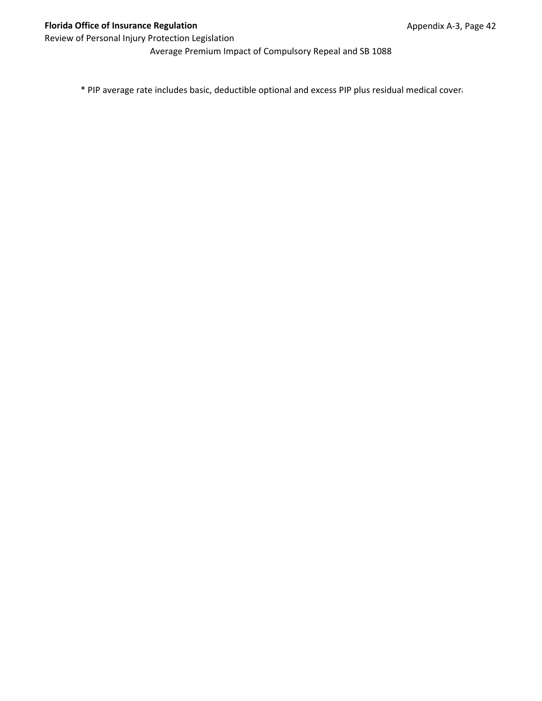Average Premium Impact of Compulsory Repeal and SB 1088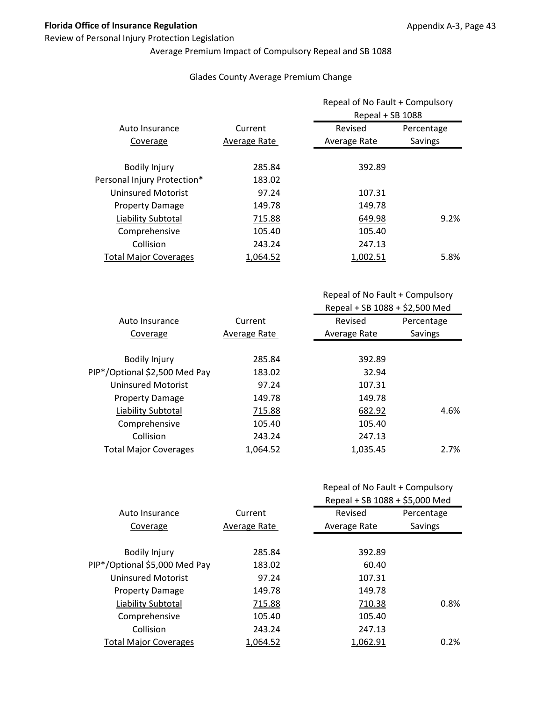## Review of Personal Injury Protection Legislation

# Average Premium Impact of Compulsory Repeal and SB 1088

## Glades County Average Premium Change

|                              |              | Repeal of No Fault + Compulsory<br>Repeal + SB 1088 |            |
|------------------------------|--------------|-----------------------------------------------------|------------|
| Auto Insurance               | Current      | Revised                                             | Percentage |
| Coverage                     | Average Rate | Average Rate                                        | Savings    |
| <b>Bodily Injury</b>         | 285.84       | 392.89                                              |            |
| Personal Injury Protection*  | 183.02       |                                                     |            |
| <b>Uninsured Motorist</b>    | 97.24        | 107.31                                              |            |
| <b>Property Damage</b>       | 149.78       | 149.78                                              |            |
| Liability Subtotal           | 715.88       | 649.98                                              | 9.2%       |
| Comprehensive                | 105.40       | 105.40                                              |            |
| Collision                    | 243.24       | 247.13                                              |            |
| <b>Total Major Coverages</b> | 1.064.52     | 1.002.51                                            | 5.8%       |

| Auto Insurance                | Current      | Revised      | Percentage |
|-------------------------------|--------------|--------------|------------|
| Coverage                      | Average Rate | Average Rate | Savings    |
|                               |              |              |            |
| <b>Bodily Injury</b>          | 285.84       | 392.89       |            |
| PIP*/Optional \$2,500 Med Pay | 183.02       | 32.94        |            |
| Uninsured Motorist            | 97.24        | 107.31       |            |
| <b>Property Damage</b>        | 149.78       | 149.78       |            |
| Liability Subtotal            | 715.88       | 682.92       | 4.6%       |
| Comprehensive                 | 105.40       | 105.40       |            |
| Collision                     | 243.24       | 247.13       |            |
| <b>Total Major Coverages</b>  | 1.064.52     | 1,035.45     | 2.7%       |
|                               |              |              |            |

| Repeal of No Fault + Compulsory |
|---------------------------------|
| $Rand + SR 1088 + \xi S 000 00$ |

|                               |              | NENEDI T JD 1000 + JJ,UUU IVIEU |            |
|-------------------------------|--------------|---------------------------------|------------|
| Auto Insurance                | Current      | Revised                         | Percentage |
| Coverage                      | Average Rate | Average Rate                    | Savings    |
|                               |              |                                 |            |
| <b>Bodily Injury</b>          | 285.84       | 392.89                          |            |
| PIP*/Optional \$5,000 Med Pay | 183.02       | 60.40                           |            |
| <b>Uninsured Motorist</b>     | 97.24        | 107.31                          |            |
| <b>Property Damage</b>        | 149.78       | 149.78                          |            |
| Liability Subtotal            | 715.88       | 710.38                          | 0.8%       |
| Comprehensive                 | 105.40       | 105.40                          |            |
| Collision                     | 243.24       | 247.13                          |            |
| <b>Total Major Coverages</b>  | 1.064.52     | 1.062.91                        | 0.2%       |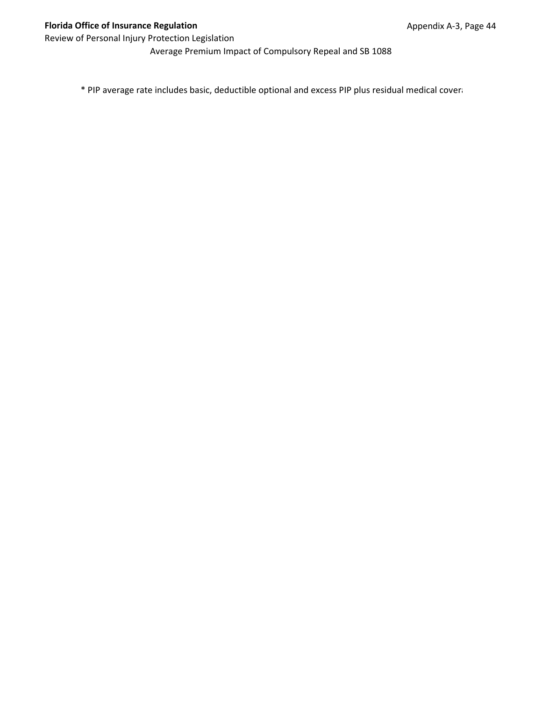Average Premium Impact of Compulsory Repeal and SB 1088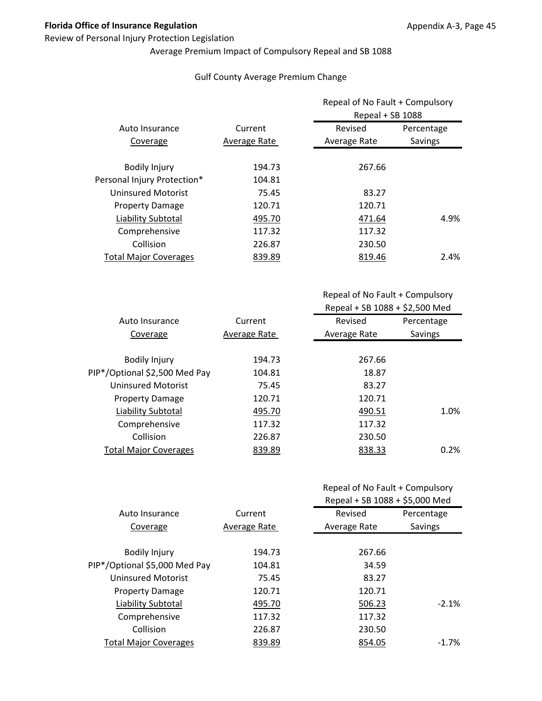## Review of Personal Injury Protection Legislation

# Average Premium Impact of Compulsory Repeal and SB 1088

## Gulf County Average Premium Change

|                              |              | Repeal of No Fault + Compulsory<br>Repeal + SB 1088 |            |
|------------------------------|--------------|-----------------------------------------------------|------------|
| Auto Insurance               | Current      | Revised                                             | Percentage |
| Coverage                     | Average Rate | Average Rate                                        | Savings    |
| <b>Bodily Injury</b>         | 194.73       | 267.66                                              |            |
| Personal Injury Protection*  | 104.81       |                                                     |            |
| <b>Uninsured Motorist</b>    | 75.45        | 83.27                                               |            |
| <b>Property Damage</b>       | 120.71       | 120.71                                              |            |
| Liability Subtotal           | 495.70       | 471.64                                              | 4.9%       |
| Comprehensive                | 117.32       | 117.32                                              |            |
| Collision                    | 226.87       | 230.50                                              |            |
| <b>Total Major Coverages</b> | 839.89       | 819.46                                              | 2.4%       |

| Current      | Revised      | Percentage |
|--------------|--------------|------------|
| Average Rate | Average Rate | Savings    |
|              |              |            |
| 194.73       | 267.66       |            |
| 104.81       | 18.87        |            |
| 75.45        | 83.27        |            |
| 120.71       | 120.71       |            |
| 495.70       | 490.51       | 1.0%       |
| 117.32       | 117.32       |            |
| 226.87       | 230.50       |            |
| 839.89       | 838.33       | 0.2%       |
|              |              |            |

| Repeal of No Fault + Compulsory |  |
|---------------------------------|--|
|---------------------------------|--|

|                               |              | Repeal + SB 1088 + \$5,000 Med |            |
|-------------------------------|--------------|--------------------------------|------------|
| Auto Insurance                | Current      | Revised                        | Percentage |
| Coverage                      | Average Rate | Average Rate                   | Savings    |
|                               |              |                                |            |
| <b>Bodily Injury</b>          | 194.73       | 267.66                         |            |
| PIP*/Optional \$5,000 Med Pay | 104.81       | 34.59                          |            |
| <b>Uninsured Motorist</b>     | 75.45        | 83.27                          |            |
| <b>Property Damage</b>        | 120.71       | 120.71                         |            |
| Liability Subtotal            | 495.70       | 506.23                         | $-2.1%$    |
| Comprehensive                 | 117.32       | 117.32                         |            |
| Collision                     | 226.87       | 230.50                         |            |
| <b>Total Major Coverages</b>  | 839.89       | 854.05                         | $-1.7\%$   |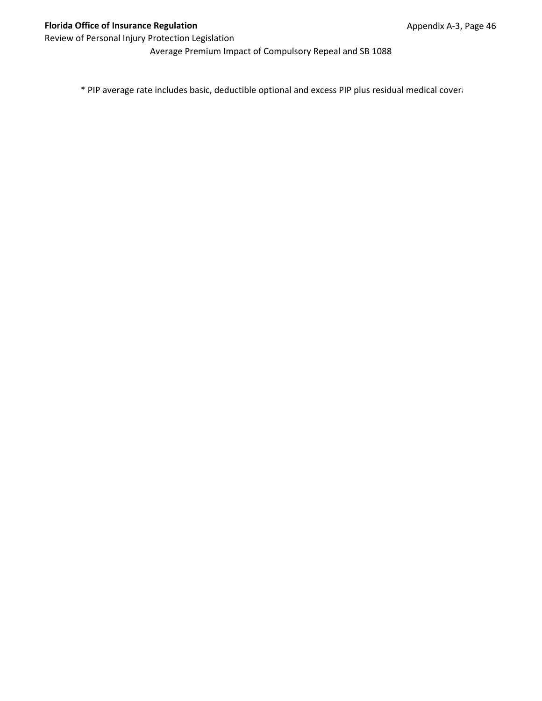Average Premium Impact of Compulsory Repeal and SB 1088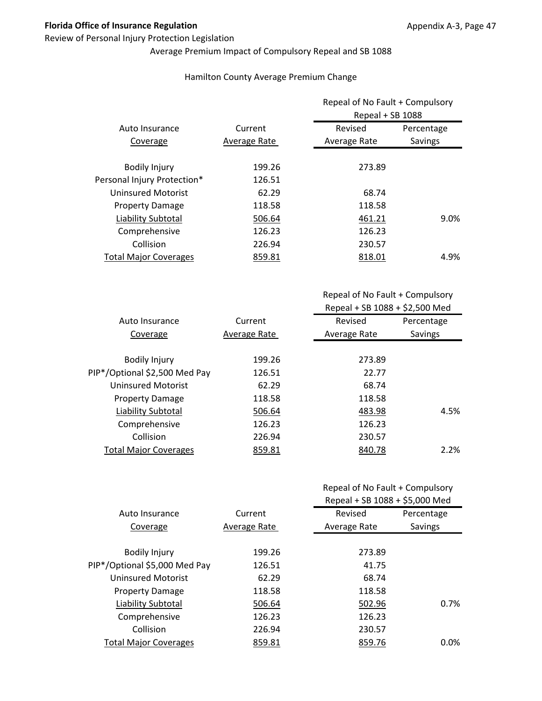## Review of Personal Injury Protection Legislation

# Average Premium Impact of Compulsory Repeal and SB 1088

## Hamilton County Average Premium Change

| Percentage |
|------------|
|            |
| Savings    |
|            |
|            |
|            |
|            |
| 9.0%       |
|            |
|            |
| 4.9%       |
|            |

Repeal of No Fault + Compulsory Repeal + SB 1088 + \$2,500 Med

| Current      | Revised      | Percentage |
|--------------|--------------|------------|
| Average Rate | Average Rate | Savings    |
|              |              |            |
| 199.26       | 273.89       |            |
| 126.51       | 22.77        |            |
| 62.29        | 68.74        |            |
| 118.58       | 118.58       |            |
| 506.64       | 483.98       | 4.5%       |
| 126.23       | 126.23       |            |
| 226.94       | 230.57       |            |
| 859.81       | 840.78       | 2.2%       |
|              |              |            |

|                               |              | Repeal + SB 1088 + \$5,000 Med |            |
|-------------------------------|--------------|--------------------------------|------------|
| Auto Insurance                | Current      | Revised                        | Percentage |
| Coverage                      | Average Rate | Average Rate                   | Savings    |
|                               |              |                                |            |
| <b>Bodily Injury</b>          | 199.26       | 273.89                         |            |
| PIP*/Optional \$5,000 Med Pay | 126.51       | 41.75                          |            |
| <b>Uninsured Motorist</b>     | 62.29        | 68.74                          |            |
| <b>Property Damage</b>        | 118.58       | 118.58                         |            |
| Liability Subtotal            | 506.64       | 502.96                         | 0.7%       |
| Comprehensive                 | 126.23       | 126.23                         |            |
| Collision                     | 226.94       | 230.57                         |            |
| <b>Total Major Coverages</b>  | 859.81       | 859.76                         | $0.0\%$    |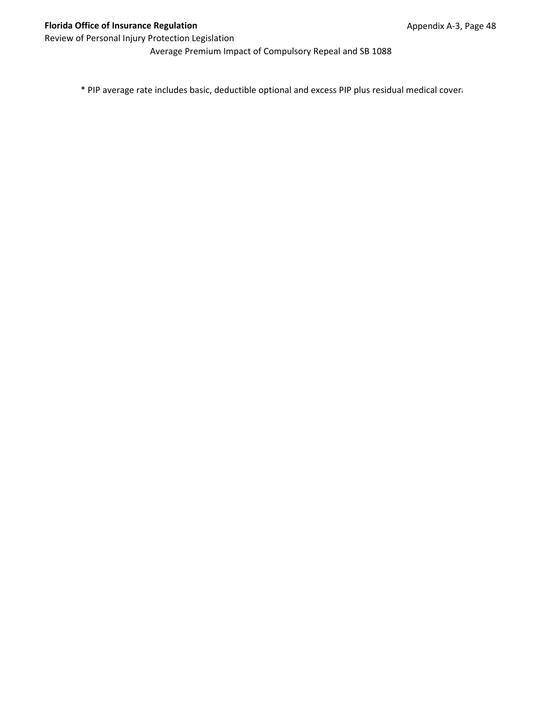Average Premium Impact of Compulsory Repeal and SB 1088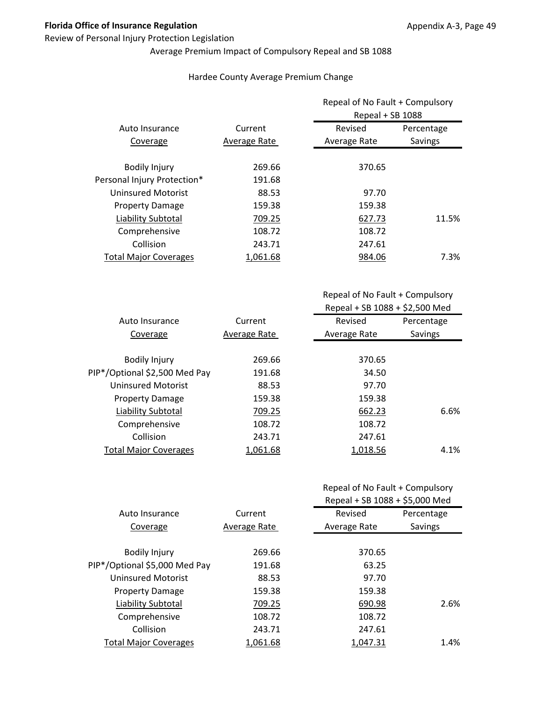## Review of Personal Injury Protection Legislation

# Average Premium Impact of Compulsory Repeal and SB 1088

## Hardee County Average Premium Change

|                              |              |              | Repeal of No Fault + Compulsory<br>Repeal + SB 1088 |  |
|------------------------------|--------------|--------------|-----------------------------------------------------|--|
| Auto Insurance               | Current      | Revised      | Percentage                                          |  |
| Coverage                     | Average Rate | Average Rate | Savings                                             |  |
| <b>Bodily Injury</b>         | 269.66       | 370.65       |                                                     |  |
| Personal Injury Protection*  | 191.68       |              |                                                     |  |
| <b>Uninsured Motorist</b>    | 88.53        | 97.70        |                                                     |  |
| <b>Property Damage</b>       | 159.38       | 159.38       |                                                     |  |
| Liability Subtotal           | 709.25       | 627.73       | 11.5%                                               |  |
| Comprehensive                | 108.72       | 108.72       |                                                     |  |
| Collision                    | 243.71       | 247.61       |                                                     |  |
| <b>Total Major Coverages</b> | 1.061.68     | 984.06       | 7.3%                                                |  |

| Current      | Revised      | Percentage                           |
|--------------|--------------|--------------------------------------|
| Average Rate | Average Rate | Savings                              |
|              |              |                                      |
| 269.66       | 370.65       |                                      |
| 191.68       |              |                                      |
| 88.53        |              |                                      |
| 159.38       |              |                                      |
| 709.25       | 662.23       | 6.6%                                 |
| 108.72       | 108.72       |                                      |
| 243.71       | 247.61       |                                      |
| 1,061.68     |              | 4.1%                                 |
|              |              | 34.50<br>97.70<br>159.38<br>1,018.56 |

|                               |              | Repeal + SB 1088 + \$5,000 Med |            |
|-------------------------------|--------------|--------------------------------|------------|
| Auto Insurance                | Current      | Revised                        | Percentage |
| Coverage                      | Average Rate | Average Rate                   | Savings    |
|                               |              |                                |            |
| <b>Bodily Injury</b>          | 269.66       | 370.65                         |            |
| PIP*/Optional \$5,000 Med Pay | 191.68       | 63.25                          |            |
| <b>Uninsured Motorist</b>     | 88.53        | 97.70                          |            |
| <b>Property Damage</b>        | 159.38       | 159.38                         |            |
| Liability Subtotal            | 709.25       | 690.98                         | 2.6%       |
| Comprehensive                 | 108.72       | 108.72                         |            |
| Collision                     | 243.71       | 247.61                         |            |
| <b>Total Major Coverages</b>  | 1.061.68     | 1.047.31                       | 1.4%       |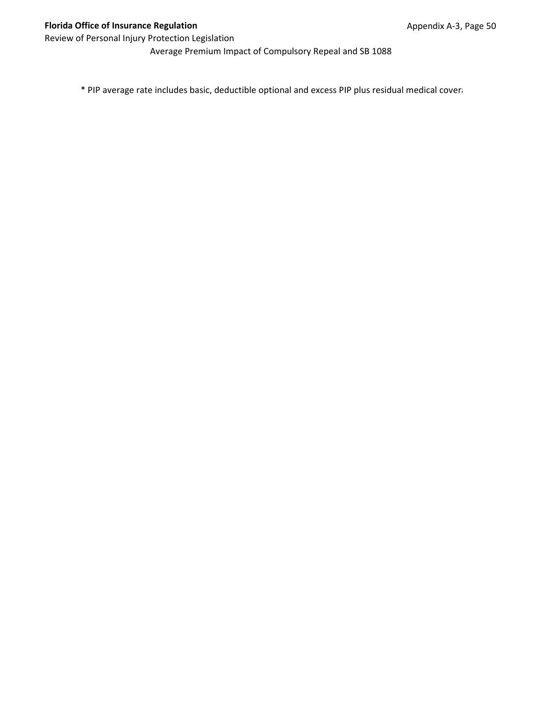Average Premium Impact of Compulsory Repeal and SB 1088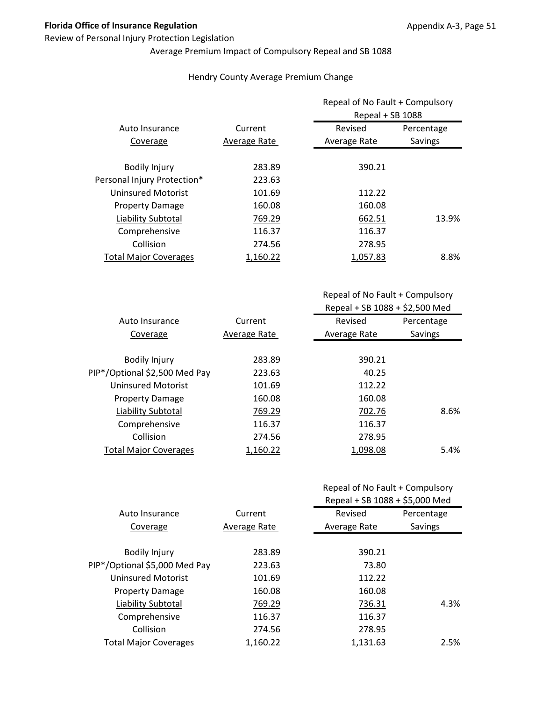## Review of Personal Injury Protection Legislation

# Average Premium Impact of Compulsory Repeal and SB 1088

## Hendry County Average Premium Change

|                              |              | Repeal of No Fault + Compulsory<br>Repeal + SB 1088 |            |
|------------------------------|--------------|-----------------------------------------------------|------------|
| Auto Insurance               | Current      | Revised                                             | Percentage |
| Coverage                     | Average Rate | Average Rate                                        | Savings    |
| <b>Bodily Injury</b>         | 283.89       | 390.21                                              |            |
| Personal Injury Protection*  | 223.63       |                                                     |            |
| <b>Uninsured Motorist</b>    | 101.69       | 112.22                                              |            |
| <b>Property Damage</b>       | 160.08       | 160.08                                              |            |
| Liability Subtotal           | 769.29       | 662.51                                              | 13.9%      |
| Comprehensive                | 116.37       | 116.37                                              |            |
| Collision                    | 274.56       | 278.95                                              |            |
| <b>Total Major Coverages</b> | 1,160.22     | 1.057.83                                            | 8.8%       |

Repeal of No Fault + Compulsory Repeal + SB 1088 + \$2,500 Med

| Auto Insurance                | Current      | Revised      | Percentage |
|-------------------------------|--------------|--------------|------------|
| Coverage                      | Average Rate | Average Rate | Savings    |
|                               |              |              |            |
| <b>Bodily Injury</b>          | 283.89       | 390.21       |            |
| PIP*/Optional \$2,500 Med Pay | 223.63       | 40.25        |            |
| Uninsured Motorist            | 101.69       | 112.22       |            |
| <b>Property Damage</b>        | 160.08       | 160.08       |            |
| Liability Subtotal            | 769.29       | 702.76       | 8.6%       |
| Comprehensive                 | 116.37       | 116.37       |            |
| Collision                     | 274.56       | 278.95       |            |
| <b>Total Major Coverages</b>  | 1,160.22     | 1,098.08     | 5.4%       |
|                               |              |              |            |

|                               |              | Repeal + SB 1088 + \$5,000 Med |            |
|-------------------------------|--------------|--------------------------------|------------|
| Auto Insurance                | Current      | Revised                        | Percentage |
| Coverage                      | Average Rate | Average Rate                   | Savings    |
|                               |              |                                |            |
| <b>Bodily Injury</b>          | 283.89       | 390.21                         |            |
| PIP*/Optional \$5,000 Med Pay | 223.63       | 73.80                          |            |
| <b>Uninsured Motorist</b>     | 101.69       | 112.22                         |            |
| <b>Property Damage</b>        | 160.08       | 160.08                         |            |
| Liability Subtotal            | 769.29       | 736.31                         | 4.3%       |
| Comprehensive                 | 116.37       | 116.37                         |            |
| Collision                     | 274.56       | 278.95                         |            |
| <b>Total Major Coverages</b>  | 1.160.22     | 1.131.63                       | 2.5%       |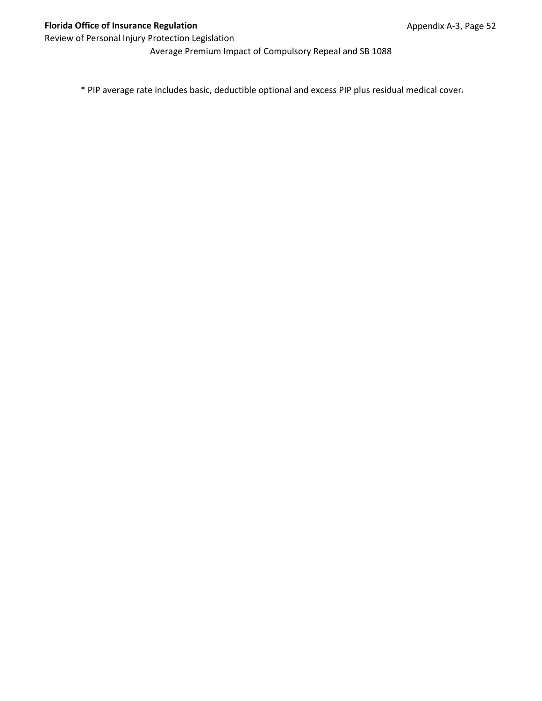Average Premium Impact of Compulsory Repeal and SB 1088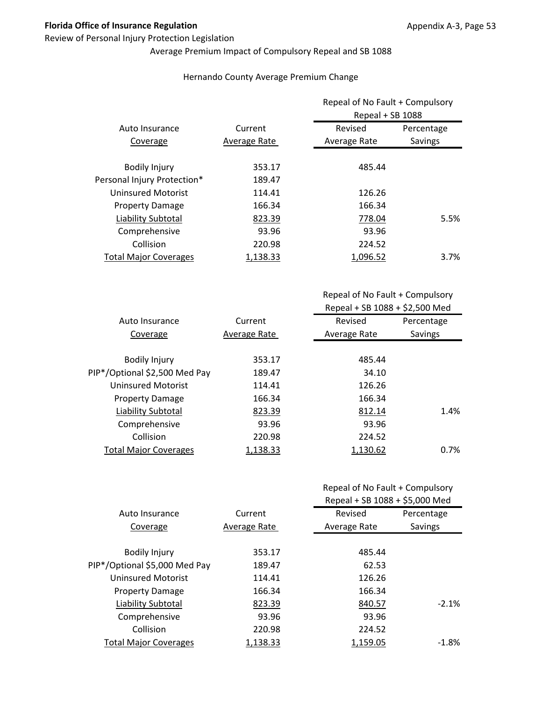## Review of Personal Injury Protection Legislation

# Average Premium Impact of Compulsory Repeal and SB 1088

## Hernando County Average Premium Change

|                              |              | Repeal of No Fault + Compulsory<br>Repeal + SB 1088 |            |
|------------------------------|--------------|-----------------------------------------------------|------------|
| Auto Insurance               | Current      | Revised                                             | Percentage |
| Coverage                     | Average Rate | Average Rate                                        | Savings    |
| <b>Bodily Injury</b>         | 353.17       | 485.44                                              |            |
| Personal Injury Protection*  | 189.47       |                                                     |            |
| <b>Uninsured Motorist</b>    | 114.41       | 126.26                                              |            |
| <b>Property Damage</b>       | 166.34       | 166.34                                              |            |
| Liability Subtotal           | 823.39       | 778.04                                              | 5.5%       |
| Comprehensive                | 93.96        | 93.96                                               |            |
| Collision                    | 220.98       | 224.52                                              |            |
| <b>Total Major Coverages</b> | 1.138.33     | 1.096.52                                            | $3.7\%$    |

Repeal of No Fault + Compulsory Repeal + SB 1088 + \$2,500 Med

| Auto Insurance                | Current      | Revised      | Percentage |
|-------------------------------|--------------|--------------|------------|
| Coverage                      | Average Rate | Average Rate | Savings    |
|                               |              |              |            |
| <b>Bodily Injury</b>          | 353.17       | 485.44       |            |
| PIP*/Optional \$2,500 Med Pay | 189.47       | 34.10        |            |
| Uninsured Motorist            | 114.41       | 126.26       |            |
| <b>Property Damage</b>        | 166.34       | 166.34       |            |
| Liability Subtotal            | 823.39       | 812.14       | 1.4%       |
| Comprehensive                 | 93.96        | 93.96        |            |
| Collision                     | 220.98       | 224.52       |            |
| <b>Total Major Coverages</b>  | 1,138.33     | 1,130.62     | 0.7%       |

|                               |              | Repeal + SB 1088 + \$5,000 Med |            |
|-------------------------------|--------------|--------------------------------|------------|
| Auto Insurance                | Current      | Revised                        | Percentage |
| Coverage                      | Average Rate | Average Rate                   | Savings    |
|                               |              |                                |            |
| <b>Bodily Injury</b>          | 353.17       | 485.44                         |            |
| PIP*/Optional \$5,000 Med Pay | 189.47       | 62.53                          |            |
| <b>Uninsured Motorist</b>     | 114.41       | 126.26                         |            |
| <b>Property Damage</b>        | 166.34       | 166.34                         |            |
| Liability Subtotal            | 823.39       | 840.57                         | $-2.1%$    |
| Comprehensive                 | 93.96        | 93.96                          |            |
| Collision                     | 220.98       | 224.52                         |            |
| <b>Total Major Coverages</b>  | 1.138.33     | 1,159.05                       | $-1.8\%$   |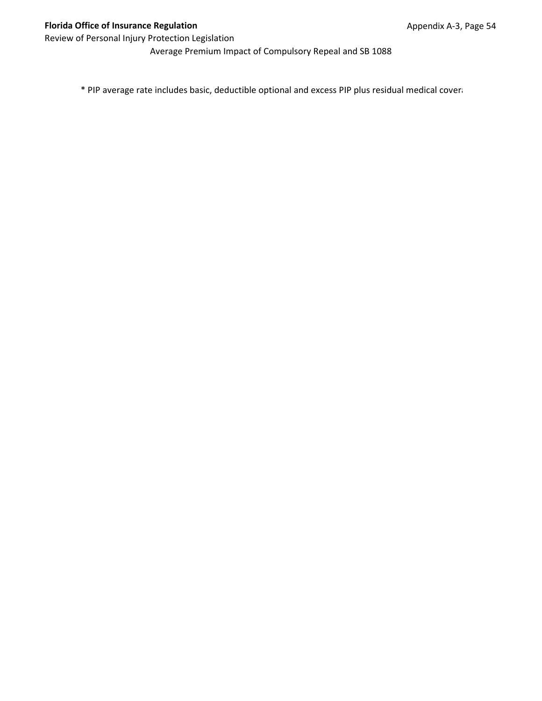Average Premium Impact of Compulsory Repeal and SB 1088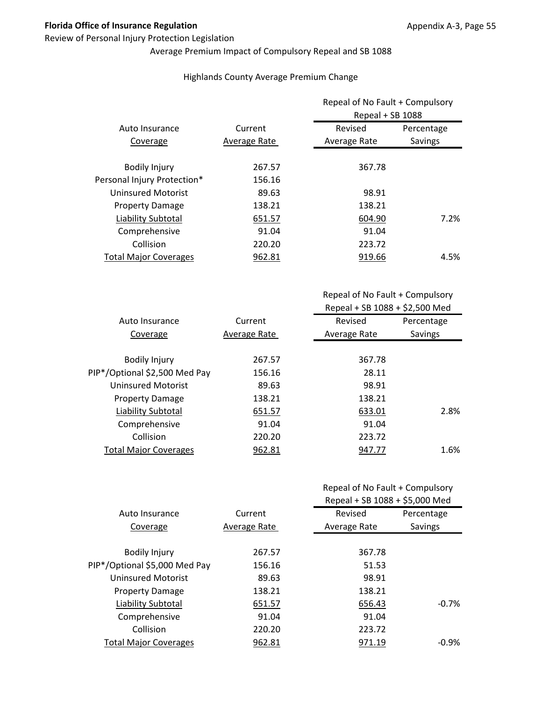## Review of Personal Injury Protection Legislation

# Average Premium Impact of Compulsory Repeal and SB 1088

## Highlands County Average Premium Change

|                              |              | Repeal of No Fault + Compulsory<br>Repeal + SB 1088 |            |
|------------------------------|--------------|-----------------------------------------------------|------------|
| Auto Insurance               | Current      | Revised                                             | Percentage |
| Coverage                     | Average Rate | Average Rate                                        | Savings    |
| <b>Bodily Injury</b>         | 267.57       | 367.78                                              |            |
| Personal Injury Protection*  | 156.16       |                                                     |            |
| <b>Uninsured Motorist</b>    | 89.63        | 98.91                                               |            |
| <b>Property Damage</b>       | 138.21       | 138.21                                              |            |
| Liability Subtotal           | 651.57       | 604.90                                              | 7.2%       |
| Comprehensive                | 91.04        | 91.04                                               |            |
| Collision                    | 220.20       | 223.72                                              |            |
| <b>Total Major Coverages</b> | 962.81       | 919.66                                              | 4.5%       |

| Auto Insurance                | Current      | Revised      | Percentage |
|-------------------------------|--------------|--------------|------------|
| Coverage                      | Average Rate | Average Rate | Savings    |
|                               |              |              |            |
| <b>Bodily Injury</b>          | 267.57       | 367.78       |            |
| PIP*/Optional \$2,500 Med Pay | 156.16       | 28.11        |            |
| Uninsured Motorist            | 89.63        | 98.91        |            |
| <b>Property Damage</b>        | 138.21       | 138.21       |            |
| Liability Subtotal            | 651.57       | 633.01       | 2.8%       |
| Comprehensive                 | 91.04        | 91.04        |            |
| Collision                     | 220.20       | 223.72       |            |
| <b>Total Major Coverages</b>  | 962.81       | 947.77       | 1.6%       |
|                               |              |              |            |

|                               |              | Repeal + SB 1088 + \$5,000 Med |            |
|-------------------------------|--------------|--------------------------------|------------|
| Auto Insurance                | Current      | Revised                        | Percentage |
| Coverage                      | Average Rate | Average Rate                   | Savings    |
|                               |              |                                |            |
| <b>Bodily Injury</b>          | 267.57       | 367.78                         |            |
| PIP*/Optional \$5,000 Med Pay | 156.16       | 51.53                          |            |
| <b>Uninsured Motorist</b>     | 89.63        | 98.91                          |            |
| <b>Property Damage</b>        | 138.21       | 138.21                         |            |
| Liability Subtotal            | 651.57       | 656.43                         | $-0.7%$    |
| Comprehensive                 | 91.04        | 91.04                          |            |
| Collision                     | 220.20       | 223.72                         |            |
| <b>Total Major Coverages</b>  | 962.81       | 971.19                         | $-0.9%$    |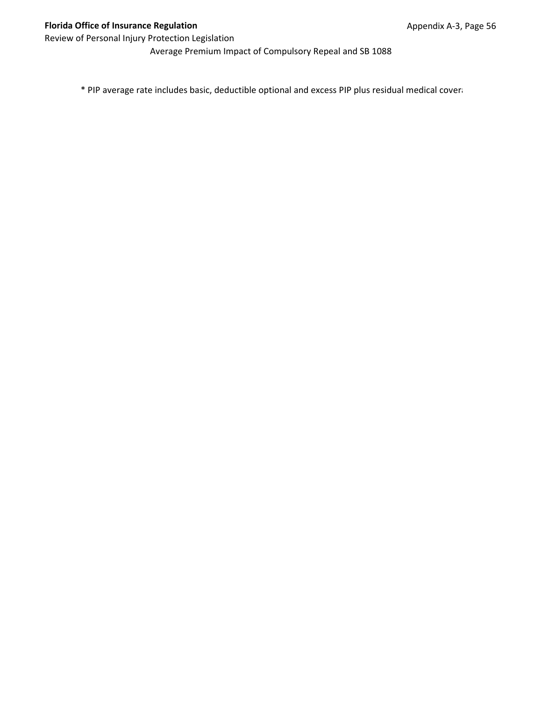Average Premium Impact of Compulsory Repeal and SB 1088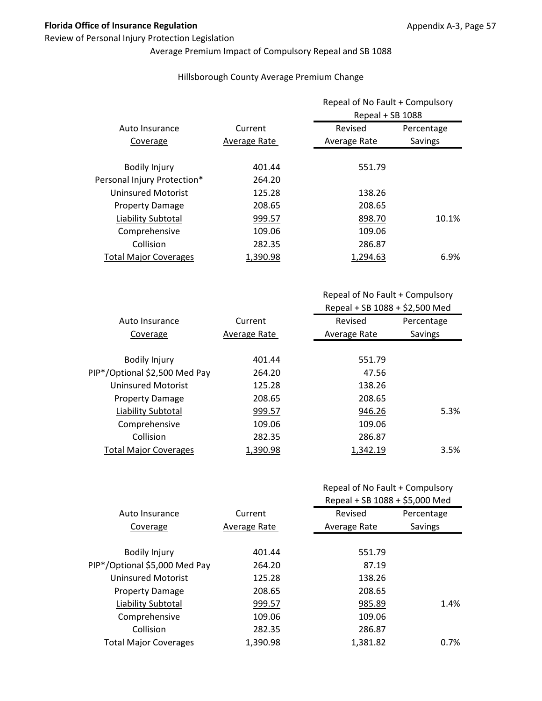#### Review of Personal Injury Protection Legislation

# Average Premium Impact of Compulsory Repeal and SB 1088

## Hillsborough County Average Premium Change

|                              |              | Repeal of No Fault + Compulsory<br>Repeal + SB 1088 |            |
|------------------------------|--------------|-----------------------------------------------------|------------|
| Auto Insurance               | Current      | Revised                                             | Percentage |
| Coverage                     | Average Rate | Average Rate                                        | Savings    |
| <b>Bodily Injury</b>         | 401.44       | 551.79                                              |            |
| Personal Injury Protection*  | 264.20       |                                                     |            |
| <b>Uninsured Motorist</b>    | 125.28       | 138.26                                              |            |
| <b>Property Damage</b>       | 208.65       | 208.65                                              |            |
| Liability Subtotal           | 999.57       | 898.70                                              | 10.1%      |
| Comprehensive                | 109.06       | 109.06                                              |            |
| Collision                    | 282.35       | 286.87                                              |            |
| <b>Total Major Coverages</b> | 1,390.98     | 1.294.63                                            | 6.9%       |

Repeal of No Fault + Compulsory Repeal + SB 1088 + \$2,500 Med

| Auto Insurance                | Current      | Revised      | Percentage |
|-------------------------------|--------------|--------------|------------|
| Coverage                      | Average Rate | Average Rate | Savings    |
|                               |              |              |            |
| <b>Bodily Injury</b>          | 401.44       | 551.79       |            |
| PIP*/Optional \$2,500 Med Pay | 264.20       | 47.56        |            |
| Uninsured Motorist            | 125.28       | 138.26       |            |
| <b>Property Damage</b>        | 208.65       | 208.65       |            |
| Liability Subtotal            | 999.57       | 946.26       | 5.3%       |
| Comprehensive                 | 109.06       | 109.06       |            |
| Collision                     | 282.35       | 286.87       |            |
| <b>Total Major Coverages</b>  | 1,390.98     | 1,342.19     | 3.5%       |

|                               |              | Repeal + SB 1088 + \$5,000 Med |            |
|-------------------------------|--------------|--------------------------------|------------|
| Auto Insurance                | Current      | Revised                        | Percentage |
| Coverage                      | Average Rate | Average Rate                   | Savings    |
|                               |              |                                |            |
| <b>Bodily Injury</b>          | 401.44       | 551.79                         |            |
| PIP*/Optional \$5,000 Med Pay | 264.20       | 87.19                          |            |
| <b>Uninsured Motorist</b>     | 125.28       | 138.26                         |            |
| <b>Property Damage</b>        | 208.65       | 208.65                         |            |
| Liability Subtotal            | 999.57       | 985.89                         | 1.4%       |
| Comprehensive                 | 109.06       | 109.06                         |            |
| Collision                     | 282.35       | 286.87                         |            |
| <b>Total Major Coverages</b>  | 1.390.98     | 1.381.82                       | 0.7%       |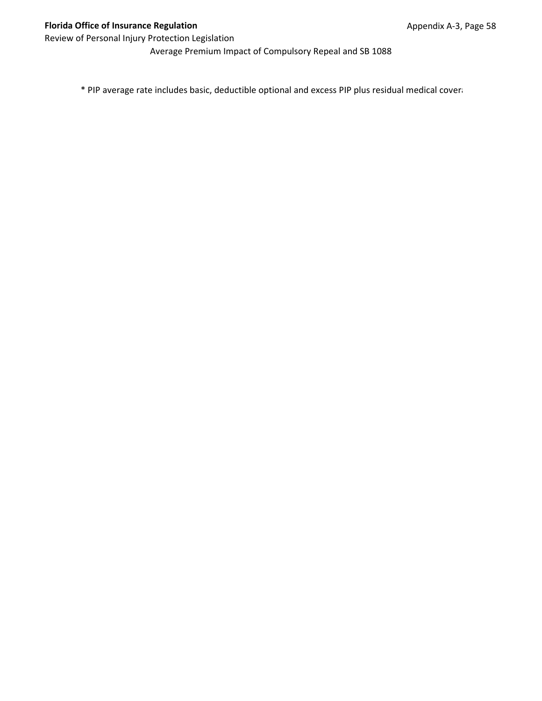Average Premium Impact of Compulsory Repeal and SB 1088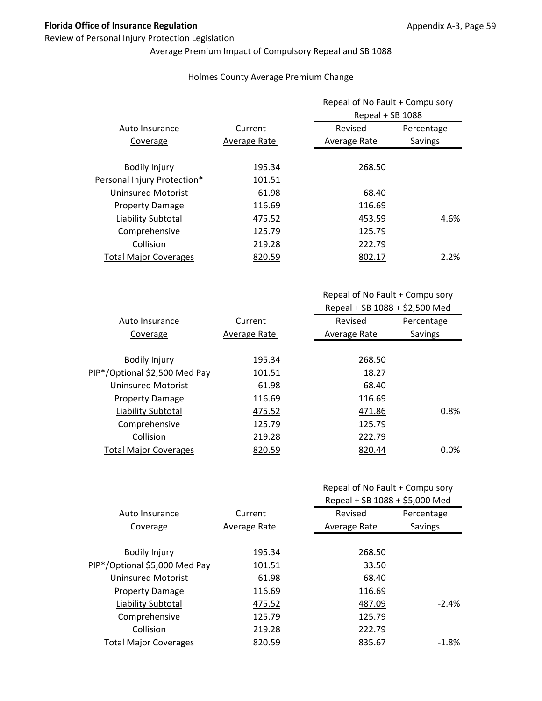## Review of Personal Injury Protection Legislation

# Average Premium Impact of Compulsory Repeal and SB 1088

## Holmes County Average Premium Change

|              |              | Repeal of No Fault + Compulsory<br>Repeal + SB 1088 |  |
|--------------|--------------|-----------------------------------------------------|--|
| Current      | Revised      | Percentage                                          |  |
| Average Rate | Average Rate | Savings                                             |  |
| 195.34       | 268.50       |                                                     |  |
| 101.51       |              |                                                     |  |
| 61.98        | 68.40        |                                                     |  |
| 116.69       | 116.69       |                                                     |  |
| 475.52       | 453.59       | 4.6%                                                |  |
| 125.79       | 125.79       |                                                     |  |
| 219.28       | 222.79       |                                                     |  |
| 820.59       | 802.17       | 2.2%                                                |  |
|              |              |                                                     |  |

Repeal of No Fault + Compulsory Repeal + SB 1088 + \$2,500 Med

| Auto Insurance                | Current      | Revised      | Percentage |
|-------------------------------|--------------|--------------|------------|
| Coverage                      | Average Rate | Average Rate | Savings    |
|                               |              |              |            |
| <b>Bodily Injury</b>          | 195.34       | 268.50       |            |
| PIP*/Optional \$2,500 Med Pay | 101.51       | 18.27        |            |
| Uninsured Motorist            | 61.98        | 68.40        |            |
| <b>Property Damage</b>        | 116.69       | 116.69       |            |
| Liability Subtotal            | 475.52       | 471.86       | 0.8%       |
| Comprehensive                 | 125.79       | 125.79       |            |
| Collision                     | 219.28       | 222.79       |            |
| <b>Total Major Coverages</b>  | 820.59       | 820.44       | 0.0%       |

|                               |              | Repeal + SB 1088 + \$5,000 Med |            |
|-------------------------------|--------------|--------------------------------|------------|
| Auto Insurance                | Current      | Revised                        | Percentage |
| Coverage                      | Average Rate | Average Rate                   | Savings    |
|                               |              |                                |            |
| <b>Bodily Injury</b>          | 195.34       | 268.50                         |            |
| PIP*/Optional \$5,000 Med Pay | 101.51       | 33.50                          |            |
| <b>Uninsured Motorist</b>     | 61.98        | 68.40                          |            |
| <b>Property Damage</b>        | 116.69       | 116.69                         |            |
| Liability Subtotal            | 475.52       | 487.09                         | $-2.4%$    |
| Comprehensive                 | 125.79       | 125.79                         |            |
| Collision                     | 219.28       | 222.79                         |            |
| <b>Total Major Coverages</b>  | 820.59       | 835.67                         | $-1.8\%$   |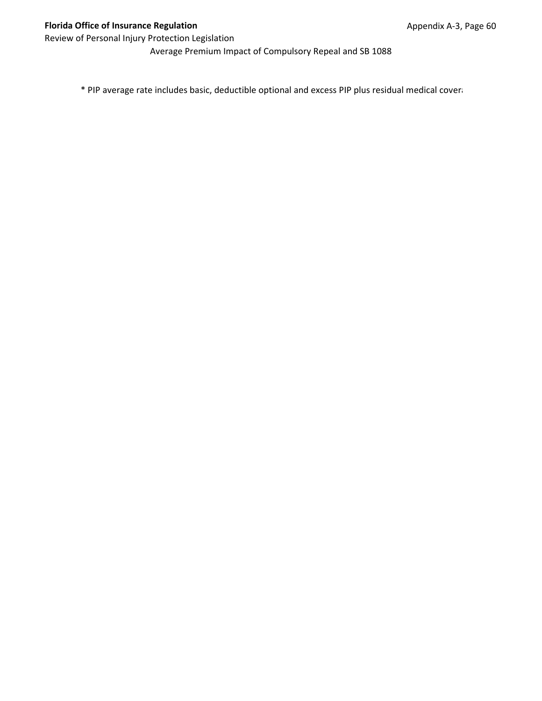Average Premium Impact of Compulsory Repeal and SB 1088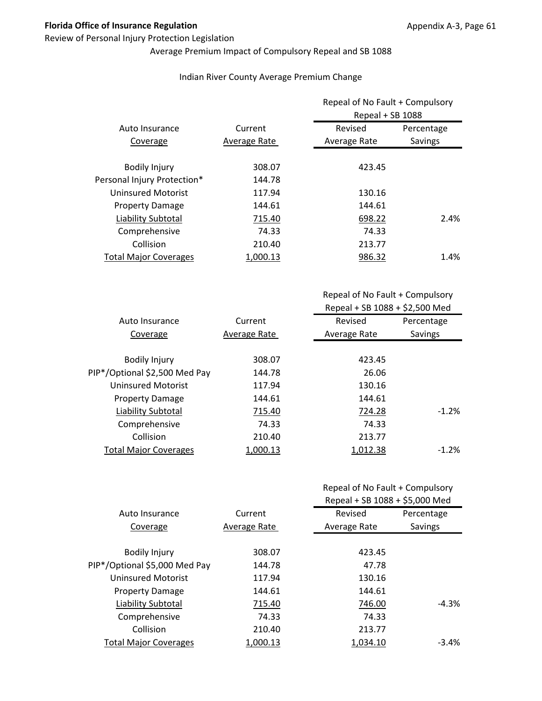## Review of Personal Injury Protection Legislation

# Average Premium Impact of Compulsory Repeal and SB 1088

## Indian River County Average Premium Change

|                              |              | Repeal of No Fault + Compulsory<br>Repeal + SB 1088 |            |
|------------------------------|--------------|-----------------------------------------------------|------------|
| Auto Insurance               | Current      | Revised                                             | Percentage |
| Coverage                     | Average Rate | Average Rate                                        | Savings    |
| <b>Bodily Injury</b>         | 308.07       | 423.45                                              |            |
| Personal Injury Protection*  | 144.78       |                                                     |            |
| <b>Uninsured Motorist</b>    | 117.94       | 130.16                                              |            |
| <b>Property Damage</b>       | 144.61       | 144.61                                              |            |
| Liability Subtotal           | 715.40       | 698.22                                              | 2.4%       |
| Comprehensive                | 74.33        | 74.33                                               |            |
| Collision                    | 210.40       | 213.77                                              |            |
| <b>Total Major Coverages</b> | 1.000.13     | 986.32                                              | 1.4%       |

| Auto Insurance                | Current      | Revised      | Percentage |
|-------------------------------|--------------|--------------|------------|
| Coverage                      | Average Rate | Average Rate | Savings    |
|                               |              |              |            |
| <b>Bodily Injury</b>          | 308.07       | 423.45       |            |
| PIP*/Optional \$2,500 Med Pay | 144.78       | 26.06        |            |
| Uninsured Motorist            | 117.94       | 130.16       |            |
| <b>Property Damage</b>        | 144.61       | 144.61       |            |
| Liability Subtotal            | 715.40       | 724.28       | $-1.2%$    |
| Comprehensive                 | 74.33        | 74.33        |            |
| Collision                     | 210.40       | 213.77       |            |
| <b>Total Major Coverages</b>  | 1,000.13     | 1,012.38     | $-1.2%$    |
|                               |              |              |            |

|  |  | Repeal of No Fault + Compulsory |
|--|--|---------------------------------|
|--|--|---------------------------------|

|                               | Current      | Repeal + SB 1088 + \$5,000 Med |            |
|-------------------------------|--------------|--------------------------------|------------|
| Auto Insurance                |              | Revised                        | Percentage |
| Coverage                      | Average Rate | Average Rate                   | Savings    |
| <b>Bodily Injury</b>          | 308.07       | 423.45                         |            |
| PIP*/Optional \$5,000 Med Pay | 144.78       | 47.78                          |            |
| <b>Uninsured Motorist</b>     | 117.94       | 130.16                         |            |
| <b>Property Damage</b>        | 144.61       | 144.61                         |            |
| Liability Subtotal            | 715.40       | 746.00                         | $-4.3%$    |
| Comprehensive                 | 74.33        | 74.33                          |            |
| Collision                     | 210.40       | 213.77                         |            |
| <b>Total Major Coverages</b>  | 1.000.13     | 1.034.10                       | $-3.4\%$   |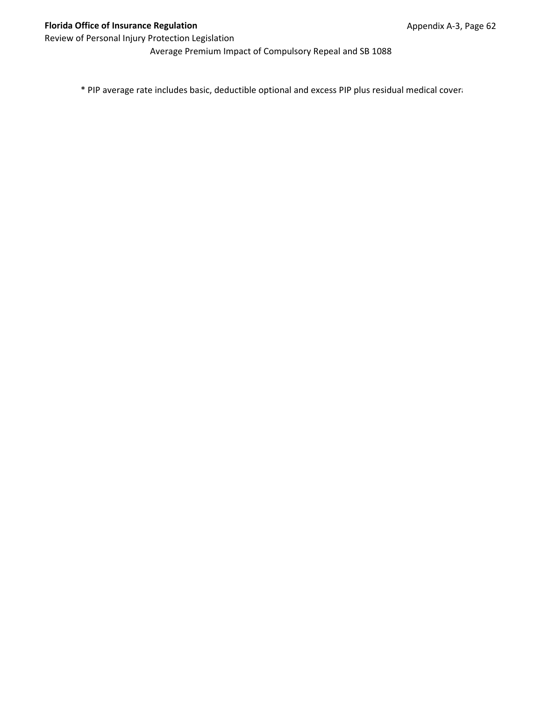Average Premium Impact of Compulsory Repeal and SB 1088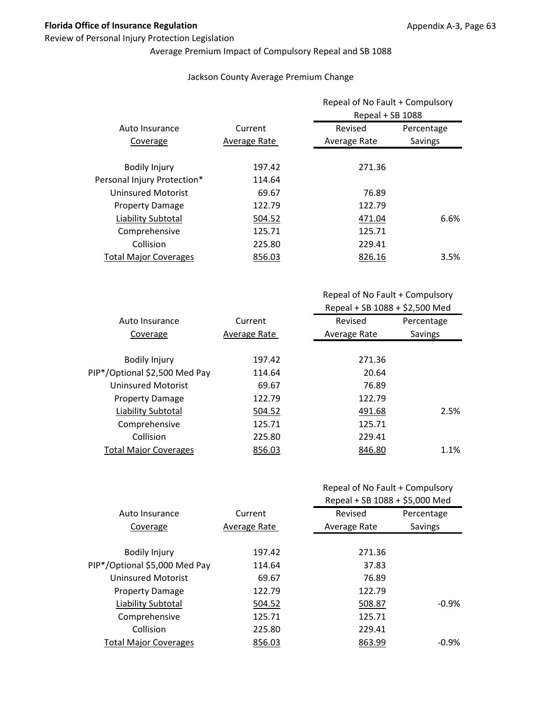## Review of Personal Injury Protection Legislation

# Average Premium Impact of Compulsory Repeal and SB 1088

## Jackson County Average Premium Change

| Auto Insurance               | Current      | Repeal of No Fault + Compulsory<br>Repeal + SB 1088 |            |
|------------------------------|--------------|-----------------------------------------------------|------------|
|                              |              | Revised                                             | Percentage |
| Coverage                     | Average Rate | Average Rate                                        | Savings    |
| <b>Bodily Injury</b>         | 197.42       | 271.36                                              |            |
| Personal Injury Protection*  | 114.64       |                                                     |            |
| <b>Uninsured Motorist</b>    | 69.67        | 76.89                                               |            |
| <b>Property Damage</b>       | 122.79       | 122.79                                              |            |
| Liability Subtotal           | 504.52       | 471.04                                              | 6.6%       |
| Comprehensive                | 125.71       | 125.71                                              |            |
| Collision                    | 225.80       | 229.41                                              |            |
| <b>Total Major Coverages</b> | 856.03       | 826.16                                              | 3.5%       |

Repeal of No Fault + Compulsory Repeal + SB 1088 + \$2,500 Med

| Auto Insurance                | Current      | Revised      | Percentage |
|-------------------------------|--------------|--------------|------------|
| Coverage                      | Average Rate | Average Rate | Savings    |
|                               |              |              |            |
| <b>Bodily Injury</b>          | 197.42       | 271.36       |            |
| PIP*/Optional \$2,500 Med Pay | 114.64       | 20.64        |            |
| Uninsured Motorist            | 69.67        | 76.89        |            |
| <b>Property Damage</b>        | 122.79       | 122.79       |            |
| Liability Subtotal            | 504.52       | 491.68       | 2.5%       |
| Comprehensive                 | 125.71       | 125.71       |            |
| Collision                     | 225.80       | 229.41       |            |
| <b>Total Major Coverages</b>  | 856.03       | 846.80       | 1.1%       |
|                               |              |              |            |

|                               | Current      | Repeal + SB 1088 + \$5,000 Med |            |
|-------------------------------|--------------|--------------------------------|------------|
| Auto Insurance                |              | Revised                        | Percentage |
| Coverage                      | Average Rate | Average Rate                   | Savings    |
|                               |              |                                |            |
| <b>Bodily Injury</b>          | 197.42       | 271.36                         |            |
| PIP*/Optional \$5,000 Med Pay | 114.64       | 37.83                          |            |
| <b>Uninsured Motorist</b>     | 69.67        | 76.89                          |            |
| <b>Property Damage</b>        | 122.79       | 122.79                         |            |
| Liability Subtotal            | 504.52       | 508.87                         | $-0.9\%$   |
| Comprehensive                 | 125.71       | 125.71                         |            |
| Collision                     | 225.80       | 229.41                         |            |
| <b>Total Major Coverages</b>  | 856.03       | 863.99                         | $-0.9\%$   |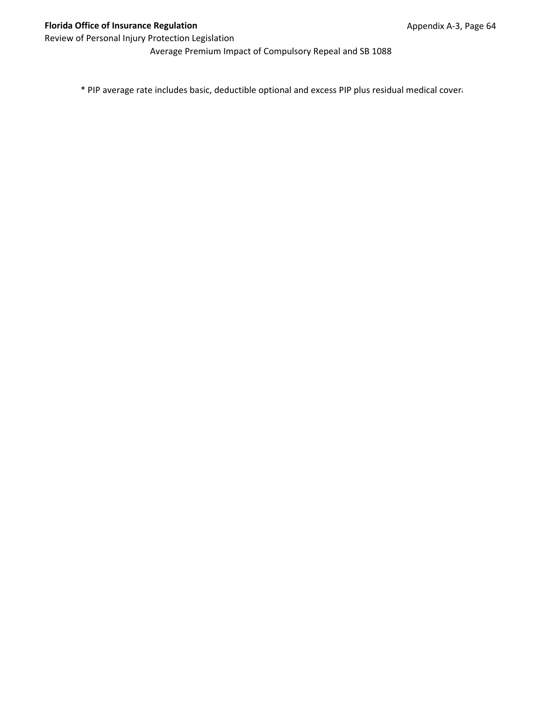Average Premium Impact of Compulsory Repeal and SB 1088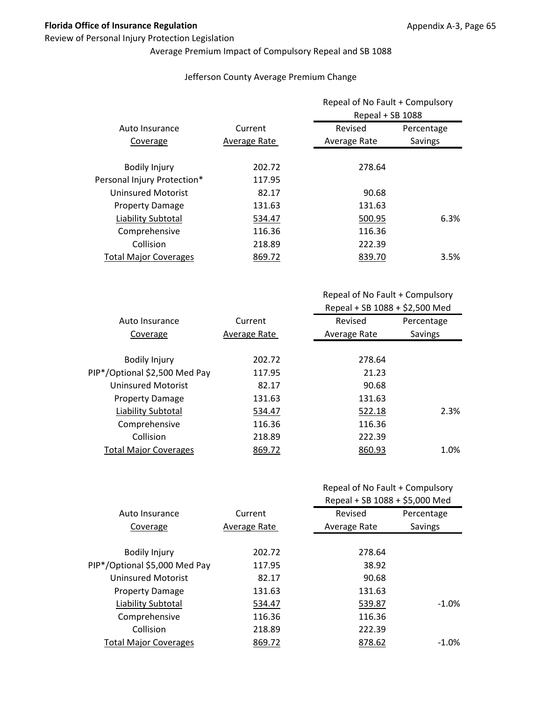#### Review of Personal Injury Protection Legislation

# Average Premium Impact of Compulsory Repeal and SB 1088

#### Jefferson County Average Premium Change

|                              |              | Repeal of No Fault + Compulsory<br>Repeal + SB 1088 |            |
|------------------------------|--------------|-----------------------------------------------------|------------|
| Auto Insurance               | Current      | Revised                                             | Percentage |
| Coverage                     | Average Rate | Average Rate                                        | Savings    |
| <b>Bodily Injury</b>         | 202.72       | 278.64                                              |            |
| Personal Injury Protection*  | 117.95       |                                                     |            |
| Uninsured Motorist           | 82.17        | 90.68                                               |            |
| <b>Property Damage</b>       | 131.63       | 131.63                                              |            |
| Liability Subtotal           | 534.47       | 500.95                                              | 6.3%       |
| Comprehensive                | 116.36       | 116.36                                              |            |
| Collision                    | 218.89       | 222.39                                              |            |
| <b>Total Major Coverages</b> | 869.72       | 839.70                                              | 3.5%       |

Repeal of No Fault + Compulsory Repeal + SB 1088 + \$2,500 Med

| Auto Insurance                | Current      | Revised      | Percentage |
|-------------------------------|--------------|--------------|------------|
| Coverage                      | Average Rate | Average Rate | Savings    |
|                               |              |              |            |
| <b>Bodily Injury</b>          | 202.72       | 278.64       |            |
| PIP*/Optional \$2,500 Med Pay | 117.95       | 21.23        |            |
| Uninsured Motorist            | 82.17        | 90.68        |            |
| <b>Property Damage</b>        | 131.63       | 131.63       |            |
| Liability Subtotal            | 534.47       | 522.18       | 2.3%       |
| Comprehensive                 | 116.36       | 116.36       |            |
| Collision                     | 218.89       | 222.39       |            |
| <b>Total Major Coverages</b>  | 869.72       | 860.93       | 1.0%       |
|                               |              |              |            |

|                               |              | Repeal + SB 1088 + \$5,000 Med |            |
|-------------------------------|--------------|--------------------------------|------------|
| Auto Insurance                | Current      | Revised                        | Percentage |
| Coverage                      | Average Rate | Average Rate                   | Savings    |
|                               |              |                                |            |
| <b>Bodily Injury</b>          | 202.72       | 278.64                         |            |
| PIP*/Optional \$5,000 Med Pay | 117.95       | 38.92                          |            |
| <b>Uninsured Motorist</b>     | 82.17        | 90.68                          |            |
| <b>Property Damage</b>        | 131.63       | 131.63                         |            |
| Liability Subtotal            | 534.47       | 539.87                         | $-1.0%$    |
| Comprehensive                 | 116.36       | 116.36                         |            |
| Collision                     | 218.89       | 222.39                         |            |
| <b>Total Major Coverages</b>  | 869.72       | 878.62                         | $-1.0\%$   |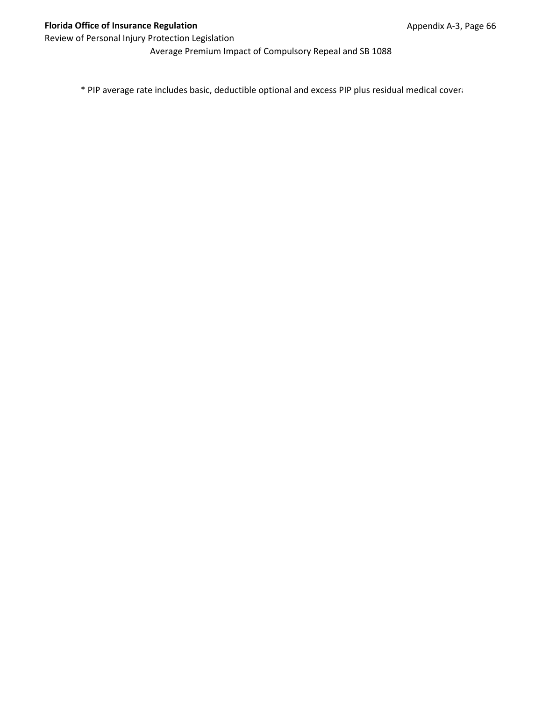Average Premium Impact of Compulsory Repeal and SB 1088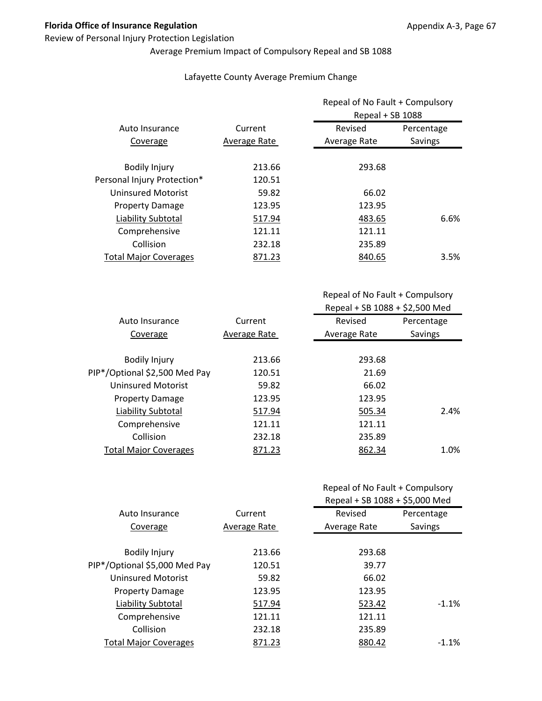#### Review of Personal Injury Protection Legislation

# Average Premium Impact of Compulsory Repeal and SB 1088

#### Lafayette County Average Premium Change

|                              |              | Repeal of No Fault + Compulsory<br>Repeal + SB 1088 |            |
|------------------------------|--------------|-----------------------------------------------------|------------|
| Auto Insurance               | Current      | Revised                                             | Percentage |
| Coverage                     | Average Rate | Average Rate                                        | Savings    |
| <b>Bodily Injury</b>         | 213.66       | 293.68                                              |            |
| Personal Injury Protection*  | 120.51       |                                                     |            |
| <b>Uninsured Motorist</b>    | 59.82        | 66.02                                               |            |
| <b>Property Damage</b>       | 123.95       | 123.95                                              |            |
| Liability Subtotal           | 517.94       | 483.65                                              | 6.6%       |
| Comprehensive                | 121.11       | 121.11                                              |            |
| Collision                    | 232.18       | 235.89                                              |            |
| <b>Total Major Coverages</b> | 871.23       | 840.65                                              | 3.5%       |

Repeal of No Fault + Compulsory Repeal + SB 1088 + \$2,500 Med

| Current      | Revised      | Percentage |
|--------------|--------------|------------|
| Average Rate | Average Rate | Savings    |
|              |              |            |
| 213.66       | 293.68       |            |
| 120.51       | 21.69        |            |
| 59.82        | 66.02        |            |
| 123.95       | 123.95       |            |
| 517.94       | 505.34       | 2.4%       |
| 121.11       | 121.11       |            |
| 232.18       | 235.89       |            |
| 871.23       | 862.34       | 1.0%       |
|              |              |            |

|                               |              | Repeal + SB 1088 + \$5,000 Med |            |
|-------------------------------|--------------|--------------------------------|------------|
| Auto Insurance                | Current      | Revised                        | Percentage |
| Coverage                      | Average Rate | Average Rate                   | Savings    |
|                               |              |                                |            |
| <b>Bodily Injury</b>          | 213.66       | 293.68                         |            |
| PIP*/Optional \$5,000 Med Pay | 120.51       | 39.77                          |            |
| <b>Uninsured Motorist</b>     | 59.82        | 66.02                          |            |
| <b>Property Damage</b>        | 123.95       | 123.95                         |            |
| Liability Subtotal            | 517.94       | 523.42                         | $-1.1%$    |
| Comprehensive                 | 121.11       | 121.11                         |            |
| Collision                     | 232.18       | 235.89                         |            |
| <b>Total Major Coverages</b>  | 871.23       | 880.42                         | $-1.1\%$   |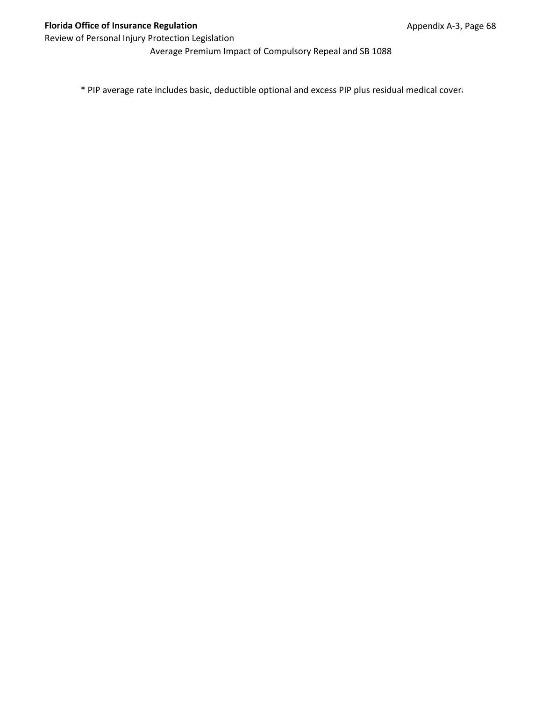Average Premium Impact of Compulsory Repeal and SB 1088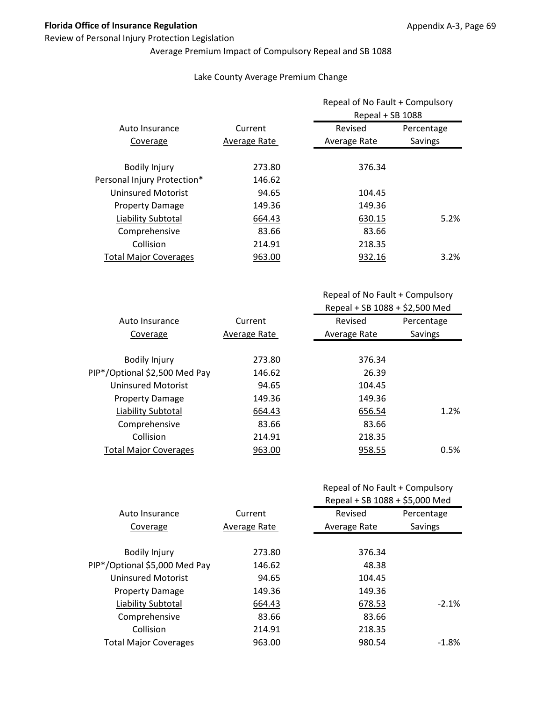#### Review of Personal Injury Protection Legislation

## Average Premium Impact of Compulsory Repeal and SB 1088

#### Lake County Average Premium Change

|                              |              | Repeal of No Fault + Compulsory<br>Repeal + SB 1088 |            |
|------------------------------|--------------|-----------------------------------------------------|------------|
| Auto Insurance               | Current      | Revised                                             | Percentage |
| Coverage                     | Average Rate | Average Rate                                        | Savings    |
| <b>Bodily Injury</b>         | 273.80       | 376.34                                              |            |
| Personal Injury Protection*  | 146.62       |                                                     |            |
| <b>Uninsured Motorist</b>    | 94.65        | 104.45                                              |            |
| <b>Property Damage</b>       | 149.36       | 149.36                                              |            |
| Liability Subtotal           | 664.43       | 630.15                                              | 5.2%       |
| Comprehensive                | 83.66        | 83.66                                               |            |
| Collision                    | 214.91       | 218.35                                              |            |
| <b>Total Major Coverages</b> | 963.00       | 932.16                                              | 3.2%       |

| Auto Insurance                | Current      | Revised      | Percentage |
|-------------------------------|--------------|--------------|------------|
| Coverage                      | Average Rate | Average Rate | Savings    |
|                               |              |              |            |
| <b>Bodily Injury</b>          | 273.80       | 376.34       |            |
| PIP*/Optional \$2,500 Med Pay | 146.62       | 26.39        |            |
| Uninsured Motorist            | 94.65        | 104.45       |            |
| <b>Property Damage</b>        | 149.36       | 149.36       |            |
| Liability Subtotal            | 664.43       | 656.54       | 1.2%       |
| Comprehensive                 | 83.66        | 83.66        |            |
| Collision                     | 214.91       | 218.35       |            |
| <b>Total Major Coverages</b>  | 963.00       | 958.55       | 0.5%       |
|                               |              |              |            |

| Repeal of No Fault + Compulsory |  |
|---------------------------------|--|
|---------------------------------|--|

|                               |              | Repeal + SB 1088 + \$5,000 Med |            |
|-------------------------------|--------------|--------------------------------|------------|
| Auto Insurance                | Current      | Revised                        | Percentage |
| Coverage                      | Average Rate | Average Rate                   | Savings    |
|                               |              |                                |            |
| <b>Bodily Injury</b>          | 273.80       | 376.34                         |            |
| PIP*/Optional \$5,000 Med Pay | 146.62       | 48.38                          |            |
| <b>Uninsured Motorist</b>     | 94.65        | 104.45                         |            |
| <b>Property Damage</b>        | 149.36       | 149.36                         |            |
| Liability Subtotal            | 664.43       | 678.53                         | $-2.1%$    |
| Comprehensive                 | 83.66        | 83.66                          |            |
| Collision                     | 214.91       | 218.35                         |            |
| <b>Total Major Coverages</b>  | 963.00       | 980.54                         | $-1.8\%$   |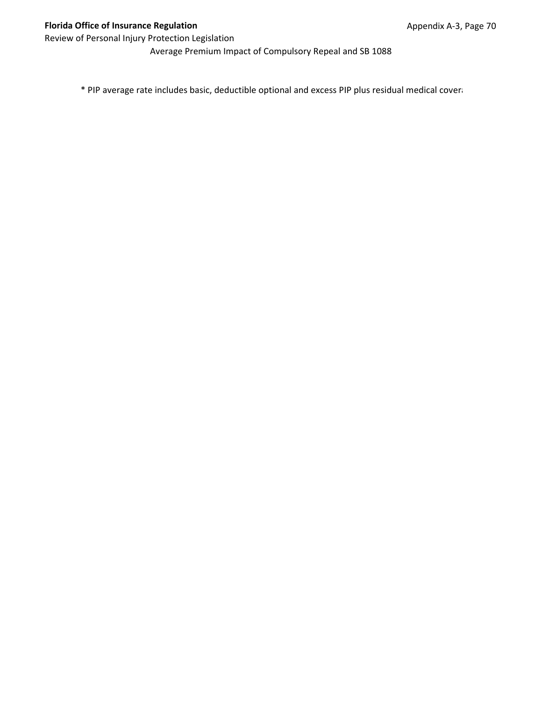Average Premium Impact of Compulsory Repeal and SB 1088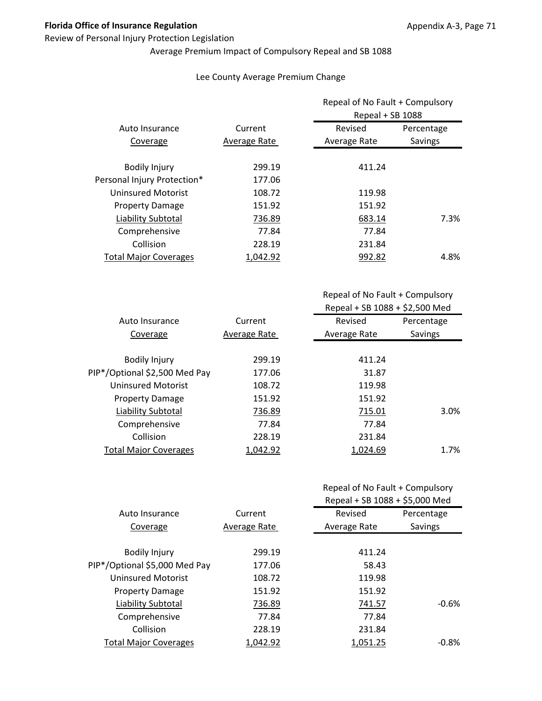#### Review of Personal Injury Protection Legislation

# Average Premium Impact of Compulsory Repeal and SB 1088

#### Lee County Average Premium Change

|                              |              | Repeal of No Fault + Compulsory<br>Repeal + SB 1088 |            |
|------------------------------|--------------|-----------------------------------------------------|------------|
| Auto Insurance               | Current      | Revised                                             | Percentage |
| Coverage                     | Average Rate | Average Rate                                        | Savings    |
| <b>Bodily Injury</b>         | 299.19       | 411.24                                              |            |
| Personal Injury Protection*  | 177.06       |                                                     |            |
| <b>Uninsured Motorist</b>    | 108.72       | 119.98                                              |            |
| <b>Property Damage</b>       | 151.92       | 151.92                                              |            |
| Liability Subtotal           | 736.89       | 683.14                                              | 7.3%       |
| Comprehensive                | 77.84        | 77.84                                               |            |
| Collision                    | 228.19       | 231.84                                              |            |
| <b>Total Major Coverages</b> | 1,042.92     | 992.82                                              | 4.8%       |

| Auto Insurance                | Current      | Revised      | Percentage |
|-------------------------------|--------------|--------------|------------|
| Coverage                      | Average Rate | Average Rate | Savings    |
|                               |              |              |            |
| <b>Bodily Injury</b>          | 299.19       | 411.24       |            |
| PIP*/Optional \$2,500 Med Pay | 177.06       | 31.87        |            |
| Uninsured Motorist            | 108.72       | 119.98       |            |
| <b>Property Damage</b>        | 151.92       | 151.92       |            |
| Liability Subtotal            | 736.89       | 715.01       | 3.0%       |
| Comprehensive                 | 77.84        | 77.84        |            |
| Collision                     | 228.19       | 231.84       |            |
| <b>Total Major Coverages</b>  | 1,042.92     | 1,024.69     | 1.7%       |
|                               |              |              |            |

|  | Repeal of No Fault + Compulsory |
|--|---------------------------------|
|--|---------------------------------|

|                               |              | Repeal + SB 1088 + \$5,000 Med |            |
|-------------------------------|--------------|--------------------------------|------------|
| Auto Insurance                | Current      | Revised                        | Percentage |
| Coverage                      | Average Rate | Average Rate                   | Savings    |
|                               |              |                                |            |
| <b>Bodily Injury</b>          | 299.19       | 411.24                         |            |
| PIP*/Optional \$5,000 Med Pay | 177.06       | 58.43                          |            |
| <b>Uninsured Motorist</b>     | 108.72       | 119.98                         |            |
| <b>Property Damage</b>        | 151.92       | 151.92                         |            |
| Liability Subtotal            | 736.89       | 741.57                         | $-0.6%$    |
| Comprehensive                 | 77.84        | 77.84                          |            |
| Collision                     | 228.19       | 231.84                         |            |
| <b>Total Major Coverages</b>  | 1,042.92     | 1.051.25                       | $-0.8\%$   |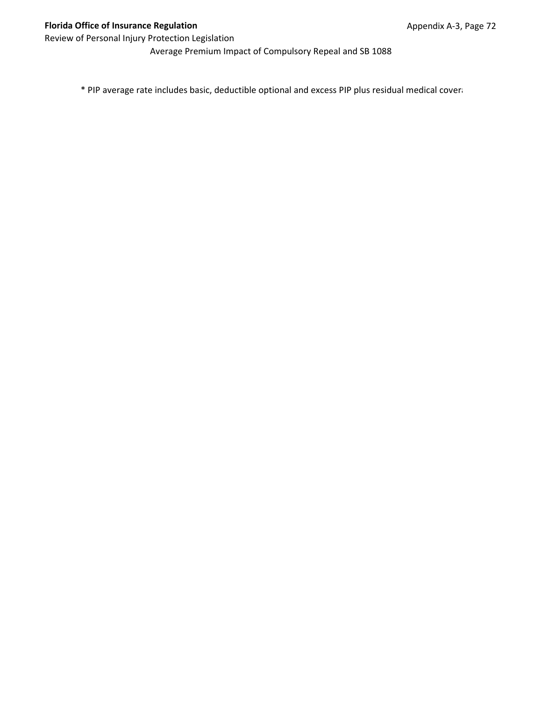Average Premium Impact of Compulsory Repeal and SB 1088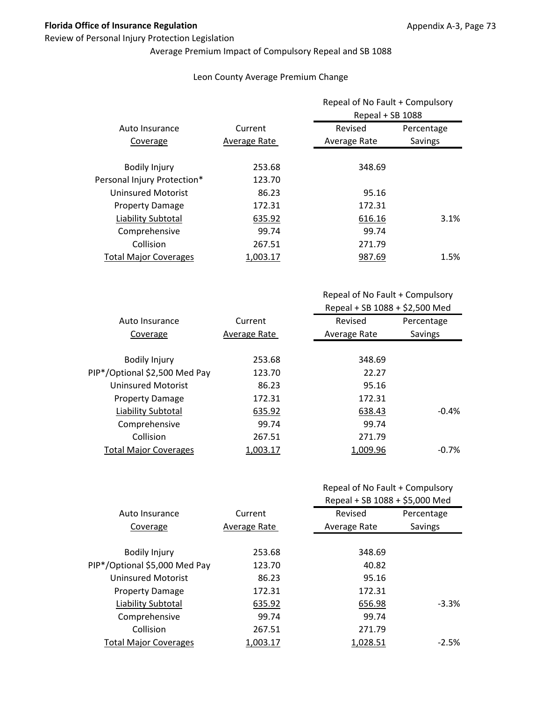#### Review of Personal Injury Protection Legislation

# Average Premium Impact of Compulsory Repeal and SB 1088

#### Leon County Average Premium Change

|                              |              | Repeal of No Fault + Compulsory<br>Repeal + SB 1088 |            |
|------------------------------|--------------|-----------------------------------------------------|------------|
| Auto Insurance               | Current      | Revised                                             | Percentage |
| Coverage                     | Average Rate | Average Rate                                        | Savings    |
| <b>Bodily Injury</b>         | 253.68       | 348.69                                              |            |
| Personal Injury Protection*  | 123.70       |                                                     |            |
| <b>Uninsured Motorist</b>    | 86.23        | 95.16                                               |            |
| <b>Property Damage</b>       | 172.31       | 172.31                                              |            |
| Liability Subtotal           | 635.92       | 616.16                                              | 3.1%       |
| Comprehensive                | 99.74        | 99.74                                               |            |
| Collision                    | 267.51       | 271.79                                              |            |
| <b>Total Major Coverages</b> | 1.003.17     | 987.69                                              | 1.5%       |

Repeal of No Fault + Compulsory Repeal + SB 1088 + \$2,500 Med

| Auto Insurance                | Current      | Revised      | Percentage |
|-------------------------------|--------------|--------------|------------|
| Coverage                      | Average Rate | Average Rate | Savings    |
|                               |              |              |            |
| <b>Bodily Injury</b>          | 253.68       | 348.69       |            |
| PIP*/Optional \$2,500 Med Pay | 123.70       | 22.27        |            |
| Uninsured Motorist            | 86.23        | 95.16        |            |
| <b>Property Damage</b>        | 172.31       | 172.31       |            |
| Liability Subtotal            | 635.92       | 638.43       | $-0.4%$    |
| Comprehensive                 | 99.74        | 99.74        |            |
| Collision                     | 267.51       | 271.79       |            |
| <b>Total Major Coverages</b>  | 1,003.17     | 1,009.96     | $-0.7%$    |
|                               |              |              |            |

|                               |              | Repeal + SB 1088 + \$5,000 Med |            |
|-------------------------------|--------------|--------------------------------|------------|
| Auto Insurance                | Current      | Revised                        | Percentage |
| Coverage                      | Average Rate | Average Rate                   | Savings    |
|                               |              |                                |            |
| <b>Bodily Injury</b>          | 253.68       | 348.69                         |            |
| PIP*/Optional \$5,000 Med Pay | 123.70       | 40.82                          |            |
| <b>Uninsured Motorist</b>     | 86.23        | 95.16                          |            |
| <b>Property Damage</b>        | 172.31       | 172.31                         |            |
| Liability Subtotal            | 635.92       | 656.98                         | $-3.3%$    |
| Comprehensive                 | 99.74        | 99.74                          |            |
| Collision                     | 267.51       | 271.79                         |            |
| <b>Total Major Coverages</b>  | 1.003.17     | 1.028.51                       | $-2.5%$    |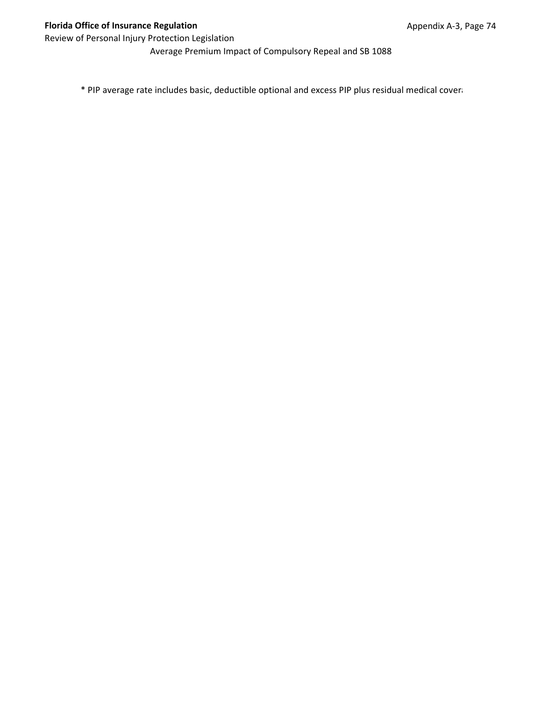Average Premium Impact of Compulsory Repeal and SB 1088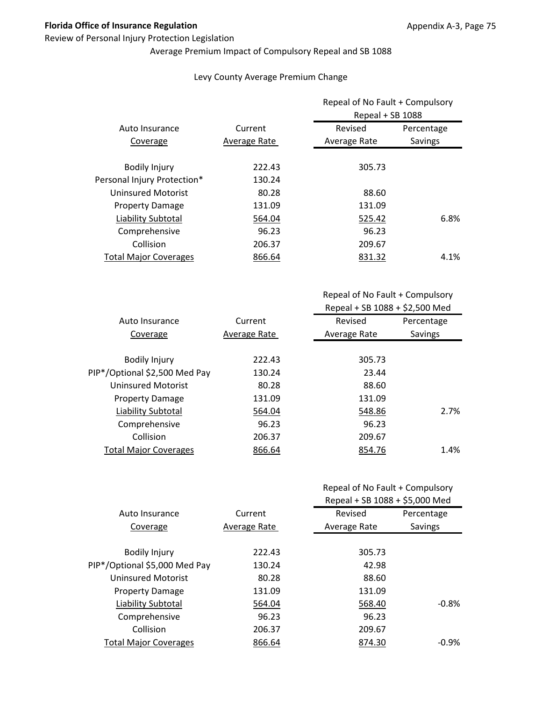#### Review of Personal Injury Protection Legislation

## Average Premium Impact of Compulsory Repeal and SB 1088

#### Levy County Average Premium Change

|                              |              | Repeal of No Fault + Compulsory<br>Repeal + SB 1088 |            |
|------------------------------|--------------|-----------------------------------------------------|------------|
| Auto Insurance               | Current      | Revised                                             | Percentage |
| Coverage                     | Average Rate | Average Rate                                        | Savings    |
| <b>Bodily Injury</b>         | 222.43       | 305.73                                              |            |
| Personal Injury Protection*  | 130.24       |                                                     |            |
| <b>Uninsured Motorist</b>    | 80.28        | 88.60                                               |            |
| <b>Property Damage</b>       | 131.09       | 131.09                                              |            |
| Liability Subtotal           | 564.04       | 525.42                                              | 6.8%       |
| Comprehensive                | 96.23        | 96.23                                               |            |
| Collision                    | 206.37       | 209.67                                              |            |
| <b>Total Major Coverages</b> | 866.64       | 831.32                                              | 4.1%       |

Repeal of No Fault + Compulsory Repeal + SB 1088 + \$2,500 Med

| Auto Insurance                | Current      | Revised      | Percentage |
|-------------------------------|--------------|--------------|------------|
| Coverage                      | Average Rate | Average Rate | Savings    |
|                               |              |              |            |
| <b>Bodily Injury</b>          | 222.43       | 305.73       |            |
| PIP*/Optional \$2,500 Med Pay | 130.24       | 23.44        |            |
| Uninsured Motorist            | 80.28        | 88.60        |            |
| <b>Property Damage</b>        | 131.09       | 131.09       |            |
| Liability Subtotal            | 564.04       | 548.86       | 2.7%       |
| Comprehensive                 | 96.23        | 96.23        |            |
| Collision                     | 206.37       | 209.67       |            |
| <b>Total Major Coverages</b>  | 866.64       | 854.76       | 1.4%       |

|                               |              | Repeal + SB 1088 + \$5,000 Med |            |
|-------------------------------|--------------|--------------------------------|------------|
| Auto Insurance                | Current      | Revised                        | Percentage |
| Coverage                      | Average Rate | Average Rate                   | Savings    |
|                               |              |                                |            |
| <b>Bodily Injury</b>          | 222.43       | 305.73                         |            |
| PIP*/Optional \$5,000 Med Pay | 130.24       | 42.98                          |            |
| <b>Uninsured Motorist</b>     | 80.28        | 88.60                          |            |
| <b>Property Damage</b>        | 131.09       | 131.09                         |            |
| Liability Subtotal            | 564.04       | 568.40                         | $-0.8%$    |
| Comprehensive                 | 96.23        | 96.23                          |            |
| Collision                     | 206.37       | 209.67                         |            |
| <b>Total Major Coverages</b>  | 866.64       | 874.30                         | $-0.9\%$   |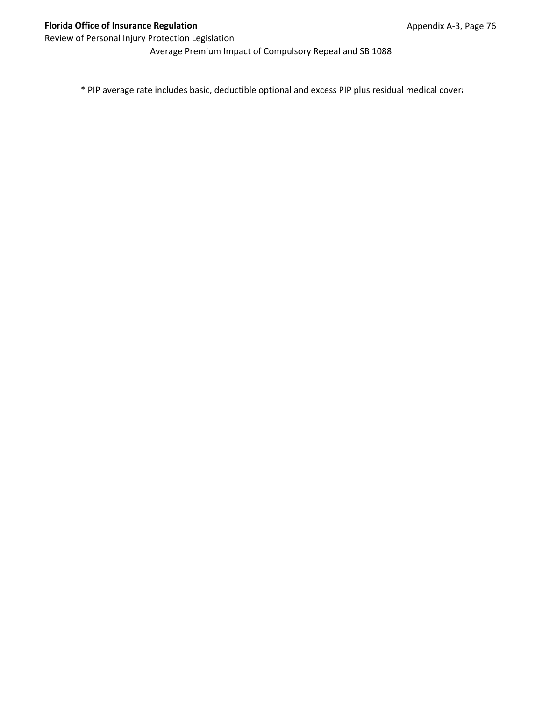Average Premium Impact of Compulsory Repeal and SB 1088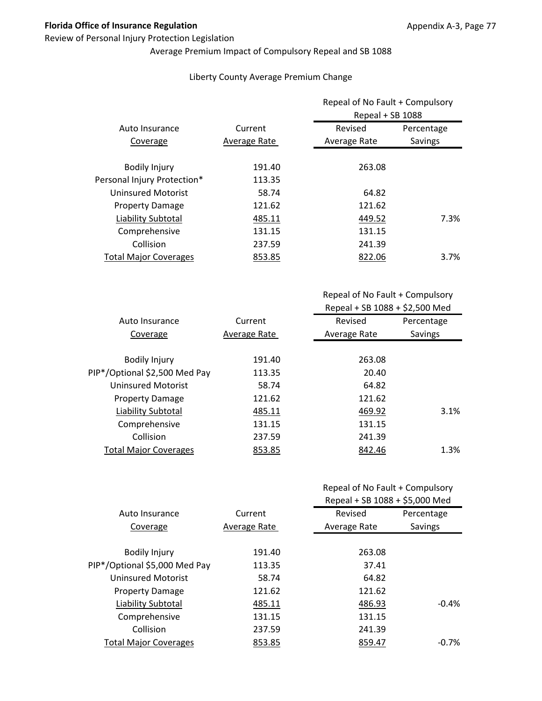#### Review of Personal Injury Protection Legislation

# Average Premium Impact of Compulsory Repeal and SB 1088

#### Liberty County Average Premium Change

|                              |              | Repeal of No Fault + Compulsory<br>Repeal + SB 1088 |            |
|------------------------------|--------------|-----------------------------------------------------|------------|
| Auto Insurance               | Current      | Revised                                             | Percentage |
| Coverage                     | Average Rate | Average Rate                                        | Savings    |
| <b>Bodily Injury</b>         | 191.40       | 263.08                                              |            |
| Personal Injury Protection*  | 113.35       |                                                     |            |
| <b>Uninsured Motorist</b>    | 58.74        | 64.82                                               |            |
| <b>Property Damage</b>       | 121.62       | 121.62                                              |            |
| Liability Subtotal           | 485.11       | 449.52                                              | 7.3%       |
| Comprehensive                | 131.15       | 131.15                                              |            |
| Collision                    | 237.59       | 241.39                                              |            |
| <b>Total Major Coverages</b> | 853.85       | 822.06                                              | $3.7\%$    |

Repeal of No Fault + Compulsory Repeal + SB 1088 + \$2,500 Med

| Auto Insurance                | Current      | Revised      | Percentage |
|-------------------------------|--------------|--------------|------------|
| Coverage                      | Average Rate | Average Rate | Savings    |
|                               |              |              |            |
| <b>Bodily Injury</b>          | 191.40       | 263.08       |            |
| PIP*/Optional \$2,500 Med Pay | 113.35       | 20.40        |            |
| Uninsured Motorist            | 58.74        | 64.82        |            |
| <b>Property Damage</b>        | 121.62       | 121.62       |            |
| Liability Subtotal            | 485.11       | 469.92       | 3.1%       |
| Comprehensive                 | 131.15       | 131.15       |            |
| Collision                     | 237.59       | 241.39       |            |
| <b>Total Major Coverages</b>  | 853.85       | 842.46       | 1.3%       |

|                               |              | Repeal + SB 1088 + \$5,000 Med |            |
|-------------------------------|--------------|--------------------------------|------------|
| Auto Insurance                | Current      | Revised                        | Percentage |
| Coverage                      | Average Rate | Average Rate                   | Savings    |
|                               |              |                                |            |
| <b>Bodily Injury</b>          | 191.40       | 263.08                         |            |
| PIP*/Optional \$5,000 Med Pay | 113.35       | 37.41                          |            |
| <b>Uninsured Motorist</b>     | 58.74        | 64.82                          |            |
| <b>Property Damage</b>        | 121.62       | 121.62                         |            |
| Liability Subtotal            | 485.11       | 486.93                         | $-0.4%$    |
| Comprehensive                 | 131.15       | 131.15                         |            |
| Collision                     | 237.59       | 241.39                         |            |
| <b>Total Major Coverages</b>  | 853.85       | 859.47                         | $-0.7\%$   |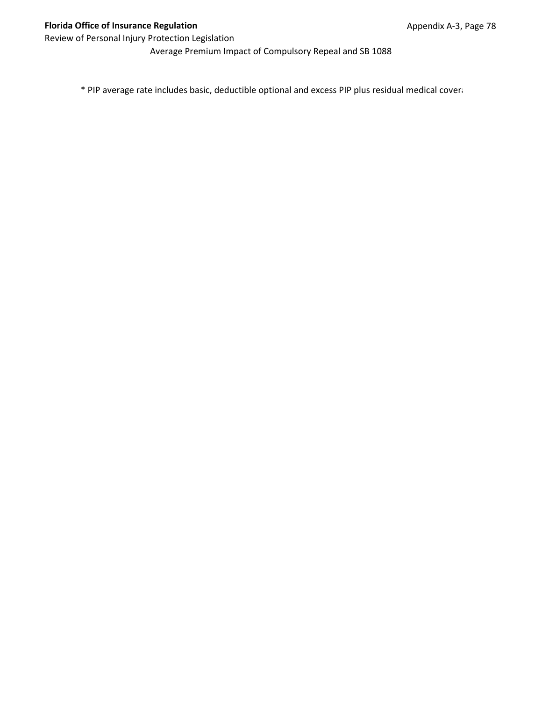Average Premium Impact of Compulsory Repeal and SB 1088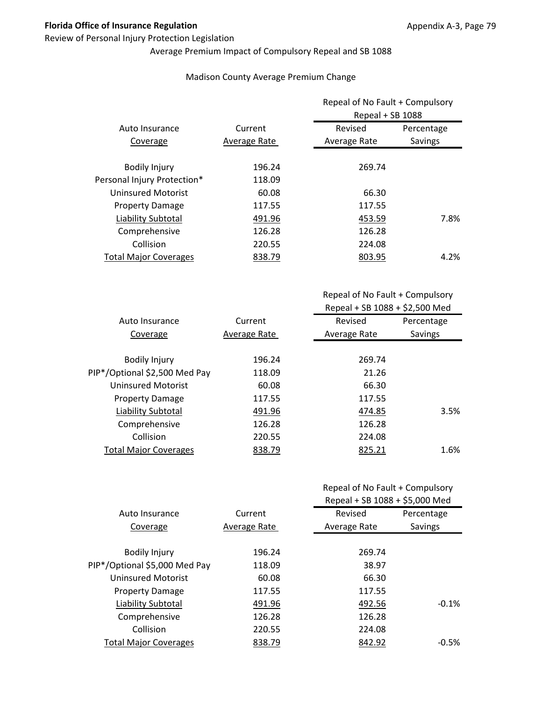#### Review of Personal Injury Protection Legislation

# Average Premium Impact of Compulsory Repeal and SB 1088

#### Madison County Average Premium Change

|              | Repeal of No Fault + Compulsory<br>Repeal + SB 1088 |            |
|--------------|-----------------------------------------------------|------------|
| Current      | Revised                                             | Percentage |
| Average Rate | Average Rate                                        | Savings    |
| 196.24       | 269.74                                              |            |
| 118.09       |                                                     |            |
| 60.08        | 66.30                                               |            |
| 117.55       | 117.55                                              |            |
| 491.96       | 453.59                                              | 7.8%       |
| 126.28       | 126.28                                              |            |
| 220.55       | 224.08                                              |            |
| 838.79       | 803.95                                              | 4.2%       |
|              |                                                     |            |

Repeal of No Fault + Compulsory Repeal + SB 1088 + \$2,500 Med

| Auto Insurance                | Current      | Revised      | Percentage |
|-------------------------------|--------------|--------------|------------|
| Coverage                      | Average Rate | Average Rate | Savings    |
|                               |              |              |            |
| <b>Bodily Injury</b>          | 196.24       | 269.74       |            |
| PIP*/Optional \$2,500 Med Pay | 118.09       | 21.26        |            |
| Uninsured Motorist            | 60.08        | 66.30        |            |
| <b>Property Damage</b>        | 117.55       | 117.55       |            |
| Liability Subtotal            | 491.96       | 474.85       | 3.5%       |
| Comprehensive                 | 126.28       | 126.28       |            |
| Collision                     | 220.55       | 224.08       |            |
| <b>Total Major Coverages</b>  | 838.79       | 825.21       | 1.6%       |
|                               |              |              |            |

|                               |              | Repeal + SB 1088 + \$5,000 Med |            |
|-------------------------------|--------------|--------------------------------|------------|
| Auto Insurance                | Current      | Revised                        | Percentage |
| Coverage                      | Average Rate | Average Rate                   | Savings    |
|                               |              |                                |            |
| <b>Bodily Injury</b>          | 196.24       | 269.74                         |            |
| PIP*/Optional \$5,000 Med Pay | 118.09       | 38.97                          |            |
| <b>Uninsured Motorist</b>     | 60.08        | 66.30                          |            |
| <b>Property Damage</b>        | 117.55       | 117.55                         |            |
| Liability Subtotal            | 491.96       | 492.56                         | $-0.1%$    |
| Comprehensive                 | 126.28       | 126.28                         |            |
| Collision                     | 220.55       | 224.08                         |            |
| <b>Total Major Coverages</b>  | 838.79       | 842.92                         | $-0.5\%$   |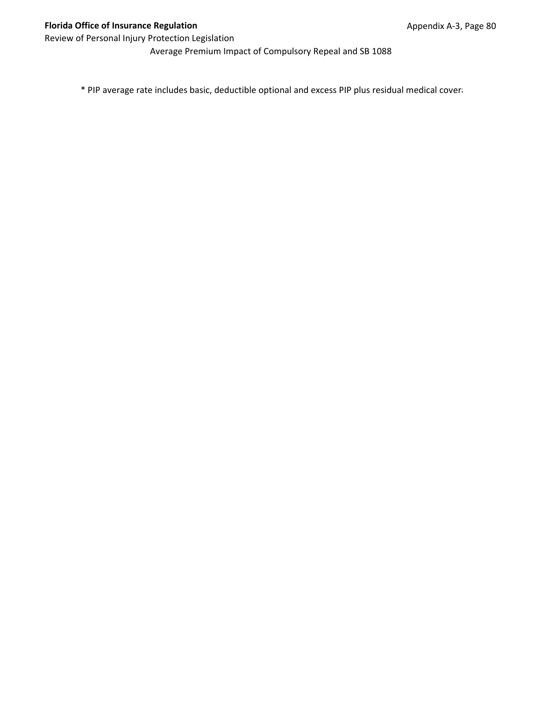Average Premium Impact of Compulsory Repeal and SB 1088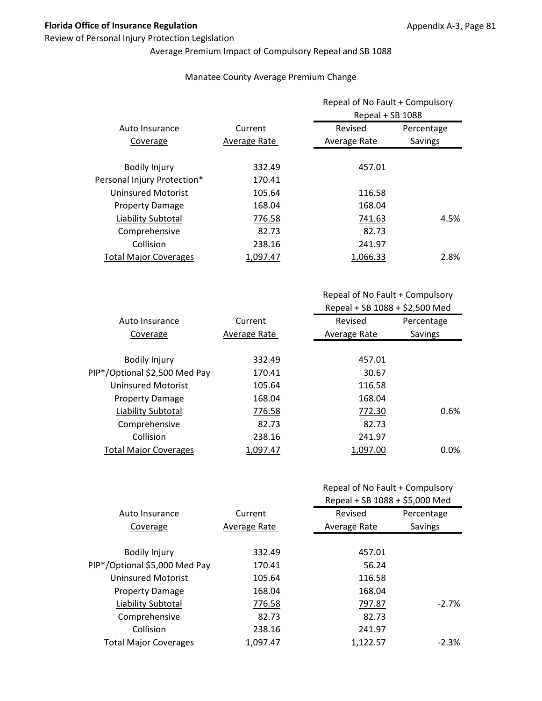#### Review of Personal Injury Protection Legislation

# Average Premium Impact of Compulsory Repeal and SB 1088

#### Manatee County Average Premium Change

|                              |              | Repeal of No Fault + Compulsory<br>Repeal + SB 1088 |            |
|------------------------------|--------------|-----------------------------------------------------|------------|
| Auto Insurance               | Current      | Revised                                             | Percentage |
| Coverage                     | Average Rate | Average Rate                                        | Savings    |
| <b>Bodily Injury</b>         | 332.49       | 457.01                                              |            |
| Personal Injury Protection*  | 170.41       |                                                     |            |
| <b>Uninsured Motorist</b>    | 105.64       | 116.58                                              |            |
| <b>Property Damage</b>       | 168.04       | 168.04                                              |            |
| Liability Subtotal           | 776.58       | 741.63                                              | 4.5%       |
| Comprehensive                | 82.73        | 82.73                                               |            |
| Collision                    | 238.16       | 241.97                                              |            |
| <b>Total Major Coverages</b> | 1,097.47     | 1,066.33                                            | 2.8%       |

Repeal of No Fault + Compulsory Repeal + SB 1088 + \$2,500 Med

| Auto Insurance                | Current      | Revised      | Percentage |
|-------------------------------|--------------|--------------|------------|
| Coverage                      | Average Rate | Average Rate | Savings    |
|                               |              |              |            |
| <b>Bodily Injury</b>          | 332.49       | 457.01       |            |
| PIP*/Optional \$2,500 Med Pay | 170.41       | 30.67        |            |
| Uninsured Motorist            | 105.64       | 116.58       |            |
| <b>Property Damage</b>        | 168.04       | 168.04       |            |
| Liability Subtotal            | 776.58       | 772.30       | 0.6%       |
| Comprehensive                 | 82.73        | 82.73        |            |
| Collision                     | 238.16       | 241.97       |            |
| <b>Total Major Coverages</b>  | 1,097.47     | 1,097.00     | $0.0\%$    |
|                               |              |              |            |

|                               |              | Repeal + SB 1088 + \$5,000 Med |            |
|-------------------------------|--------------|--------------------------------|------------|
| Auto Insurance                | Current      | Revised                        | Percentage |
| Coverage                      | Average Rate | Average Rate                   | Savings    |
|                               |              |                                |            |
| <b>Bodily Injury</b>          | 332.49       | 457.01                         |            |
| PIP*/Optional \$5,000 Med Pay | 170.41       | 56.24                          |            |
| <b>Uninsured Motorist</b>     | 105.64       | 116.58                         |            |
| <b>Property Damage</b>        | 168.04       | 168.04                         |            |
| Liability Subtotal            | 776.58       | 797.87                         | $-2.7\%$   |
| Comprehensive                 | 82.73        | 82.73                          |            |
| Collision                     | 238.16       | 241.97                         |            |
| <b>Total Major Coverages</b>  | 1.097.47     | 1,122.57                       | $-2.3%$    |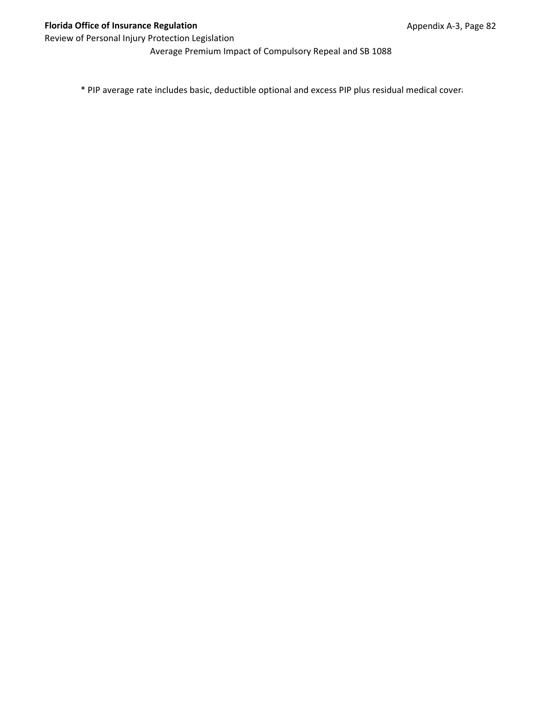Average Premium Impact of Compulsory Repeal and SB 1088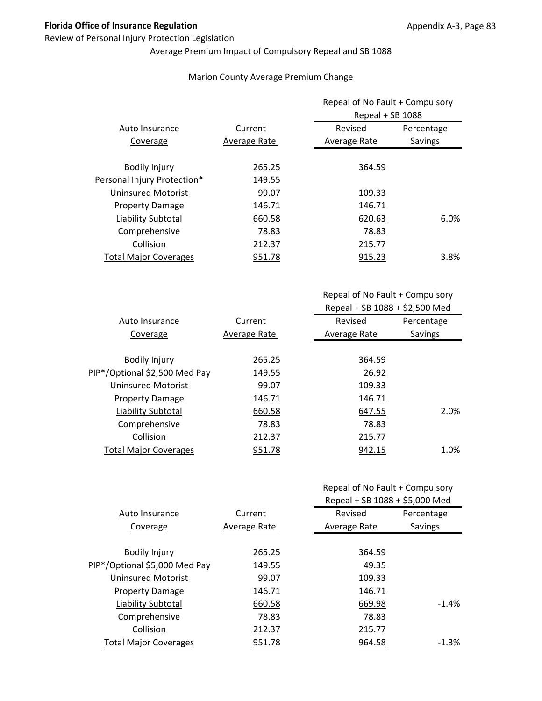#### Review of Personal Injury Protection Legislation

# Average Premium Impact of Compulsory Repeal and SB 1088

#### Marion County Average Premium Change

| Repeal of No Fault + Compulsory<br>Repeal + SB 1088 |            |
|-----------------------------------------------------|------------|
| Revised                                             |            |
| Average Rate<br>Savings                             |            |
| 364.59                                              |            |
|                                                     |            |
| 109.33                                              |            |
| 146.71                                              |            |
| 620.63                                              | 6.0%       |
| 78.83                                               |            |
| 215.77                                              |            |
| 915.23                                              | 3.8%       |
|                                                     | Percentage |

| Auto Insurance                | Current      | Revised      | Percentage |
|-------------------------------|--------------|--------------|------------|
| Coverage                      | Average Rate | Average Rate | Savings    |
|                               |              |              |            |
| <b>Bodily Injury</b>          | 265.25       | 364.59       |            |
| PIP*/Optional \$2,500 Med Pay | 149.55       | 26.92        |            |
| Uninsured Motorist            | 99.07        | 109.33       |            |
| <b>Property Damage</b>        | 146.71       | 146.71       |            |
| Liability Subtotal            | 660.58       | 647.55       | 2.0%       |
| Comprehensive                 | 78.83        | 78.83        |            |
| Collision                     | 212.37       | 215.77       |            |
| <b>Total Major Coverages</b>  | 951.78       | 942.15       | 1.0%       |
|                               |              |              |            |

| Repeal of No Fault + Compulsory |  |
|---------------------------------|--|
|---------------------------------|--|

|                               |              | Repeal + SB 1088 + \$5,000 Med |            |
|-------------------------------|--------------|--------------------------------|------------|
| Auto Insurance                | Current      | Revised                        | Percentage |
| Coverage                      | Average Rate | Average Rate                   | Savings    |
|                               |              |                                |            |
| <b>Bodily Injury</b>          | 265.25       | 364.59                         |            |
| PIP*/Optional \$5,000 Med Pay | 149.55       | 49.35                          |            |
| <b>Uninsured Motorist</b>     | 99.07        | 109.33                         |            |
| <b>Property Damage</b>        | 146.71       | 146.71                         |            |
| Liability Subtotal            | 660.58       | 669.98                         | $-1.4%$    |
| Comprehensive                 | 78.83        | 78.83                          |            |
| Collision                     | 212.37       | 215.77                         |            |
| <b>Total Major Coverages</b>  | 951.78       | 964.58                         | $-1.3%$    |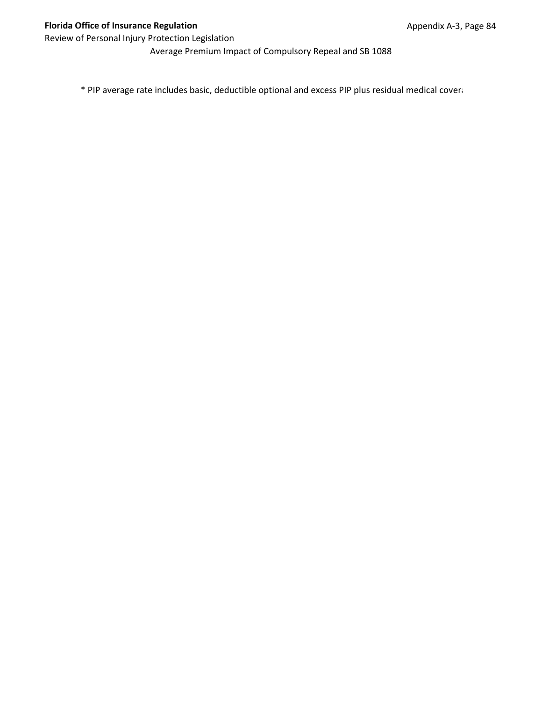Average Premium Impact of Compulsory Repeal and SB 1088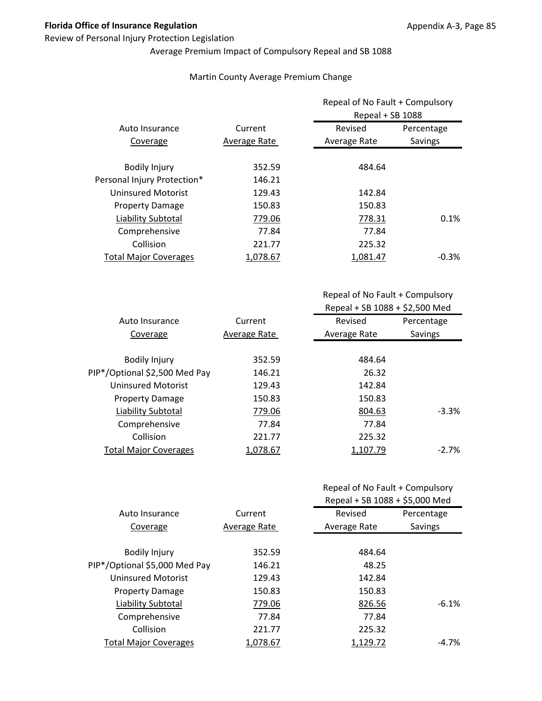#### Review of Personal Injury Protection Legislation

# Average Premium Impact of Compulsory Repeal and SB 1088

#### Martin County Average Premium Change

|                              |              | Repeal of No Fault + Compulsory<br>Repeal + SB 1088 |            |
|------------------------------|--------------|-----------------------------------------------------|------------|
| Auto Insurance               | Current      | Revised                                             | Percentage |
| Coverage                     | Average Rate | Average Rate                                        | Savings    |
| <b>Bodily Injury</b>         | 352.59       | 484.64                                              |            |
| Personal Injury Protection*  | 146.21       |                                                     |            |
| <b>Uninsured Motorist</b>    | 129.43       | 142.84                                              |            |
| <b>Property Damage</b>       | 150.83       | 150.83                                              |            |
| Liability Subtotal           | 779.06       | 778.31                                              | 0.1%       |
| Comprehensive                | 77.84        | 77.84                                               |            |
| Collision                    | 221.77       | 225.32                                              |            |
| <b>Total Major Coverages</b> | 1,078.67     | 1.081.47                                            | $-0.3\%$   |

| Auto Insurance                | Current      | Revised      | Percentage |
|-------------------------------|--------------|--------------|------------|
| Coverage                      | Average Rate | Average Rate | Savings    |
|                               |              |              |            |
| <b>Bodily Injury</b>          | 352.59       | 484.64       |            |
| PIP*/Optional \$2,500 Med Pay | 146.21       | 26.32        |            |
| Uninsured Motorist            | 129.43       | 142.84       |            |
| <b>Property Damage</b>        | 150.83       | 150.83       |            |
| Liability Subtotal            | 779.06       | 804.63       | $-3.3%$    |
| Comprehensive                 | 77.84        | 77.84        |            |
| Collision                     | 221.77       | 225.32       |            |
| <b>Total Major Coverages</b>  | 1,078.67     | 1,107.79     | $-2.7\%$   |
|                               |              |              |            |

|  |  | Repeal of No Fault + Compulsory |
|--|--|---------------------------------|
|--|--|---------------------------------|

|                               |              | Repeal + SB 1088 + \$5,000 Med |            |
|-------------------------------|--------------|--------------------------------|------------|
| Auto Insurance                | Current      | Revised                        | Percentage |
| Coverage                      | Average Rate | Average Rate                   | Savings    |
|                               |              |                                |            |
| <b>Bodily Injury</b>          | 352.59       | 484.64                         |            |
| PIP*/Optional \$5,000 Med Pay | 146.21       | 48.25                          |            |
| <b>Uninsured Motorist</b>     | 129.43       | 142.84                         |            |
| <b>Property Damage</b>        | 150.83       | 150.83                         |            |
| Liability Subtotal            | 779.06       | 826.56                         | $-6.1%$    |
| Comprehensive                 | 77.84        | 77.84                          |            |
| Collision                     | 221.77       | 225.32                         |            |
| <b>Total Major Coverages</b>  | 1,078.67     | 1,129.72                       | -4.7%      |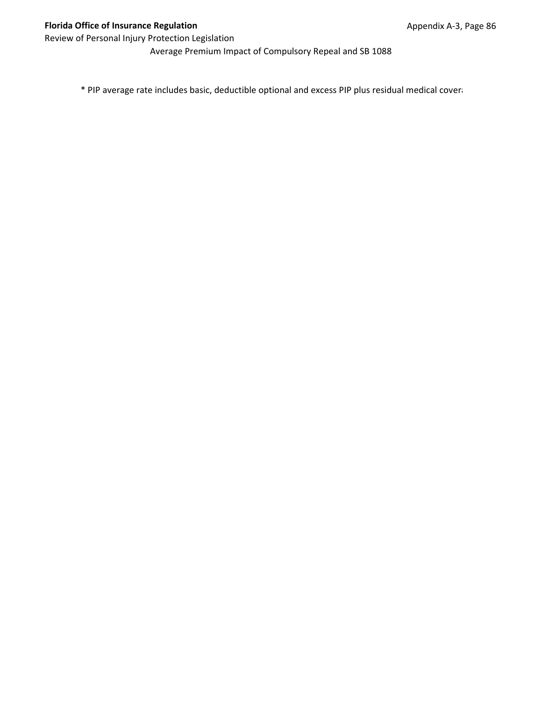Average Premium Impact of Compulsory Repeal and SB 1088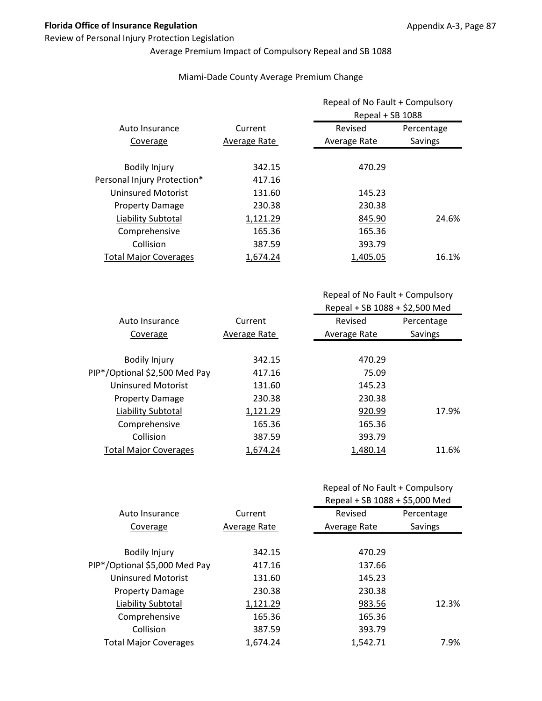#### Review of Personal Injury Protection Legislation

# Average Premium Impact of Compulsory Repeal and SB 1088

#### Miami‐Dade County Average Premium Change

|                              |              | Repeal of No Fault + Compulsory<br>Repeal + SB 1088 |            |
|------------------------------|--------------|-----------------------------------------------------|------------|
| Auto Insurance               | Current      | Revised                                             | Percentage |
| Coverage                     | Average Rate | Average Rate                                        | Savings    |
| <b>Bodily Injury</b>         | 342.15       | 470.29                                              |            |
| Personal Injury Protection*  | 417.16       |                                                     |            |
| <b>Uninsured Motorist</b>    | 131.60       | 145.23                                              |            |
| <b>Property Damage</b>       | 230.38       | 230.38                                              |            |
| Liability Subtotal           | 1,121.29     | 845.90                                              | 24.6%      |
| Comprehensive                | 165.36       | 165.36                                              |            |
| Collision                    | 387.59       | 393.79                                              |            |
| <b>Total Major Coverages</b> | 1,674.24     | 1.405.05                                            | 16.1%      |

Repeal of No Fault + Compulsory Repeal + SB 1088 + \$2,500 Med

| Auto Insurance                | Current      | Revised      | Percentage |
|-------------------------------|--------------|--------------|------------|
| Coverage                      | Average Rate | Average Rate | Savings    |
|                               |              |              |            |
| <b>Bodily Injury</b>          | 342.15       | 470.29       |            |
| PIP*/Optional \$2,500 Med Pay | 417.16       | 75.09        |            |
| Uninsured Motorist            | 131.60       | 145.23       |            |
| <b>Property Damage</b>        | 230.38       | 230.38       |            |
| Liability Subtotal            | 1,121.29     | 920.99       | 17.9%      |
| Comprehensive                 | 165.36       | 165.36       |            |
| Collision                     | 387.59       | 393.79       |            |
| <b>Total Major Coverages</b>  | 1.674.24     | 1,480.14     | 11.6%      |
|                               |              |              |            |

|                               |                     | Repeal + SB 1088 + \$5,000 Med |            |
|-------------------------------|---------------------|--------------------------------|------------|
| Auto Insurance                | Current             | Revised                        | Percentage |
| Coverage                      | <b>Average Rate</b> | Average Rate                   | Savings    |
|                               |                     |                                |            |
| <b>Bodily Injury</b>          | 342.15              | 470.29                         |            |
| PIP*/Optional \$5,000 Med Pay | 417.16              | 137.66                         |            |
| <b>Uninsured Motorist</b>     | 131.60              | 145.23                         |            |
| <b>Property Damage</b>        | 230.38              | 230.38                         |            |
| Liability Subtotal            | 1,121.29            | 983.56                         | 12.3%      |
| Comprehensive                 | 165.36              | 165.36                         |            |
| Collision                     | 387.59              | 393.79                         |            |
| <b>Total Major Coverages</b>  | 1.674.24            | 1.542.71                       | 7.9%       |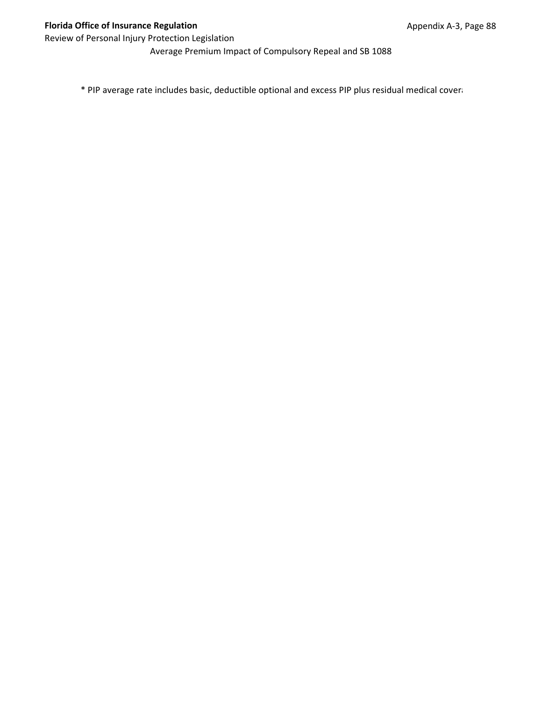Average Premium Impact of Compulsory Repeal and SB 1088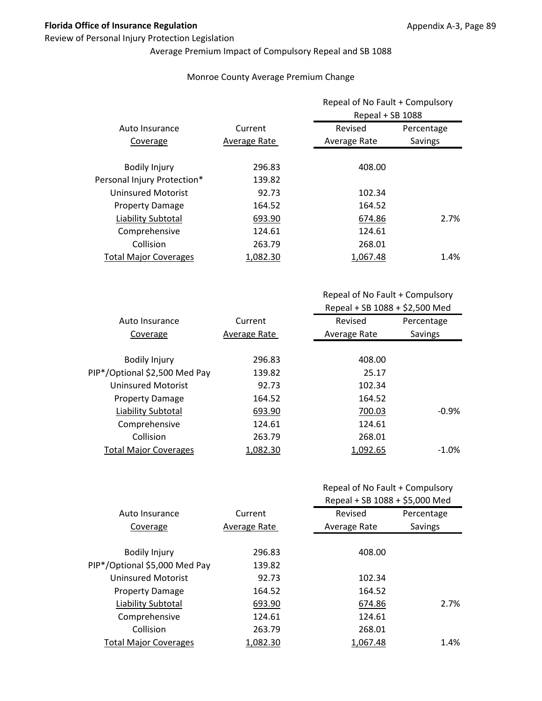#### Review of Personal Injury Protection Legislation

# Average Premium Impact of Compulsory Repeal and SB 1088

#### Monroe County Average Premium Change

|                              |              | Repeal of No Fault + Compulsory<br>Repeal + SB 1088 |            |
|------------------------------|--------------|-----------------------------------------------------|------------|
| Auto Insurance               | Current      | Revised                                             | Percentage |
| Coverage                     | Average Rate | Average Rate                                        | Savings    |
| <b>Bodily Injury</b>         | 296.83       | 408.00                                              |            |
| Personal Injury Protection*  | 139.82       |                                                     |            |
| <b>Uninsured Motorist</b>    | 92.73        | 102.34                                              |            |
| <b>Property Damage</b>       | 164.52       | 164.52                                              |            |
| Liability Subtotal           | 693.90       | 674.86                                              | 2.7%       |
| Comprehensive                | 124.61       | 124.61                                              |            |
| Collision                    | 263.79       | 268.01                                              |            |
| <b>Total Major Coverages</b> | 1,082.30     | 1,067.48                                            | 1.4%       |

| Auto Insurance                | Current      | Revised      | Percentage |
|-------------------------------|--------------|--------------|------------|
| Coverage                      | Average Rate | Average Rate | Savings    |
|                               |              |              |            |
| <b>Bodily Injury</b>          | 296.83       | 408.00       |            |
| PIP*/Optional \$2,500 Med Pay | 139.82       | 25.17        |            |
| Uninsured Motorist            | 92.73        | 102.34       |            |
| <b>Property Damage</b>        | 164.52       | 164.52       |            |
| Liability Subtotal            | 693.90       | 700.03       | $-0.9\%$   |
| Comprehensive                 | 124.61       | 124.61       |            |
| Collision                     | 263.79       | 268.01       |            |
| <b>Total Major Coverages</b>  | 1,082.30     | 1,092.65     | $-1.0%$    |
|                               |              |              |            |

| Repeal of No Fault + Compulsory |  |
|---------------------------------|--|
|---------------------------------|--|

|                               |              | Repeal + SB 1088 + \$5,000 Med |            |
|-------------------------------|--------------|--------------------------------|------------|
| Auto Insurance                | Current      | Revised                        | Percentage |
| Coverage                      | Average Rate | Average Rate                   | Savings    |
| <b>Bodily Injury</b>          | 296.83       | 408.00                         |            |
| PIP*/Optional \$5,000 Med Pay | 139.82       |                                |            |
| <b>Uninsured Motorist</b>     | 92.73        | 102.34                         |            |
| <b>Property Damage</b>        | 164.52       | 164.52                         |            |
| Liability Subtotal            | 693.90       | 674.86                         | 2.7%       |
| Comprehensive                 | 124.61       | 124.61                         |            |
| Collision                     | 263.79       | 268.01                         |            |
| <b>Total Major Coverages</b>  | 1.082.30     | 1.067.48                       | 1.4%       |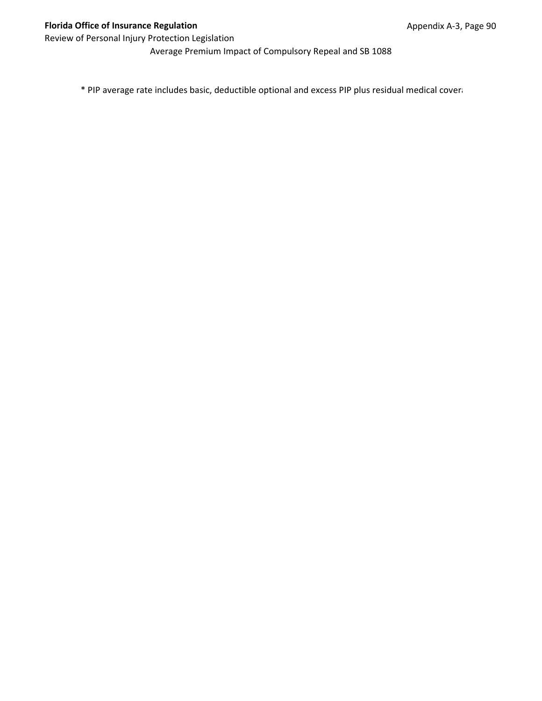Average Premium Impact of Compulsory Repeal and SB 1088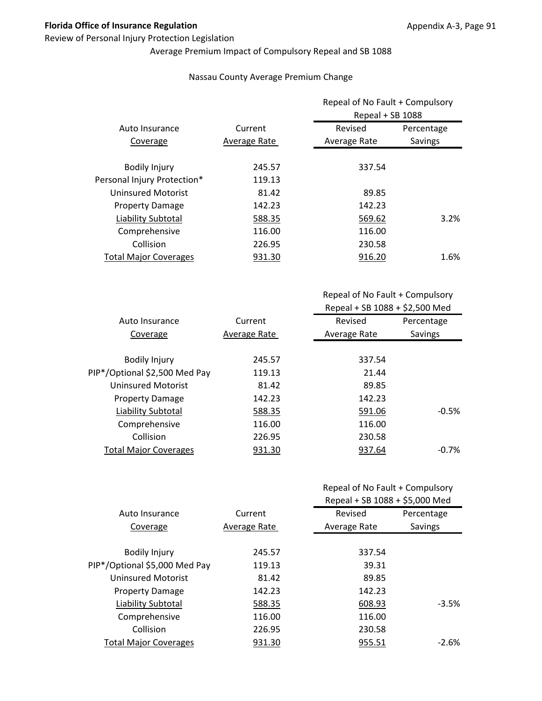#### Review of Personal Injury Protection Legislation

# Average Premium Impact of Compulsory Repeal and SB 1088

#### Nassau County Average Premium Change

|                              |              | Repeal of No Fault + Compulsory<br>Repeal + SB 1088 |            |
|------------------------------|--------------|-----------------------------------------------------|------------|
| Auto Insurance               | Current      | Revised                                             | Percentage |
| Coverage                     | Average Rate | Average Rate                                        | Savings    |
| <b>Bodily Injury</b>         | 245.57       | 337.54                                              |            |
| Personal Injury Protection*  | 119.13       |                                                     |            |
| <b>Uninsured Motorist</b>    | 81.42        | 89.85                                               |            |
| <b>Property Damage</b>       | 142.23       | 142.23                                              |            |
| Liability Subtotal           | 588.35       | 569.62                                              | 3.2%       |
| Comprehensive                | 116.00       | 116.00                                              |            |
| Collision                    | 226.95       | 230.58                                              |            |
| <b>Total Major Coverages</b> | 931.30       | 916.20                                              | 1.6%       |

Repeal of No Fault + Compulsory Repeal + SB 1088 + \$2,500 Med

| Auto Insurance                | Current      | Revised      | Percentage |
|-------------------------------|--------------|--------------|------------|
| Coverage                      | Average Rate | Average Rate | Savings    |
|                               |              |              |            |
| <b>Bodily Injury</b>          | 245.57       | 337.54       |            |
| PIP*/Optional \$2,500 Med Pay | 119.13       | 21.44        |            |
| Uninsured Motorist            | 81.42        | 89.85        |            |
| <b>Property Damage</b>        | 142.23       | 142.23       |            |
| Liability Subtotal            | 588.35       | 591.06       | $-0.5%$    |
| Comprehensive                 | 116.00       | 116.00       |            |
| Collision                     | 226.95       | 230.58       |            |
| <b>Total Major Coverages</b>  | 931.30       | 937.64       | $-0.7%$    |
|                               |              |              |            |

|                               |              | Repeal + SB 1088 + \$5,000 Med |            |
|-------------------------------|--------------|--------------------------------|------------|
| Auto Insurance                | Current      | Revised                        | Percentage |
| Coverage                      | Average Rate | Average Rate                   | Savings    |
|                               |              |                                |            |
| <b>Bodily Injury</b>          | 245.57       | 337.54                         |            |
| PIP*/Optional \$5,000 Med Pay | 119.13       | 39.31                          |            |
| <b>Uninsured Motorist</b>     | 81.42        | 89.85                          |            |
| <b>Property Damage</b>        | 142.23       | 142.23                         |            |
| Liability Subtotal            | 588.35       | 608.93                         | $-3.5%$    |
| Comprehensive                 | 116.00       | 116.00                         |            |
| Collision                     | 226.95       | 230.58                         |            |
| <b>Total Major Coverages</b>  | 931.30       | 955.51                         | $-2.6\%$   |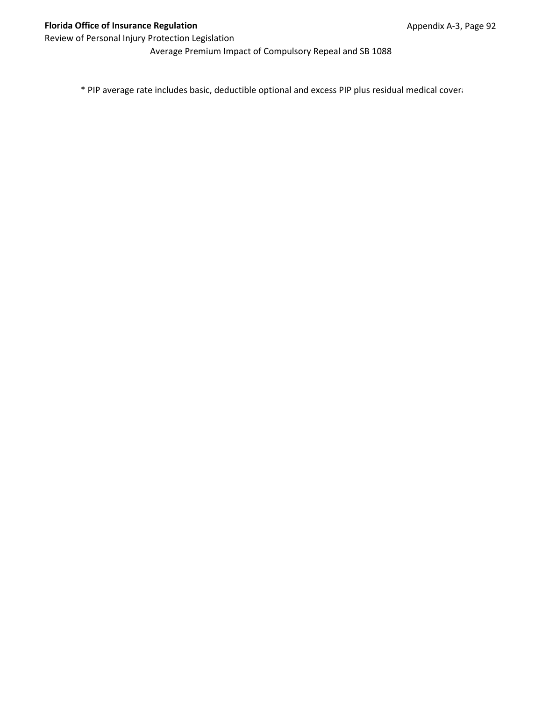Average Premium Impact of Compulsory Repeal and SB 1088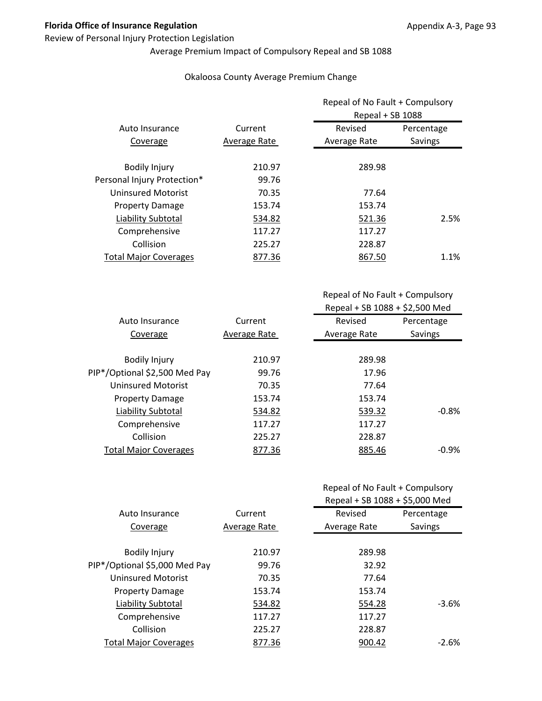#### Review of Personal Injury Protection Legislation

# Average Premium Impact of Compulsory Repeal and SB 1088

#### Okaloosa County Average Premium Change

|                              |              | Repeal of No Fault + Compulsory<br>Repeal + SB 1088 |            |
|------------------------------|--------------|-----------------------------------------------------|------------|
| Auto Insurance               | Current      | Revised                                             | Percentage |
| Coverage                     | Average Rate | Average Rate                                        | Savings    |
| <b>Bodily Injury</b>         | 210.97       | 289.98                                              |            |
| Personal Injury Protection*  | 99.76        |                                                     |            |
| Uninsured Motorist           | 70.35        | 77.64                                               |            |
| <b>Property Damage</b>       | 153.74       | 153.74                                              |            |
| Liability Subtotal           | 534.82       | 521.36                                              | 2.5%       |
| Comprehensive                | 117.27       | 117.27                                              |            |
| Collision                    | 225.27       | 228.87                                              |            |
| <b>Total Major Coverages</b> | 877.36       | 867.50                                              | 1.1%       |

| Auto Insurance                | Current      | Revised      | Percentage |
|-------------------------------|--------------|--------------|------------|
| Coverage                      | Average Rate | Average Rate | Savings    |
|                               |              |              |            |
| <b>Bodily Injury</b>          | 210.97       | 289.98       |            |
| PIP*/Optional \$2,500 Med Pay | 99.76        | 17.96        |            |
| Uninsured Motorist            | 70.35        | 77.64        |            |
| <b>Property Damage</b>        | 153.74       | 153.74       |            |
| <b>Liability Subtotal</b>     | 534.82       | 539.32       | $-0.8%$    |
| Comprehensive                 | 117.27       | 117.27       |            |
| Collision                     | 225.27       | 228.87       |            |
| <b>Total Major Coverages</b>  | 877.36       | 885.46       | $-0.9\%$   |
|                               |              |              |            |

|  | Repeal of No Fault + Compulsory |
|--|---------------------------------|
|--|---------------------------------|

|                               |              | Repeal + SB 1088 + \$5,000 Med |            |
|-------------------------------|--------------|--------------------------------|------------|
| Auto Insurance                | Current      | Revised                        | Percentage |
| Coverage                      | Average Rate | Average Rate                   | Savings    |
|                               |              |                                |            |
| <b>Bodily Injury</b>          | 210.97       | 289.98                         |            |
| PIP*/Optional \$5,000 Med Pay | 99.76        | 32.92                          |            |
| <b>Uninsured Motorist</b>     | 70.35        | 77.64                          |            |
| <b>Property Damage</b>        | 153.74       | 153.74                         |            |
| Liability Subtotal            | 534.82       | 554.28                         | $-3.6%$    |
| Comprehensive                 | 117.27       | 117.27                         |            |
| Collision                     | 225.27       | 228.87                         |            |
| <b>Total Major Coverages</b>  | 877.36       | 900.42                         | $-2.6%$    |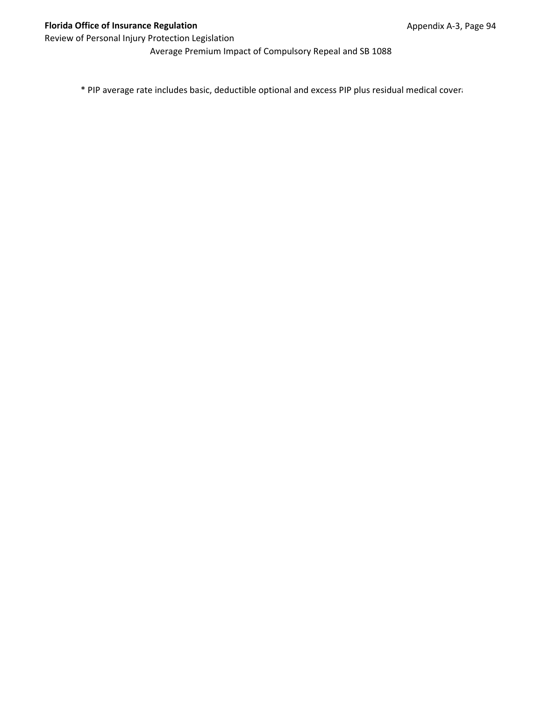Average Premium Impact of Compulsory Repeal and SB 1088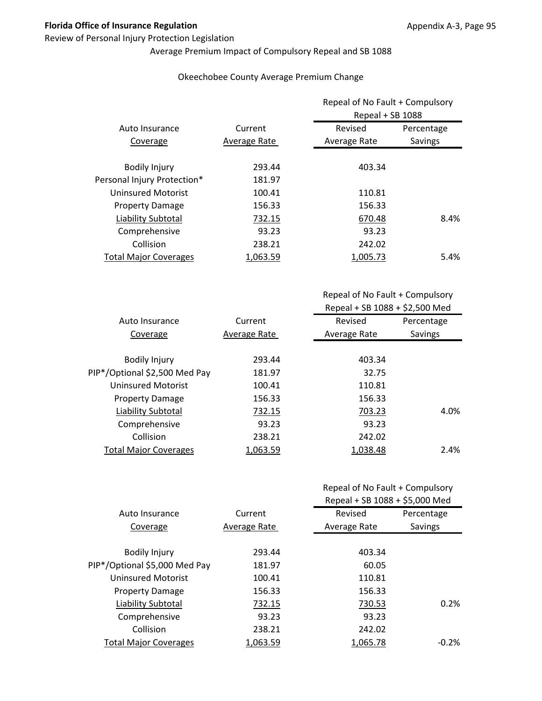#### Review of Personal Injury Protection Legislation

# Average Premium Impact of Compulsory Repeal and SB 1088

#### Okeechobee County Average Premium Change

|                              | Current      | Repeal of No Fault + Compulsory<br>Repeal + SB 1088 |            |
|------------------------------|--------------|-----------------------------------------------------|------------|
| Auto Insurance               |              | Revised                                             | Percentage |
| Coverage                     | Average Rate | Average Rate                                        | Savings    |
| <b>Bodily Injury</b>         | 293.44       | 403.34                                              |            |
| Personal Injury Protection*  | 181.97       |                                                     |            |
| Uninsured Motorist           | 100.41       | 110.81                                              |            |
| <b>Property Damage</b>       | 156.33       | 156.33                                              |            |
| Liability Subtotal           | 732.15       | 670.48                                              | 8.4%       |
| Comprehensive                | 93.23        | 93.23                                               |            |
| Collision                    | 238.21       | 242.02                                              |            |
| <b>Total Major Coverages</b> | 1.063.59     | 1.005.73                                            | 5.4%       |

| Auto Insurance                | Current      | Revised      | Percentage |
|-------------------------------|--------------|--------------|------------|
| Coverage                      | Average Rate | Average Rate | Savings    |
|                               |              |              |            |
| <b>Bodily Injury</b>          | 293.44       | 403.34       |            |
| PIP*/Optional \$2,500 Med Pay | 181.97       | 32.75        |            |
| Uninsured Motorist            | 100.41       | 110.81       |            |
| <b>Property Damage</b>        | 156.33       | 156.33       |            |
| Liability Subtotal            | 732.15       | 703.23       | 4.0%       |
| Comprehensive                 | 93.23        | 93.23        |            |
| Collision                     | 238.21       | 242.02       |            |
| <b>Total Major Coverages</b>  | 1,063.59     | 1,038.48     | 2.4%       |
|                               |              |              |            |

|                               |              | Repeal + SB 1088 + \$5,000 Med |            |
|-------------------------------|--------------|--------------------------------|------------|
| Auto Insurance                | Current      | Revised                        | Percentage |
| Coverage                      | Average Rate | Average Rate                   | Savings    |
| <b>Bodily Injury</b>          | 293.44       | 403.34                         |            |
| PIP*/Optional \$5,000 Med Pay | 181.97       | 60.05                          |            |
| <b>Uninsured Motorist</b>     | 100.41       | 110.81                         |            |
| <b>Property Damage</b>        | 156.33       | 156.33                         |            |
| Liability Subtotal            | 732.15       | 730.53                         | 0.2%       |
| Comprehensive                 | 93.23        | 93.23                          |            |
| Collision                     | 238.21       | 242.02                         |            |
| <b>Total Major Coverages</b>  | 1.063.59     | 1.065.78                       | $-0.2%$    |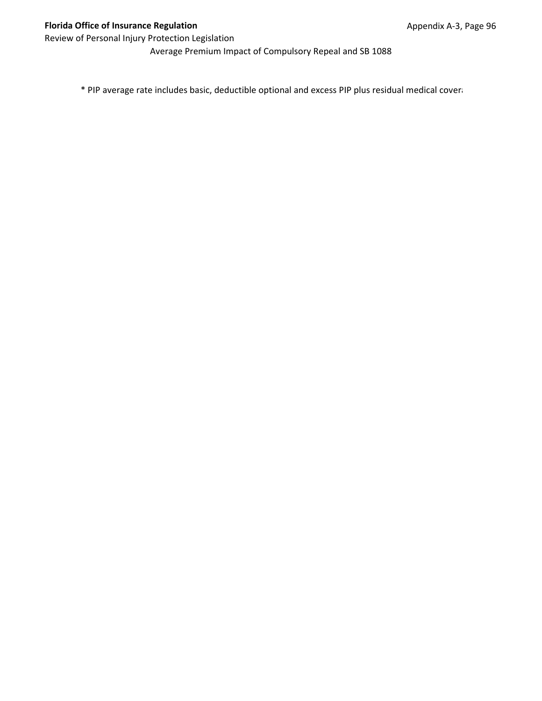Average Premium Impact of Compulsory Repeal and SB 1088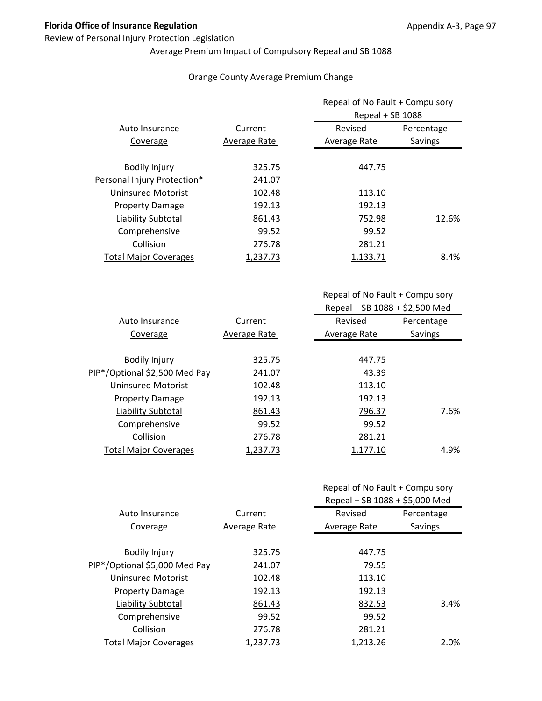#### Review of Personal Injury Protection Legislation

# Average Premium Impact of Compulsory Repeal and SB 1088

#### Orange County Average Premium Change

|                              |              | Repeal of No Fault + Compulsory<br>Repeal + SB 1088 |            |
|------------------------------|--------------|-----------------------------------------------------|------------|
| Auto Insurance               | Current      | Revised                                             | Percentage |
| Coverage                     | Average Rate | Average Rate                                        | Savings    |
| <b>Bodily Injury</b>         | 325.75       | 447.75                                              |            |
| Personal Injury Protection*  | 241.07       |                                                     |            |
| <b>Uninsured Motorist</b>    | 102.48       | 113.10                                              |            |
| <b>Property Damage</b>       | 192.13       | 192.13                                              |            |
| Liability Subtotal           | 861.43       | 752.98                                              | 12.6%      |
| Comprehensive                | 99.52        | 99.52                                               |            |
| Collision                    | 276.78       | 281.21                                              |            |
| <b>Total Major Coverages</b> | 1.237.73     | 1.133.71                                            | 8.4%       |

| Auto Insurance                | Current      | Revised      | Percentage |
|-------------------------------|--------------|--------------|------------|
| Coverage                      | Average Rate | Average Rate | Savings    |
|                               |              |              |            |
| <b>Bodily Injury</b>          | 325.75       | 447.75       |            |
| PIP*/Optional \$2,500 Med Pay | 241.07       | 43.39        |            |
| Uninsured Motorist            | 102.48       | 113.10       |            |
| <b>Property Damage</b>        | 192.13       | 192.13       |            |
| Liability Subtotal            | 861.43       | 796.37       | 7.6%       |
| Comprehensive                 | 99.52        | 99.52        |            |
| Collision                     | 276.78       | 281.21       |            |
| <b>Total Major Coverages</b>  | 1,237.73     | 1,177.10     | 4.9%       |
|                               |              |              |            |

|                               |              | Repeal + SB 1088 + \$5,000 Med |            |
|-------------------------------|--------------|--------------------------------|------------|
| Auto Insurance                | Current      | Revised                        | Percentage |
| Coverage                      | Average Rate | Average Rate                   | Savings    |
| <b>Bodily Injury</b>          | 325.75       | 447.75                         |            |
| PIP*/Optional \$5,000 Med Pay | 241.07       | 79.55                          |            |
| <b>Uninsured Motorist</b>     | 102.48       | 113.10                         |            |
| <b>Property Damage</b>        | 192.13       | 192.13                         |            |
| Liability Subtotal            | 861.43       | 832.53                         | 3.4%       |
| Comprehensive                 | 99.52        | 99.52                          |            |
| Collision                     | 276.78       | 281.21                         |            |
| <b>Total Major Coverages</b>  | 1.237.73     | 1,213.26                       | 2.0%       |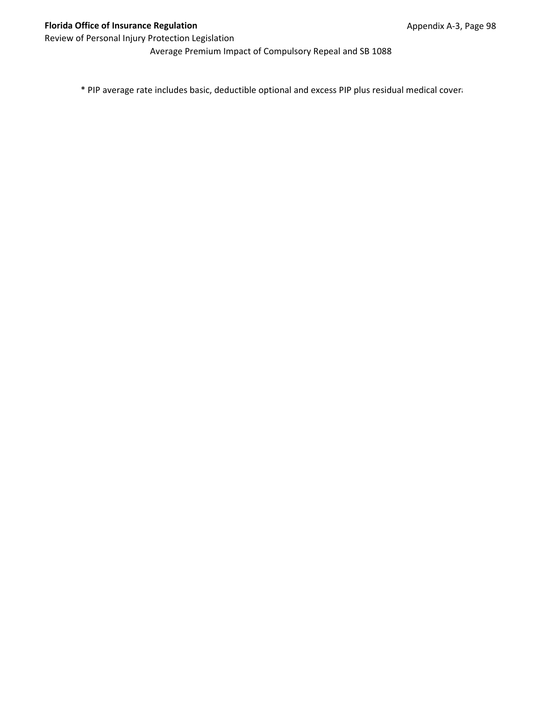Average Premium Impact of Compulsory Repeal and SB 1088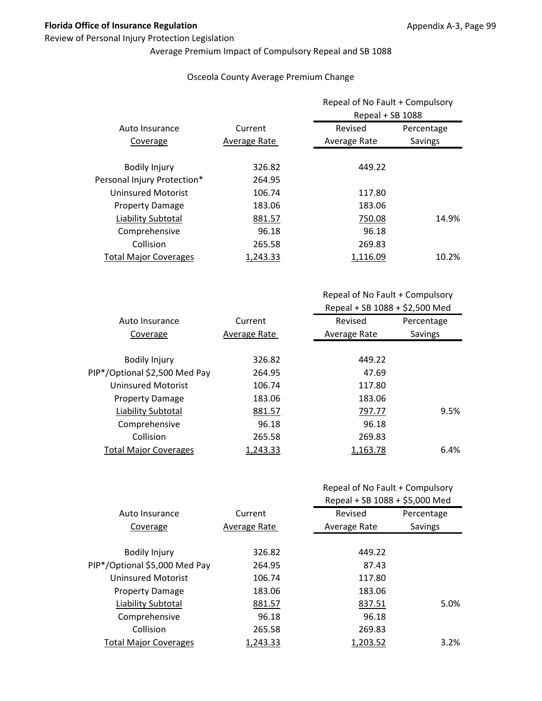#### Review of Personal Injury Protection Legislation

# Average Premium Impact of Compulsory Repeal and SB 1088

#### Osceola County Average Premium Change

|                              | Current      | Repeal of No Fault + Compulsory<br>Repeal + SB 1088 |            |
|------------------------------|--------------|-----------------------------------------------------|------------|
| Auto Insurance               |              | Revised                                             | Percentage |
| Coverage                     | Average Rate | Average Rate                                        | Savings    |
| <b>Bodily Injury</b>         | 326.82       | 449.22                                              |            |
| Personal Injury Protection*  | 264.95       |                                                     |            |
| <b>Uninsured Motorist</b>    | 106.74       | 117.80                                              |            |
| <b>Property Damage</b>       | 183.06       | 183.06                                              |            |
| Liability Subtotal           | 881.57       | 750.08                                              | 14.9%      |
| Comprehensive                | 96.18        | 96.18                                               |            |
| Collision                    | 265.58       | 269.83                                              |            |
| <b>Total Major Coverages</b> | 1,243.33     | 1.116.09                                            | 10.2%      |

| Current      | Revised      | Percentage |
|--------------|--------------|------------|
| Average Rate | Average Rate | Savings    |
|              |              |            |
| 326.82       | 449.22       |            |
| 264.95       | 47.69        |            |
| 106.74       | 117.80       |            |
| 183.06       | 183.06       |            |
| 881.57       | 797.77       | 9.5%       |
| 96.18        | 96.18        |            |
| 265.58       | 269.83       |            |
| 1,243.33     | 1,163.78     | 6.4%       |
|              |              |            |

|  |  | Repeal of No Fault + Compulsory |
|--|--|---------------------------------|
|--|--|---------------------------------|

|                               | Current      | Repeal + SB 1088 + \$5,000 Med |            |
|-------------------------------|--------------|--------------------------------|------------|
| Auto Insurance                |              | Revised                        | Percentage |
| Coverage                      | Average Rate | Average Rate                   | Savings    |
| <b>Bodily Injury</b>          | 326.82       | 449.22                         |            |
| PIP*/Optional \$5,000 Med Pay | 264.95       | 87.43                          |            |
| <b>Uninsured Motorist</b>     | 106.74       | 117.80                         |            |
| <b>Property Damage</b>        | 183.06       | 183.06                         |            |
| Liability Subtotal            | 881.57       | 837.51                         | 5.0%       |
| Comprehensive                 | 96.18        | 96.18                          |            |
| Collision                     | 265.58       | 269.83                         |            |
| <b>Total Major Coverages</b>  | 1.243.33     | 1.203.52                       | $3.2\%$    |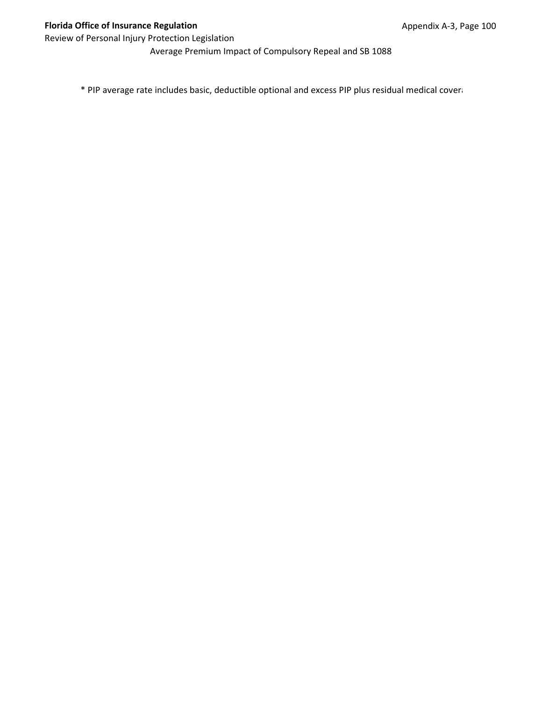Average Premium Impact of Compulsory Repeal and SB 1088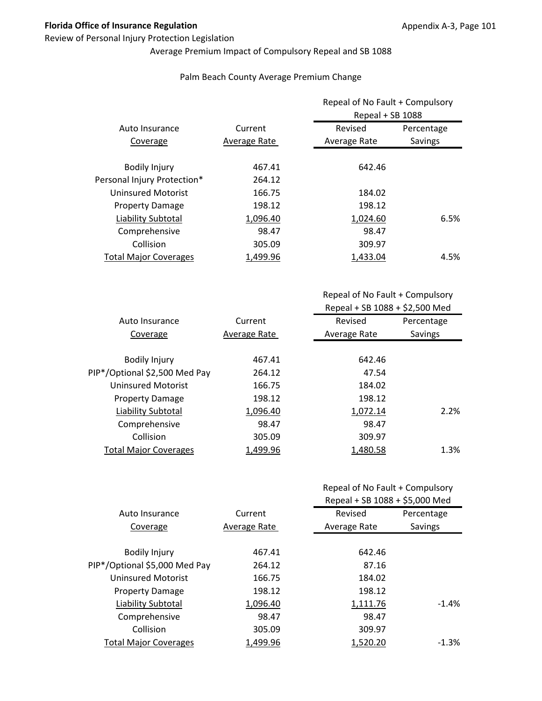### Review of Personal Injury Protection Legislation

# Average Premium Impact of Compulsory Repeal and SB 1088

|                              |              | Repeal of No Fault + Compulsory<br>Repeal + SB 1088 |            |  |  |  |
|------------------------------|--------------|-----------------------------------------------------|------------|--|--|--|
| Auto Insurance               | Current      | Revised                                             | Percentage |  |  |  |
| Coverage                     | Average Rate | Average Rate                                        | Savings    |  |  |  |
| <b>Bodily Injury</b>         | 467.41       | 642.46                                              |            |  |  |  |
| Personal Injury Protection*  | 264.12       |                                                     |            |  |  |  |
| <b>Uninsured Motorist</b>    | 166.75       | 184.02                                              |            |  |  |  |
| <b>Property Damage</b>       | 198.12       | 198.12                                              |            |  |  |  |
| Liability Subtotal           | 1,096.40     | 1,024.60                                            | 6.5%       |  |  |  |
| Comprehensive                | 98.47        | 98.47                                               |            |  |  |  |
| Collision                    | 305.09       | 309.97                                              |            |  |  |  |
| <b>Total Major Coverages</b> | 1,499.96     | 1,433.04                                            | 4.5%       |  |  |  |

#### Palm Beach County Average Premium Change

|                               |              | Repeal + SB 1088 + \$2,500 Med |            |
|-------------------------------|--------------|--------------------------------|------------|
| Auto Insurance                | Current      | Revised                        | Percentage |
| Coverage                      | Average Rate | Average Rate                   | Savings    |
|                               |              |                                |            |
| <b>Bodily Injury</b>          | 467.41       | 642.46                         |            |
| PIP*/Optional \$2,500 Med Pay | 264.12       | 47.54                          |            |
| <b>Uninsured Motorist</b>     | 166.75       | 184.02                         |            |
| <b>Property Damage</b>        | 198.12       | 198.12                         |            |
| Liability Subtotal            | 1,096.40     | 1,072.14                       | 2.2%       |
| Comprehensive                 | 98.47        | 98.47                          |            |
| Collision                     | 305.09       | 309.97                         |            |
| <b>Total Major Coverages</b>  | 1,499.96     | 1,480.58                       | 1.3%       |

# Repeal of No Fault + Compulsory

|                               |              | Repeal + SB 1088 + \$5,000 Med |            |
|-------------------------------|--------------|--------------------------------|------------|
| Auto Insurance                | Current      | Revised                        | Percentage |
| Coverage                      | Average Rate | Average Rate                   | Savings    |
|                               |              |                                |            |
| <b>Bodily Injury</b>          | 467.41       | 642.46                         |            |
| PIP*/Optional \$5,000 Med Pay | 264.12       | 87.16                          |            |
| <b>Uninsured Motorist</b>     | 166.75       | 184.02                         |            |
| <b>Property Damage</b>        | 198.12       | 198.12                         |            |
| Liability Subtotal            | 1,096.40     | 1,111.76                       | $-1.4%$    |
| Comprehensive                 | 98.47        | 98.47                          |            |
| Collision                     | 305.09       | 309.97                         |            |
| <b>Total Major Coverages</b>  | 1,499.96     | 1,520.20                       | $-1.3%$    |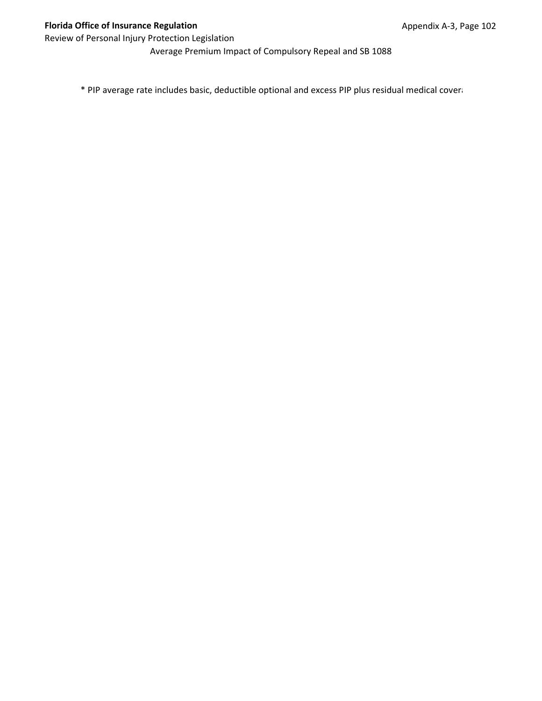Average Premium Impact of Compulsory Repeal and SB 1088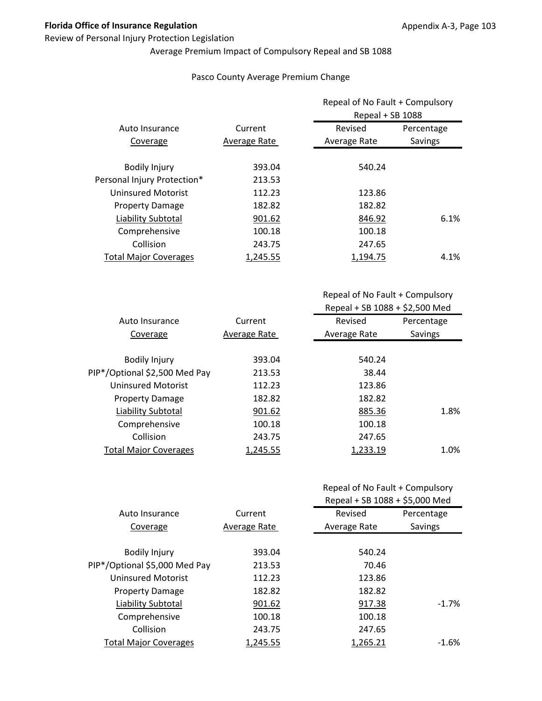### Review of Personal Injury Protection Legislation

# Average Premium Impact of Compulsory Repeal and SB 1088

### Pasco County Average Premium Change

|                              |              | Repeal of No Fault + Compulsory<br>Repeal + SB 1088 |            |
|------------------------------|--------------|-----------------------------------------------------|------------|
| Auto Insurance               | Current      | Revised                                             | Percentage |
| Coverage                     | Average Rate | Average Rate                                        | Savings    |
| <b>Bodily Injury</b>         | 393.04       | 540.24                                              |            |
| Personal Injury Protection*  | 213.53       |                                                     |            |
| <b>Uninsured Motorist</b>    | 112.23       | 123.86                                              |            |
| <b>Property Damage</b>       | 182.82       | 182.82                                              |            |
| Liability Subtotal           | 901.62       | 846.92                                              | 6.1%       |
| Comprehensive                | 100.18       | 100.18                                              |            |
| Collision                    | 243.75       | 247.65                                              |            |
| <b>Total Major Coverages</b> | 1.245.55     | 1.194.75                                            | 4.1%       |

Repeal of No Fault + Compulsory Repeal + SB 1088 + \$2,500 Med

| Auto Insurance                | Current      | Revised      | Percentage |
|-------------------------------|--------------|--------------|------------|
| Coverage                      | Average Rate | Average Rate | Savings    |
|                               |              |              |            |
| <b>Bodily Injury</b>          | 393.04       | 540.24       |            |
| PIP*/Optional \$2,500 Med Pay | 213.53       | 38.44        |            |
| Uninsured Motorist            | 112.23       | 123.86       |            |
| <b>Property Damage</b>        | 182.82       | 182.82       |            |
| Liability Subtotal            | 901.62       | 885.36       | 1.8%       |
| Comprehensive                 | 100.18       | 100.18       |            |
| Collision                     | 243.75       | 247.65       |            |
| <b>Total Major Coverages</b>  | 1,245.55     | 1,233.19     | 1.0%       |
|                               |              |              |            |

|                               |              | Repeal + SB 1088 + \$5,000 Med |            |
|-------------------------------|--------------|--------------------------------|------------|
| Auto Insurance                | Current      | Revised                        | Percentage |
| Coverage                      | Average Rate | Average Rate                   | Savings    |
|                               |              |                                |            |
| <b>Bodily Injury</b>          | 393.04       | 540.24                         |            |
| PIP*/Optional \$5,000 Med Pay | 213.53       | 70.46                          |            |
| <b>Uninsured Motorist</b>     | 112.23       | 123.86                         |            |
| <b>Property Damage</b>        | 182.82       | 182.82                         |            |
| Liability Subtotal            | 901.62       | 917.38                         | $-1.7%$    |
| Comprehensive                 | 100.18       | 100.18                         |            |
| Collision                     | 243.75       | 247.65                         |            |
| <b>Total Major Coverages</b>  | 1.245.55     | 1,265.21                       | $-1.6\%$   |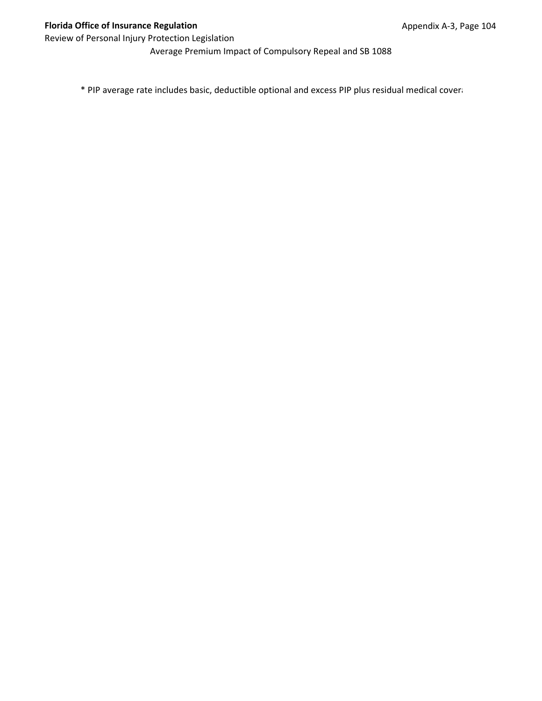Average Premium Impact of Compulsory Repeal and SB 1088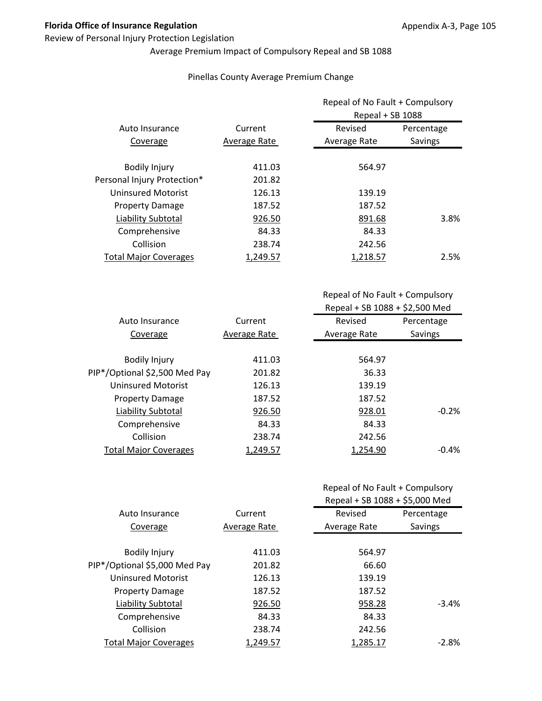### Review of Personal Injury Protection Legislation

# Average Premium Impact of Compulsory Repeal and SB 1088

### Pinellas County Average Premium Change

|                              |              | Repeal of No Fault + Compulsory<br>Repeal + SB 1088 |            |
|------------------------------|--------------|-----------------------------------------------------|------------|
| Auto Insurance               | Current      | Revised                                             | Percentage |
| Coverage                     | Average Rate | Average Rate                                        | Savings    |
| <b>Bodily Injury</b>         | 411.03       | 564.97                                              |            |
| Personal Injury Protection*  | 201.82       |                                                     |            |
| <b>Uninsured Motorist</b>    | 126.13       | 139.19                                              |            |
| <b>Property Damage</b>       | 187.52       | 187.52                                              |            |
| Liability Subtotal           | 926.50       | 891.68                                              | 3.8%       |
| Comprehensive                | 84.33        | 84.33                                               |            |
| Collision                    | 238.74       | 242.56                                              |            |
| <b>Total Major Coverages</b> | 1,249.57     | 1.218.57                                            | 2.5%       |

Repeal of No Fault + Compulsory Repeal + SB 1088 + \$2,500 Med

| Current      | Revised      | Percentage |
|--------------|--------------|------------|
| Average Rate | Average Rate | Savings    |
|              |              |            |
| 411.03       | 564.97       |            |
| 201.82       | 36.33        |            |
| 126.13       | 139.19       |            |
| 187.52       | 187.52       |            |
| 926.50       | 928.01       | $-0.2%$    |
| 84.33        | 84.33        |            |
| 238.74       | 242.56       |            |
| 1,249.57     | 1,254.90     | $-0.4%$    |
|              |              |            |

|                               |              | Repeal + SB 1088 + \$5,000 Med |            |
|-------------------------------|--------------|--------------------------------|------------|
| Auto Insurance                | Current      | Revised                        | Percentage |
| Coverage                      | Average Rate | Average Rate                   | Savings    |
|                               |              |                                |            |
| <b>Bodily Injury</b>          | 411.03       | 564.97                         |            |
| PIP*/Optional \$5,000 Med Pay | 201.82       | 66.60                          |            |
| <b>Uninsured Motorist</b>     | 126.13       | 139.19                         |            |
| <b>Property Damage</b>        | 187.52       | 187.52                         |            |
| Liability Subtotal            | 926.50       | 958.28                         | $-3.4%$    |
| Comprehensive                 | 84.33        | 84.33                          |            |
| Collision                     | 238.74       | 242.56                         |            |
| <b>Total Major Coverages</b>  | 1.249.57     | 1.285.17                       | $-2.8%$    |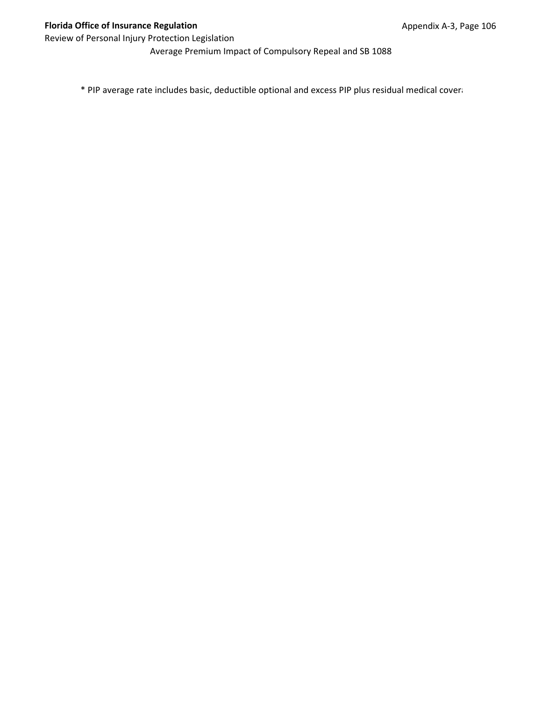Average Premium Impact of Compulsory Repeal and SB 1088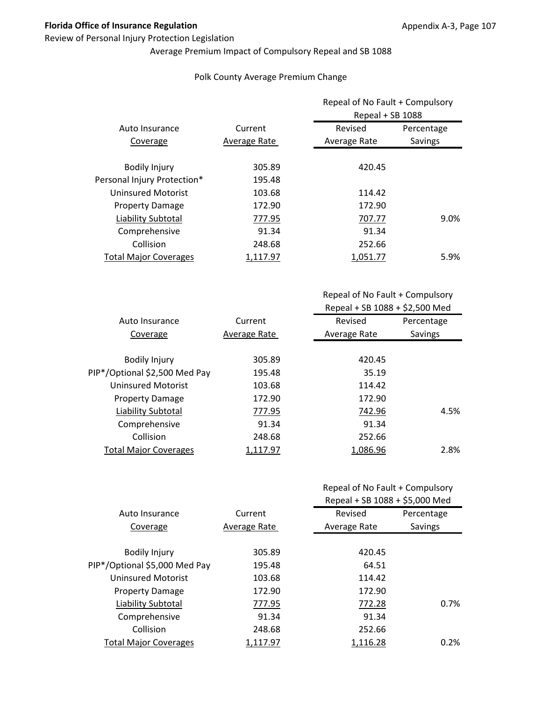### Review of Personal Injury Protection Legislation

## Average Premium Impact of Compulsory Repeal and SB 1088

### Polk County Average Premium Change

|                              |              | Repeal of No Fault + Compulsory<br>Repeal + SB 1088 |            |
|------------------------------|--------------|-----------------------------------------------------|------------|
| Auto Insurance               | Current      | Revised                                             | Percentage |
| Coverage                     | Average Rate | Average Rate                                        | Savings    |
| <b>Bodily Injury</b>         | 305.89       | 420.45                                              |            |
| Personal Injury Protection*  | 195.48       |                                                     |            |
| <b>Uninsured Motorist</b>    | 103.68       | 114.42                                              |            |
| <b>Property Damage</b>       | 172.90       | 172.90                                              |            |
| Liability Subtotal           | 777.95       | 707.77                                              | 9.0%       |
| Comprehensive                | 91.34        | 91.34                                               |            |
| Collision                    | 248.68       | 252.66                                              |            |
| <b>Total Major Coverages</b> | 1.117.97     | 1.051.77                                            | 5.9%       |

| Auto Insurance                | Current      | Revised      | Percentage |
|-------------------------------|--------------|--------------|------------|
| Coverage                      | Average Rate | Average Rate | Savings    |
|                               |              |              |            |
| <b>Bodily Injury</b>          | 305.89       | 420.45       |            |
| PIP*/Optional \$2,500 Med Pay | 195.48       | 35.19        |            |
| Uninsured Motorist            | 103.68       | 114.42       |            |
| <b>Property Damage</b>        | 172.90       | 172.90       |            |
| Liability Subtotal            | 777.95       | 742.96       | 4.5%       |
| Comprehensive                 | 91.34        | 91.34        |            |
| Collision                     | 248.68       | 252.66       |            |
| <b>Total Major Coverages</b>  | 1,117.97     | 1,086.96     | 2.8%       |

|  |  | Repeal of No Fault + Compulsory |
|--|--|---------------------------------|
|--|--|---------------------------------|

|                               |              | Repeal + SB 1088 + \$5,000 Med |            |
|-------------------------------|--------------|--------------------------------|------------|
| Auto Insurance                | Current      | Revised                        | Percentage |
| Coverage                      | Average Rate | Average Rate                   | Savings    |
| <b>Bodily Injury</b>          | 305.89       | 420.45                         |            |
| PIP*/Optional \$5,000 Med Pay | 195.48       | 64.51                          |            |
| <b>Uninsured Motorist</b>     | 103.68       | 114.42                         |            |
| <b>Property Damage</b>        | 172.90       | 172.90                         |            |
| Liability Subtotal            | 777.95       | 772.28                         | 0.7%       |
| Comprehensive                 | 91.34        | 91.34                          |            |
| Collision                     | 248.68       | 252.66                         |            |
| <b>Total Major Coverages</b>  | 1,117.97     | 1,116.28                       | 0.2%       |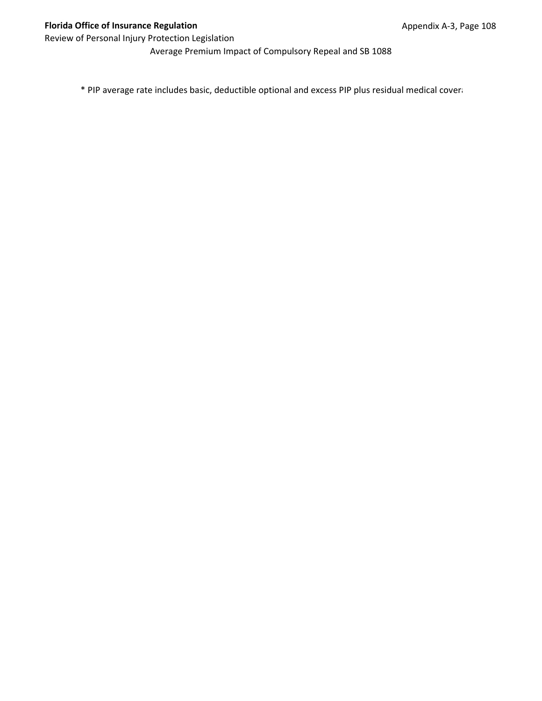Average Premium Impact of Compulsory Repeal and SB 1088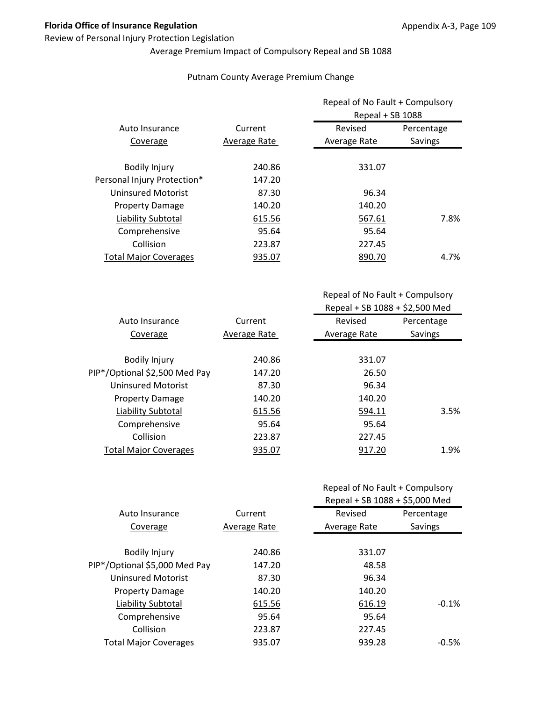### Review of Personal Injury Protection Legislation

# Average Premium Impact of Compulsory Repeal and SB 1088

### Putnam County Average Premium Change

|              | Repeal of No Fault + Compulsory<br>Repeal + SB 1088 |            |
|--------------|-----------------------------------------------------|------------|
| Current      | Revised                                             | Percentage |
| Average Rate | Average Rate                                        | Savings    |
| 240.86       | 331.07                                              |            |
| 147.20       |                                                     |            |
| 87.30        | 96.34                                               |            |
| 140.20       | 140.20                                              |            |
| 615.56       | 567.61                                              | 7.8%       |
| 95.64        | 95.64                                               |            |
| 223.87       | 227.45                                              |            |
| 935.07       | 890.70                                              | 4.7%       |
|              |                                                     |            |

| Auto Insurance                | Current      | Revised      | Percentage |
|-------------------------------|--------------|--------------|------------|
| Coverage                      | Average Rate | Average Rate | Savings    |
|                               |              |              |            |
| <b>Bodily Injury</b>          | 240.86       | 331.07       |            |
| PIP*/Optional \$2,500 Med Pay | 147.20       | 26.50        |            |
| Uninsured Motorist            | 87.30        | 96.34        |            |
| <b>Property Damage</b>        | 140.20       | 140.20       |            |
| Liability Subtotal            | 615.56       | 594.11       | 3.5%       |
| Comprehensive                 | 95.64        | 95.64        |            |
| Collision                     | 223.87       | 227.45       |            |
| <b>Total Major Coverages</b>  | 935.07       | 917.20       | 1.9%       |
|                               |              |              |            |

| Repeal of No Fault + Compulsory |  |
|---------------------------------|--|
|---------------------------------|--|

|                               |              | Repeal + SB 1088 + \$5,000 Med |            |
|-------------------------------|--------------|--------------------------------|------------|
| Auto Insurance                | Current      | Revised                        | Percentage |
| Coverage                      | Average Rate | Average Rate                   | Savings    |
|                               |              |                                |            |
| <b>Bodily Injury</b>          | 240.86       | 331.07                         |            |
| PIP*/Optional \$5,000 Med Pay | 147.20       | 48.58                          |            |
| <b>Uninsured Motorist</b>     | 87.30        | 96.34                          |            |
| <b>Property Damage</b>        | 140.20       | 140.20                         |            |
| Liability Subtotal            | 615.56       | 616.19                         | $-0.1%$    |
| Comprehensive                 | 95.64        | 95.64                          |            |
| Collision                     | 223.87       | 227.45                         |            |
| <b>Total Major Coverages</b>  | 935.07       | 939.28                         | $-0.5\%$   |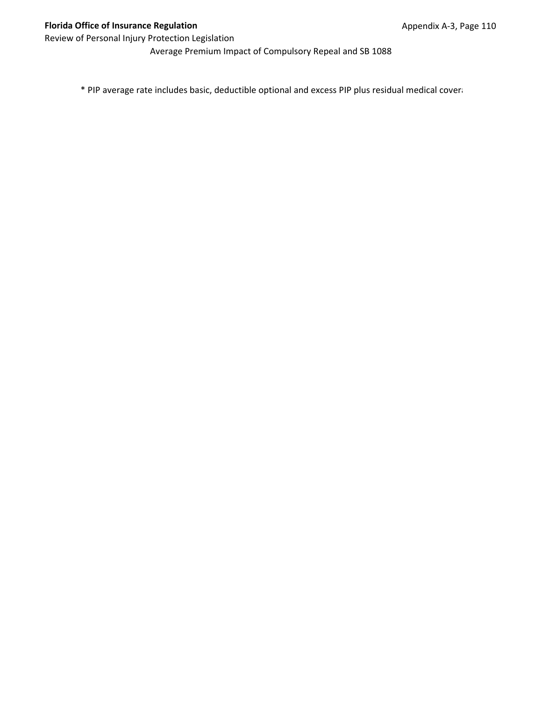Average Premium Impact of Compulsory Repeal and SB 1088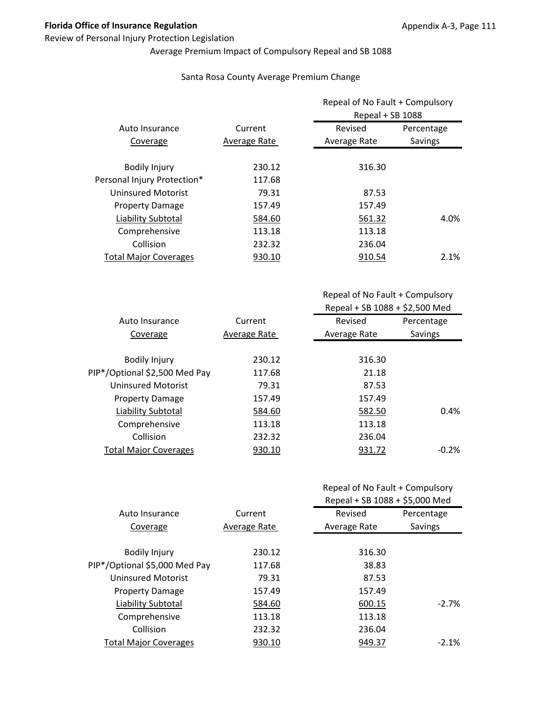### Review of Personal Injury Protection Legislation

## Average Premium Impact of Compulsory Repeal and SB 1088

### Santa Rosa County Average Premium Change

|                              |              |              | Repeal of No Fault + Compulsory<br>Repeal + SB 1088 |  |
|------------------------------|--------------|--------------|-----------------------------------------------------|--|
| Auto Insurance               | Current      | Revised      | Percentage                                          |  |
| Coverage                     | Average Rate | Average Rate | Savings                                             |  |
| <b>Bodily Injury</b>         | 230.12       | 316.30       |                                                     |  |
| Personal Injury Protection*  | 117.68       |              |                                                     |  |
| <b>Uninsured Motorist</b>    | 79.31        | 87.53        |                                                     |  |
| <b>Property Damage</b>       | 157.49       | 157.49       |                                                     |  |
| Liability Subtotal           | 584.60       | 561.32       | 4.0%                                                |  |
| Comprehensive                | 113.18       | 113.18       |                                                     |  |
| Collision                    | 232.32       | 236.04       |                                                     |  |
| <b>Total Major Coverages</b> | 930.10       | 910.54       | 2.1%                                                |  |

Repeal of No Fault + Compulsory Repeal + SB 1088 + \$2,500 Med

| Auto Insurance                | Current      | Revised      | Percentage |
|-------------------------------|--------------|--------------|------------|
| Coverage                      | Average Rate | Average Rate | Savings    |
|                               |              |              |            |
| <b>Bodily Injury</b>          | 230.12       | 316.30       |            |
| PIP*/Optional \$2,500 Med Pay | 117.68       | 21.18        |            |
| <b>Uninsured Motorist</b>     | 79.31        | 87.53        |            |
| <b>Property Damage</b>        | 157.49       | 157.49       |            |
| Liability Subtotal            | 584.60       | 582.50       | 0.4%       |
| Comprehensive                 | 113.18       | 113.18       |            |
| Collision                     | 232.32       | 236.04       |            |
| <b>Total Major Coverages</b>  | 930.10       | 931.72       | $-0.2%$    |
|                               |              |              |            |

|                               |              | Repeal + SB 1088 + \$5,000 Med |            |
|-------------------------------|--------------|--------------------------------|------------|
| Auto Insurance                | Current      | Revised                        | Percentage |
| Coverage                      | Average Rate | Average Rate                   | Savings    |
|                               |              |                                |            |
| <b>Bodily Injury</b>          | 230.12       | 316.30                         |            |
| PIP*/Optional \$5,000 Med Pay | 117.68       | 38.83                          |            |
| <b>Uninsured Motorist</b>     | 79.31        | 87.53                          |            |
| <b>Property Damage</b>        | 157.49       | 157.49                         |            |
| Liability Subtotal            | 584.60       | 600.15                         | $-2.7%$    |
| Comprehensive                 | 113.18       | 113.18                         |            |
| Collision                     | 232.32       | 236.04                         |            |
| <b>Total Major Coverages</b>  | 930.10       | 949.37                         | $-2.1%$    |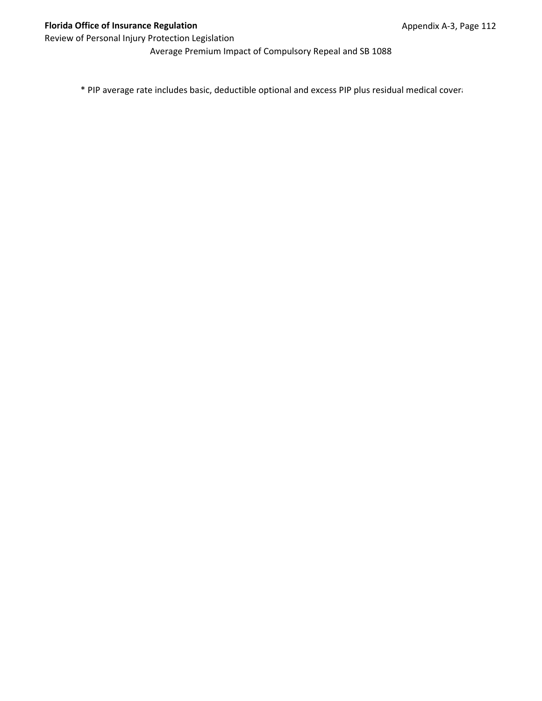Average Premium Impact of Compulsory Repeal and SB 1088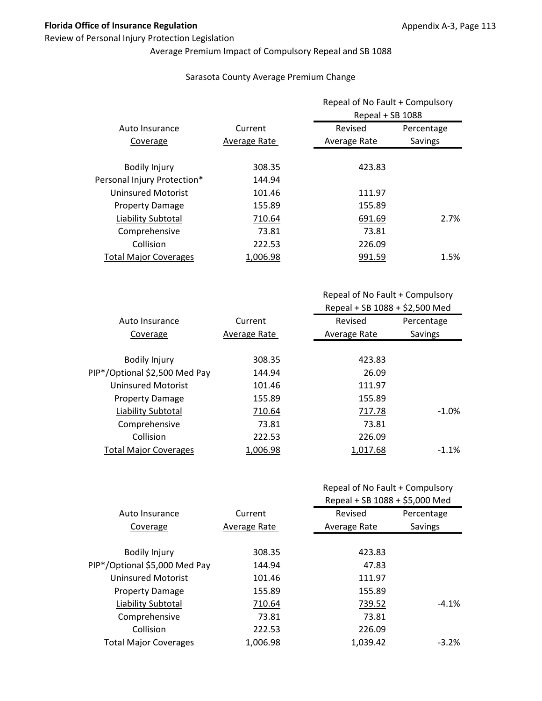### Review of Personal Injury Protection Legislation

# Average Premium Impact of Compulsory Repeal and SB 1088

### Sarasota County Average Premium Change

|                              |              | Repeal of No Fault + Compulsory<br>Repeal + SB 1088 |            |
|------------------------------|--------------|-----------------------------------------------------|------------|
| Auto Insurance               | Current      | Revised                                             | Percentage |
| Coverage                     | Average Rate | Average Rate                                        | Savings    |
| <b>Bodily Injury</b>         | 308.35       | 423.83                                              |            |
| Personal Injury Protection*  | 144.94       |                                                     |            |
| <b>Uninsured Motorist</b>    | 101.46       | 111.97                                              |            |
| <b>Property Damage</b>       | 155.89       | 155.89                                              |            |
| Liability Subtotal           | 710.64       | 691.69                                              | 2.7%       |
| Comprehensive                | 73.81        | 73.81                                               |            |
| Collision                    | 222.53       | 226.09                                              |            |
| <b>Total Major Coverages</b> | 1,006.98     | 991.59                                              | 1.5%       |

| Auto Insurance                | Current      | Revised      | Percentage |
|-------------------------------|--------------|--------------|------------|
| Coverage                      | Average Rate | Average Rate | Savings    |
|                               |              |              |            |
| <b>Bodily Injury</b>          | 308.35       | 423.83       |            |
| PIP*/Optional \$2,500 Med Pay | 144.94       | 26.09        |            |
| Uninsured Motorist            | 101.46       | 111.97       |            |
| <b>Property Damage</b>        | 155.89       | 155.89       |            |
| Liability Subtotal            | 710.64       | 717.78       | $-1.0\%$   |
| Comprehensive                 | 73.81        | 73.81        |            |
| Collision                     | 222.53       | 226.09       |            |
| <b>Total Major Coverages</b>  | 1,006.98     | 1,017.68     | $-1.1%$    |

|  | Repeal of No Fault + Compulsory |
|--|---------------------------------|
|--|---------------------------------|

|                               |              | Repeal + SB 1088 + \$5,000 Med |            |
|-------------------------------|--------------|--------------------------------|------------|
| Auto Insurance                | Current      | Revised                        | Percentage |
| Coverage                      | Average Rate | Average Rate                   | Savings    |
|                               |              |                                |            |
| <b>Bodily Injury</b>          | 308.35       | 423.83                         |            |
| PIP*/Optional \$5,000 Med Pay | 144.94       | 47.83                          |            |
| <b>Uninsured Motorist</b>     | 101.46       | 111.97                         |            |
| <b>Property Damage</b>        | 155.89       | 155.89                         |            |
| Liability Subtotal            | 710.64       | 739.52                         | $-4.1%$    |
| Comprehensive                 | 73.81        | 73.81                          |            |
| Collision                     | 222.53       | 226.09                         |            |
| <b>Total Major Coverages</b>  | 1.006.98     | 1,039.42                       | $-3.2\%$   |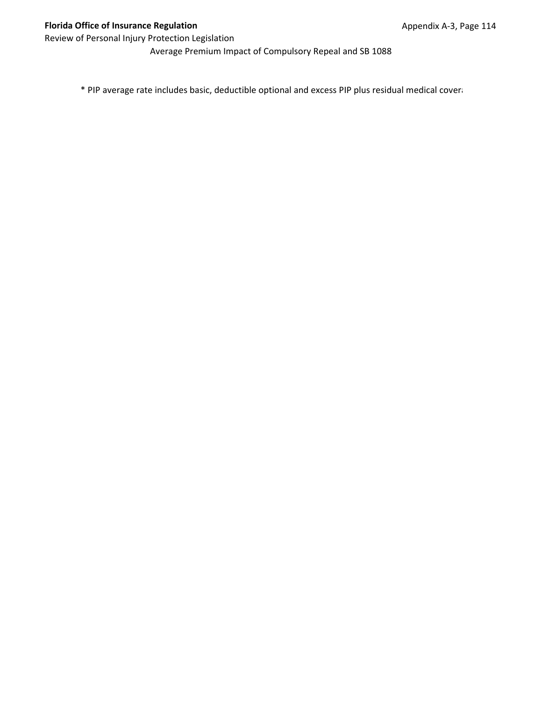Average Premium Impact of Compulsory Repeal and SB 1088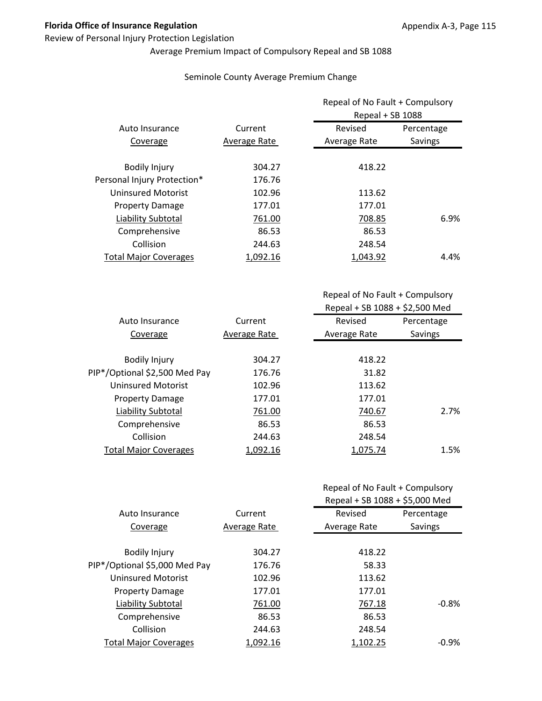### Review of Personal Injury Protection Legislation

# Average Premium Impact of Compulsory Repeal and SB 1088

### Seminole County Average Premium Change

|                              |              | Repeal of No Fault + Compulsory<br>Repeal + SB 1088 |            |
|------------------------------|--------------|-----------------------------------------------------|------------|
| Auto Insurance               | Current      | Revised                                             | Percentage |
| Coverage                     | Average Rate | Average Rate                                        | Savings    |
| <b>Bodily Injury</b>         | 304.27       | 418.22                                              |            |
| Personal Injury Protection*  | 176.76       |                                                     |            |
| <b>Uninsured Motorist</b>    | 102.96       | 113.62                                              |            |
| <b>Property Damage</b>       | 177.01       | 177.01                                              |            |
| Liability Subtotal           | 761.00       | 708.85                                              | 6.9%       |
| Comprehensive                | 86.53        | 86.53                                               |            |
| Collision                    | 244.63       | 248.54                                              |            |
| <b>Total Major Coverages</b> | 1,092.16     | 1,043.92                                            | 4.4%       |

| Auto Insurance                | Current      | Revised      | Percentage |
|-------------------------------|--------------|--------------|------------|
| Coverage                      | Average Rate | Average Rate | Savings    |
|                               |              |              |            |
| <b>Bodily Injury</b>          | 304.27       | 418.22       |            |
| PIP*/Optional \$2,500 Med Pay | 176.76       | 31.82        |            |
| Uninsured Motorist            | 102.96       | 113.62       |            |
| <b>Property Damage</b>        | 177.01       | 177.01       |            |
| Liability Subtotal            | 761.00       | 740.67       | 2.7%       |
| Comprehensive                 | 86.53        | 86.53        |            |
| Collision                     | 244.63       | 248.54       |            |
| <b>Total Major Coverages</b>  | 1,092.16     | 1,075.74     | 1.5%       |
|                               |              |              |            |

|  | Repeal of No Fault + Compulsory |
|--|---------------------------------|
|--|---------------------------------|

|                               |              | Repeal + SB 1088 + \$5,000 Med |            |
|-------------------------------|--------------|--------------------------------|------------|
| Auto Insurance                | Current      | Revised                        | Percentage |
| Coverage                      | Average Rate | Average Rate                   | Savings    |
|                               |              |                                |            |
| <b>Bodily Injury</b>          | 304.27       | 418.22                         |            |
| PIP*/Optional \$5,000 Med Pay | 176.76       | 58.33                          |            |
| <b>Uninsured Motorist</b>     | 102.96       | 113.62                         |            |
| <b>Property Damage</b>        | 177.01       | 177.01                         |            |
| Liability Subtotal            | 761.00       | 767.18                         | $-0.8%$    |
| Comprehensive                 | 86.53        | 86.53                          |            |
| Collision                     | 244.63       | 248.54                         |            |
| <b>Total Major Coverages</b>  | 1.092.16     | 1,102.25                       | $-0.9%$    |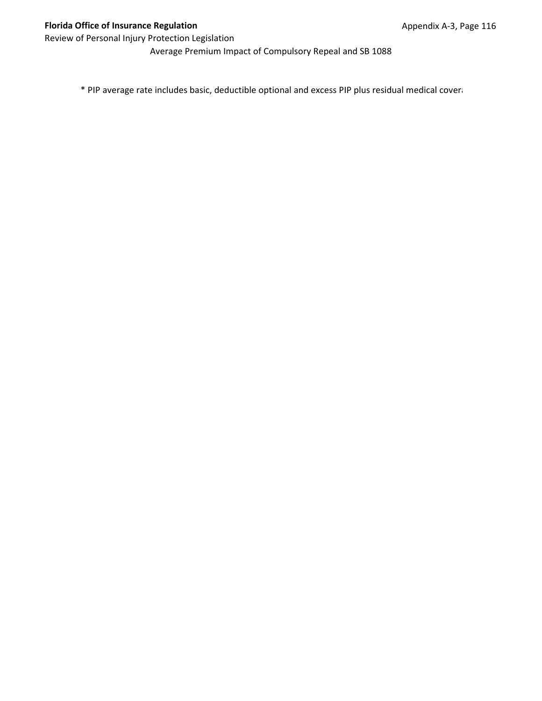Average Premium Impact of Compulsory Repeal and SB 1088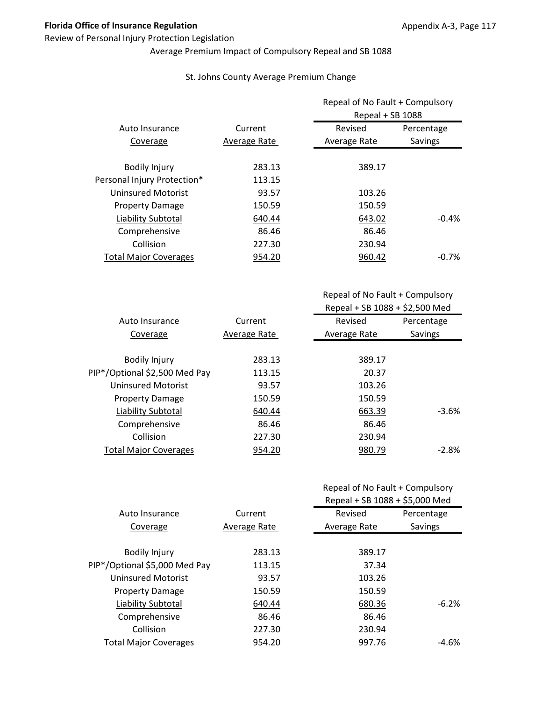### Review of Personal Injury Protection Legislation

# Average Premium Impact of Compulsory Repeal and SB 1088

### St. Johns County Average Premium Change

|                              |              | Repeal of No Fault + Compulsory<br>Repeal + SB 1088 |            |
|------------------------------|--------------|-----------------------------------------------------|------------|
| Auto Insurance               | Current      | Revised                                             | Percentage |
| Coverage                     | Average Rate | Average Rate                                        | Savings    |
| <b>Bodily Injury</b>         | 283.13       | 389.17                                              |            |
| Personal Injury Protection*  | 113.15       |                                                     |            |
| <b>Uninsured Motorist</b>    | 93.57        | 103.26                                              |            |
| <b>Property Damage</b>       | 150.59       | 150.59                                              |            |
| Liability Subtotal           | 640.44       | 643.02                                              | $-0.4%$    |
| Comprehensive                | 86.46        | 86.46                                               |            |
| Collision                    | 227.30       | 230.94                                              |            |
| <b>Total Major Coverages</b> | 954.20       | 960.42                                              | $-0.7\%$   |

Repeal of No Fault + Compulsory Repeal + SB 1088 + \$2,500 Med

| Auto Insurance                | Current      | Revised      | Percentage |
|-------------------------------|--------------|--------------|------------|
| Coverage                      | Average Rate | Average Rate | Savings    |
|                               |              |              |            |
| <b>Bodily Injury</b>          | 283.13       | 389.17       |            |
| PIP*/Optional \$2,500 Med Pay | 113.15       | 20.37        |            |
| Uninsured Motorist            | 93.57        | 103.26       |            |
| <b>Property Damage</b>        | 150.59       | 150.59       |            |
| Liability Subtotal            | 640.44       | 663.39       | $-3.6\%$   |
| Comprehensive                 | 86.46        | 86.46        |            |
| Collision                     | 227.30       | 230.94       |            |
| <b>Total Major Coverages</b>  | 954.20       | 980.79       | $-2.8\%$   |

|                               |              | Repeal + SB 1088 + \$5,000 Med |            |
|-------------------------------|--------------|--------------------------------|------------|
| Auto Insurance                | Current      | Revised                        | Percentage |
| Coverage                      | Average Rate | Average Rate                   | Savings    |
|                               |              |                                |            |
| <b>Bodily Injury</b>          | 283.13       | 389.17                         |            |
| PIP*/Optional \$5,000 Med Pay | 113.15       | 37.34                          |            |
| <b>Uninsured Motorist</b>     | 93.57        | 103.26                         |            |
| <b>Property Damage</b>        | 150.59       | 150.59                         |            |
| Liability Subtotal            | 640.44       | 680.36                         | $-6.2%$    |
| Comprehensive                 | 86.46        | 86.46                          |            |
| Collision                     | 227.30       | 230.94                         |            |
| <b>Total Major Coverages</b>  | 954.20       | 997.76                         | -4.6%      |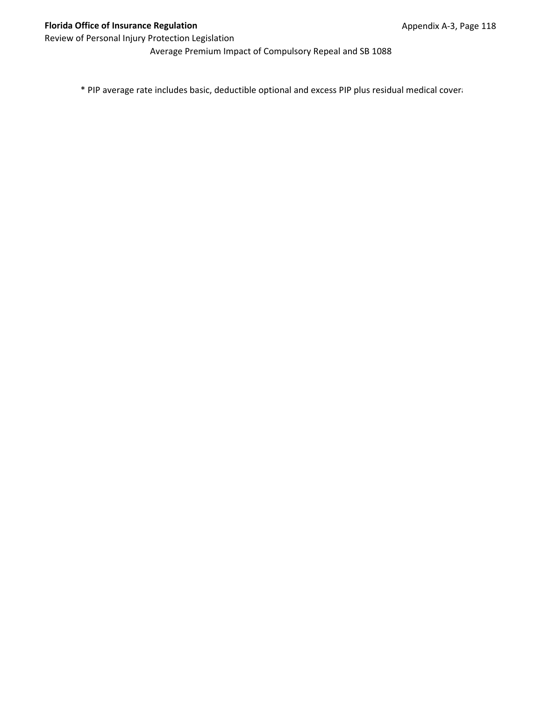Average Premium Impact of Compulsory Repeal and SB 1088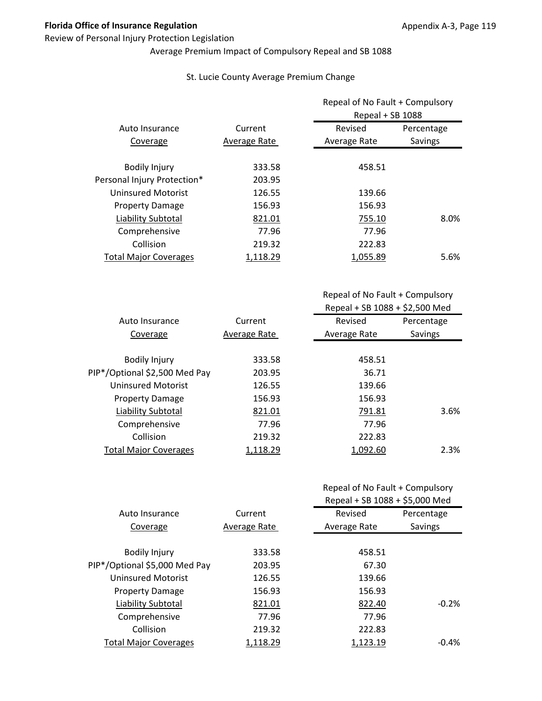### Review of Personal Injury Protection Legislation

# Average Premium Impact of Compulsory Repeal and SB 1088

### St. Lucie County Average Premium Change

|                              |              | Repeal of No Fault + Compulsory<br>Repeal + SB 1088 |            |  |
|------------------------------|--------------|-----------------------------------------------------|------------|--|
| Auto Insurance               | Current      | Revised                                             | Percentage |  |
| Coverage                     | Average Rate | Average Rate                                        | Savings    |  |
| <b>Bodily Injury</b>         | 333.58       | 458.51                                              |            |  |
| Personal Injury Protection*  | 203.95       |                                                     |            |  |
| <b>Uninsured Motorist</b>    | 126.55       | 139.66                                              |            |  |
| <b>Property Damage</b>       | 156.93       | 156.93                                              |            |  |
| Liability Subtotal           | 821.01       | 755.10                                              | 8.0%       |  |
| Comprehensive                | 77.96        | 77.96                                               |            |  |
| Collision                    | 219.32       | 222.83                                              |            |  |
| <b>Total Major Coverages</b> | 1,118.29     | 1,055.89                                            | 5.6%       |  |

| Auto Insurance                | Current      | Revised      | Percentage |
|-------------------------------|--------------|--------------|------------|
| Coverage                      | Average Rate | Average Rate | Savings    |
|                               |              |              |            |
| <b>Bodily Injury</b>          | 333.58       | 458.51       |            |
| PIP*/Optional \$2,500 Med Pay | 203.95       | 36.71        |            |
| <b>Uninsured Motorist</b>     | 126.55       | 139.66       |            |
| <b>Property Damage</b>        | 156.93       | 156.93       |            |
| Liability Subtotal            | 821.01       | 791.81       | 3.6%       |
| Comprehensive                 | 77.96        | 77.96        |            |
| Collision                     | 219.32       | 222.83       |            |
| <b>Total Major Coverages</b>  | 1,118.29     | 1,092.60     | 2.3%       |
|                               |              |              |            |

|  |  | Repeal of No Fault + Compulsory |
|--|--|---------------------------------|
|--|--|---------------------------------|

|                               |              | Repeal + SB 1088 + \$5,000 Med |            |
|-------------------------------|--------------|--------------------------------|------------|
| Auto Insurance                | Current      | Revised                        | Percentage |
| Coverage                      | Average Rate | Average Rate                   | Savings    |
|                               |              |                                |            |
| <b>Bodily Injury</b>          | 333.58       | 458.51                         |            |
| PIP*/Optional \$5,000 Med Pay | 203.95       | 67.30                          |            |
| <b>Uninsured Motorist</b>     | 126.55       | 139.66                         |            |
| <b>Property Damage</b>        | 156.93       | 156.93                         |            |
| Liability Subtotal            | 821.01       | 822.40                         | $-0.2%$    |
| Comprehensive                 | 77.96        | 77.96                          |            |
| Collision                     | 219.32       | 222.83                         |            |
| <b>Total Major Coverages</b>  | 1,118.29     | 1,123.19                       | $-0.4\%$   |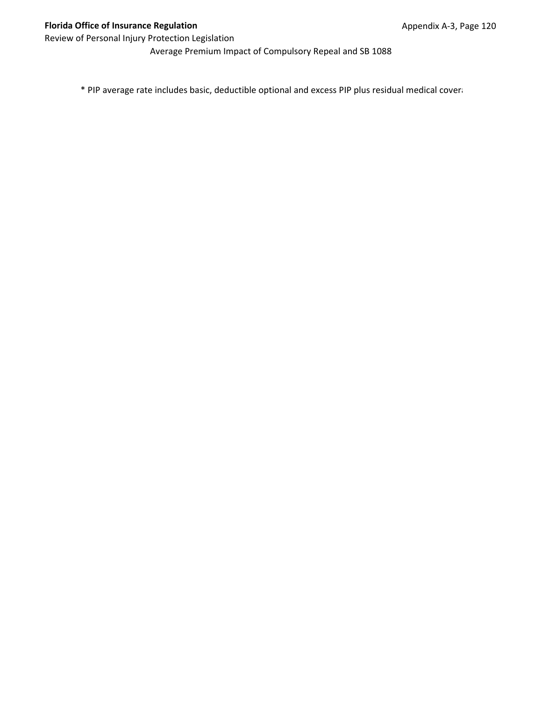Average Premium Impact of Compulsory Repeal and SB 1088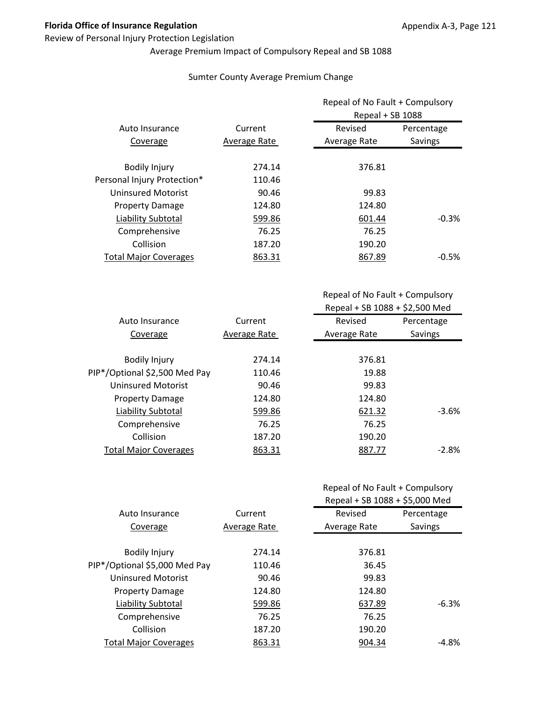### Review of Personal Injury Protection Legislation

# Average Premium Impact of Compulsory Repeal and SB 1088

### Sumter County Average Premium Change

|                              |              | Repeal of No Fault + Compulsory<br>Repeal + SB 1088 |            |
|------------------------------|--------------|-----------------------------------------------------|------------|
| Auto Insurance               | Current      | Revised                                             | Percentage |
| Coverage                     | Average Rate | Average Rate                                        | Savings    |
| <b>Bodily Injury</b>         | 274.14       | 376.81                                              |            |
| Personal Injury Protection*  | 110.46       |                                                     |            |
| <b>Uninsured Motorist</b>    | 90.46        | 99.83                                               |            |
| <b>Property Damage</b>       | 124.80       | 124.80                                              |            |
| Liability Subtotal           | 599.86       | 601.44                                              | $-0.3%$    |
| Comprehensive                | 76.25        | 76.25                                               |            |
| Collision                    | 187.20       | 190.20                                              |            |
| <b>Total Major Coverages</b> | 863.31       | 867.89                                              | $-0.5\%$   |

| Auto Insurance                | Current      | Revised      | Percentage |
|-------------------------------|--------------|--------------|------------|
| Coverage                      | Average Rate | Average Rate | Savings    |
|                               |              |              |            |
| <b>Bodily Injury</b>          | 274.14       | 376.81       |            |
| PIP*/Optional \$2,500 Med Pay | 110.46       | 19.88        |            |
| Uninsured Motorist            | 90.46        | 99.83        |            |
| <b>Property Damage</b>        | 124.80       | 124.80       |            |
| Liability Subtotal            | 599.86       | 621.32       | $-3.6%$    |
| Comprehensive                 | 76.25        | 76.25        |            |
| Collision                     | 187.20       | 190.20       |            |
| <b>Total Major Coverages</b>  | 863.31       | 887.77       | $-2.8%$    |

| Repeal of No Fault + Compulsory |  |
|---------------------------------|--|
|---------------------------------|--|

|                               |              | Repeal + SB 1088 + \$5,000 Med |            |
|-------------------------------|--------------|--------------------------------|------------|
| Auto Insurance                | Current      | Revised                        | Percentage |
| Coverage                      | Average Rate | Average Rate                   | Savings    |
|                               |              |                                |            |
| <b>Bodily Injury</b>          | 274.14       | 376.81                         |            |
| PIP*/Optional \$5,000 Med Pay | 110.46       | 36.45                          |            |
| <b>Uninsured Motorist</b>     | 90.46        | 99.83                          |            |
| <b>Property Damage</b>        | 124.80       | 124.80                         |            |
| Liability Subtotal            | 599.86       | 637.89                         | $-6.3%$    |
| Comprehensive                 | 76.25        | 76.25                          |            |
| Collision                     | 187.20       | 190.20                         |            |
| <b>Total Major Coverages</b>  | 863.31       | 904.34                         | -4.8%      |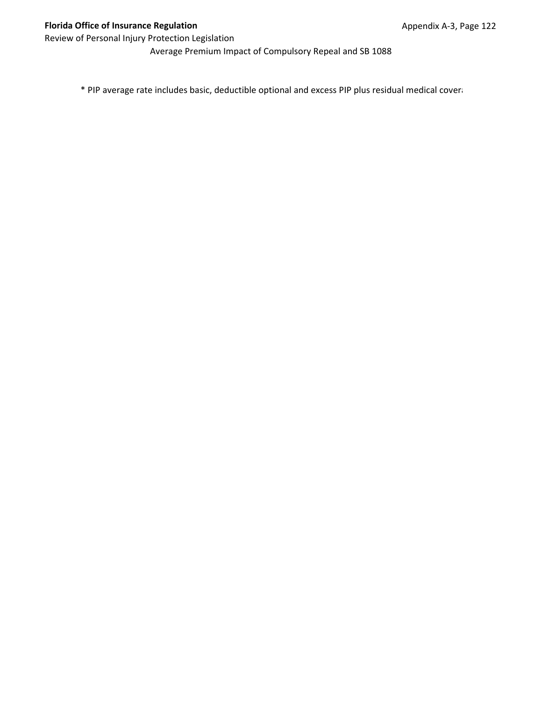Average Premium Impact of Compulsory Repeal and SB 1088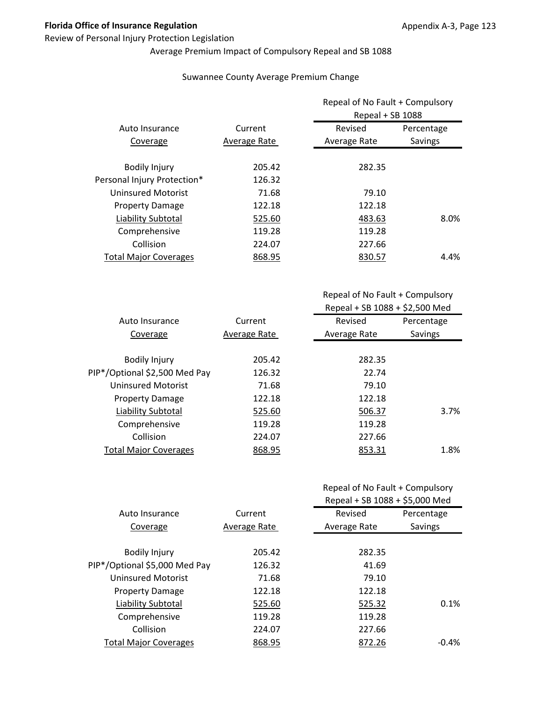### Review of Personal Injury Protection Legislation

# Average Premium Impact of Compulsory Repeal and SB 1088

### Suwannee County Average Premium Change

|                              |              | Repeal of No Fault + Compulsory<br>Repeal + SB 1088 |            |
|------------------------------|--------------|-----------------------------------------------------|------------|
| Auto Insurance               | Current      | Revised                                             | Percentage |
| Coverage                     | Average Rate | Average Rate                                        | Savings    |
| <b>Bodily Injury</b>         | 205.42       | 282.35                                              |            |
| Personal Injury Protection*  | 126.32       |                                                     |            |
| <b>Uninsured Motorist</b>    | 71.68        | 79.10                                               |            |
| <b>Property Damage</b>       | 122.18       | 122.18                                              |            |
| Liability Subtotal           | 525.60       | 483.63                                              | 8.0%       |
| Comprehensive                | 119.28       | 119.28                                              |            |
| Collision                    | 224.07       | 227.66                                              |            |
| <b>Total Major Coverages</b> | 868.95       | 830.57                                              | 4.4%       |

| Auto Insurance                | Current      | Revised      | Percentage |
|-------------------------------|--------------|--------------|------------|
| Coverage                      | Average Rate | Average Rate | Savings    |
|                               |              |              |            |
| <b>Bodily Injury</b>          | 205.42       | 282.35       |            |
| PIP*/Optional \$2,500 Med Pay | 126.32       | 22.74        |            |
| Uninsured Motorist            | 71.68        | 79.10        |            |
| <b>Property Damage</b>        | 122.18       | 122.18       |            |
| Liability Subtotal            | 525.60       | 506.37       | 3.7%       |
| Comprehensive                 | 119.28       | 119.28       |            |
| Collision                     | 224.07       | 227.66       |            |
| <b>Total Major Coverages</b>  | 868.95       | 853.31       | 1.8%       |

| Repeal of No Fault + Compulsory |  |
|---------------------------------|--|
|---------------------------------|--|

|                               |              | Repeal + SB 1088 + \$5,000 Med |            |
|-------------------------------|--------------|--------------------------------|------------|
| Auto Insurance                | Current      | Revised                        | Percentage |
| Coverage                      | Average Rate | Average Rate                   | Savings    |
|                               |              |                                |            |
| <b>Bodily Injury</b>          | 205.42       | 282.35                         |            |
| PIP*/Optional \$5,000 Med Pay | 126.32       | 41.69                          |            |
| <b>Uninsured Motorist</b>     | 71.68        | 79.10                          |            |
| <b>Property Damage</b>        | 122.18       | 122.18                         |            |
| Liability Subtotal            | 525.60       | 525.32                         | 0.1%       |
| Comprehensive                 | 119.28       | 119.28                         |            |
| Collision                     | 224.07       | 227.66                         |            |
| <b>Total Major Coverages</b>  | 868.95       | 872.26                         | $-0.4\%$   |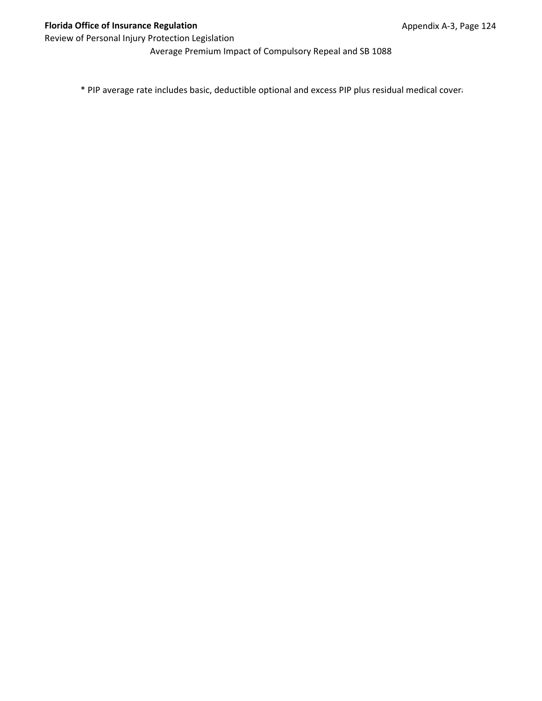Average Premium Impact of Compulsory Repeal and SB 1088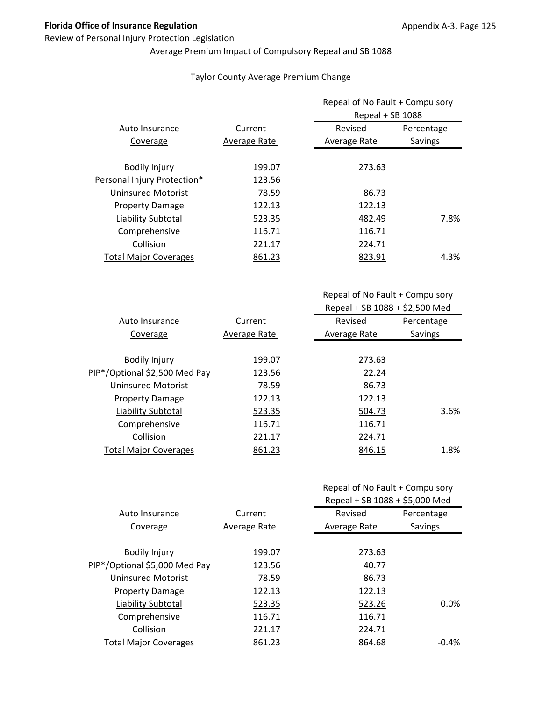### Review of Personal Injury Protection Legislation

# Average Premium Impact of Compulsory Repeal and SB 1088

### Taylor County Average Premium Change

|                              | Current      | Repeal of No Fault + Compulsory<br>Repeal + SB 1088 |            |
|------------------------------|--------------|-----------------------------------------------------|------------|
| Auto Insurance               |              | Revised                                             | Percentage |
| Coverage                     | Average Rate | Average Rate                                        | Savings    |
| <b>Bodily Injury</b>         | 199.07       | 273.63                                              |            |
| Personal Injury Protection*  | 123.56       |                                                     |            |
| <b>Uninsured Motorist</b>    | 78.59        | 86.73                                               |            |
| <b>Property Damage</b>       | 122.13       | 122.13                                              |            |
| Liability Subtotal           | 523.35       | 482.49                                              | 7.8%       |
| Comprehensive                | 116.71       | 116.71                                              |            |
| Collision                    | 221.17       | 224.71                                              |            |
| <b>Total Major Coverages</b> | 861.23       | 823.91                                              | 4.3%       |

| Revised<br>Average Rate | Percentage |
|-------------------------|------------|
|                         |            |
|                         | Savings    |
|                         |            |
| 273.63                  |            |
| 22.24                   |            |
| 86.73                   |            |
| 122.13                  |            |
| 504.73                  | 3.6%       |
| 116.71                  |            |
| 224.71                  |            |
| 846.15                  | 1.8%       |
|                         |            |

| Repeal of No Fault + Compulsory |  |
|---------------------------------|--|
|---------------------------------|--|

|                               |              | Repeal + SB 1088 + \$5,000 Med |            |
|-------------------------------|--------------|--------------------------------|------------|
| Auto Insurance                | Current      | Revised                        | Percentage |
| Coverage                      | Average Rate | Average Rate                   | Savings    |
|                               |              |                                |            |
| <b>Bodily Injury</b>          | 199.07       | 273.63                         |            |
| PIP*/Optional \$5,000 Med Pay | 123.56       | 40.77                          |            |
| <b>Uninsured Motorist</b>     | 78.59        | 86.73                          |            |
| <b>Property Damage</b>        | 122.13       | 122.13                         |            |
| Liability Subtotal            | 523.35       | 523.26                         | 0.0%       |
| Comprehensive                 | 116.71       | 116.71                         |            |
| Collision                     | 221.17       | 224.71                         |            |
| <b>Total Major Coverages</b>  | 861.23       | 864.68                         | $-0.4\%$   |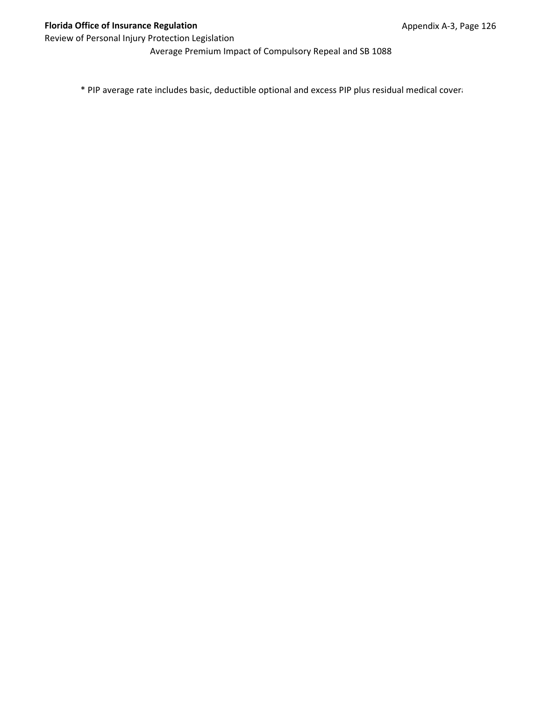Average Premium Impact of Compulsory Repeal and SB 1088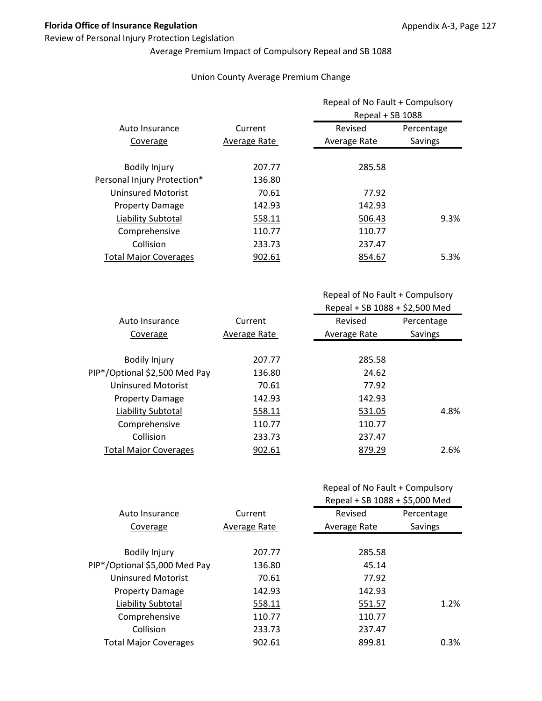### Review of Personal Injury Protection Legislation

## Average Premium Impact of Compulsory Repeal and SB 1088

### Union County Average Premium Change

|                              |              | Repeal of No Fault + Compulsory<br>Repeal + SB 1088 |            |
|------------------------------|--------------|-----------------------------------------------------|------------|
| Auto Insurance               | Current      | Revised                                             | Percentage |
| Coverage                     | Average Rate | Average Rate                                        | Savings    |
| <b>Bodily Injury</b>         | 207.77       | 285.58                                              |            |
| Personal Injury Protection*  | 136.80       |                                                     |            |
| <b>Uninsured Motorist</b>    | 70.61        | 77.92                                               |            |
| <b>Property Damage</b>       | 142.93       | 142.93                                              |            |
| Liability Subtotal           | 558.11       | 506.43                                              | 9.3%       |
| Comprehensive                | 110.77       | 110.77                                              |            |
| Collision                    | 233.73       | 237.47                                              |            |
| <b>Total Major Coverages</b> | 902.61       | 854.67                                              | 5.3%       |

Repeal of No Fault + Compulsory Repeal + SB 1088 + \$2,500 Med

| Auto Insurance                | Current      | Revised      | Percentage |
|-------------------------------|--------------|--------------|------------|
| Coverage                      | Average Rate | Average Rate | Savings    |
|                               |              |              |            |
| <b>Bodily Injury</b>          | 207.77       | 285.58       |            |
| PIP*/Optional \$2,500 Med Pay | 136.80       | 24.62        |            |
| Uninsured Motorist            | 70.61        | 77.92        |            |
| <b>Property Damage</b>        | 142.93       | 142.93       |            |
| Liability Subtotal            | 558.11       | 531.05       | 4.8%       |
| Comprehensive                 | 110.77       | 110.77       |            |
| Collision                     | 233.73       | 237.47       |            |
| <b>Total Major Coverages</b>  | 902.61       | 879.29       | 2.6%       |
|                               |              |              |            |

|                               |              | Repeal + SB 1088 + \$5,000 Med |            |
|-------------------------------|--------------|--------------------------------|------------|
| Auto Insurance                | Current      | Revised                        | Percentage |
| Coverage                      | Average Rate | Average Rate                   | Savings    |
|                               |              |                                |            |
| <b>Bodily Injury</b>          | 207.77       | 285.58                         |            |
| PIP*/Optional \$5,000 Med Pay | 136.80       | 45.14                          |            |
| <b>Uninsured Motorist</b>     | 70.61        | 77.92                          |            |
| <b>Property Damage</b>        | 142.93       | 142.93                         |            |
| Liability Subtotal            | 558.11       | 551.57                         | 1.2%       |
| Comprehensive                 | 110.77       | 110.77                         |            |
| Collision                     | 233.73       | 237.47                         |            |
| <b>Total Major Coverages</b>  | 902.61       | 899.81                         | 0.3%       |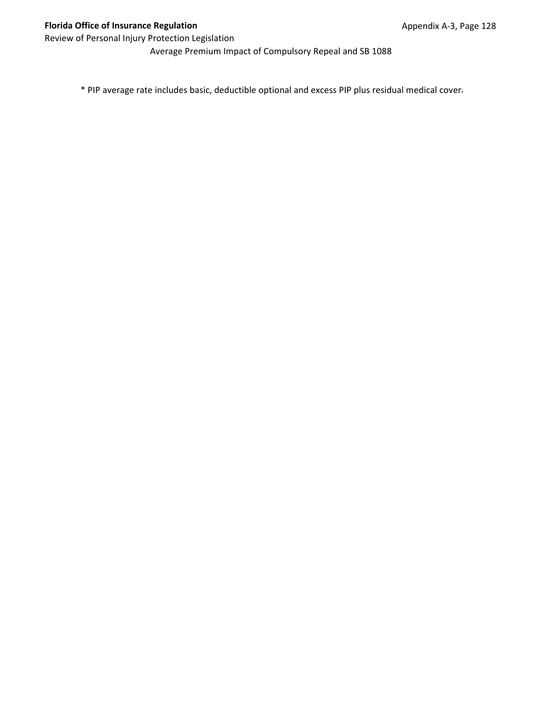Average Premium Impact of Compulsory Repeal and SB 1088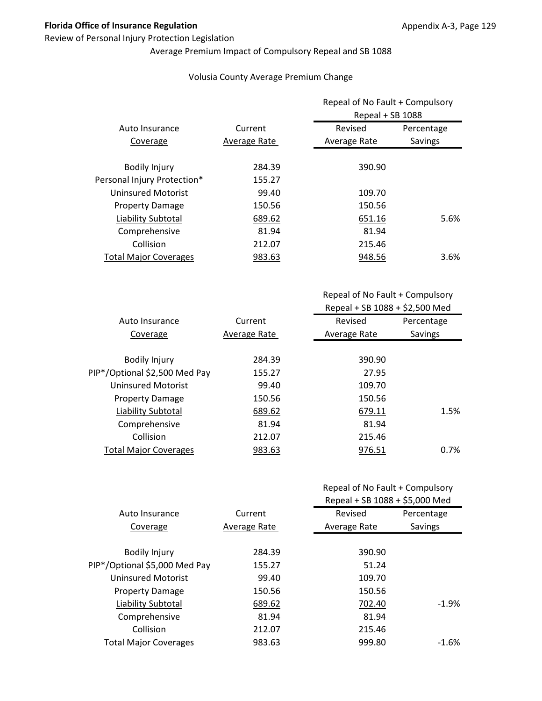### Review of Personal Injury Protection Legislation

# Average Premium Impact of Compulsory Repeal and SB 1088

### Volusia County Average Premium Change

|                              |              | Repeal of No Fault + Compulsory<br>Repeal + SB 1088 |            |
|------------------------------|--------------|-----------------------------------------------------|------------|
| Auto Insurance               | Current      | Revised                                             | Percentage |
| Coverage                     | Average Rate | Average Rate                                        | Savings    |
| <b>Bodily Injury</b>         | 284.39       | 390.90                                              |            |
| Personal Injury Protection*  | 155.27       |                                                     |            |
| <b>Uninsured Motorist</b>    | 99.40        | 109.70                                              |            |
| <b>Property Damage</b>       | 150.56       | 150.56                                              |            |
| Liability Subtotal           | 689.62       | 651.16                                              | 5.6%       |
| Comprehensive                | 81.94        | 81.94                                               |            |
| Collision                    | 212.07       | 215.46                                              |            |
| <b>Total Major Coverages</b> | 983.63       | 948.56                                              | 3.6%       |

Repeal of No Fault + Compulsory Repeal + SB 1088 + \$2,500 Med

| Current      | Revised      | Percentage                                                                 |
|--------------|--------------|----------------------------------------------------------------------------|
| Average Rate | Average Rate | Savings                                                                    |
|              |              |                                                                            |
| 284.39       |              |                                                                            |
| 155.27       |              |                                                                            |
| 99.40        |              |                                                                            |
| 150.56       |              |                                                                            |
| 689.62       |              | 1.5%                                                                       |
| 81.94        |              |                                                                            |
| 212.07       |              |                                                                            |
| 983.63       |              | 0.7%                                                                       |
|              |              | 390.90<br>27.95<br>109.70<br>150.56<br>679.11<br>81.94<br>215.46<br>976.51 |

|                               |              | Repeal + SB 1088 + \$5,000 Med |            |
|-------------------------------|--------------|--------------------------------|------------|
| Auto Insurance                | Current      | Revised                        | Percentage |
| Coverage                      | Average Rate | Average Rate                   | Savings    |
|                               |              |                                |            |
| <b>Bodily Injury</b>          | 284.39       | 390.90                         |            |
| PIP*/Optional \$5,000 Med Pay | 155.27       | 51.24                          |            |
| <b>Uninsured Motorist</b>     | 99.40        | 109.70                         |            |
| <b>Property Damage</b>        | 150.56       | 150.56                         |            |
| Liability Subtotal            | 689.62       | 702.40                         | $-1.9%$    |
| Comprehensive                 | 81.94        | 81.94                          |            |
| Collision                     | 212.07       | 215.46                         |            |
| <b>Total Major Coverages</b>  | 983.63       | 999.80                         | $-1.6\%$   |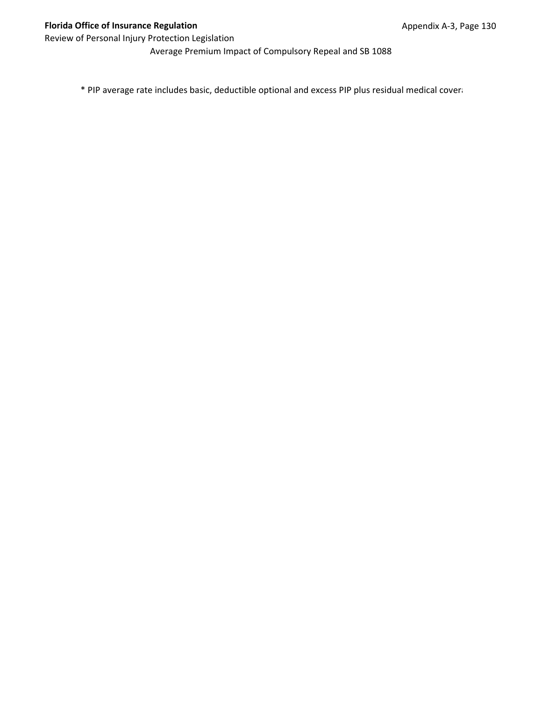Average Premium Impact of Compulsory Repeal and SB 1088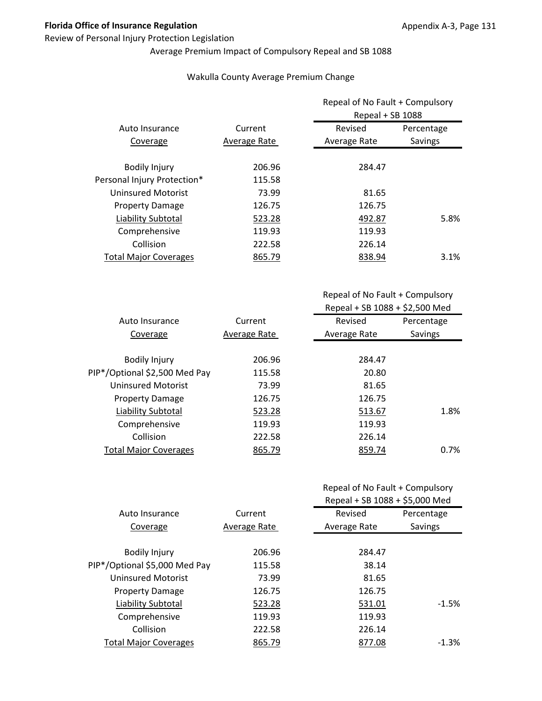#### Review of Personal Injury Protection Legislation

# Average Premium Impact of Compulsory Repeal and SB 1088

### Wakulla County Average Premium Change

|                              |              | Repeal of No Fault + Compulsory<br>Repeal + SB 1088 |            |
|------------------------------|--------------|-----------------------------------------------------|------------|
| Auto Insurance               | Current      | Revised                                             | Percentage |
| Coverage                     | Average Rate | Average Rate                                        | Savings    |
| <b>Bodily Injury</b>         | 206.96       | 284.47                                              |            |
| Personal Injury Protection*  | 115.58       |                                                     |            |
| Uninsured Motorist           | 73.99        | 81.65                                               |            |
| <b>Property Damage</b>       | 126.75       | 126.75                                              |            |
| Liability Subtotal           | 523.28       | 492.87                                              | 5.8%       |
| Comprehensive                | 119.93       | 119.93                                              |            |
| Collision                    | 222.58       | 226.14                                              |            |
| <b>Total Major Coverages</b> | 865.79       | 838.94                                              | 3.1%       |

Repeal of No Fault + Compulsory Repeal + SB 1088 + \$2,500 Med

| Current      | Revised      | Percentage |
|--------------|--------------|------------|
| Average Rate | Average Rate | Savings    |
|              |              |            |
| 206.96       | 284.47       |            |
| 115.58       | 20.80        |            |
| 73.99        | 81.65        |            |
| 126.75       | 126.75       |            |
| 523.28       | 513.67       | 1.8%       |
| 119.93       | 119.93       |            |
| 222.58       | 226.14       |            |
| 865.79       | 859.74       | $0.7\%$    |
|              |              |            |

|                               |              | Repeal + SB 1088 + \$5,000 Med |            |
|-------------------------------|--------------|--------------------------------|------------|
| Auto Insurance                | Current      | Revised                        | Percentage |
| Coverage                      | Average Rate | Average Rate                   | Savings    |
|                               |              |                                |            |
| <b>Bodily Injury</b>          | 206.96       | 284.47                         |            |
| PIP*/Optional \$5,000 Med Pay | 115.58       | 38.14                          |            |
| <b>Uninsured Motorist</b>     | 73.99        | 81.65                          |            |
| <b>Property Damage</b>        | 126.75       | 126.75                         |            |
| Liability Subtotal            | 523.28       | 531.01                         | $-1.5%$    |
| Comprehensive                 | 119.93       | 119.93                         |            |
| Collision                     | 222.58       | 226.14                         |            |
| <b>Total Major Coverages</b>  | 865.79       | 877.08                         | $-1.3%$    |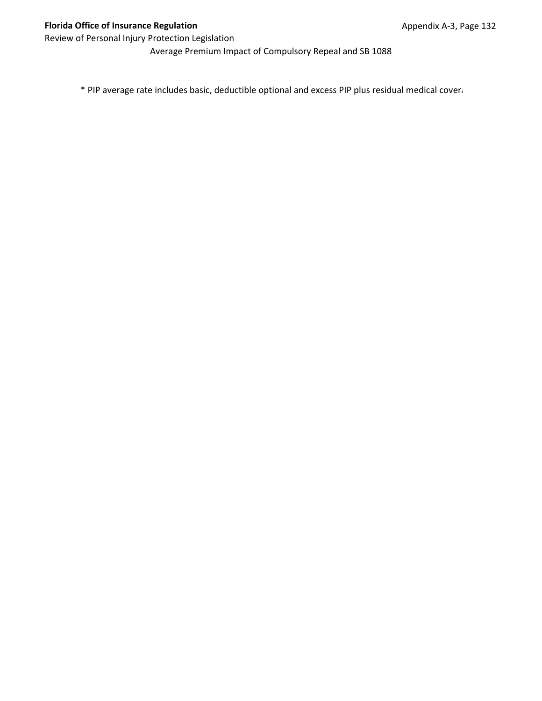Average Premium Impact of Compulsory Repeal and SB 1088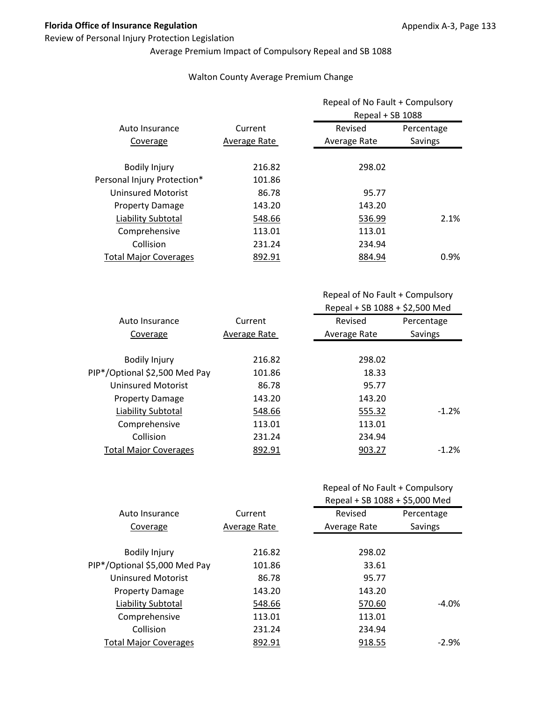### Review of Personal Injury Protection Legislation

# Average Premium Impact of Compulsory Repeal and SB 1088

### Walton County Average Premium Change

|                              |              | Repeal of No Fault + Compulsory<br>Repeal + SB 1088 |            |
|------------------------------|--------------|-----------------------------------------------------|------------|
| Auto Insurance               | Current      | Revised                                             | Percentage |
| Coverage                     | Average Rate | Average Rate                                        | Savings    |
| <b>Bodily Injury</b>         | 216.82       | 298.02                                              |            |
| Personal Injury Protection*  | 101.86       |                                                     |            |
| <b>Uninsured Motorist</b>    | 86.78        | 95.77                                               |            |
| <b>Property Damage</b>       | 143.20       | 143.20                                              |            |
| Liability Subtotal           | 548.66       | 536.99                                              | 2.1%       |
| Comprehensive                | 113.01       | 113.01                                              |            |
| Collision                    | 231.24       | 234.94                                              |            |
| <b>Total Major Coverages</b> | 892.91       | 884.94                                              | $0.9\%$    |

Repeal of No Fault + Compulsory Repeal + SB 1088 + \$2,500 Med

| Auto Insurance                | Current      | Revised      | Percentage |
|-------------------------------|--------------|--------------|------------|
| Coverage                      | Average Rate | Average Rate | Savings    |
|                               |              |              |            |
| <b>Bodily Injury</b>          | 216.82       | 298.02       |            |
| PIP*/Optional \$2,500 Med Pay | 101.86       | 18.33        |            |
| Uninsured Motorist            | 86.78        | 95.77        |            |
| <b>Property Damage</b>        | 143.20       | 143.20       |            |
| Liability Subtotal            | 548.66       | 555.32       | $-1.2%$    |
| Comprehensive                 | 113.01       | 113.01       |            |
| Collision                     | 231.24       | 234.94       |            |
| <b>Total Major Coverages</b>  | 892.91       | 903.27       | $-1.2%$    |
|                               |              |              |            |

|                               |              | Repeal + SB 1088 + \$5,000 Med |            |
|-------------------------------|--------------|--------------------------------|------------|
| Auto Insurance                | Current      | Revised                        | Percentage |
| Coverage                      | Average Rate | Average Rate                   | Savings    |
|                               |              |                                |            |
| <b>Bodily Injury</b>          | 216.82       | 298.02                         |            |
| PIP*/Optional \$5,000 Med Pay | 101.86       | 33.61                          |            |
| <b>Uninsured Motorist</b>     | 86.78        | 95.77                          |            |
| <b>Property Damage</b>        | 143.20       | 143.20                         |            |
| Liability Subtotal            | 548.66       | 570.60                         | $-4.0\%$   |
| Comprehensive                 | 113.01       | 113.01                         |            |
| Collision                     | 231.24       | 234.94                         |            |
| <b>Total Major Coverages</b>  | 892.91       | 918.55                         | $-2.9\%$   |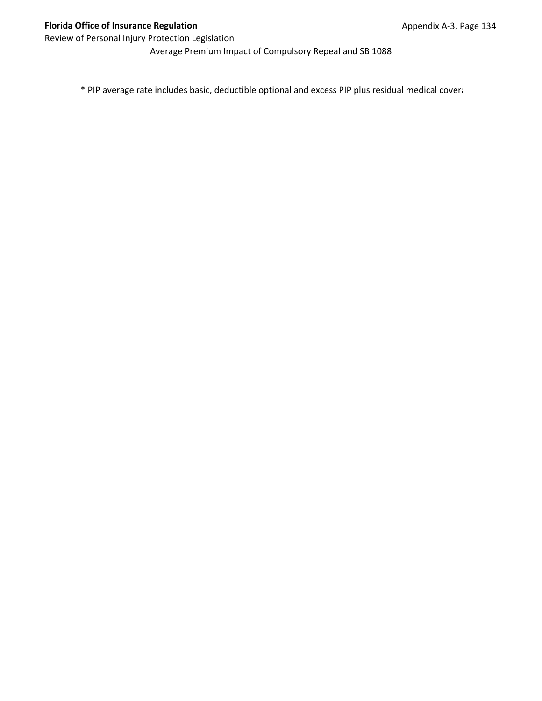Average Premium Impact of Compulsory Repeal and SB 1088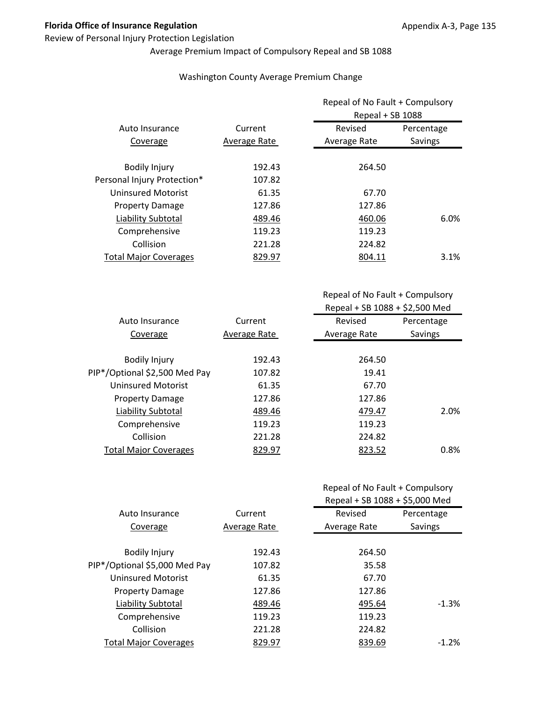### Review of Personal Injury Protection Legislation

# Average Premium Impact of Compulsory Repeal and SB 1088

### Washington County Average Premium Change

|                              |              | Repeal of No Fault + Compulsory<br>Repeal + SB 1088 |            |
|------------------------------|--------------|-----------------------------------------------------|------------|
| Auto Insurance               | Current      | Revised                                             | Percentage |
| Coverage                     | Average Rate | Average Rate                                        | Savings    |
| <b>Bodily Injury</b>         | 192.43       | 264.50                                              |            |
| Personal Injury Protection*  | 107.82       |                                                     |            |
| Uninsured Motorist           | 61.35        | 67.70                                               |            |
| <b>Property Damage</b>       | 127.86       | 127.86                                              |            |
| Liability Subtotal           | 489.46       | 460.06                                              | 6.0%       |
| Comprehensive                | 119.23       | 119.23                                              |            |
| Collision                    | 221.28       | 224.82                                              |            |
| <b>Total Major Coverages</b> | 829.97       | 804.11                                              | 3.1%       |

Repeal of No Fault + Compulsory Repeal + SB 1088 + \$2,500 Med

| Auto Insurance                | Current      | Revised      | Percentage |
|-------------------------------|--------------|--------------|------------|
| Coverage                      | Average Rate | Average Rate | Savings    |
|                               |              |              |            |
| <b>Bodily Injury</b>          | 192.43       | 264.50       |            |
| PIP*/Optional \$2,500 Med Pay | 107.82       | 19.41        |            |
| Uninsured Motorist            | 61.35        | 67.70        |            |
| <b>Property Damage</b>        | 127.86       | 127.86       |            |
| Liability Subtotal            | 489.46       | 479.47       | 2.0%       |
| Comprehensive                 | 119.23       | 119.23       |            |
| Collision                     | 221.28       | 224.82       |            |
| <b>Total Major Coverages</b>  | 829.97       | 823.52       | 0.8%       |
|                               |              |              |            |

|                               | Current      | Repeal + SB 1088 + \$5,000 Med |            |
|-------------------------------|--------------|--------------------------------|------------|
| Auto Insurance                |              | Revised                        | Percentage |
| Coverage                      | Average Rate | Average Rate                   | Savings    |
|                               |              |                                |            |
| <b>Bodily Injury</b>          | 192.43       | 264.50                         |            |
| PIP*/Optional \$5,000 Med Pay | 107.82       | 35.58                          |            |
| <b>Uninsured Motorist</b>     | 61.35        | 67.70                          |            |
| <b>Property Damage</b>        | 127.86       | 127.86                         |            |
| Liability Subtotal            | 489.46       | 495.64                         | $-1.3%$    |
| Comprehensive                 | 119.23       | 119.23                         |            |
| Collision                     | 221.28       | 224.82                         |            |
| <b>Total Major Coverages</b>  | 829.97       | 839.69                         | $-1.2%$    |